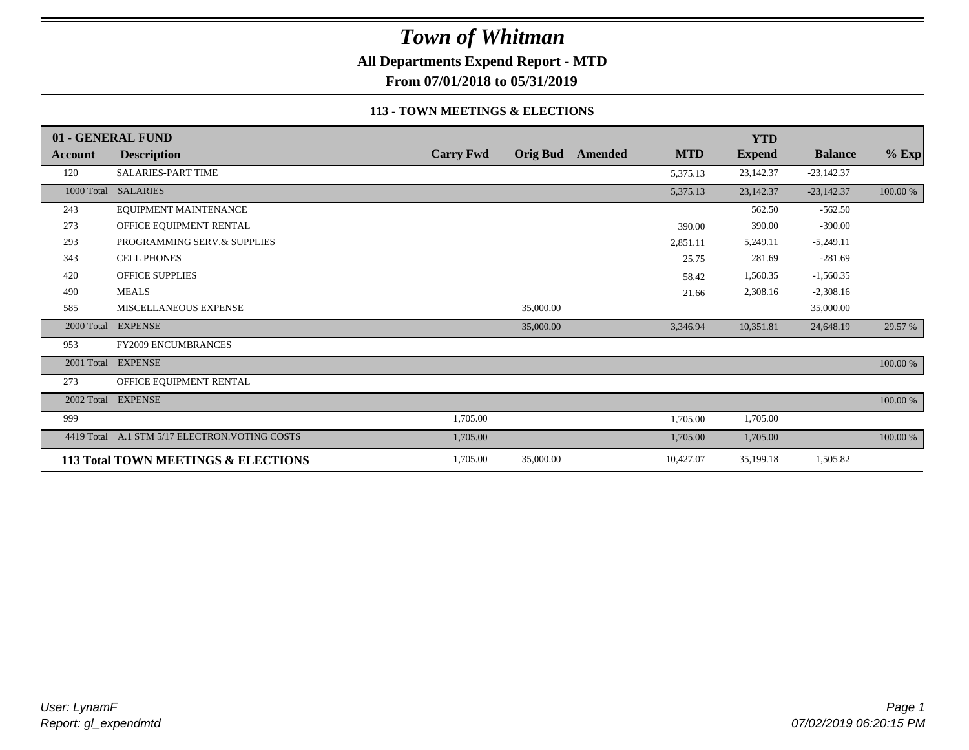**All Departments Expend Report - MTD**

**From 07/01/2018 to 05/31/2019**

### **113 - TOWN MEETINGS & ELECTIONS**

|         | 01 - GENERAL FUND                              |                  |           |                         |            | <b>YTD</b>    |                |             |
|---------|------------------------------------------------|------------------|-----------|-------------------------|------------|---------------|----------------|-------------|
| Account | <b>Description</b>                             | <b>Carry Fwd</b> |           | <b>Orig Bud</b> Amended | <b>MTD</b> | <b>Expend</b> | <b>Balance</b> | $%$ Exp     |
| 120     | <b>SALARIES-PART TIME</b>                      |                  |           |                         | 5,375.13   | 23,142.37     | $-23,142.37$   |             |
|         | 1000 Total SALARIES                            |                  |           |                         | 5,375.13   | 23,142.37     | $-23,142.37$   | 100.00 %    |
| 243     | EQUIPMENT MAINTENANCE                          |                  |           |                         |            | 562.50        | $-562.50$      |             |
| 273     | OFFICE EQUIPMENT RENTAL                        |                  |           |                         | 390.00     | 390.00        | $-390.00$      |             |
| 293     | PROGRAMMING SERV.& SUPPLIES                    |                  |           |                         | 2,851.11   | 5,249.11      | $-5,249.11$    |             |
| 343     | <b>CELL PHONES</b>                             |                  |           |                         | 25.75      | 281.69        | $-281.69$      |             |
| 420     | <b>OFFICE SUPPLIES</b>                         |                  |           |                         | 58.42      | 1,560.35      | $-1,560.35$    |             |
| 490     | <b>MEALS</b>                                   |                  |           |                         | 21.66      | 2,308.16      | $-2,308.16$    |             |
| 585     | <b>MISCELLANEOUS EXPENSE</b>                   |                  | 35,000.00 |                         |            |               | 35,000.00      |             |
|         | 2000 Total EXPENSE                             |                  | 35,000.00 |                         | 3,346.94   | 10,351.81     | 24,648.19      | 29.57 %     |
| 953     | <b>FY2009 ENCUMBRANCES</b>                     |                  |           |                         |            |               |                |             |
|         | 2001 Total EXPENSE                             |                  |           |                         |            |               |                | $100.00~\%$ |
| 273     | OFFICE EQUIPMENT RENTAL                        |                  |           |                         |            |               |                |             |
|         | 2002 Total EXPENSE                             |                  |           |                         |            |               |                | 100.00 %    |
| 999     |                                                | 1,705.00         |           |                         | 1,705.00   | 1,705.00      |                |             |
|         | 4419 Total A.1 STM 5/17 ELECTRON. VOTING COSTS | 1,705.00         |           |                         | 1,705.00   | 1,705.00      |                | 100.00 %    |
|         | 113 Total TOWN MEETINGS & ELECTIONS            | 1,705.00         | 35,000.00 |                         | 10,427.07  | 35,199.18     | 1,505.82       |             |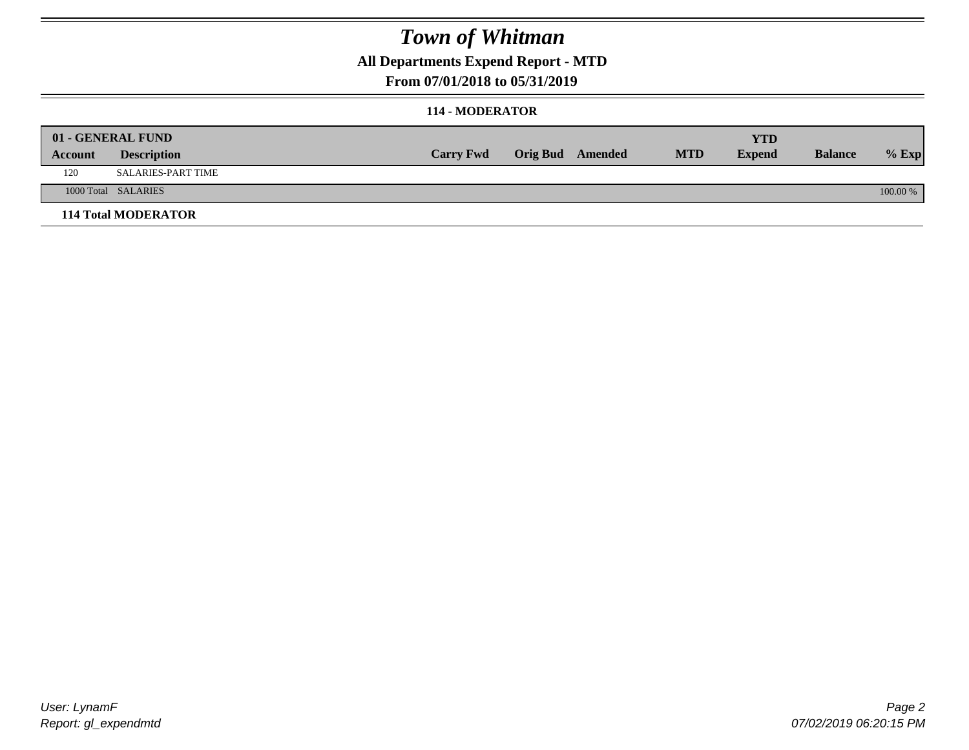## **All Departments Expend Report - MTD**

### **From 07/01/2018 to 05/31/2019**

### **114 - MODERATOR**

|         | 01 - GENERAL FUND          |                  |                  |            | <b>YTD</b>    |                |          |
|---------|----------------------------|------------------|------------------|------------|---------------|----------------|----------|
| Account | <b>Description</b>         | <b>Carry Fwd</b> | Orig Bud Amended | <b>MTD</b> | <b>Expend</b> | <b>Balance</b> | $%$ Exp  |
| 120     | <b>SALARIES-PART TIME</b>  |                  |                  |            |               |                |          |
|         | 1000 Total SALARIES        |                  |                  |            |               |                | 100.00 % |
|         | <b>114 Total MODERATOR</b> |                  |                  |            |               |                |          |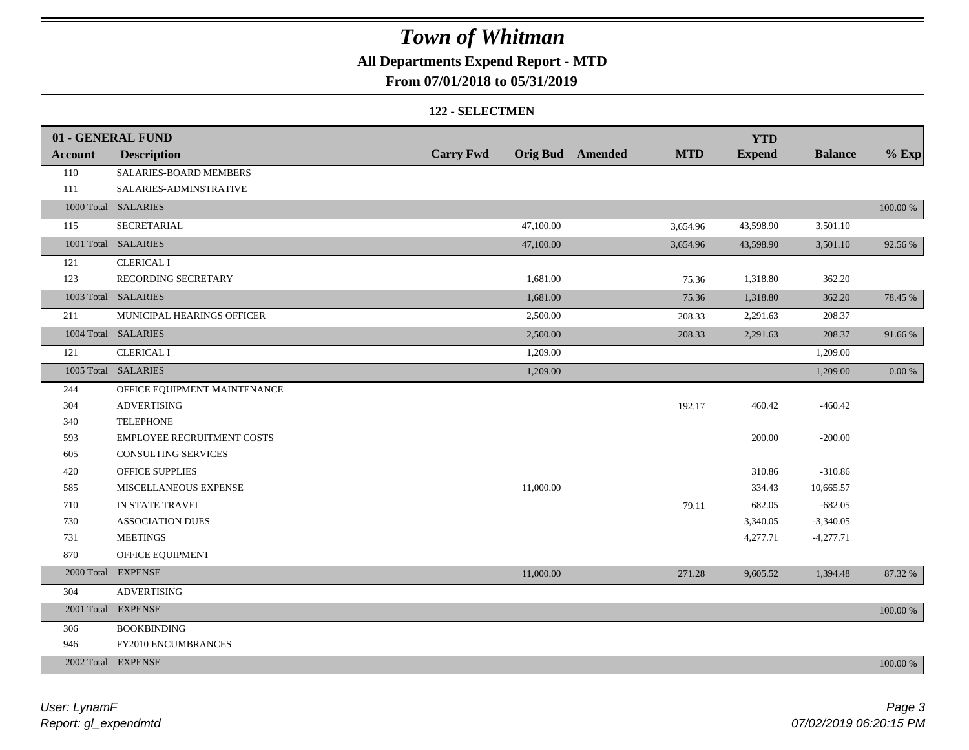## **All Departments Expend Report - MTD**

### **From 07/01/2018 to 05/31/2019**

#### **122 - SELECTMEN**

|                | 01 - GENERAL FUND            |                  |                                       | <b>YTD</b>    |                |             |
|----------------|------------------------------|------------------|---------------------------------------|---------------|----------------|-------------|
| <b>Account</b> | <b>Description</b>           | <b>Carry Fwd</b> | <b>Orig Bud</b> Amended<br><b>MTD</b> | <b>Expend</b> | <b>Balance</b> | $%$ Exp     |
| 110            | SALARIES-BOARD MEMBERS       |                  |                                       |               |                |             |
| 111            | SALARIES-ADMINSTRATIVE       |                  |                                       |               |                |             |
|                | 1000 Total SALARIES          |                  |                                       |               |                | $100.00~\%$ |
| 115            | <b>SECRETARIAL</b>           | 47,100.00        | 3,654.96                              | 43,598.90     | 3,501.10       |             |
|                | 1001 Total SALARIES          | 47,100.00        | 3,654.96                              | 43,598.90     | 3,501.10       | 92.56%      |
| 121            | <b>CLERICAL I</b>            |                  |                                       |               |                |             |
| 123            | RECORDING SECRETARY          | 1,681.00         | 75.36                                 | 1,318.80      | 362.20         |             |
|                | 1003 Total SALARIES          | 1,681.00         | 75.36                                 | 1,318.80      | 362.20         | 78.45 %     |
| 211            | MUNICIPAL HEARINGS OFFICER   | 2,500.00         | 208.33                                | 2,291.63      | 208.37         |             |
|                | 1004 Total SALARIES          | 2,500.00         | 208.33                                | 2,291.63      | 208.37         | 91.66%      |
| 121            | <b>CLERICAL I</b>            | 1,209.00         |                                       |               | 1,209.00       |             |
|                | 1005 Total SALARIES          | 1,209.00         |                                       |               | 1,209.00       | $0.00 \%$   |
| 244            | OFFICE EQUIPMENT MAINTENANCE |                  |                                       |               |                |             |
| 304            | <b>ADVERTISING</b>           |                  | 192.17                                | 460.42        | $-460.42$      |             |
| 340            | <b>TELEPHONE</b>             |                  |                                       |               |                |             |
| 593            | EMPLOYEE RECRUITMENT COSTS   |                  |                                       | 200.00        | $-200.00$      |             |
| 605            | CONSULTING SERVICES          |                  |                                       |               |                |             |
| 420            | <b>OFFICE SUPPLIES</b>       |                  |                                       | 310.86        | $-310.86$      |             |
| 585            | MISCELLANEOUS EXPENSE        | 11,000.00        |                                       | 334.43        | 10,665.57      |             |
| 710            | IN STATE TRAVEL              |                  | 79.11                                 | 682.05        | $-682.05$      |             |
| 730            | <b>ASSOCIATION DUES</b>      |                  |                                       | 3,340.05      | $-3,340.05$    |             |
| 731            | <b>MEETINGS</b>              |                  |                                       | 4,277.71      | $-4,277.71$    |             |
| 870            | OFFICE EQUIPMENT             |                  |                                       |               |                |             |
| 2000 Total     | <b>EXPENSE</b>               | 11,000.00        | 271.28                                | 9,605.52      | 1,394.48       | 87.32 %     |
| 304            | <b>ADVERTISING</b>           |                  |                                       |               |                |             |
| 2001 Total     | <b>EXPENSE</b>               |                  |                                       |               |                | 100.00 %    |
| 306            | <b>BOOKBINDING</b>           |                  |                                       |               |                |             |
| 946            | FY2010 ENCUMBRANCES          |                  |                                       |               |                |             |
|                | 2002 Total EXPENSE           |                  |                                       |               |                | 100.00 %    |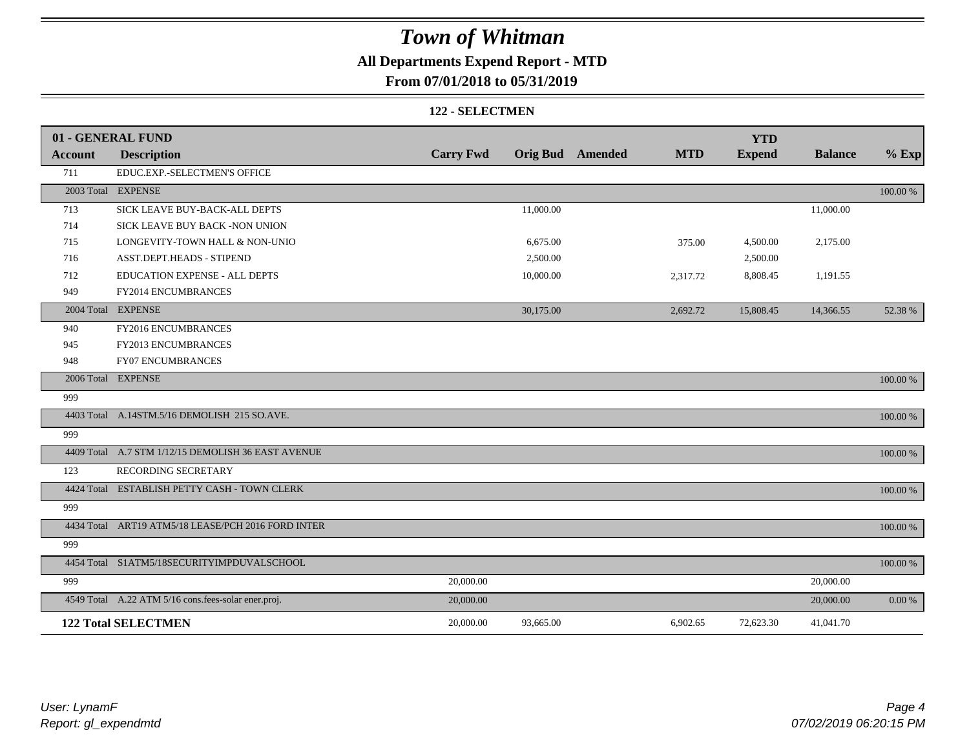## **All Departments Expend Report - MTD**

### **From 07/01/2018 to 05/31/2019**

#### **122 - SELECTMEN**

|         | 01 - GENERAL FUND                                   |                  |           |                         |            | <b>YTD</b>    |                |             |
|---------|-----------------------------------------------------|------------------|-----------|-------------------------|------------|---------------|----------------|-------------|
| Account | <b>Description</b>                                  | <b>Carry Fwd</b> |           | <b>Orig Bud</b> Amended | <b>MTD</b> | <b>Expend</b> | <b>Balance</b> | $%$ Exp     |
| 711     | EDUC.EXP.-SELECTMEN'S OFFICE                        |                  |           |                         |            |               |                |             |
|         | 2003 Total EXPENSE                                  |                  |           |                         |            |               |                | 100.00 %    |
| 713     | SICK LEAVE BUY-BACK-ALL DEPTS                       |                  | 11,000.00 |                         |            |               | 11,000.00      |             |
| 714     | SICK LEAVE BUY BACK -NON UNION                      |                  |           |                         |            |               |                |             |
| 715     | LONGEVITY-TOWN HALL & NON-UNIO                      |                  | 6,675.00  |                         | 375.00     | 4,500.00      | 2,175.00       |             |
| 716     | ASST.DEPT.HEADS - STIPEND                           |                  | 2,500.00  |                         |            | 2,500.00      |                |             |
| 712     | EDUCATION EXPENSE - ALL DEPTS                       |                  | 10,000.00 |                         | 2,317.72   | 8,808.45      | 1,191.55       |             |
| 949     | FY2014 ENCUMBRANCES                                 |                  |           |                         |            |               |                |             |
|         | 2004 Total EXPENSE                                  |                  | 30,175.00 |                         | 2,692.72   | 15,808.45     | 14,366.55      | 52.38 %     |
| 940     | FY2016 ENCUMBRANCES                                 |                  |           |                         |            |               |                |             |
| 945     | FY2013 ENCUMBRANCES                                 |                  |           |                         |            |               |                |             |
| 948     | <b>FY07 ENCUMBRANCES</b>                            |                  |           |                         |            |               |                |             |
|         | 2006 Total EXPENSE                                  |                  |           |                         |            |               |                | 100.00 %    |
| 999     |                                                     |                  |           |                         |            |               |                |             |
|         | 4403 Total A.14STM.5/16 DEMOLISH 215 SO.AVE.        |                  |           |                         |            |               |                | 100.00 %    |
| 999     |                                                     |                  |           |                         |            |               |                |             |
|         | 4409 Total A.7 STM 1/12/15 DEMOLISH 36 EAST AVENUE  |                  |           |                         |            |               |                | 100.00 %    |
| 123     | RECORDING SECRETARY                                 |                  |           |                         |            |               |                |             |
|         | 4424 Total ESTABLISH PETTY CASH - TOWN CLERK        |                  |           |                         |            |               |                | 100.00 %    |
| 999     |                                                     |                  |           |                         |            |               |                |             |
|         | 4434 Total ART19 ATM5/18 LEASE/PCH 2016 FORD INTER  |                  |           |                         |            |               |                | 100.00 %    |
| 999     |                                                     |                  |           |                         |            |               |                |             |
|         | 4454 Total S1ATM5/18SECURITYIMPDUVALSCHOOL          |                  |           |                         |            |               |                | $100.00~\%$ |
| 999     |                                                     | 20,000.00        |           |                         |            |               | 20,000.00      |             |
|         | 4549 Total A.22 ATM 5/16 cons.fees-solar ener.proj. | 20,000.00        |           |                         |            |               | 20,000.00      | 0.00 %      |
|         | <b>122 Total SELECTMEN</b>                          | 20,000.00        | 93,665.00 |                         | 6,902.65   | 72,623.30     | 41,041.70      |             |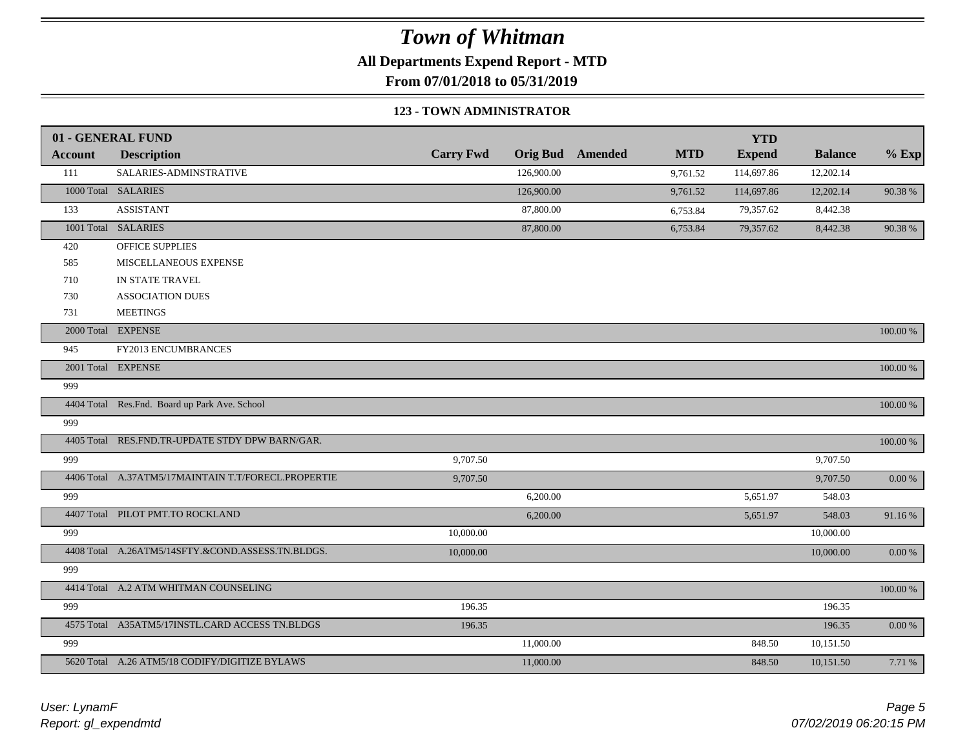**All Departments Expend Report - MTD**

**From 07/01/2018 to 05/31/2019**

#### **123 - TOWN ADMINISTRATOR**

|                | 01 - GENERAL FUND                                   |                  |                 |         |            | <b>YTD</b>    |                |             |
|----------------|-----------------------------------------------------|------------------|-----------------|---------|------------|---------------|----------------|-------------|
| <b>Account</b> | <b>Description</b>                                  | <b>Carry Fwd</b> | <b>Orig Bud</b> | Amended | <b>MTD</b> | <b>Expend</b> | <b>Balance</b> | $%$ Exp     |
| 111            | SALARIES-ADMINSTRATIVE                              |                  | 126,900.00      |         | 9,761.52   | 114,697.86    | 12,202.14      |             |
|                | 1000 Total SALARIES                                 |                  | 126,900.00      |         | 9,761.52   | 114,697.86    | 12,202.14      | 90.38 %     |
| 133            | <b>ASSISTANT</b>                                    |                  | 87,800.00       |         | 6,753.84   | 79,357.62     | 8,442.38       |             |
|                | 1001 Total SALARIES                                 |                  | 87,800.00       |         | 6,753.84   | 79,357.62     | 8,442.38       | 90.38 %     |
| 420            | OFFICE SUPPLIES                                     |                  |                 |         |            |               |                |             |
| 585            | MISCELLANEOUS EXPENSE                               |                  |                 |         |            |               |                |             |
| 710            | IN STATE TRAVEL                                     |                  |                 |         |            |               |                |             |
| 730            | <b>ASSOCIATION DUES</b>                             |                  |                 |         |            |               |                |             |
| 731            | <b>MEETINGS</b>                                     |                  |                 |         |            |               |                |             |
|                | 2000 Total EXPENSE                                  |                  |                 |         |            |               |                | 100.00 %    |
| 945            | FY2013 ENCUMBRANCES                                 |                  |                 |         |            |               |                |             |
|                | 2001 Total EXPENSE                                  |                  |                 |         |            |               |                | 100.00 %    |
| 999            |                                                     |                  |                 |         |            |               |                |             |
|                | 4404 Total Res.Fnd. Board up Park Ave. School       |                  |                 |         |            |               |                | 100.00 %    |
| 999            |                                                     |                  |                 |         |            |               |                |             |
|                | 4405 Total RES.FND.TR-UPDATE STDY DPW BARN/GAR.     |                  |                 |         |            |               |                | $100.00~\%$ |
| 999            |                                                     | 9,707.50         |                 |         |            |               | 9,707.50       |             |
|                | 4406 Total A.37ATM5/17MAINTAIN T.T/FORECL.PROPERTIE | 9,707.50         |                 |         |            |               | 9,707.50       | $0.00\ \%$  |
| 999            |                                                     |                  | 6,200.00        |         |            | 5,651.97      | 548.03         |             |
|                | 4407 Total PILOT PMT.TO ROCKLAND                    |                  | 6,200.00        |         |            | 5,651.97      | 548.03         | 91.16%      |
| 999            |                                                     | 10,000.00        |                 |         |            |               | 10,000.00      |             |
|                | 4408 Total A.26ATM5/14SFTY.&COND.ASSESS.TN.BLDGS.   | 10,000.00        |                 |         |            |               | 10,000.00      | $0.00\ \%$  |
| 999            |                                                     |                  |                 |         |            |               |                |             |
|                | 4414 Total A.2 ATM WHITMAN COUNSELING               |                  |                 |         |            |               |                | 100.00 %    |
| 999            |                                                     | 196.35           |                 |         |            |               | 196.35         |             |
|                | 4575 Total A35ATM5/17INSTL.CARD ACCESS TN.BLDGS     | 196.35           |                 |         |            |               | 196.35         | $0.00\ \%$  |
| 999            |                                                     |                  | 11,000.00       |         |            | 848.50        | 10,151.50      |             |
|                | 5620 Total A.26 ATM5/18 CODIFY/DIGITIZE BYLAWS      |                  | 11,000.00       |         |            | 848.50        | 10,151.50      | 7.71 %      |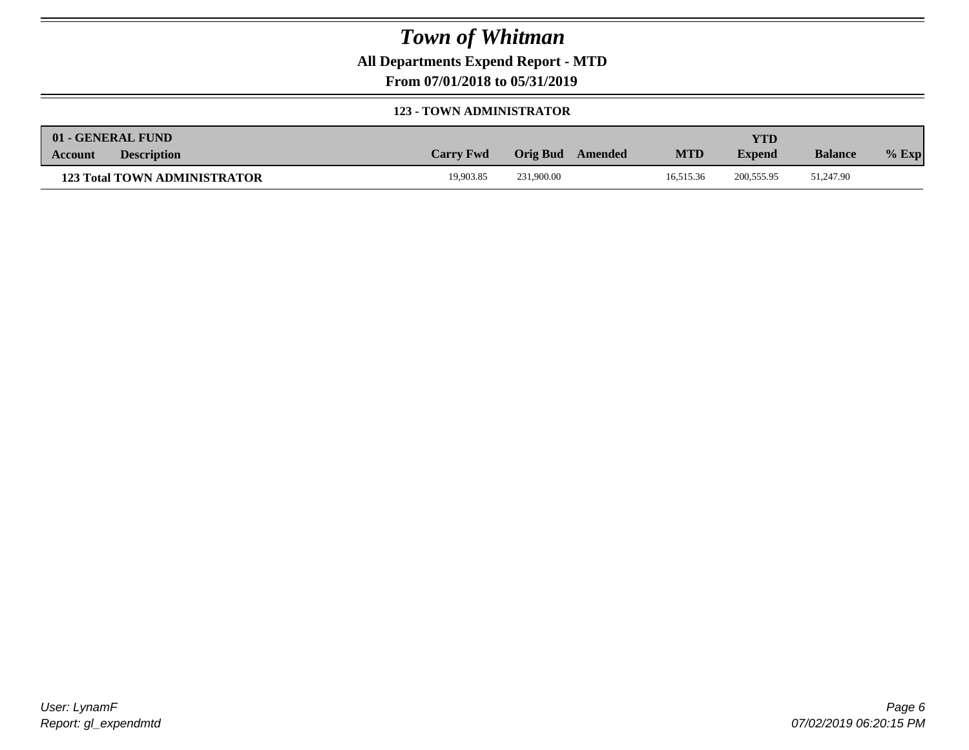**All Departments Expend Report - MTD**

**From 07/01/2018 to 05/31/2019**

#### **123 - TOWN ADMINISTRATOR**

| 01 - GENERAL FUND |                                     |                  |                     |            | YTD           |                |         |
|-------------------|-------------------------------------|------------------|---------------------|------------|---------------|----------------|---------|
| Account           | <b>Description</b>                  | <b>Carry Fwd</b> | Orig Bud<br>Amended | <b>MTD</b> | <b>Expend</b> | <b>Balance</b> | $%$ Exp |
|                   | <b>123 Total TOWN ADMINISTRATOR</b> | 19.903.85        | 231,900.00          | 16.515.36  | 200, 555.95   | 51,247.90      |         |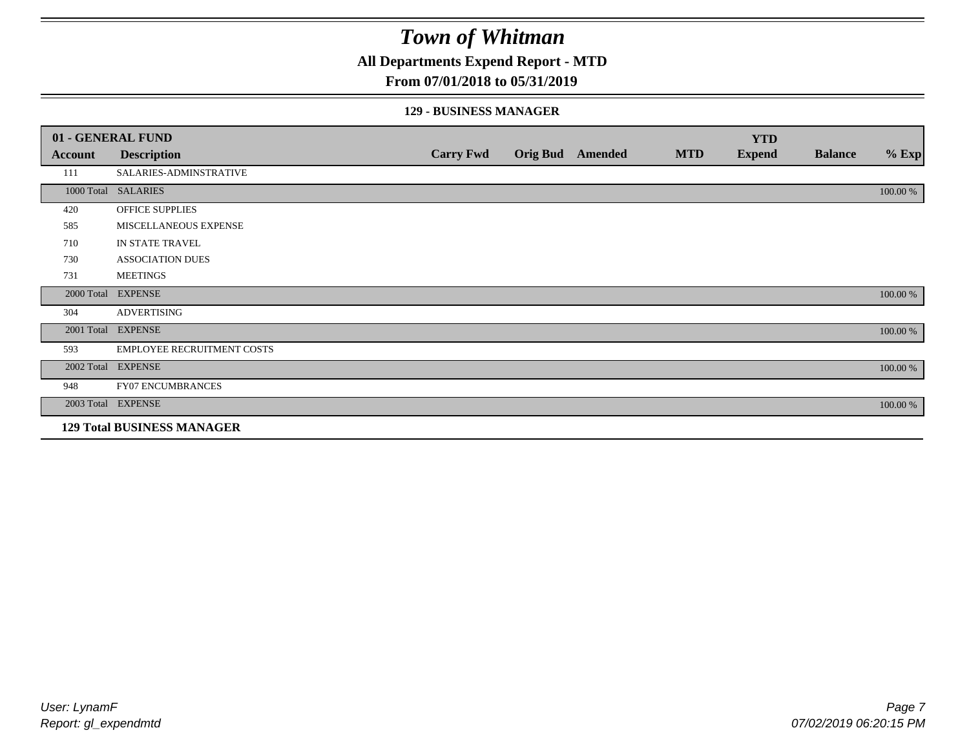**All Departments Expend Report - MTD**

### **From 07/01/2018 to 05/31/2019**

### **129 - BUSINESS MANAGER**

|            | 01 - GENERAL FUND                 |                  |                 |         |            | <b>YTD</b>    |                |          |
|------------|-----------------------------------|------------------|-----------------|---------|------------|---------------|----------------|----------|
| Account    | <b>Description</b>                | <b>Carry Fwd</b> | <b>Orig Bud</b> | Amended | <b>MTD</b> | <b>Expend</b> | <b>Balance</b> | $%$ Exp  |
| 111        | SALARIES-ADMINSTRATIVE            |                  |                 |         |            |               |                |          |
|            | 1000 Total SALARIES               |                  |                 |         |            |               |                | 100.00 % |
| 420        | OFFICE SUPPLIES                   |                  |                 |         |            |               |                |          |
| 585        | MISCELLANEOUS EXPENSE             |                  |                 |         |            |               |                |          |
| 710        | IN STATE TRAVEL                   |                  |                 |         |            |               |                |          |
| 730        | <b>ASSOCIATION DUES</b>           |                  |                 |         |            |               |                |          |
| 731        | <b>MEETINGS</b>                   |                  |                 |         |            |               |                |          |
| 2000 Total | <b>EXPENSE</b>                    |                  |                 |         |            |               |                | 100.00 % |
| 304        | <b>ADVERTISING</b>                |                  |                 |         |            |               |                |          |
| 2001 Total | <b>EXPENSE</b>                    |                  |                 |         |            |               |                | 100.00 % |
| 593        | <b>EMPLOYEE RECRUITMENT COSTS</b> |                  |                 |         |            |               |                |          |
|            | 2002 Total EXPENSE                |                  |                 |         |            |               |                | 100.00 % |
| 948        | <b>FY07 ENCUMBRANCES</b>          |                  |                 |         |            |               |                |          |
|            | 2003 Total EXPENSE                |                  |                 |         |            |               |                | 100.00 % |
|            | <b>129 Total BUSINESS MANAGER</b> |                  |                 |         |            |               |                |          |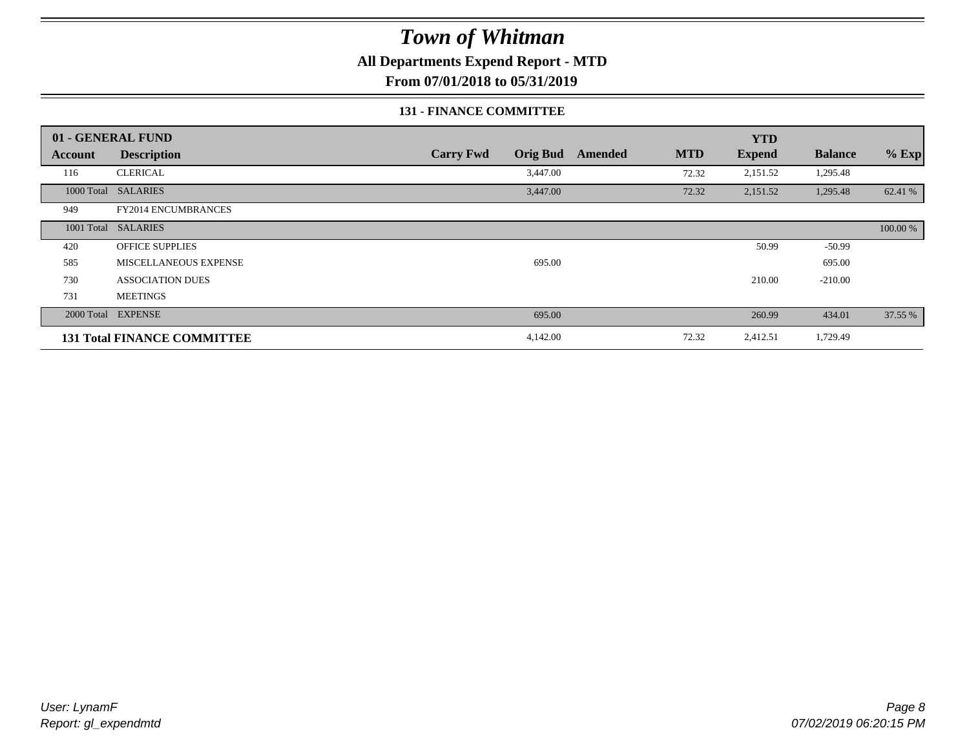**All Departments Expend Report - MTD**

**From 07/01/2018 to 05/31/2019**

#### **131 - FINANCE COMMITTEE**

|         | 01 - GENERAL FUND                  |                                     |         |            | <b>YTD</b>    |                |          |
|---------|------------------------------------|-------------------------------------|---------|------------|---------------|----------------|----------|
| Account | <b>Description</b>                 | <b>Orig Bud</b><br><b>Carry Fwd</b> | Amended | <b>MTD</b> | <b>Expend</b> | <b>Balance</b> | $%$ Exp  |
| 116     | <b>CLERICAL</b>                    | 3,447.00                            |         | 72.32      | 2,151.52      | 1,295.48       |          |
|         | 1000 Total SALARIES                | 3,447.00                            |         | 72.32      | 2,151.52      | 1,295.48       | 62.41 %  |
| 949     | FY2014 ENCUMBRANCES                |                                     |         |            |               |                |          |
|         | 1001 Total SALARIES                |                                     |         |            |               |                | 100.00 % |
| 420     | <b>OFFICE SUPPLIES</b>             |                                     |         |            | 50.99         | $-50.99$       |          |
| 585     | MISCELLANEOUS EXPENSE              | 695.00                              |         |            |               | 695.00         |          |
| 730     | <b>ASSOCIATION DUES</b>            |                                     |         |            | 210.00        | $-210.00$      |          |
| 731     | <b>MEETINGS</b>                    |                                     |         |            |               |                |          |
|         | 2000 Total EXPENSE                 | 695.00                              |         |            | 260.99        | 434.01         | 37.55 %  |
|         | <b>131 Total FINANCE COMMITTEE</b> | 4,142.00                            |         | 72.32      | 2,412.51      | 1,729.49       |          |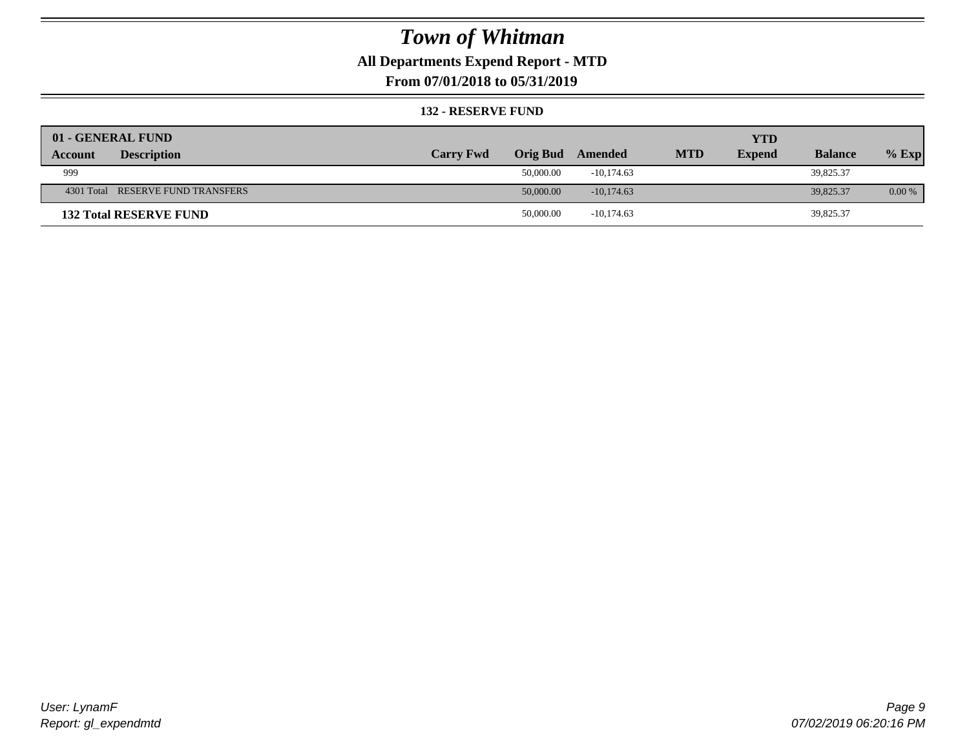## **All Departments Expend Report - MTD**

**From 07/01/2018 to 05/31/2019**

#### **132 - RESERVE FUND**

| 01 - GENERAL FUND                 |                  |                 |              |            | <b>YTD</b>    |                |          |
|-----------------------------------|------------------|-----------------|--------------|------------|---------------|----------------|----------|
| <b>Description</b><br>Account     | <b>Carry Fwd</b> | <b>Orig Bud</b> | Amended      | <b>MTD</b> | <b>Expend</b> | <b>Balance</b> | $%$ Exp  |
| 999                               |                  | 50,000.00       | $-10.174.63$ |            |               | 39,825.37      |          |
| 4301 Total RESERVE FUND TRANSFERS |                  | 50,000.00       | $-10.174.63$ |            |               | 39,825.37      | $0.00\%$ |
| <b>132 Total RESERVE FUND</b>     |                  | 50,000.00       | $-10,174.63$ |            |               | 39,825.37      |          |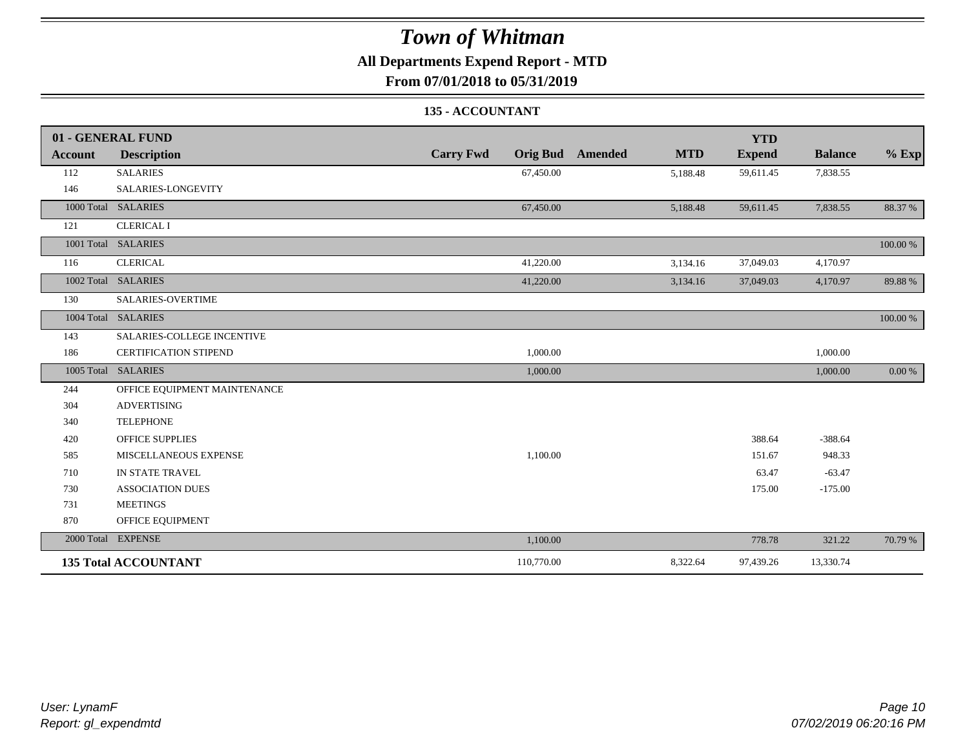## **All Departments Expend Report - MTD**

**From 07/01/2018 to 05/31/2019**

### **135 - ACCOUNTANT**

|                | 01 - GENERAL FUND            |                                     |                              | <b>YTD</b>    |                |          |
|----------------|------------------------------|-------------------------------------|------------------------------|---------------|----------------|----------|
| <b>Account</b> | <b>Description</b>           | <b>Carry Fwd</b><br><b>Orig Bud</b> | <b>MTD</b><br><b>Amended</b> | <b>Expend</b> | <b>Balance</b> | $%$ Exp  |
| 112            | <b>SALARIES</b>              | 67,450.00                           | 5,188.48                     | 59,611.45     | 7,838.55       |          |
| 146            | SALARIES-LONGEVITY           |                                     |                              |               |                |          |
|                | 1000 Total SALARIES          | 67,450.00                           | 5,188.48                     | 59,611.45     | 7,838.55       | 88.37%   |
| 121            | <b>CLERICAL I</b>            |                                     |                              |               |                |          |
|                | 1001 Total SALARIES          |                                     |                              |               |                | 100.00 % |
| 116            | <b>CLERICAL</b>              | 41,220.00                           | 3,134.16                     | 37,049.03     | 4,170.97       |          |
|                | 1002 Total SALARIES          | 41,220.00                           | 3,134.16                     | 37,049.03     | 4,170.97       | 89.88%   |
| 130            | SALARIES-OVERTIME            |                                     |                              |               |                |          |
|                | 1004 Total SALARIES          |                                     |                              |               |                | 100.00 % |
| 143            | SALARIES-COLLEGE INCENTIVE   |                                     |                              |               |                |          |
| 186            | <b>CERTIFICATION STIPEND</b> | 1,000.00                            |                              |               | 1,000.00       |          |
|                | 1005 Total SALARIES          | 1,000.00                            |                              |               | 1,000.00       | 0.00 %   |
| 244            | OFFICE EQUIPMENT MAINTENANCE |                                     |                              |               |                |          |
| 304            | <b>ADVERTISING</b>           |                                     |                              |               |                |          |
| 340            | <b>TELEPHONE</b>             |                                     |                              |               |                |          |
| 420            | <b>OFFICE SUPPLIES</b>       |                                     |                              | 388.64        | $-388.64$      |          |
| 585            | MISCELLANEOUS EXPENSE        | 1,100.00                            |                              | 151.67        | 948.33         |          |
| 710            | IN STATE TRAVEL              |                                     |                              | 63.47         | $-63.47$       |          |
| 730            | <b>ASSOCIATION DUES</b>      |                                     |                              | 175.00        | $-175.00$      |          |
| 731            | <b>MEETINGS</b>              |                                     |                              |               |                |          |
| 870            | OFFICE EQUIPMENT             |                                     |                              |               |                |          |
|                | 2000 Total EXPENSE           | 1,100.00                            |                              | 778.78        | 321.22         | 70.79 %  |
|                | <b>135 Total ACCOUNTANT</b>  | 110,770.00                          | 8,322.64                     | 97,439.26     | 13,330.74      |          |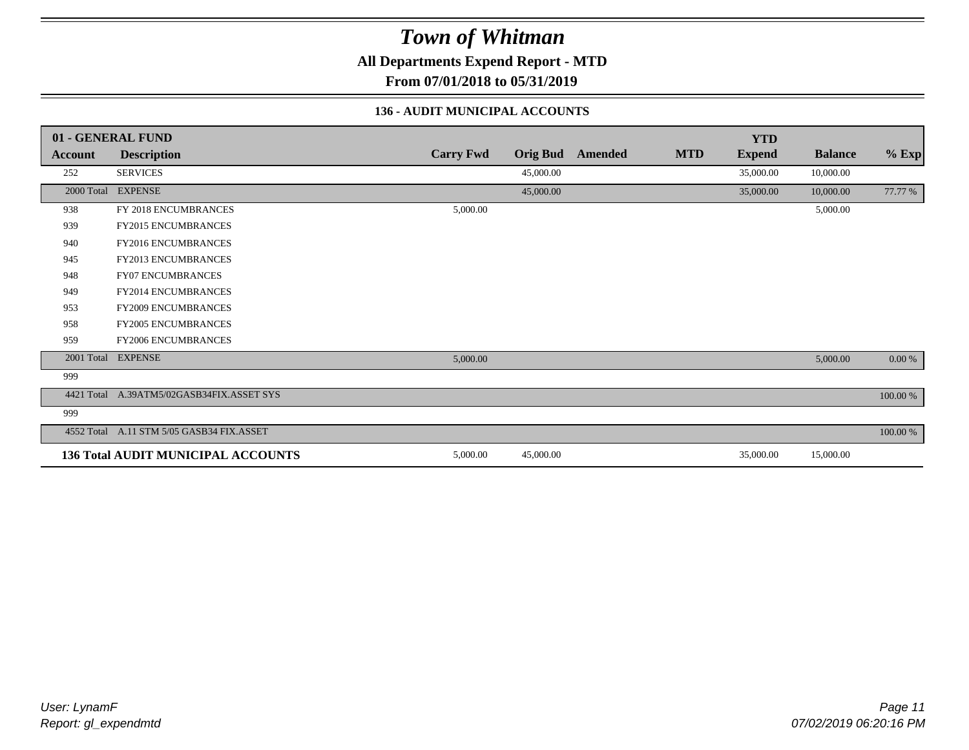**All Departments Expend Report - MTD**

**From 07/01/2018 to 05/31/2019**

### **136 - AUDIT MUNICIPAL ACCOUNTS**

|            | 01 - GENERAL FUND                         |                  |                 |                |            | <b>YTD</b>    |                |          |
|------------|-------------------------------------------|------------------|-----------------|----------------|------------|---------------|----------------|----------|
| Account    | <b>Description</b>                        | <b>Carry Fwd</b> | <b>Orig Bud</b> | <b>Amended</b> | <b>MTD</b> | <b>Expend</b> | <b>Balance</b> | $%$ Exp  |
| 252        | <b>SERVICES</b>                           |                  | 45,000.00       |                |            | 35,000.00     | 10,000.00      |          |
|            | 2000 Total EXPENSE                        |                  | 45,000.00       |                |            | 35,000.00     | 10,000.00      | 77.77 %  |
| 938        | FY 2018 ENCUMBRANCES                      | 5,000.00         |                 |                |            |               | 5,000.00       |          |
| 939        | FY2015 ENCUMBRANCES                       |                  |                 |                |            |               |                |          |
| 940        | FY2016 ENCUMBRANCES                       |                  |                 |                |            |               |                |          |
| 945        | <b>FY2013 ENCUMBRANCES</b>                |                  |                 |                |            |               |                |          |
| 948        | <b>FY07 ENCUMBRANCES</b>                  |                  |                 |                |            |               |                |          |
| 949        | FY2014 ENCUMBRANCES                       |                  |                 |                |            |               |                |          |
| 953        | FY2009 ENCUMBRANCES                       |                  |                 |                |            |               |                |          |
| 958        | <b>FY2005 ENCUMBRANCES</b>                |                  |                 |                |            |               |                |          |
| 959        | <b>FY2006 ENCUMBRANCES</b>                |                  |                 |                |            |               |                |          |
|            | 2001 Total EXPENSE                        | 5,000.00         |                 |                |            |               | 5,000.00       | 0.00 %   |
| 999        |                                           |                  |                 |                |            |               |                |          |
| 4421 Total | A.39ATM5/02GASB34FIX.ASSET SYS            |                  |                 |                |            |               |                | 100.00 % |
| 999        |                                           |                  |                 |                |            |               |                |          |
|            | 4552 Total A.11 STM 5/05 GASB34 FIX.ASSET |                  |                 |                |            |               |                | 100.00 % |
|            | <b>136 Total AUDIT MUNICIPAL ACCOUNTS</b> | 5,000.00         | 45,000.00       |                |            | 35,000.00     | 15,000.00      |          |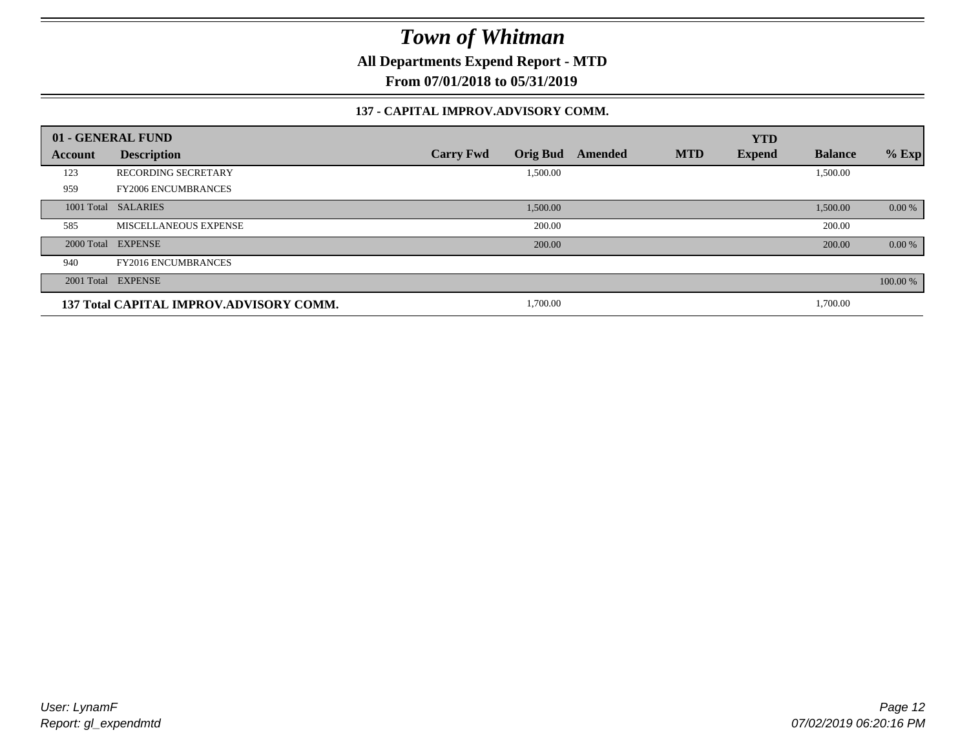**All Departments Expend Report - MTD**

**From 07/01/2018 to 05/31/2019**

### **137 - CAPITAL IMPROV.ADVISORY COMM.**

|         | 01 - GENERAL FUND                       |                                     |         |            | <b>YTD</b>    |                |          |
|---------|-----------------------------------------|-------------------------------------|---------|------------|---------------|----------------|----------|
| Account | <b>Description</b>                      | <b>Orig Bud</b><br><b>Carry Fwd</b> | Amended | <b>MTD</b> | <b>Expend</b> | <b>Balance</b> | $%$ Exp  |
| 123     | <b>RECORDING SECRETARY</b>              | 1,500.00                            |         |            |               | 1,500.00       |          |
| 959     | <b>FY2006 ENCUMBRANCES</b>              |                                     |         |            |               |                |          |
|         | 1001 Total SALARIES                     | 1,500.00                            |         |            |               | 1,500.00       | 0.00 %   |
| 585     | MISCELLANEOUS EXPENSE                   | 200.00                              |         |            |               | 200.00         |          |
|         | 2000 Total EXPENSE                      | 200.00                              |         |            |               | 200.00         | 0.00 %   |
| 940     | <b>FY2016 ENCUMBRANCES</b>              |                                     |         |            |               |                |          |
|         | 2001 Total EXPENSE                      |                                     |         |            |               |                | 100.00 % |
|         | 137 Total CAPITAL IMPROV.ADVISORY COMM. | 1,700.00                            |         |            |               | 1,700.00       |          |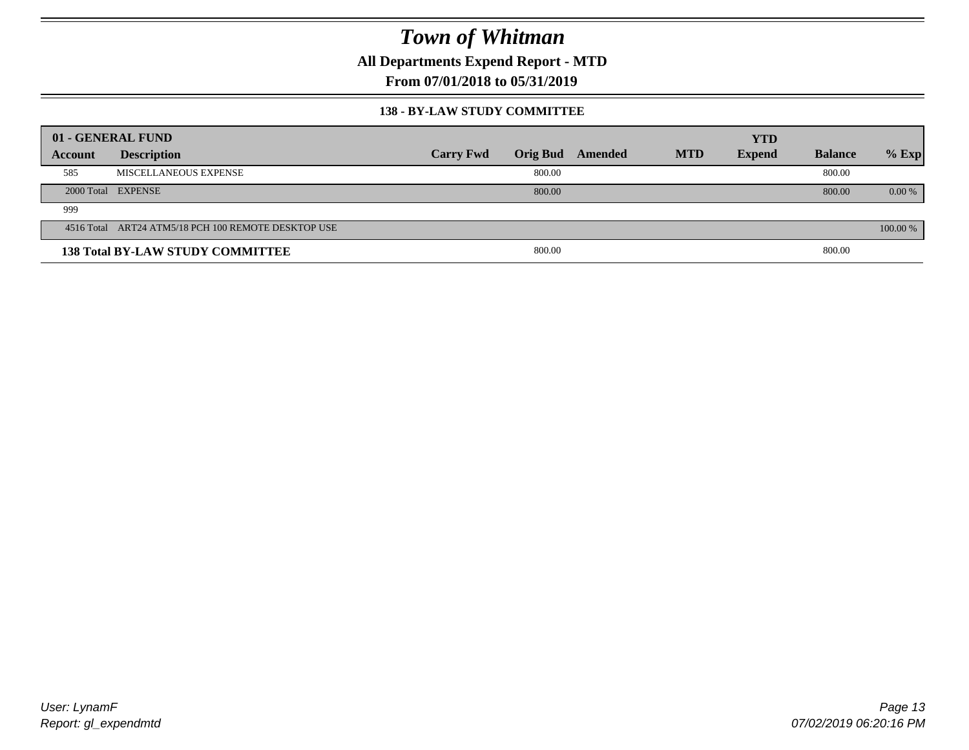**All Departments Expend Report - MTD**

**From 07/01/2018 to 05/31/2019**

#### **138 - BY-LAW STUDY COMMITTEE**

|         | 01 - GENERAL FUND                                   |                  |                 |         |            | <b>YTD</b>    |                |          |
|---------|-----------------------------------------------------|------------------|-----------------|---------|------------|---------------|----------------|----------|
| Account | <b>Description</b>                                  | <b>Carry Fwd</b> | <b>Orig Bud</b> | Amended | <b>MTD</b> | <b>Expend</b> | <b>Balance</b> | $%$ Exp  |
| 585     | MISCELLANEOUS EXPENSE                               |                  | 800.00          |         |            |               | 800.00         |          |
|         | 2000 Total EXPENSE                                  |                  | 800.00          |         |            |               | 800.00         | $0.00\%$ |
| 999     |                                                     |                  |                 |         |            |               |                |          |
|         | 4516 Total ART24 ATM5/18 PCH 100 REMOTE DESKTOP USE |                  |                 |         |            |               |                | 100.00 % |
|         | <b>138 Total BY-LAW STUDY COMMITTEE</b>             |                  | 800.00          |         |            |               | 800.00         |          |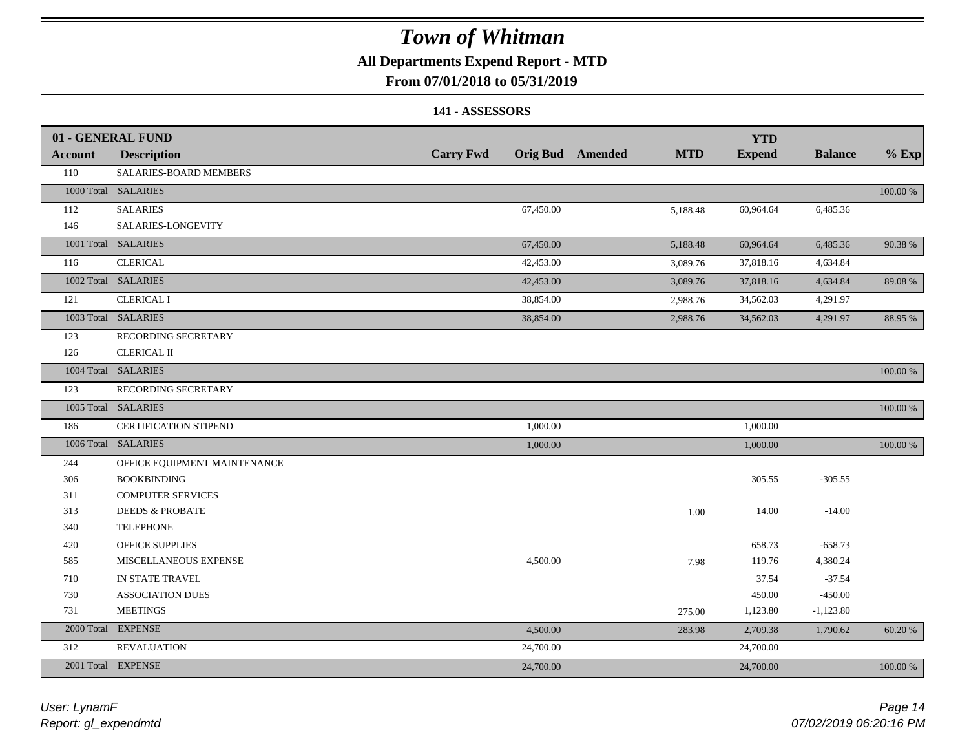### **All Departments Expend Report - MTD**

### **From 07/01/2018 to 05/31/2019**

### **141 - ASSESSORS**

|                | 01 - GENERAL FUND             |                  |           |                         |            | <b>YTD</b>    |                |             |
|----------------|-------------------------------|------------------|-----------|-------------------------|------------|---------------|----------------|-------------|
| <b>Account</b> | <b>Description</b>            | <b>Carry Fwd</b> |           | <b>Orig Bud</b> Amended | <b>MTD</b> | <b>Expend</b> | <b>Balance</b> | $%$ Exp     |
| 110            | <b>SALARIES-BOARD MEMBERS</b> |                  |           |                         |            |               |                |             |
|                | 1000 Total SALARIES           |                  |           |                         |            |               |                | 100.00 %    |
| 112            | <b>SALARIES</b>               |                  | 67,450.00 |                         | 5,188.48   | 60,964.64     | 6,485.36       |             |
| 146            | SALARIES-LONGEVITY            |                  |           |                         |            |               |                |             |
|                | 1001 Total SALARIES           |                  | 67,450.00 |                         | 5,188.48   | 60,964.64     | 6,485.36       | 90.38%      |
| 116            | <b>CLERICAL</b>               |                  | 42,453.00 |                         | 3,089.76   | 37,818.16     | 4,634.84       |             |
|                | 1002 Total SALARIES           |                  | 42,453.00 |                         | 3,089.76   | 37,818.16     | 4,634.84       | 89.08%      |
| 121            | <b>CLERICAL I</b>             |                  | 38,854.00 |                         | 2,988.76   | 34,562.03     | 4,291.97       |             |
|                | 1003 Total SALARIES           |                  | 38,854.00 |                         | 2,988.76   | 34,562.03     | 4,291.97       | 88.95 %     |
| 123            | RECORDING SECRETARY           |                  |           |                         |            |               |                |             |
| 126            | <b>CLERICAL II</b>            |                  |           |                         |            |               |                |             |
|                | 1004 Total SALARIES           |                  |           |                         |            |               |                | 100.00 %    |
| 123            | RECORDING SECRETARY           |                  |           |                         |            |               |                |             |
|                | 1005 Total SALARIES           |                  |           |                         |            |               |                | 100.00 %    |
| 186            | CERTIFICATION STIPEND         |                  | 1,000.00  |                         |            | 1,000.00      |                |             |
|                | 1006 Total SALARIES           |                  | 1,000.00  |                         |            | 1,000.00      |                | $100.00~\%$ |
| 244            | OFFICE EQUIPMENT MAINTENANCE  |                  |           |                         |            |               |                |             |
| 306            | <b>BOOKBINDING</b>            |                  |           |                         |            | 305.55        | $-305.55$      |             |
| 311            | <b>COMPUTER SERVICES</b>      |                  |           |                         |            |               |                |             |
| 313            | <b>DEEDS &amp; PROBATE</b>    |                  |           |                         | $1.00\,$   | 14.00         | $-14.00$       |             |
| 340            | <b>TELEPHONE</b>              |                  |           |                         |            |               |                |             |
| 420            | OFFICE SUPPLIES               |                  |           |                         |            | 658.73        | $-658.73$      |             |
| 585            | MISCELLANEOUS EXPENSE         |                  | 4,500.00  |                         | 7.98       | 119.76        | 4,380.24       |             |
| 710            | IN STATE TRAVEL               |                  |           |                         |            | 37.54         | $-37.54$       |             |
| 730            | <b>ASSOCIATION DUES</b>       |                  |           |                         |            | 450.00        | $-450.00$      |             |
| 731            | <b>MEETINGS</b>               |                  |           |                         | 275.00     | 1,123.80      | $-1,123.80$    |             |
| 2000 Total     | <b>EXPENSE</b>                |                  | 4,500.00  |                         | 283.98     | 2,709.38      | 1,790.62       | 60.20%      |
| 312            | <b>REVALUATION</b>            |                  | 24,700.00 |                         |            | 24,700.00     |                |             |
|                | 2001 Total EXPENSE            |                  | 24,700.00 |                         |            | 24,700.00     |                | 100.00 %    |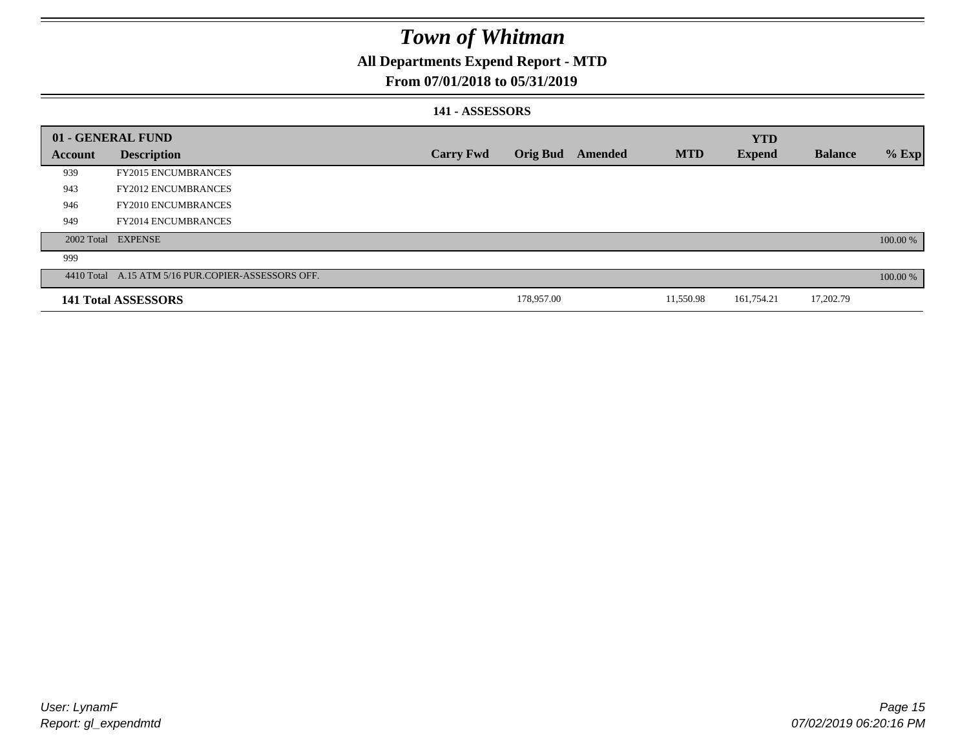## **All Departments Expend Report - MTD**

### **From 07/01/2018 to 05/31/2019**

### **141 - ASSESSORS**

|                | 01 - GENERAL FUND                                  |                  |                 |         |            | <b>YTD</b>    |                |          |
|----------------|----------------------------------------------------|------------------|-----------------|---------|------------|---------------|----------------|----------|
| <b>Account</b> | <b>Description</b>                                 | <b>Carry Fwd</b> | <b>Orig Bud</b> | Amended | <b>MTD</b> | <b>Expend</b> | <b>Balance</b> | $%$ Exp  |
| 939            | <b>FY2015 ENCUMBRANCES</b>                         |                  |                 |         |            |               |                |          |
| 943            | <b>FY2012 ENCUMBRANCES</b>                         |                  |                 |         |            |               |                |          |
| 946            | <b>FY2010 ENCUMBRANCES</b>                         |                  |                 |         |            |               |                |          |
| 949            | <b>FY2014 ENCUMBRANCES</b>                         |                  |                 |         |            |               |                |          |
|                | 2002 Total EXPENSE                                 |                  |                 |         |            |               |                | 100.00 % |
| 999            |                                                    |                  |                 |         |            |               |                |          |
|                | 4410 Total A.15 ATM 5/16 PUR.COPIER-ASSESSORS OFF. |                  |                 |         |            |               |                | 100.00 % |
|                | 141 Total ASSESSORS                                |                  | 178,957.00      |         | 11,550.98  | 161,754.21    | 17,202.79      |          |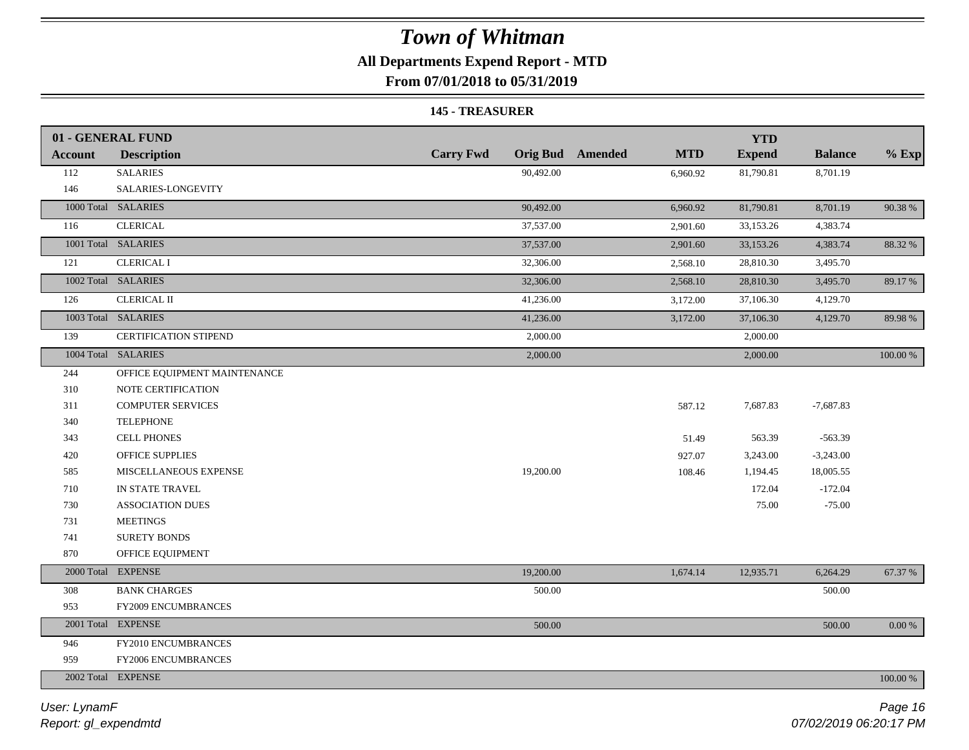## **All Departments Expend Report - MTD**

**From 07/01/2018 to 05/31/2019**

#### **145 - TREASURER**

|                | 01 - GENERAL FUND            |                  |                                       | <b>YTD</b>    |                |          |
|----------------|------------------------------|------------------|---------------------------------------|---------------|----------------|----------|
| <b>Account</b> | <b>Description</b>           | <b>Carry Fwd</b> | <b>Orig Bud</b> Amended<br><b>MTD</b> | <b>Expend</b> | <b>Balance</b> | $%$ Exp  |
| 112            | <b>SALARIES</b>              | 90,492.00        | 6,960.92                              | 81,790.81     | 8,701.19       |          |
| 146            | SALARIES-LONGEVITY           |                  |                                       |               |                |          |
|                | 1000 Total SALARIES          | 90,492.00        | 6,960.92                              | 81,790.81     | 8,701.19       | 90.38%   |
| 116            | <b>CLERICAL</b>              | 37,537.00        | 2,901.60                              | 33,153.26     | 4,383.74       |          |
|                | 1001 Total SALARIES          | 37,537.00        | 2,901.60                              | 33,153.26     | 4,383.74       | 88.32 %  |
| 121            | <b>CLERICAL I</b>            | 32,306.00        | 2,568.10                              | 28,810.30     | 3,495.70       |          |
|                | 1002 Total SALARIES          | 32,306.00        | 2,568.10                              | 28,810.30     | 3,495.70       | 89.17 %  |
| 126            | <b>CLERICAL II</b>           | 41,236.00        | 3,172.00                              | 37,106.30     | 4,129.70       |          |
|                | 1003 Total SALARIES          | 41,236.00        | 3,172.00                              | 37,106.30     | 4,129.70       | 89.98%   |
| 139            | <b>CERTIFICATION STIPEND</b> | 2,000.00         |                                       | 2,000.00      |                |          |
|                | 1004 Total SALARIES          | 2,000.00         |                                       | 2,000.00      |                | 100.00 % |
| 244            | OFFICE EQUIPMENT MAINTENANCE |                  |                                       |               |                |          |
| 310            | NOTE CERTIFICATION           |                  |                                       |               |                |          |
| 311            | <b>COMPUTER SERVICES</b>     |                  | 587.12                                | 7,687.83      | $-7,687.83$    |          |
| 340            | <b>TELEPHONE</b>             |                  |                                       |               |                |          |
| 343            | <b>CELL PHONES</b>           |                  | 51.49                                 | 563.39        | $-563.39$      |          |
| 420            | <b>OFFICE SUPPLIES</b>       |                  | 927.07                                | 3,243.00      | $-3,243.00$    |          |
| 585            | MISCELLANEOUS EXPENSE        | 19,200.00        | 108.46                                | 1,194.45      | 18,005.55      |          |
| 710            | IN STATE TRAVEL              |                  |                                       | 172.04        | $-172.04$      |          |
| 730            | <b>ASSOCIATION DUES</b>      |                  |                                       | 75.00         | $-75.00$       |          |
| 731            | <b>MEETINGS</b>              |                  |                                       |               |                |          |
| 741            | <b>SURETY BONDS</b>          |                  |                                       |               |                |          |
| 870            | OFFICE EQUIPMENT             |                  |                                       |               |                |          |
|                | 2000 Total EXPENSE           | 19,200.00        | 1,674.14                              | 12,935.71     | 6,264.29       | 67.37 %  |
| 308            | <b>BANK CHARGES</b>          | 500.00           |                                       |               | 500.00         |          |
| 953            | <b>FY2009 ENCUMBRANCES</b>   |                  |                                       |               |                |          |
|                | 2001 Total EXPENSE           | 500.00           |                                       |               | 500.00         | 0.00 %   |
| 946            | FY2010 ENCUMBRANCES          |                  |                                       |               |                |          |
| 959            | FY2006 ENCUMBRANCES          |                  |                                       |               |                |          |
|                | 2002 Total EXPENSE           |                  |                                       |               |                | 100.00 % |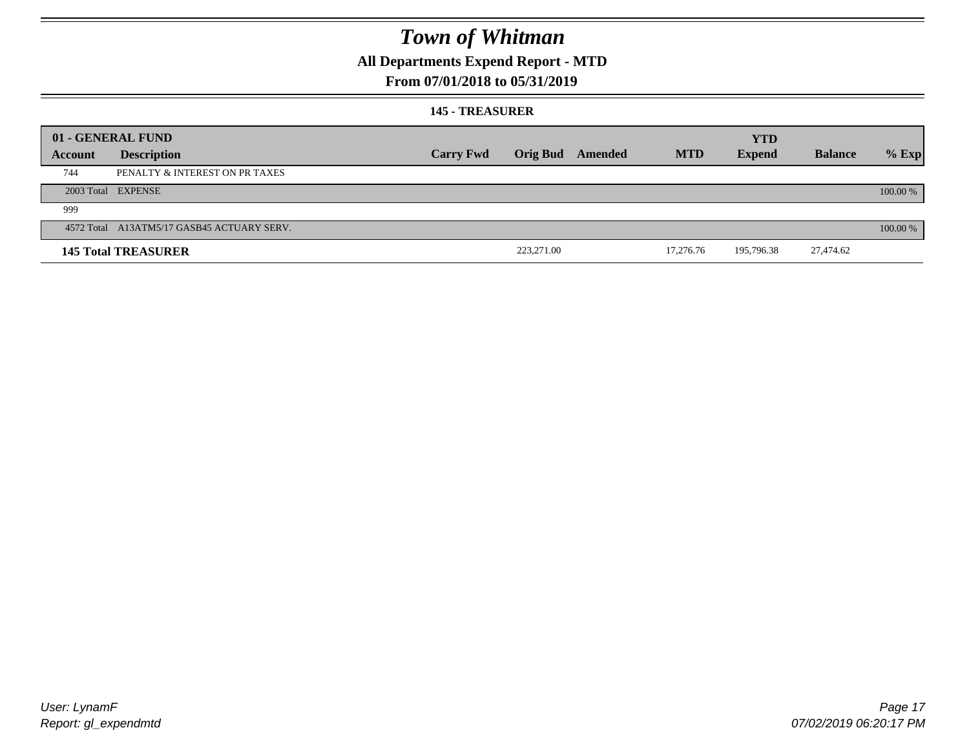## **All Departments Expend Report - MTD**

### **From 07/01/2018 to 05/31/2019**

#### **145 - TREASURER**

|         | 01 - GENERAL FUND                          |                  |            |                         |            | <b>YTD</b>    |                |            |
|---------|--------------------------------------------|------------------|------------|-------------------------|------------|---------------|----------------|------------|
| Account | <b>Description</b>                         | <b>Carry Fwd</b> |            | <b>Orig Bud</b> Amended | <b>MTD</b> | <b>Expend</b> | <b>Balance</b> | $%$ Exp    |
| 744     | PENALTY & INTEREST ON PR TAXES             |                  |            |                         |            |               |                |            |
|         | 2003 Total EXPENSE                         |                  |            |                         |            |               |                | 100.00 %   |
| 999     |                                            |                  |            |                         |            |               |                |            |
|         | 4572 Total A13ATM5/17 GASB45 ACTUARY SERV. |                  |            |                         |            |               |                | $100.00\%$ |
|         | <b>145 Total TREASURER</b>                 |                  | 223,271.00 |                         | 17,276.76  | 195,796.38    | 27,474.62      |            |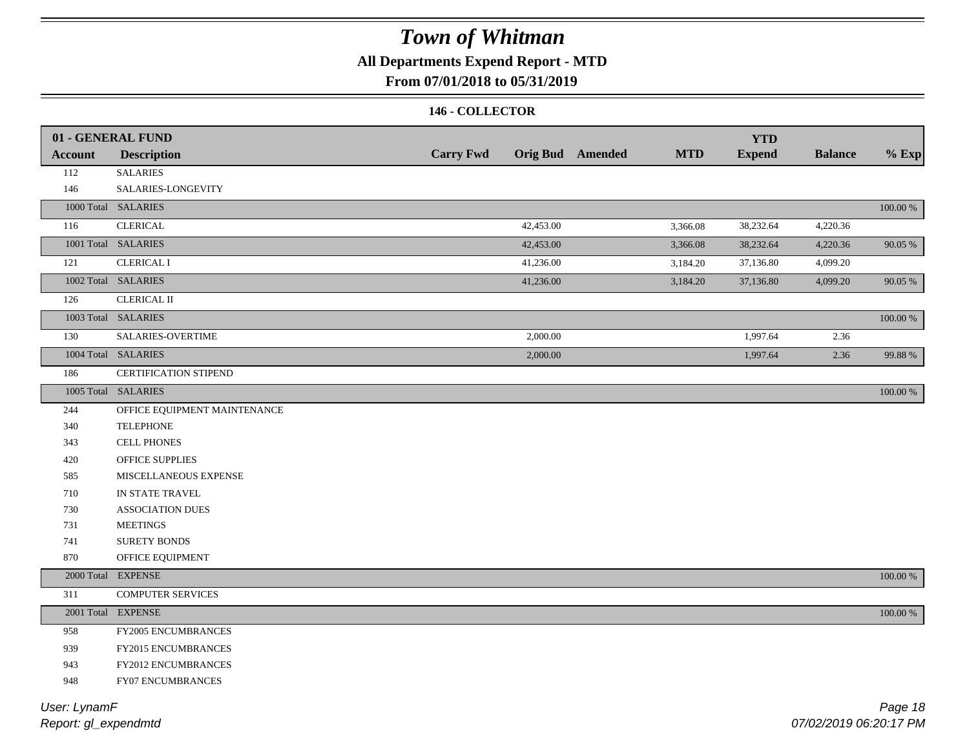## **All Departments Expend Report - MTD**

### **From 07/01/2018 to 05/31/2019**

### **146 - COLLECTOR**

|                | 01 - GENERAL FUND            |                  |           |                         |            | <b>YTD</b>    |                |             |
|----------------|------------------------------|------------------|-----------|-------------------------|------------|---------------|----------------|-------------|
| <b>Account</b> | <b>Description</b>           | <b>Carry Fwd</b> |           | <b>Orig Bud</b> Amended | <b>MTD</b> | <b>Expend</b> | <b>Balance</b> | $%$ Exp     |
| 112            | <b>SALARIES</b>              |                  |           |                         |            |               |                |             |
| 146            | SALARIES-LONGEVITY           |                  |           |                         |            |               |                |             |
|                | 1000 Total SALARIES          |                  |           |                         |            |               |                | $100.00~\%$ |
| 116            | <b>CLERICAL</b>              |                  | 42,453.00 |                         | 3,366.08   | 38,232.64     | 4,220.36       |             |
|                | 1001 Total SALARIES          |                  | 42,453.00 |                         | 3,366.08   | 38,232.64     | 4,220.36       | 90.05 %     |
| 121            | <b>CLERICAL I</b>            |                  | 41,236.00 |                         | 3,184.20   | 37,136.80     | 4,099.20       |             |
|                | 1002 Total SALARIES          |                  | 41,236.00 |                         | 3,184.20   | 37,136.80     | 4,099.20       | 90.05 %     |
| 126            | <b>CLERICAL II</b>           |                  |           |                         |            |               |                |             |
|                | 1003 Total SALARIES          |                  |           |                         |            |               |                | 100.00 %    |
| 130            | <b>SALARIES-OVERTIME</b>     |                  | 2,000.00  |                         |            | 1,997.64      | 2.36           |             |
|                | 1004 Total SALARIES          |                  | 2,000.00  |                         |            | 1,997.64      | 2.36           | 99.88%      |
| 186            | <b>CERTIFICATION STIPEND</b> |                  |           |                         |            |               |                |             |
|                | 1005 Total SALARIES          |                  |           |                         |            |               |                | 100.00 %    |
| 244            | OFFICE EQUIPMENT MAINTENANCE |                  |           |                         |            |               |                |             |
| 340            | <b>TELEPHONE</b>             |                  |           |                         |            |               |                |             |
| 343            | <b>CELL PHONES</b>           |                  |           |                         |            |               |                |             |
| 420            | <b>OFFICE SUPPLIES</b>       |                  |           |                         |            |               |                |             |
| 585            | MISCELLANEOUS EXPENSE        |                  |           |                         |            |               |                |             |
| 710            | IN STATE TRAVEL              |                  |           |                         |            |               |                |             |
| 730            | <b>ASSOCIATION DUES</b>      |                  |           |                         |            |               |                |             |
| 731            | <b>MEETINGS</b>              |                  |           |                         |            |               |                |             |
| 741            | <b>SURETY BONDS</b>          |                  |           |                         |            |               |                |             |
| 870            | OFFICE EQUIPMENT             |                  |           |                         |            |               |                |             |
| 2000 Total     | <b>EXPENSE</b>               |                  |           |                         |            |               |                | $100.00~\%$ |
| 311            | <b>COMPUTER SERVICES</b>     |                  |           |                         |            |               |                |             |
|                | 2001 Total EXPENSE           |                  |           |                         |            |               |                | $100.00~\%$ |
| 958            | FY2005 ENCUMBRANCES          |                  |           |                         |            |               |                |             |
| 939            | <b>FY2015 ENCUMBRANCES</b>   |                  |           |                         |            |               |                |             |
| 943            | FY2012 ENCUMBRANCES          |                  |           |                         |            |               |                |             |
| 948            | FY07 ENCUMBRANCES            |                  |           |                         |            |               |                |             |
|                |                              |                  |           |                         |            |               |                |             |

*Report: gl\_expendmtd User: LynamF*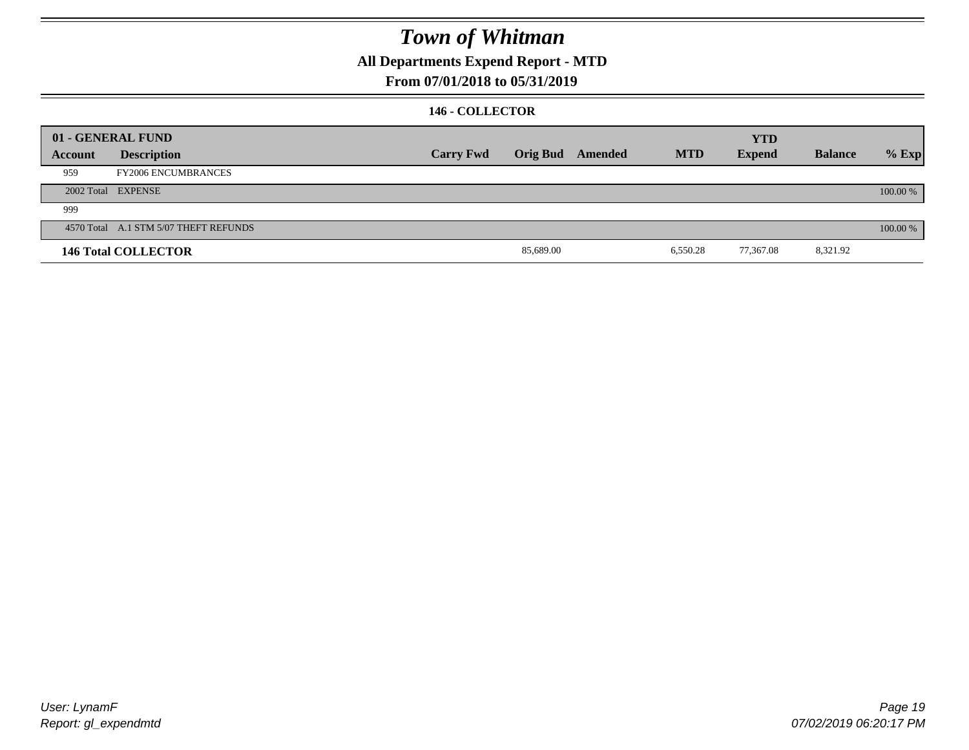## **All Departments Expend Report - MTD**

### **From 07/01/2018 to 05/31/2019**

### **146 - COLLECTOR**

|         | 01 - GENERAL FUND                     |                  |           |                  |            | <b>YTD</b>    |                |          |
|---------|---------------------------------------|------------------|-----------|------------------|------------|---------------|----------------|----------|
| Account | <b>Description</b>                    | <b>Carry Fwd</b> |           | Orig Bud Amended | <b>MTD</b> | <b>Expend</b> | <b>Balance</b> | $%$ Exp  |
| 959     | <b>FY2006 ENCUMBRANCES</b>            |                  |           |                  |            |               |                |          |
|         | 2002 Total EXPENSE                    |                  |           |                  |            |               |                | 100.00 % |
| 999     |                                       |                  |           |                  |            |               |                |          |
|         | 4570 Total A.1 STM 5/07 THEFT REFUNDS |                  |           |                  |            |               |                | 100.00 % |
|         | <b>146 Total COLLECTOR</b>            |                  | 85,689.00 |                  | 6,550.28   | 77,367.08     | 8,321.92       |          |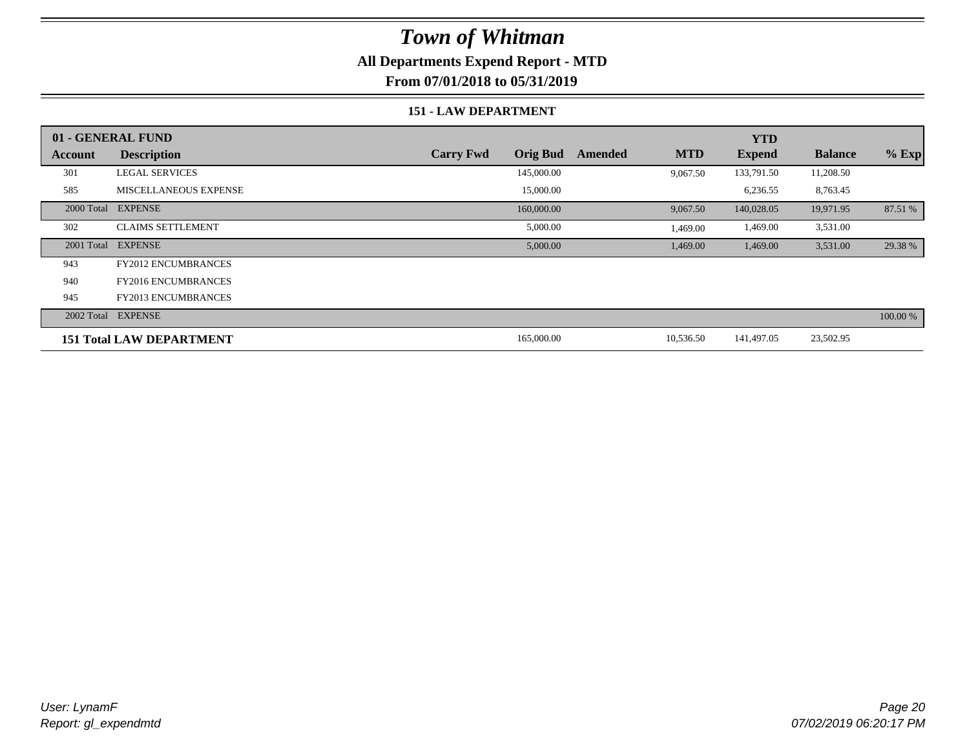### **All Departments Expend Report - MTD**

**From 07/01/2018 to 05/31/2019**

#### **151 - LAW DEPARTMENT**

|         | 01 - GENERAL FUND               |                                     |                       | <b>YTD</b>    |                |          |
|---------|---------------------------------|-------------------------------------|-----------------------|---------------|----------------|----------|
| Account | <b>Description</b>              | <b>Orig Bud</b><br><b>Carry Fwd</b> | <b>MTD</b><br>Amended | <b>Expend</b> | <b>Balance</b> | $%$ Exp  |
| 301     | <b>LEGAL SERVICES</b>           | 145,000.00                          | 9,067.50              | 133,791.50    | 11,208.50      |          |
| 585     | <b>MISCELLANEOUS EXPENSE</b>    | 15,000.00                           |                       | 6,236.55      | 8,763.45       |          |
|         | 2000 Total EXPENSE              | 160,000.00                          | 9,067.50              | 140,028.05    | 19,971.95      | 87.51 %  |
| 302     | <b>CLAIMS SETTLEMENT</b>        | 5,000.00                            | 1,469.00              | 1,469.00      | 3,531.00       |          |
|         | 2001 Total EXPENSE              | 5,000.00                            | 1,469.00              | 1,469.00      | 3,531.00       | 29.38 %  |
| 943     | <b>FY2012 ENCUMBRANCES</b>      |                                     |                       |               |                |          |
| 940     | <b>FY2016 ENCUMBRANCES</b>      |                                     |                       |               |                |          |
| 945     | <b>FY2013 ENCUMBRANCES</b>      |                                     |                       |               |                |          |
|         | 2002 Total EXPENSE              |                                     |                       |               |                | 100.00 % |
|         | <b>151 Total LAW DEPARTMENT</b> | 165,000.00                          | 10,536.50             | 141,497.05    | 23,502.95      |          |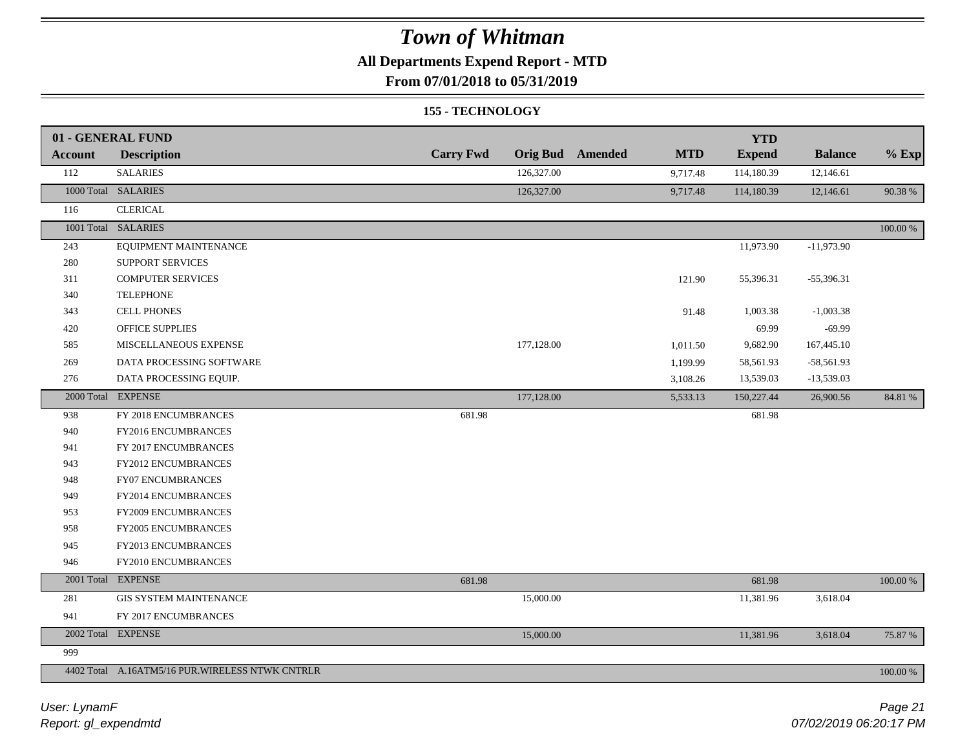## **All Departments Expend Report - MTD**

**From 07/01/2018 to 05/31/2019**

#### **155 - TECHNOLOGY**

|                | 01 - GENERAL FUND                               |                  |            |                         |            | <b>YTD</b>    |                |             |
|----------------|-------------------------------------------------|------------------|------------|-------------------------|------------|---------------|----------------|-------------|
| <b>Account</b> | <b>Description</b>                              | <b>Carry Fwd</b> |            | <b>Orig Bud</b> Amended | <b>MTD</b> | <b>Expend</b> | <b>Balance</b> | $%$ Exp     |
| 112            | <b>SALARIES</b>                                 |                  | 126,327.00 |                         | 9,717.48   | 114,180.39    | 12,146.61      |             |
|                | 1000 Total SALARIES                             |                  | 126,327.00 |                         | 9,717.48   | 114,180.39    | 12,146.61      | 90.38%      |
| 116            | <b>CLERICAL</b>                                 |                  |            |                         |            |               |                |             |
|                | 1001 Total SALARIES                             |                  |            |                         |            |               |                | 100.00 %    |
| 243            | EQUIPMENT MAINTENANCE                           |                  |            |                         |            | 11,973.90     | $-11,973.90$   |             |
| 280            | SUPPORT SERVICES                                |                  |            |                         |            |               |                |             |
| 311            | <b>COMPUTER SERVICES</b>                        |                  |            |                         | 121.90     | 55,396.31     | $-55,396.31$   |             |
| 340            | <b>TELEPHONE</b>                                |                  |            |                         |            |               |                |             |
| 343            | <b>CELL PHONES</b>                              |                  |            |                         | 91.48      | 1,003.38      | $-1,003.38$    |             |
| 420            | OFFICE SUPPLIES                                 |                  |            |                         |            | 69.99         | $-69.99$       |             |
| 585            | MISCELLANEOUS EXPENSE                           |                  | 177,128.00 |                         | 1,011.50   | 9,682.90      | 167,445.10     |             |
| 269            | DATA PROCESSING SOFTWARE                        |                  |            |                         | 1,199.99   | 58,561.93     | $-58,561.93$   |             |
| 276            | DATA PROCESSING EQUIP.                          |                  |            |                         | 3,108.26   | 13,539.03     | $-13,539.03$   |             |
|                | 2000 Total EXPENSE                              |                  | 177,128.00 |                         | 5,533.13   | 150,227.44    | 26,900.56      | 84.81 %     |
| 938            | FY 2018 ENCUMBRANCES                            | 681.98           |            |                         |            | 681.98        |                |             |
| 940            | FY2016 ENCUMBRANCES                             |                  |            |                         |            |               |                |             |
| 941            | FY 2017 ENCUMBRANCES                            |                  |            |                         |            |               |                |             |
| 943            | FY2012 ENCUMBRANCES                             |                  |            |                         |            |               |                |             |
| 948            | <b>FY07 ENCUMBRANCES</b>                        |                  |            |                         |            |               |                |             |
| 949            | FY2014 ENCUMBRANCES                             |                  |            |                         |            |               |                |             |
| 953            | FY2009 ENCUMBRANCES                             |                  |            |                         |            |               |                |             |
| 958            | FY2005 ENCUMBRANCES                             |                  |            |                         |            |               |                |             |
| 945            | FY2013 ENCUMBRANCES                             |                  |            |                         |            |               |                |             |
| 946            | FY2010 ENCUMBRANCES                             |                  |            |                         |            |               |                |             |
|                | 2001 Total EXPENSE                              | 681.98           |            |                         |            | 681.98        |                | 100.00 %    |
| 281            | <b>GIS SYSTEM MAINTENANCE</b>                   |                  | 15,000.00  |                         |            | 11,381.96     | 3,618.04       |             |
| 941            | FY 2017 ENCUMBRANCES                            |                  |            |                         |            |               |                |             |
|                | 2002 Total EXPENSE                              |                  | 15,000.00  |                         |            | 11,381.96     | 3,618.04       | 75.87 %     |
| 999            |                                                 |                  |            |                         |            |               |                |             |
|                | 4402 Total A.16ATM5/16 PUR.WIRELESS NTWK CNTRLR |                  |            |                         |            |               |                | $100.00~\%$ |

*Report: gl\_expendmtd User: LynamF*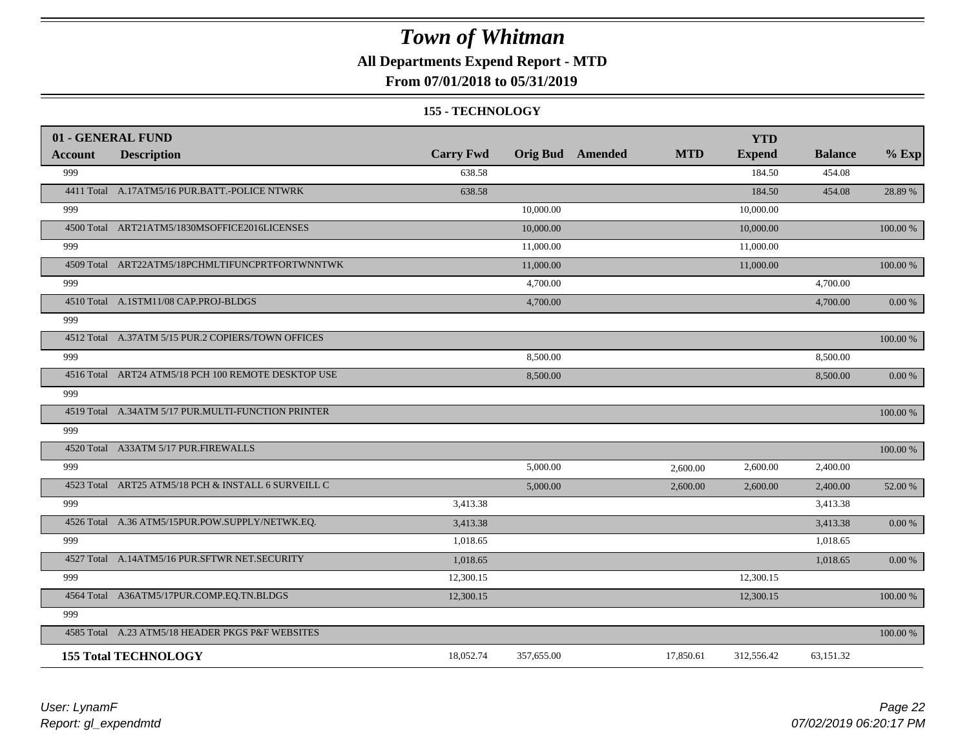## **All Departments Expend Report - MTD**

### **From 07/01/2018 to 05/31/2019**

#### **155 - TECHNOLOGY**

|                | 01 - GENERAL FUND                                   |                  |                         |            | <b>YTD</b>    |                |            |
|----------------|-----------------------------------------------------|------------------|-------------------------|------------|---------------|----------------|------------|
| <b>Account</b> | <b>Description</b>                                  | <b>Carry Fwd</b> | <b>Orig Bud</b> Amended | <b>MTD</b> | <b>Expend</b> | <b>Balance</b> | $%$ Exp    |
| 999            |                                                     | 638.58           |                         |            | 184.50        | 454.08         |            |
|                | 4411 Total A.17ATM5/16 PUR.BATT.-POLICE NTWRK       | 638.58           |                         |            | 184.50        | 454.08         | 28.89 %    |
| 999            |                                                     |                  | 10,000.00               |            | 10,000.00     |                |            |
|                | 4500 Total ART21ATM5/1830MSOFFICE2016LICENSES       |                  | 10,000.00               |            | 10,000.00     |                | 100.00 %   |
| 999            |                                                     |                  | 11,000.00               |            | 11,000.00     |                |            |
|                | 4509 Total ART22ATM5/18PCHMLTIFUNCPRTFORTWNNTWK     |                  | 11,000.00               |            | 11,000.00     |                | 100.00 %   |
| 999            |                                                     |                  | 4,700.00                |            |               | 4,700.00       |            |
|                | 4510 Total A.1STM11/08 CAP.PROJ-BLDGS               |                  | 4,700.00                |            |               | 4,700.00       | $0.00\,\%$ |
| 999            |                                                     |                  |                         |            |               |                |            |
|                | 4512 Total A.37ATM 5/15 PUR.2 COPIERS/TOWN OFFICES  |                  |                         |            |               |                | 100.00 %   |
| 999            |                                                     |                  | 8,500.00                |            |               | 8,500.00       |            |
|                | 4516 Total ART24 ATM5/18 PCH 100 REMOTE DESKTOP USE |                  | 8,500.00                |            |               | 8,500.00       | 0.00 %     |
| 999            |                                                     |                  |                         |            |               |                |            |
|                | 4519 Total A.34ATM 5/17 PUR.MULTI-FUNCTION PRINTER  |                  |                         |            |               |                | 100.00 %   |
| 999            |                                                     |                  |                         |            |               |                |            |
|                | 4520 Total A33ATM 5/17 PUR.FIREWALLS                |                  |                         |            |               |                | 100.00 %   |
| 999            |                                                     |                  | 5,000.00                | 2,600.00   | 2,600.00      | 2,400.00       |            |
|                | 4523 Total ART25 ATM5/18 PCH & INSTALL 6 SURVEILL C |                  | 5,000.00                | 2,600.00   | 2,600.00      | 2,400.00       | 52.00 %    |
| 999            |                                                     | 3,413.38         |                         |            |               | 3,413.38       |            |
|                | 4526 Total A.36 ATM5/15PUR.POW.SUPPLY/NETWK.EQ.     | 3,413.38         |                         |            |               | 3,413.38       | 0.00 %     |
| 999            |                                                     | 1,018.65         |                         |            |               | 1,018.65       |            |
|                | 4527 Total A.14ATM5/16 PUR.SFTWR NET.SECURITY       | 1,018.65         |                         |            |               | 1,018.65       | 0.00 %     |
| 999            |                                                     | 12,300.15        |                         |            | 12,300.15     |                |            |
|                | 4564 Total A36ATM5/17PUR.COMP.EQ.TN.BLDGS           | 12,300.15        |                         |            | 12,300.15     |                | 100.00 %   |
| 999            |                                                     |                  |                         |            |               |                |            |
|                | 4585 Total A.23 ATM5/18 HEADER PKGS P&F WEBSITES    |                  |                         |            |               |                | 100.00 %   |
|                | <b>155 Total TECHNOLOGY</b>                         | 18,052.74        | 357,655.00              | 17,850.61  | 312,556.42    | 63,151.32      |            |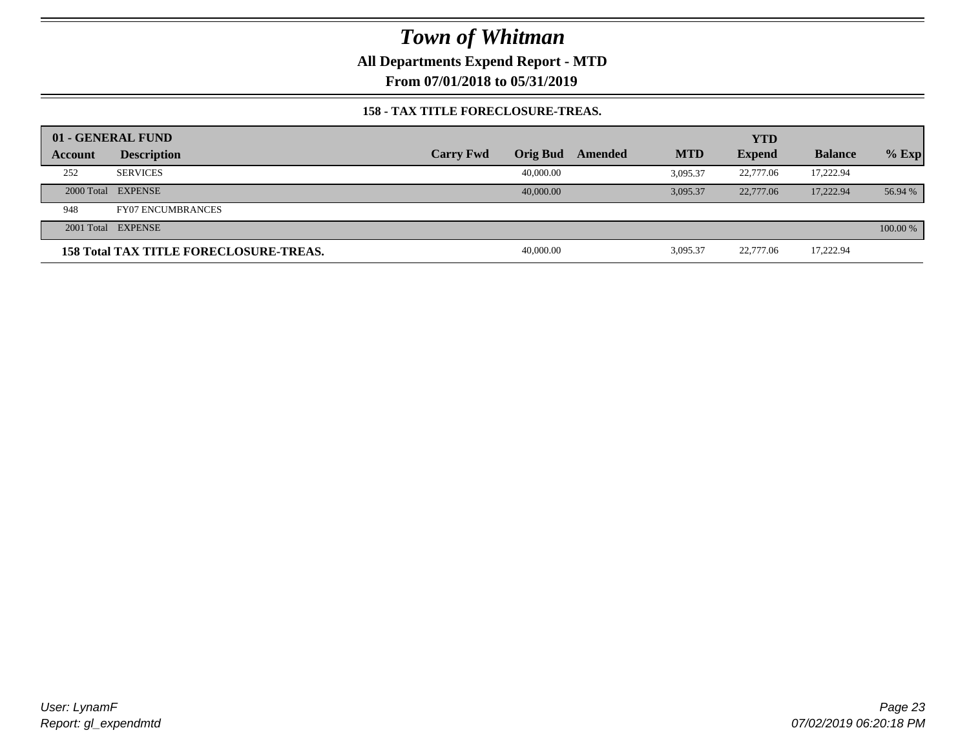**All Departments Expend Report - MTD**

**From 07/01/2018 to 05/31/2019**

### **158 - TAX TITLE FORECLOSURE-TREAS.**

|         | 01 - GENERAL FUND                             |                  |           |         |            | <b>YTD</b>    |                |          |
|---------|-----------------------------------------------|------------------|-----------|---------|------------|---------------|----------------|----------|
| Account | <b>Description</b>                            | <b>Carry Fwd</b> | Orig Bud  | Amended | <b>MTD</b> | <b>Expend</b> | <b>Balance</b> | $%$ Exp  |
| 252     | <b>SERVICES</b>                               |                  | 40,000.00 |         | 3.095.37   | 22,777.06     | 17,222.94      |          |
|         | 2000 Total EXPENSE                            |                  | 40,000,00 |         | 3.095.37   | 22,777.06     | 17.222.94      | 56.94 %  |
| 948     | <b>FY07 ENCUMBRANCES</b>                      |                  |           |         |            |               |                |          |
|         | 2001 Total EXPENSE                            |                  |           |         |            |               |                | 100.00 % |
|         | <b>158 Total TAX TITLE FORECLOSURE-TREAS.</b> |                  | 40,000.00 |         | 3,095.37   | 22,777.06     | 17,222.94      |          |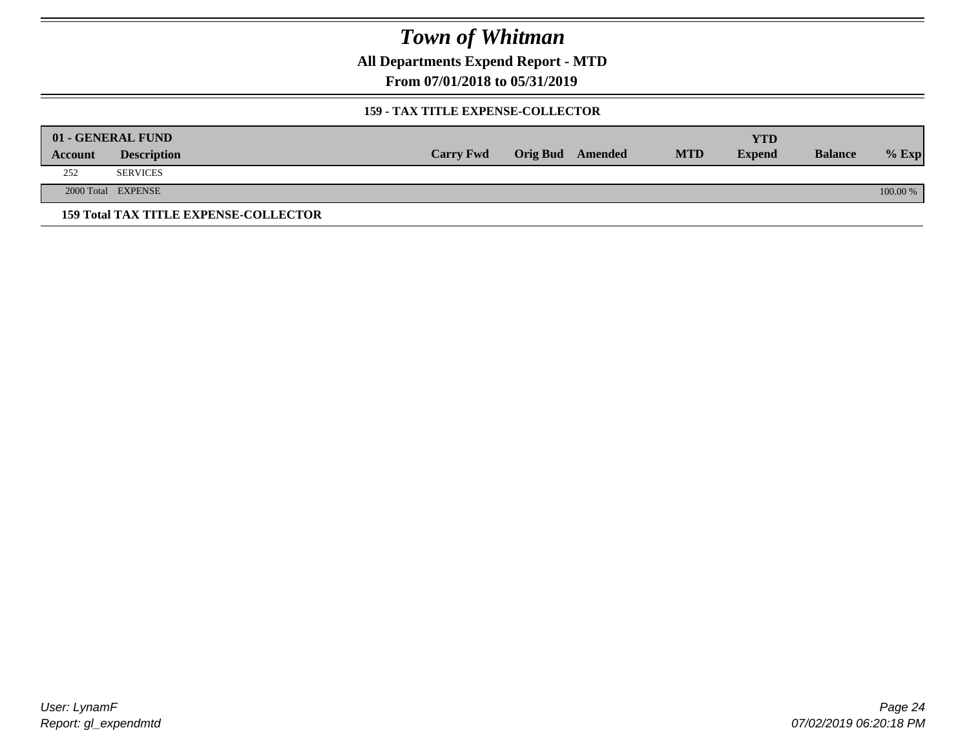**All Departments Expend Report - MTD**

**From 07/01/2018 to 05/31/2019**

### **159 - TAX TITLE EXPENSE-COLLECTOR**

|         | 01 - GENERAL FUND                            |                  |                         |            | YTD           |                |          |
|---------|----------------------------------------------|------------------|-------------------------|------------|---------------|----------------|----------|
| Account | <b>Description</b>                           | <b>Carry Fwd</b> | <b>Orig Bud</b> Amended | <b>MTD</b> | <b>Expend</b> | <b>Balance</b> | $%$ Exp  |
| 252     | <b>SERVICES</b>                              |                  |                         |            |               |                |          |
|         | 2000 Total EXPENSE                           |                  |                         |            |               |                | 100.00 % |
|         | <b>159 Total TAX TITLE EXPENSE-COLLECTOR</b> |                  |                         |            |               |                |          |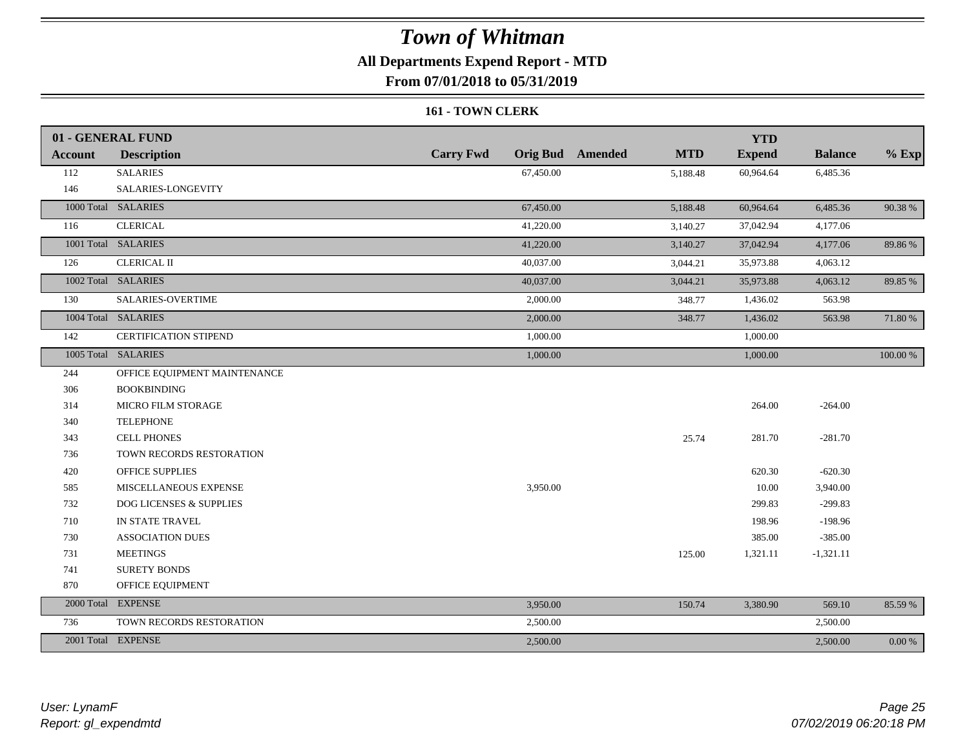## **All Departments Expend Report - MTD**

**From 07/01/2018 to 05/31/2019**

#### **161 - TOWN CLERK**

|                | 01 - GENERAL FUND                  |                  |                                       | <b>YTD</b>    |                |           |
|----------------|------------------------------------|------------------|---------------------------------------|---------------|----------------|-----------|
| <b>Account</b> | <b>Description</b>                 | <b>Carry Fwd</b> | <b>Orig Bud</b> Amended<br><b>MTD</b> | <b>Expend</b> | <b>Balance</b> | $%$ Exp   |
| 112            | <b>SALARIES</b>                    | 67,450.00        | 5,188.48                              | 60,964.64     | 6,485.36       |           |
| 146            | SALARIES-LONGEVITY                 |                  |                                       |               |                |           |
|                | 1000 Total SALARIES                | 67,450.00        | 5,188.48                              | 60,964.64     | 6,485.36       | 90.38%    |
| 116            | <b>CLERICAL</b>                    | 41,220.00        | 3,140.27                              | 37,042.94     | 4,177.06       |           |
|                | 1001 Total SALARIES                | 41,220.00        | 3,140.27                              | 37,042.94     | 4,177.06       | 89.86%    |
| 126            | <b>CLERICAL II</b>                 | 40,037.00        | 3,044.21                              | 35,973.88     | 4,063.12       |           |
|                | 1002 Total SALARIES                | 40,037.00        | 3,044.21                              | 35,973.88     | 4,063.12       | 89.85 %   |
| 130            | SALARIES-OVERTIME                  | 2,000.00         | 348.77                                | 1,436.02      | 563.98         |           |
|                | 1004 Total SALARIES                | 2,000.00         | 348.77                                | 1,436.02      | 563.98         | 71.80 %   |
| 142            | CERTIFICATION STIPEND              | 1,000.00         |                                       | 1,000.00      |                |           |
|                | 1005 Total SALARIES                | 1,000.00         |                                       | 1,000.00      |                | 100.00 %  |
| 244            | OFFICE EQUIPMENT MAINTENANCE       |                  |                                       |               |                |           |
| 306            | <b>BOOKBINDING</b>                 |                  |                                       |               |                |           |
| 314            | MICRO FILM STORAGE                 |                  |                                       | 264.00        | $-264.00$      |           |
| 340            | <b>TELEPHONE</b>                   |                  |                                       |               |                |           |
| 343            | <b>CELL PHONES</b>                 |                  | 25.74                                 | 281.70        | $-281.70$      |           |
| 736            | TOWN RECORDS RESTORATION           |                  |                                       |               |                |           |
| 420            | <b>OFFICE SUPPLIES</b>             |                  |                                       | 620.30        | $-620.30$      |           |
| 585            | MISCELLANEOUS EXPENSE              | 3,950.00         |                                       | 10.00         | 3,940.00       |           |
| 732            | <b>DOG LICENSES &amp; SUPPLIES</b> |                  |                                       | 299.83        | $-299.83$      |           |
| 710            | IN STATE TRAVEL                    |                  |                                       | 198.96        | $-198.96$      |           |
| 730            | <b>ASSOCIATION DUES</b>            |                  |                                       | 385.00        | $-385.00$      |           |
| 731            | <b>MEETINGS</b>                    |                  | 125.00                                | 1,321.11      | $-1,321.11$    |           |
| 741            | <b>SURETY BONDS</b>                |                  |                                       |               |                |           |
| 870            | OFFICE EQUIPMENT                   |                  |                                       |               |                |           |
|                | 2000 Total EXPENSE                 | 3,950.00         | 150.74                                | 3,380.90      | 569.10         | 85.59%    |
| 736            | TOWN RECORDS RESTORATION           | 2,500.00         |                                       |               | 2,500.00       |           |
|                | 2001 Total EXPENSE                 | 2,500.00         |                                       |               | 2,500.00       | $0.00 \%$ |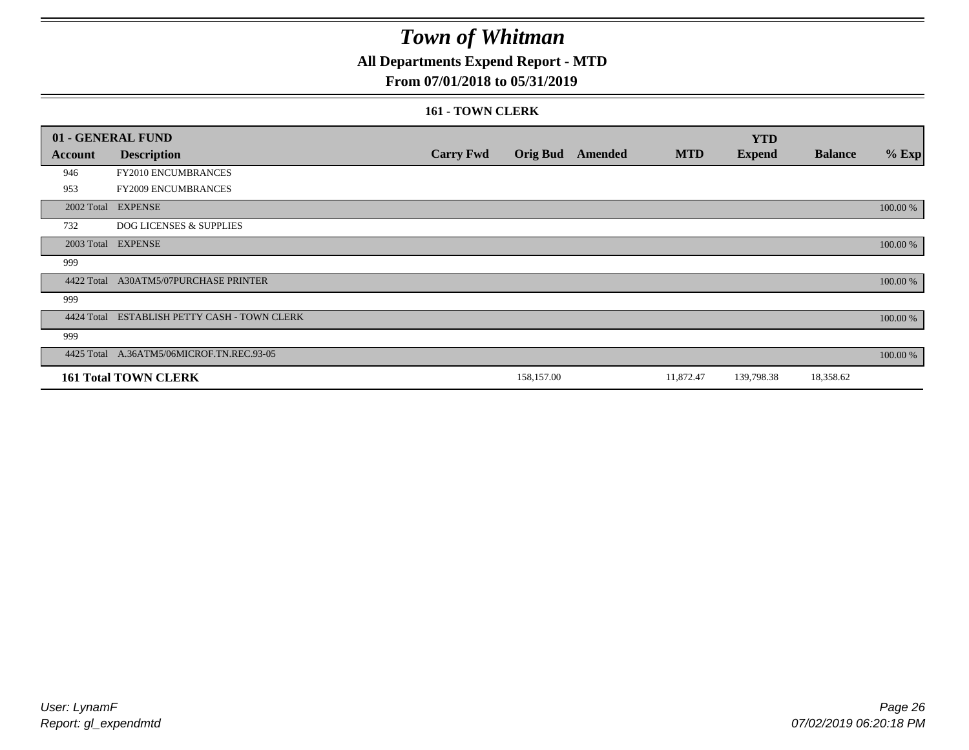## **All Departments Expend Report - MTD**

### **From 07/01/2018 to 05/31/2019**

#### **161 - TOWN CLERK**

|            | 01 - GENERAL FUND                         |                  |                 |         |            | <b>YTD</b>    |                |          |
|------------|-------------------------------------------|------------------|-----------------|---------|------------|---------------|----------------|----------|
| Account    | <b>Description</b>                        | <b>Carry Fwd</b> | <b>Orig Bud</b> | Amended | <b>MTD</b> | <b>Expend</b> | <b>Balance</b> | $%$ Exp  |
| 946        | FY2010 ENCUMBRANCES                       |                  |                 |         |            |               |                |          |
| 953        | <b>FY2009 ENCUMBRANCES</b>                |                  |                 |         |            |               |                |          |
|            | 2002 Total EXPENSE                        |                  |                 |         |            |               |                | 100.00 % |
| 732        | <b>DOG LICENSES &amp; SUPPLIES</b>        |                  |                 |         |            |               |                |          |
| 2003 Total | <b>EXPENSE</b>                            |                  |                 |         |            |               |                | 100.00 % |
| 999        |                                           |                  |                 |         |            |               |                |          |
| 4422 Total | A30ATM5/07PURCHASE PRINTER                |                  |                 |         |            |               |                | 100.00 % |
| 999        |                                           |                  |                 |         |            |               |                |          |
| 4424 Total | ESTABLISH PETTY CASH - TOWN CLERK         |                  |                 |         |            |               |                | 100.00 % |
| 999        |                                           |                  |                 |         |            |               |                |          |
|            | 4425 Total A.36ATM5/06MICROF.TN.REC.93-05 |                  |                 |         |            |               |                | 100.00 % |
|            | <b>161 Total TOWN CLERK</b>               |                  | 158,157.00      |         | 11,872.47  | 139,798.38    | 18,358.62      |          |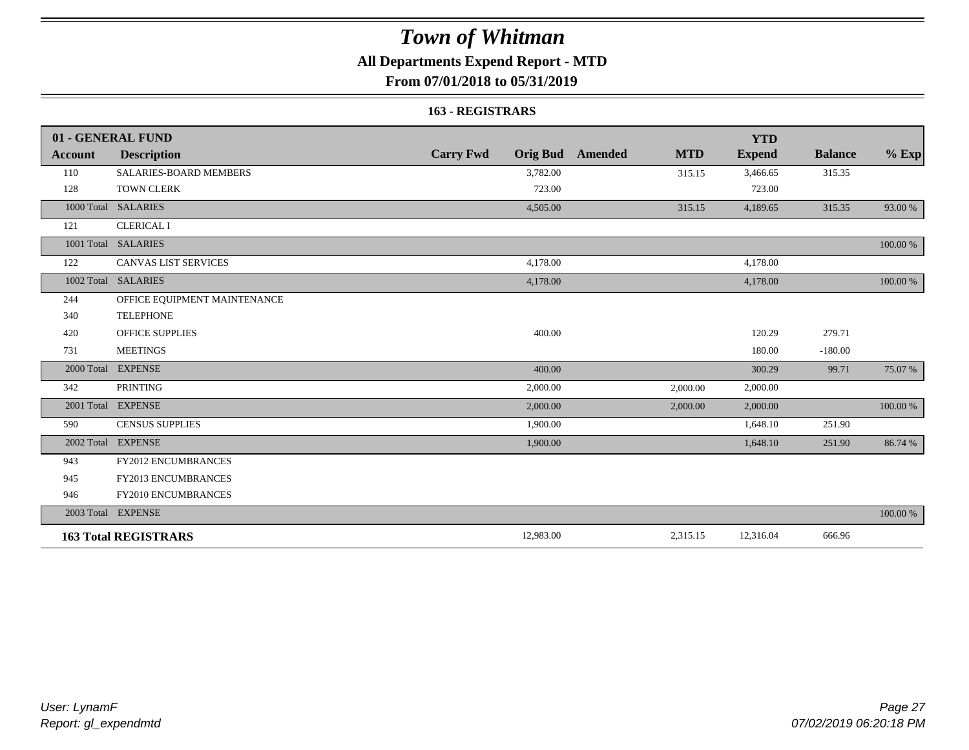## **All Departments Expend Report - MTD**

### **From 07/01/2018 to 05/31/2019**

#### **163 - REGISTRARS**

|                | 01 - GENERAL FUND             |                                     |                       | <b>YTD</b>    |                |          |
|----------------|-------------------------------|-------------------------------------|-----------------------|---------------|----------------|----------|
| <b>Account</b> | <b>Description</b>            | <b>Carry Fwd</b><br><b>Orig Bud</b> | <b>MTD</b><br>Amended | <b>Expend</b> | <b>Balance</b> | $%$ Exp  |
| 110            | <b>SALARIES-BOARD MEMBERS</b> | 3,782.00                            | 315.15                | 3,466.65      | 315.35         |          |
| 128            | <b>TOWN CLERK</b>             | 723.00                              |                       | 723.00        |                |          |
| 1000 Total     | <b>SALARIES</b>               | 4,505.00                            | 315.15                | 4,189.65      | 315.35         | 93.00 %  |
| 121            | <b>CLERICAL I</b>             |                                     |                       |               |                |          |
|                | 1001 Total SALARIES           |                                     |                       |               |                | 100.00 % |
| 122            | <b>CANVAS LIST SERVICES</b>   | 4,178.00                            |                       | 4,178.00      |                |          |
| 1002 Total     | <b>SALARIES</b>               | 4,178.00                            |                       | 4,178.00      |                | 100.00 % |
| 244            | OFFICE EQUIPMENT MAINTENANCE  |                                     |                       |               |                |          |
| 340            | <b>TELEPHONE</b>              |                                     |                       |               |                |          |
| 420            | <b>OFFICE SUPPLIES</b>        | 400.00                              |                       | 120.29        | 279.71         |          |
| 731            | <b>MEETINGS</b>               |                                     |                       | 180.00        | $-180.00$      |          |
| 2000 Total     | <b>EXPENSE</b>                | 400.00                              |                       | 300.29        | 99.71          | 75.07 %  |
| 342            | <b>PRINTING</b>               | 2,000.00                            | 2,000.00              | 2,000.00      |                |          |
|                | 2001 Total EXPENSE            | 2,000.00                            | 2,000.00              | 2,000.00      |                | 100.00 % |
| 590            | <b>CENSUS SUPPLIES</b>        | 1,900.00                            |                       | 1,648.10      | 251.90         |          |
|                | 2002 Total EXPENSE            | 1,900.00                            |                       | 1,648.10      | 251.90         | 86.74 %  |
| 943            | FY2012 ENCUMBRANCES           |                                     |                       |               |                |          |
| 945            | <b>FY2013 ENCUMBRANCES</b>    |                                     |                       |               |                |          |
| 946            | FY2010 ENCUMBRANCES           |                                     |                       |               |                |          |
|                | 2003 Total EXPENSE            |                                     |                       |               |                | 100.00 % |
|                | <b>163 Total REGISTRARS</b>   | 12,983.00                           | 2,315.15              | 12,316.04     | 666.96         |          |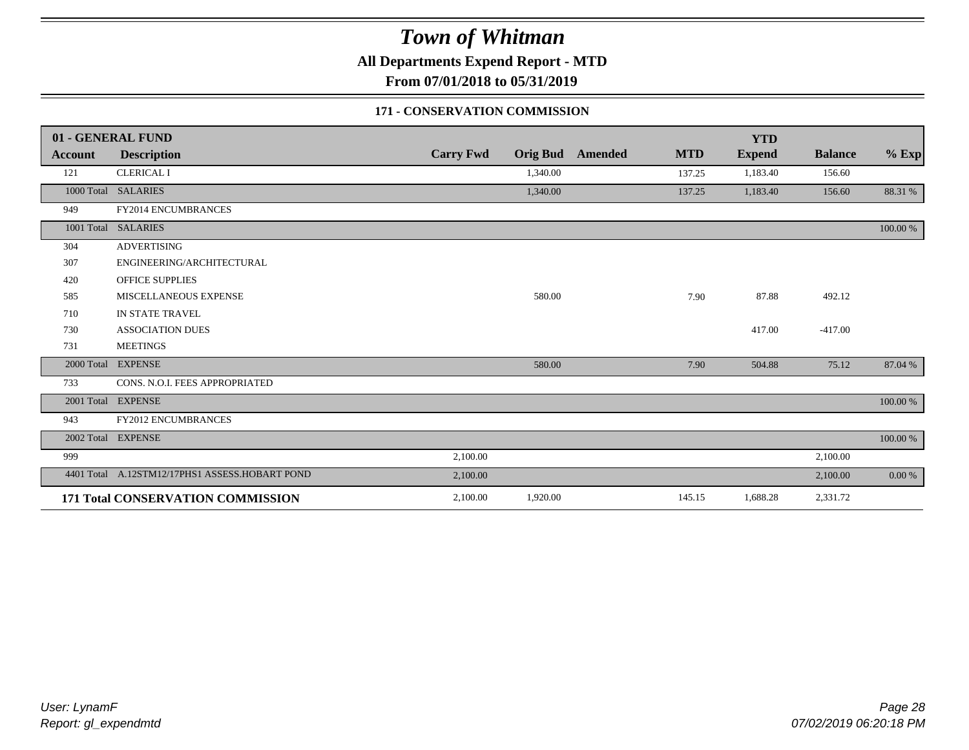**All Departments Expend Report - MTD**

**From 07/01/2018 to 05/31/2019**

### **171 - CONSERVATION COMMISSION**

|                | 01 - GENERAL FUND                              |                  |          |                         |            | <b>YTD</b>    |                |           |
|----------------|------------------------------------------------|------------------|----------|-------------------------|------------|---------------|----------------|-----------|
| <b>Account</b> | <b>Description</b>                             | <b>Carry Fwd</b> |          | <b>Orig Bud</b> Amended | <b>MTD</b> | <b>Expend</b> | <b>Balance</b> | $%$ Exp   |
| 121            | <b>CLERICAL I</b>                              |                  | 1,340.00 |                         | 137.25     | 1,183.40      | 156.60         |           |
| 1000 Total     | <b>SALARIES</b>                                |                  | 1,340.00 |                         | 137.25     | 1,183.40      | 156.60         | 88.31 %   |
| 949            | FY2014 ENCUMBRANCES                            |                  |          |                         |            |               |                |           |
| 1001 Total     | <b>SALARIES</b>                                |                  |          |                         |            |               |                | 100.00 %  |
| 304            | <b>ADVERTISING</b>                             |                  |          |                         |            |               |                |           |
| 307            | ENGINEERING/ARCHITECTURAL                      |                  |          |                         |            |               |                |           |
| 420            | <b>OFFICE SUPPLIES</b>                         |                  |          |                         |            |               |                |           |
| 585            | MISCELLANEOUS EXPENSE                          |                  | 580.00   |                         | 7.90       | 87.88         | 492.12         |           |
| 710            | IN STATE TRAVEL                                |                  |          |                         |            |               |                |           |
| 730            | <b>ASSOCIATION DUES</b>                        |                  |          |                         |            | 417.00        | $-417.00$      |           |
| 731            | <b>MEETINGS</b>                                |                  |          |                         |            |               |                |           |
| 2000 Total     | <b>EXPENSE</b>                                 |                  | 580.00   |                         | 7.90       | 504.88        | 75.12          | 87.04 %   |
| 733            | CONS. N.O.I. FEES APPROPRIATED                 |                  |          |                         |            |               |                |           |
|                | 2001 Total EXPENSE                             |                  |          |                         |            |               |                | 100.00 %  |
| 943            | <b>FY2012 ENCUMBRANCES</b>                     |                  |          |                         |            |               |                |           |
|                | 2002 Total EXPENSE                             |                  |          |                         |            |               |                | 100.00 %  |
| 999            |                                                | 2,100.00         |          |                         |            |               | 2,100.00       |           |
|                | 4401 Total A.12STM12/17PHS1 ASSESS.HOBART POND | 2,100.00         |          |                         |            |               | 2,100.00       | $0.00 \%$ |
|                | 171 Total CONSERVATION COMMISSION              | 2,100.00         | 1,920.00 |                         | 145.15     | 1,688.28      | 2,331.72       |           |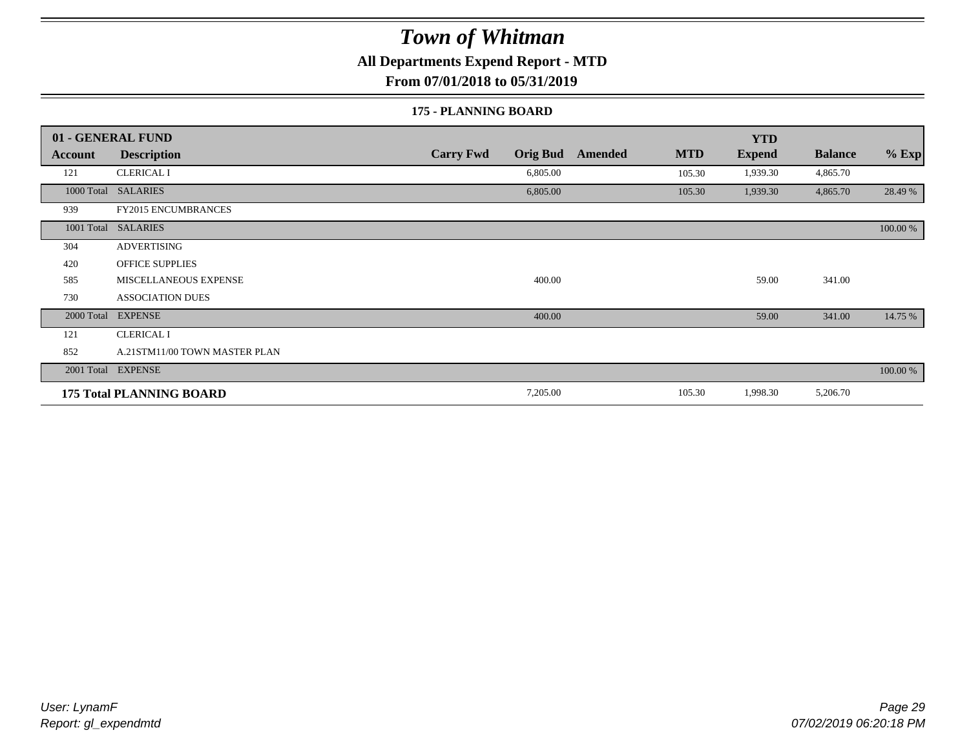**All Departments Expend Report - MTD**

**From 07/01/2018 to 05/31/2019**

#### **175 - PLANNING BOARD**

|                | 01 - GENERAL FUND               |                                     |                       | <b>YTD</b>    |                |          |
|----------------|---------------------------------|-------------------------------------|-----------------------|---------------|----------------|----------|
| <b>Account</b> | <b>Description</b>              | <b>Carry Fwd</b><br><b>Orig Bud</b> | <b>MTD</b><br>Amended | <b>Expend</b> | <b>Balance</b> | $%$ Exp  |
| 121            | <b>CLERICAL I</b>               | 6,805.00                            | 105.30                | 1,939.30      | 4,865.70       |          |
|                | 1000 Total SALARIES             | 6,805.00                            | 105.30                | 1,939.30      | 4,865.70       | 28.49 %  |
| 939            | <b>FY2015 ENCUMBRANCES</b>      |                                     |                       |               |                |          |
| 1001 Total     | <b>SALARIES</b>                 |                                     |                       |               |                | 100.00 % |
| 304            | <b>ADVERTISING</b>              |                                     |                       |               |                |          |
| 420            | <b>OFFICE SUPPLIES</b>          |                                     |                       |               |                |          |
| 585            | MISCELLANEOUS EXPENSE           | 400.00                              |                       | 59.00         | 341.00         |          |
| 730            | <b>ASSOCIATION DUES</b>         |                                     |                       |               |                |          |
| 2000 Total     | <b>EXPENSE</b>                  | 400.00                              |                       | 59.00         | 341.00         | 14.75 %  |
| 121            | <b>CLERICAL I</b>               |                                     |                       |               |                |          |
| 852            | A.21STM11/00 TOWN MASTER PLAN   |                                     |                       |               |                |          |
|                | 2001 Total EXPENSE              |                                     |                       |               |                | 100.00 % |
|                | <b>175 Total PLANNING BOARD</b> | 7,205.00                            | 105.30                | 1,998.30      | 5,206.70       |          |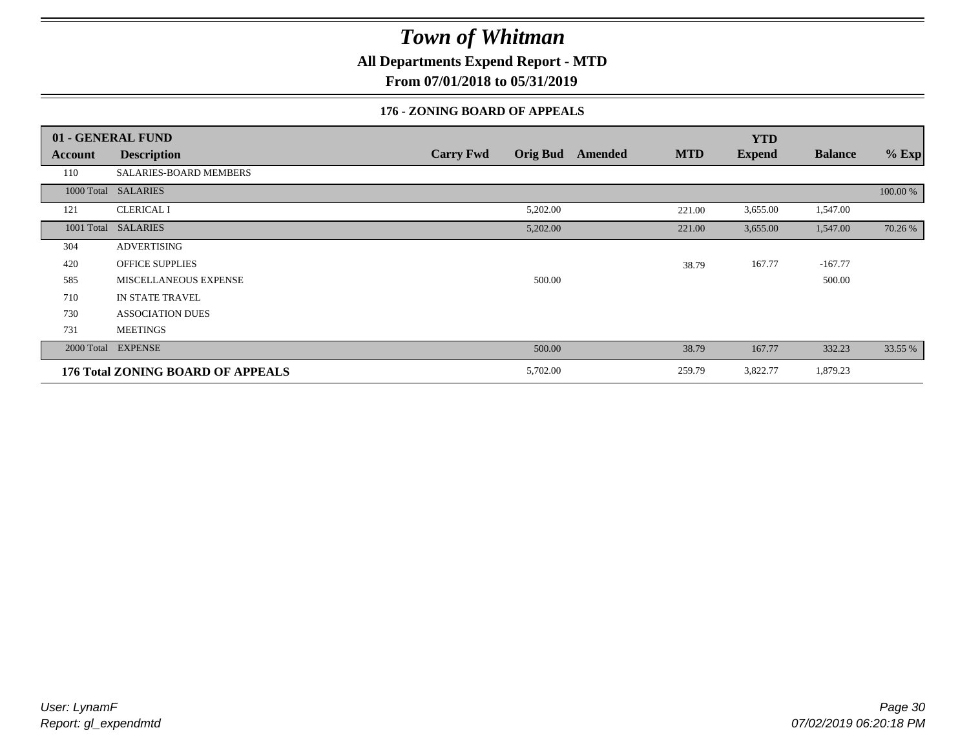**All Departments Expend Report - MTD**

**From 07/01/2018 to 05/31/2019**

### **176 - ZONING BOARD OF APPEALS**

|            | 01 - GENERAL FUND                        |                                     |                       | <b>YTD</b>    |                |          |
|------------|------------------------------------------|-------------------------------------|-----------------------|---------------|----------------|----------|
| Account    | <b>Description</b>                       | <b>Orig Bud</b><br><b>Carry Fwd</b> | <b>MTD</b><br>Amended | <b>Expend</b> | <b>Balance</b> | $%$ Exp  |
| 110        | SALARIES-BOARD MEMBERS                   |                                     |                       |               |                |          |
|            | 1000 Total SALARIES                      |                                     |                       |               |                | 100.00 % |
| 121        | <b>CLERICAL I</b>                        | 5,202.00                            | 221.00                | 3,655.00      | 1,547.00       |          |
| 1001 Total | <b>SALARIES</b>                          | 5,202.00                            | 221.00                | 3,655.00      | 1,547.00       | 70.26 %  |
| 304        | <b>ADVERTISING</b>                       |                                     |                       |               |                |          |
| 420        | OFFICE SUPPLIES                          |                                     | 38.79                 | 167.77        | $-167.77$      |          |
| 585        | <b>MISCELLANEOUS EXPENSE</b>             | 500.00                              |                       |               | 500.00         |          |
| 710        | <b>IN STATE TRAVEL</b>                   |                                     |                       |               |                |          |
| 730        | <b>ASSOCIATION DUES</b>                  |                                     |                       |               |                |          |
| 731        | <b>MEETINGS</b>                          |                                     |                       |               |                |          |
|            | 2000 Total EXPENSE                       | 500.00                              | 38.79                 | 167.77        | 332.23         | 33.55 %  |
|            | <b>176 Total ZONING BOARD OF APPEALS</b> | 5,702.00                            | 259.79                | 3,822.77      | 1,879.23       |          |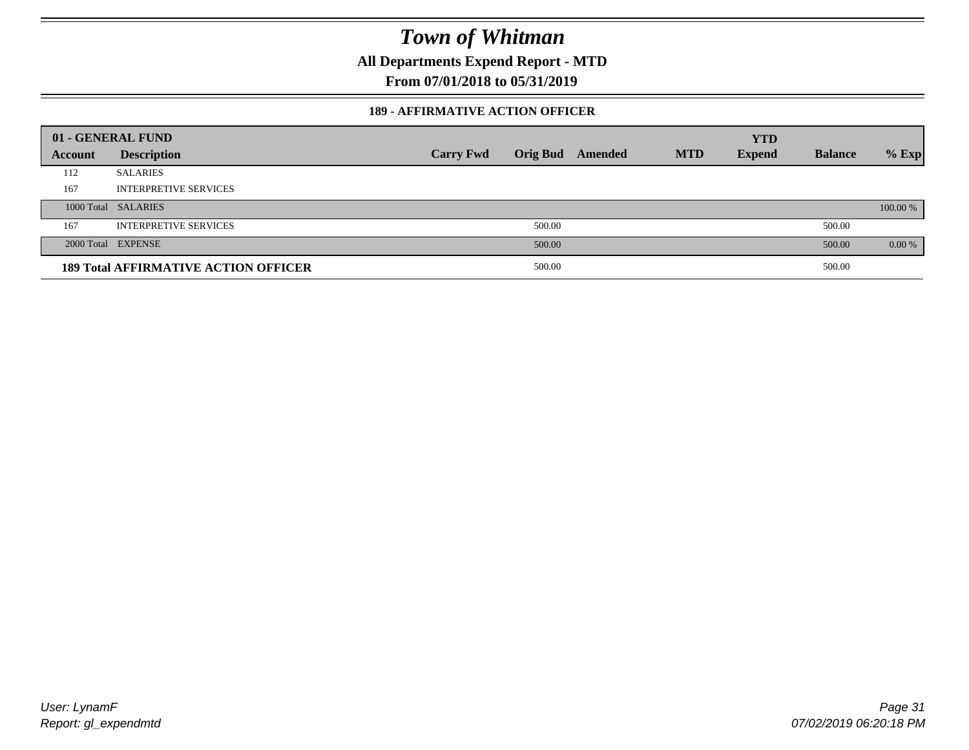**All Departments Expend Report - MTD**

**From 07/01/2018 to 05/31/2019**

### **189 - AFFIRMATIVE ACTION OFFICER**

|         | 01 - GENERAL FUND                           |                  |        |                         |            | <b>YTD</b>    |                |          |
|---------|---------------------------------------------|------------------|--------|-------------------------|------------|---------------|----------------|----------|
| Account | <b>Description</b>                          | <b>Carry Fwd</b> |        | <b>Orig Bud</b> Amended | <b>MTD</b> | <b>Expend</b> | <b>Balance</b> | $%$ Exp  |
| 112     | <b>SALARIES</b>                             |                  |        |                         |            |               |                |          |
| 167     | <b>INTERPRETIVE SERVICES</b>                |                  |        |                         |            |               |                |          |
|         | 1000 Total SALARIES                         |                  |        |                         |            |               |                | 100.00 % |
| 167     | <b>INTERPRETIVE SERVICES</b>                |                  | 500.00 |                         |            |               | 500.00         |          |
|         | 2000 Total EXPENSE                          |                  | 500.00 |                         |            |               | 500.00         | $0.00\%$ |
|         | <b>189 Total AFFIRMATIVE ACTION OFFICER</b> |                  | 500.00 |                         |            |               | 500.00         |          |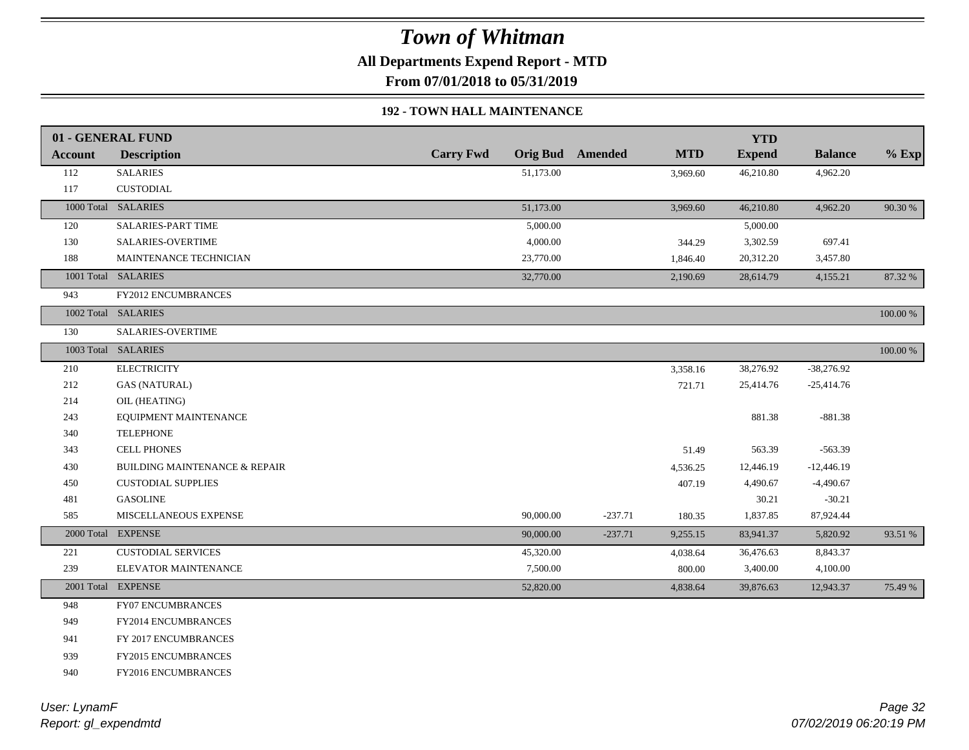**All Departments Expend Report - MTD**

**From 07/01/2018 to 05/31/2019**

### **192 - TOWN HALL MAINTENANCE**

|            | 01 - GENERAL FUND                        |                  |           |                         |            | <b>YTD</b>    |                |             |
|------------|------------------------------------------|------------------|-----------|-------------------------|------------|---------------|----------------|-------------|
| Account    | <b>Description</b>                       | <b>Carry Fwd</b> |           | <b>Orig Bud</b> Amended | <b>MTD</b> | <b>Expend</b> | <b>Balance</b> | $%$ Exp     |
| 112        | <b>SALARIES</b>                          |                  | 51,173.00 |                         | 3,969.60   | 46,210.80     | 4,962.20       |             |
| 117        | <b>CUSTODIAL</b>                         |                  |           |                         |            |               |                |             |
|            | 1000 Total SALARIES                      |                  | 51,173.00 |                         | 3,969.60   | 46,210.80     | 4,962.20       | 90.30 %     |
| 120        | SALARIES-PART TIME                       |                  | 5,000.00  |                         |            | 5,000.00      |                |             |
| 130        | SALARIES-OVERTIME                        |                  | 4,000.00  |                         | 344.29     | 3,302.59      | 697.41         |             |
| 188        | MAINTENANCE TECHNICIAN                   |                  | 23,770.00 |                         | 1,846.40   | 20,312.20     | 3,457.80       |             |
|            | 1001 Total SALARIES                      |                  | 32,770.00 |                         | 2,190.69   | 28,614.79     | 4,155.21       | 87.32 %     |
| 943        | FY2012 ENCUMBRANCES                      |                  |           |                         |            |               |                |             |
|            | 1002 Total SALARIES                      |                  |           |                         |            |               |                | 100.00 %    |
| 130        | SALARIES-OVERTIME                        |                  |           |                         |            |               |                |             |
|            | 1003 Total SALARIES                      |                  |           |                         |            |               |                | $100.00~\%$ |
| 210        | <b>ELECTRICITY</b>                       |                  |           |                         | 3,358.16   | 38,276.92     | $-38,276.92$   |             |
| 212        | <b>GAS (NATURAL)</b>                     |                  |           |                         | 721.71     | 25,414.76     | $-25,414.76$   |             |
| 214        | OIL (HEATING)                            |                  |           |                         |            |               |                |             |
| 243        | EQUIPMENT MAINTENANCE                    |                  |           |                         |            | 881.38        | $-881.38$      |             |
| 340        | <b>TELEPHONE</b>                         |                  |           |                         |            |               |                |             |
| 343        | <b>CELL PHONES</b>                       |                  |           |                         | 51.49      | 563.39        | $-563.39$      |             |
| 430        | <b>BUILDING MAINTENANCE &amp; REPAIR</b> |                  |           |                         | 4,536.25   | 12,446.19     | $-12,446.19$   |             |
| 450        | <b>CUSTODIAL SUPPLIES</b>                |                  |           |                         | 407.19     | 4,490.67      | $-4,490.67$    |             |
| 481        | <b>GASOLINE</b>                          |                  |           |                         |            | 30.21         | $-30.21$       |             |
| 585        | MISCELLANEOUS EXPENSE                    |                  | 90,000.00 | $-237.71$               | 180.35     | 1,837.85      | 87,924.44      |             |
| 2000 Total | <b>EXPENSE</b>                           |                  | 90,000.00 | $-237.71$               | 9,255.15   | 83,941.37     | 5,820.92       | 93.51 %     |
| 221        | <b>CUSTODIAL SERVICES</b>                |                  | 45,320.00 |                         | 4,038.64   | 36,476.63     | 8,843.37       |             |
| 239        | ELEVATOR MAINTENANCE                     |                  | 7,500.00  |                         | 800.00     | 3,400.00      | 4,100.00       |             |
|            | 2001 Total EXPENSE                       |                  | 52,820.00 |                         | 4,838.64   | 39,876.63     | 12,943.37      | 75.49 %     |
| 948        | <b>FY07 ENCUMBRANCES</b>                 |                  |           |                         |            |               |                |             |
| 949        | FY2014 ENCUMBRANCES                      |                  |           |                         |            |               |                |             |
| 941        | FY 2017 ENCUMBRANCES                     |                  |           |                         |            |               |                |             |
| 939        | FY2015 ENCUMBRANCES                      |                  |           |                         |            |               |                |             |
| 940        | FY2016 ENCUMBRANCES                      |                  |           |                         |            |               |                |             |
|            |                                          |                  |           |                         |            |               |                |             |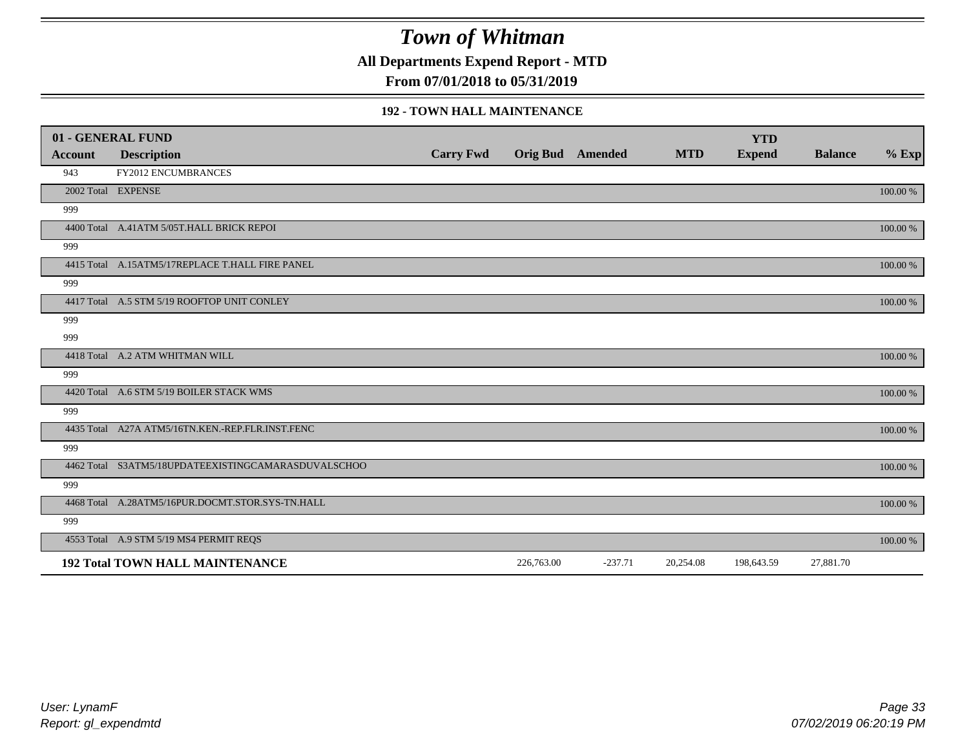**All Departments Expend Report - MTD**

**From 07/01/2018 to 05/31/2019**

#### **192 - TOWN HALL MAINTENANCE**

|         | 01 - GENERAL FUND                                   |                  |                         |           |            | <b>YTD</b>    |                |          |
|---------|-----------------------------------------------------|------------------|-------------------------|-----------|------------|---------------|----------------|----------|
| Account | <b>Description</b>                                  | <b>Carry Fwd</b> | <b>Orig Bud</b> Amended |           | <b>MTD</b> | <b>Expend</b> | <b>Balance</b> | $%$ Exp  |
| 943     | <b>FY2012 ENCUMBRANCES</b>                          |                  |                         |           |            |               |                |          |
|         | 2002 Total EXPENSE                                  |                  |                         |           |            |               |                | 100.00 % |
| 999     |                                                     |                  |                         |           |            |               |                |          |
|         | 4400 Total A.41ATM 5/05T.HALL BRICK REPOI           |                  |                         |           |            |               |                | 100.00 % |
| 999     |                                                     |                  |                         |           |            |               |                |          |
|         | 4415 Total A.15ATM5/17REPLACE T.HALL FIRE PANEL     |                  |                         |           |            |               |                | 100.00 % |
| 999     |                                                     |                  |                         |           |            |               |                |          |
|         | 4417 Total A.5 STM 5/19 ROOFTOP UNIT CONLEY         |                  |                         |           |            |               |                | 100.00 % |
| 999     |                                                     |                  |                         |           |            |               |                |          |
| 999     |                                                     |                  |                         |           |            |               |                |          |
|         | 4418 Total A.2 ATM WHITMAN WILL                     |                  |                         |           |            |               |                | 100.00 % |
| 999     |                                                     |                  |                         |           |            |               |                |          |
|         | 4420 Total A.6 STM 5/19 BOILER STACK WMS            |                  |                         |           |            |               |                | 100.00 % |
| 999     |                                                     |                  |                         |           |            |               |                |          |
|         | 4435 Total A27A ATM5/16TN.KEN.-REP.FLR.INST.FENC    |                  |                         |           |            |               |                | 100.00 % |
| 999     |                                                     |                  |                         |           |            |               |                |          |
|         | 4462 Total S3ATM5/18UPDATEEXISTINGCAMARASDUVALSCHOO |                  |                         |           |            |               |                | 100.00 % |
| 999     |                                                     |                  |                         |           |            |               |                |          |
|         | 4468 Total A.28ATM5/16PUR.DOCMT.STOR.SYS-TN.HALL    |                  |                         |           |            |               |                | 100.00 % |
| 999     |                                                     |                  |                         |           |            |               |                |          |
|         | 4553 Total A.9 STM 5/19 MS4 PERMIT REQS             |                  |                         |           |            |               |                | 100.00 % |
|         | <b>192 Total TOWN HALL MAINTENANCE</b>              |                  | 226,763.00              | $-237.71$ | 20,254.08  | 198,643.59    | 27,881.70      |          |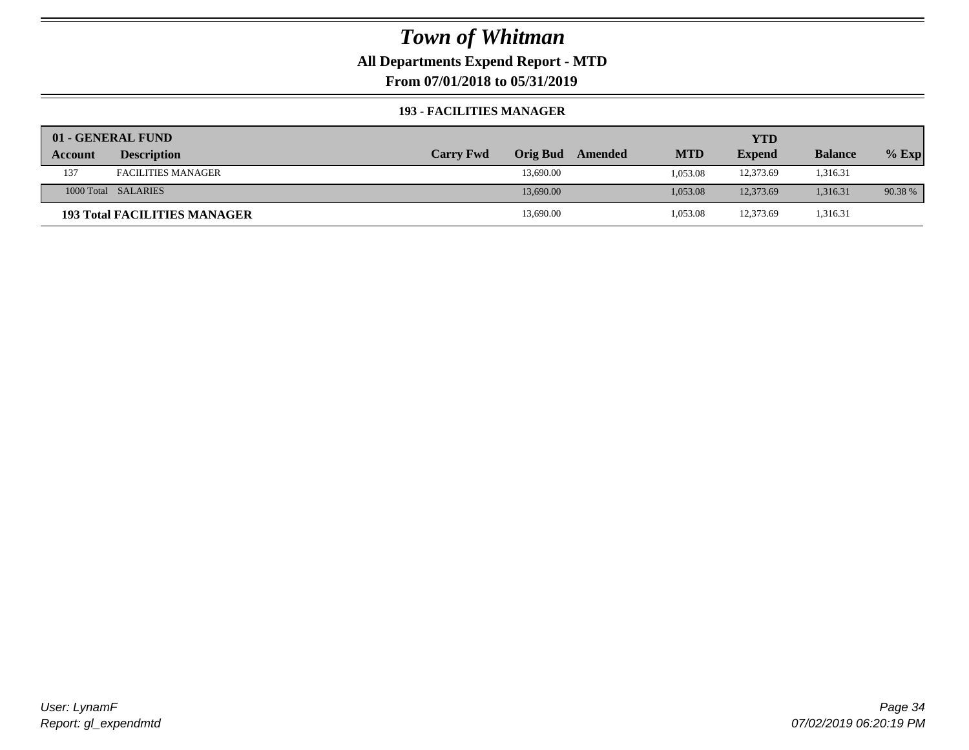## **All Departments Expend Report - MTD**

**From 07/01/2018 to 05/31/2019**

#### **193 - FACILITIES MANAGER**

|         | 01 - GENERAL FUND                   |                  |                 |         |            | <b>YTD</b>    |                |         |
|---------|-------------------------------------|------------------|-----------------|---------|------------|---------------|----------------|---------|
| Account | <b>Description</b>                  | <b>Carry Fwd</b> | <b>Orig Bud</b> | Amended | <b>MTD</b> | <b>Expend</b> | <b>Balance</b> | $%$ Exp |
| 137     | <b>FACILITIES MANAGER</b>           |                  | 13,690.00       |         | 1.053.08   | 12,373.69     | 1,316.31       |         |
|         | 1000 Total SALARIES                 |                  | 13,690.00       |         | 1.053.08   | 12,373.69     | 1,316.31       | 90.38 % |
|         | <b>193 Total FACILITIES MANAGER</b> |                  | 13,690.00       |         | 1,053.08   | 12,373.69     | 1,316.31       |         |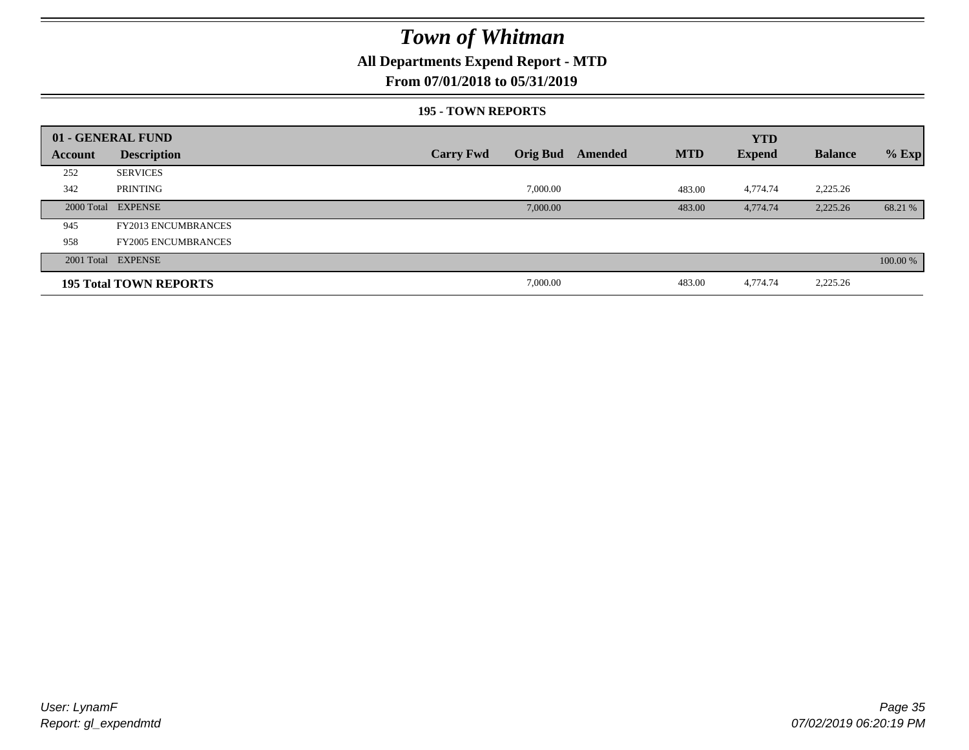## **All Departments Expend Report - MTD**

### **From 07/01/2018 to 05/31/2019**

#### **195 - TOWN REPORTS**

|         | 01 - GENERAL FUND             |                                     |         |            | <b>YTD</b>    |                |          |
|---------|-------------------------------|-------------------------------------|---------|------------|---------------|----------------|----------|
| Account | <b>Description</b>            | <b>Orig Bud</b><br><b>Carry Fwd</b> | Amended | <b>MTD</b> | <b>Expend</b> | <b>Balance</b> | $%$ Exp  |
| 252     | <b>SERVICES</b>               |                                     |         |            |               |                |          |
| 342     | PRINTING                      | 7,000.00                            |         | 483.00     | 4,774.74      | 2,225.26       |          |
|         | 2000 Total EXPENSE            | 7,000.00                            |         | 483.00     | 4,774.74      | 2,225.26       | 68.21 %  |
| 945     | <b>FY2013 ENCUMBRANCES</b>    |                                     |         |            |               |                |          |
| 958     | <b>FY2005 ENCUMBRANCES</b>    |                                     |         |            |               |                |          |
|         | 2001 Total EXPENSE            |                                     |         |            |               |                | 100.00 % |
|         | <b>195 Total TOWN REPORTS</b> | 7,000.00                            |         | 483.00     | 4,774.74      | 2,225.26       |          |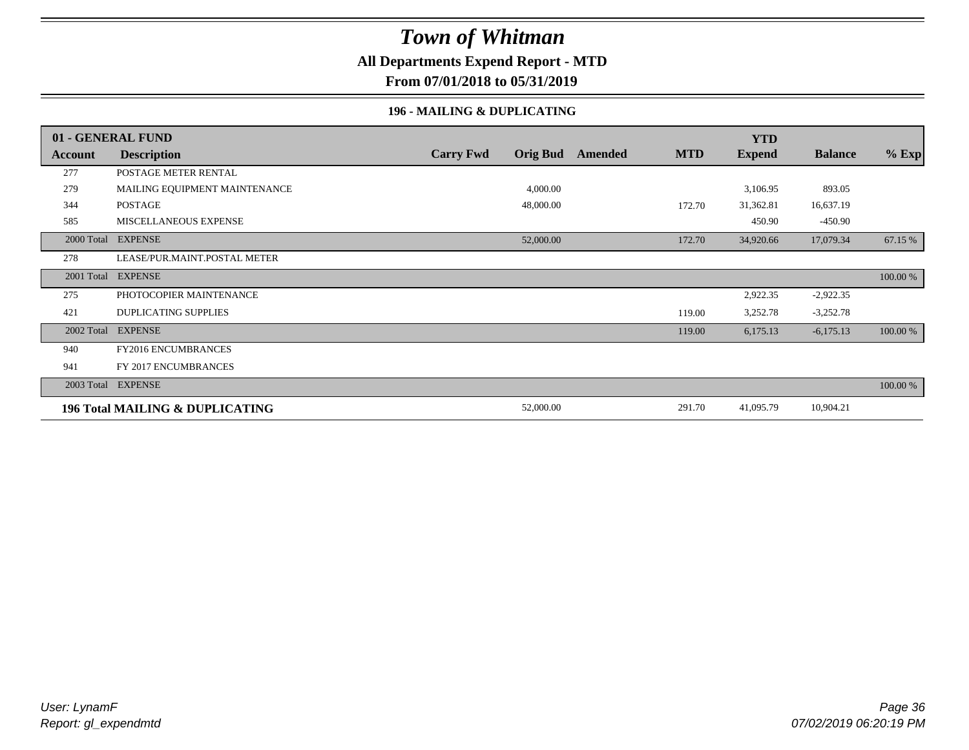### **All Departments Expend Report - MTD**

**From 07/01/2018 to 05/31/2019**

### **196 - MAILING & DUPLICATING**

|            | 01 - GENERAL FUND                          |                  |                 |         |            | <b>YTD</b>    |                |          |
|------------|--------------------------------------------|------------------|-----------------|---------|------------|---------------|----------------|----------|
| Account    | <b>Description</b>                         | <b>Carry Fwd</b> | <b>Orig Bud</b> | Amended | <b>MTD</b> | <b>Expend</b> | <b>Balance</b> | $%$ Exp  |
| 277        | POSTAGE METER RENTAL                       |                  |                 |         |            |               |                |          |
| 279        | MAILING EQUIPMENT MAINTENANCE              |                  | 4,000.00        |         |            | 3,106.95      | 893.05         |          |
| 344        | POSTAGE                                    |                  | 48,000.00       |         | 172.70     | 31,362.81     | 16,637.19      |          |
| 585        | MISCELLANEOUS EXPENSE                      |                  |                 |         |            | 450.90        | $-450.90$      |          |
| 2000 Total | <b>EXPENSE</b>                             |                  | 52,000.00       |         | 172.70     | 34,920.66     | 17,079.34      | 67.15 %  |
| 278        | LEASE/PUR.MAINT.POSTAL METER               |                  |                 |         |            |               |                |          |
| 2001 Total | <b>EXPENSE</b>                             |                  |                 |         |            |               |                | 100.00 % |
| 275        | PHOTOCOPIER MAINTENANCE                    |                  |                 |         |            | 2,922.35      | $-2,922.35$    |          |
| 421        | <b>DUPLICATING SUPPLIES</b>                |                  |                 |         | 119.00     | 3,252.78      | $-3,252.78$    |          |
| 2002 Total | <b>EXPENSE</b>                             |                  |                 |         | 119.00     | 6,175.13      | $-6,175.13$    | 100.00 % |
| 940        | <b>FY2016 ENCUMBRANCES</b>                 |                  |                 |         |            |               |                |          |
| 941        | FY 2017 ENCUMBRANCES                       |                  |                 |         |            |               |                |          |
|            | 2003 Total EXPENSE                         |                  |                 |         |            |               |                | 100.00 % |
|            | <b>196 Total MAILING &amp; DUPLICATING</b> |                  | 52,000.00       |         | 291.70     | 41,095.79     | 10,904.21      |          |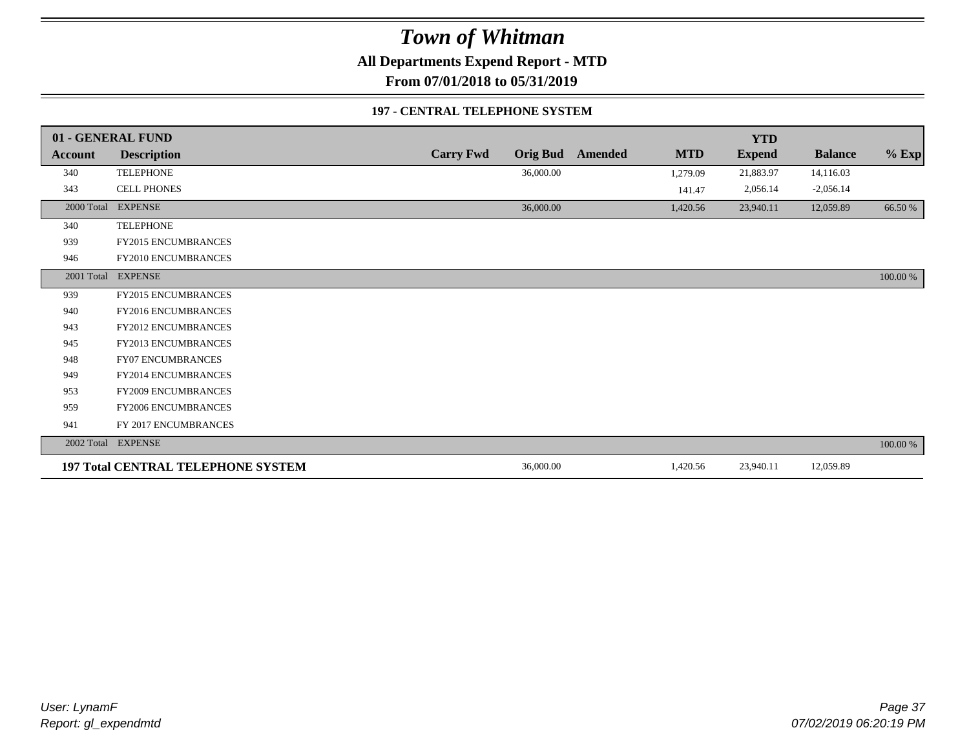**All Departments Expend Report - MTD**

**From 07/01/2018 to 05/31/2019**

### **197 - CENTRAL TELEPHONE SYSTEM**

|            | 01 - GENERAL FUND                         |                  |                 |         |            | <b>YTD</b>    |                |          |
|------------|-------------------------------------------|------------------|-----------------|---------|------------|---------------|----------------|----------|
| Account    | <b>Description</b>                        | <b>Carry Fwd</b> | <b>Orig Bud</b> | Amended | <b>MTD</b> | <b>Expend</b> | <b>Balance</b> | $%$ Exp  |
| 340        | <b>TELEPHONE</b>                          |                  | 36,000.00       |         | 1,279.09   | 21,883.97     | 14,116.03      |          |
| 343        | CELL PHONES                               |                  |                 |         | 141.47     | 2,056.14      | $-2,056.14$    |          |
| 2000 Total | <b>EXPENSE</b>                            |                  | 36,000.00       |         | 1,420.56   | 23,940.11     | 12,059.89      | 66.50 %  |
| 340        | <b>TELEPHONE</b>                          |                  |                 |         |            |               |                |          |
| 939        | FY2015 ENCUMBRANCES                       |                  |                 |         |            |               |                |          |
| 946        | FY2010 ENCUMBRANCES                       |                  |                 |         |            |               |                |          |
|            | 2001 Total EXPENSE                        |                  |                 |         |            |               |                | 100.00 % |
| 939        | FY2015 ENCUMBRANCES                       |                  |                 |         |            |               |                |          |
| 940        | <b>FY2016 ENCUMBRANCES</b>                |                  |                 |         |            |               |                |          |
| 943        | <b>FY2012 ENCUMBRANCES</b>                |                  |                 |         |            |               |                |          |
| 945        | <b>FY2013 ENCUMBRANCES</b>                |                  |                 |         |            |               |                |          |
| 948        | FY07 ENCUMBRANCES                         |                  |                 |         |            |               |                |          |
| 949        | FY2014 ENCUMBRANCES                       |                  |                 |         |            |               |                |          |
| 953        | <b>FY2009 ENCUMBRANCES</b>                |                  |                 |         |            |               |                |          |
| 959        | FY2006 ENCUMBRANCES                       |                  |                 |         |            |               |                |          |
| 941        | FY 2017 ENCUMBRANCES                      |                  |                 |         |            |               |                |          |
|            | 2002 Total EXPENSE                        |                  |                 |         |            |               |                | 100.00 % |
|            | <b>197 Total CENTRAL TELEPHONE SYSTEM</b> |                  | 36,000.00       |         | 1,420.56   | 23,940.11     | 12,059.89      |          |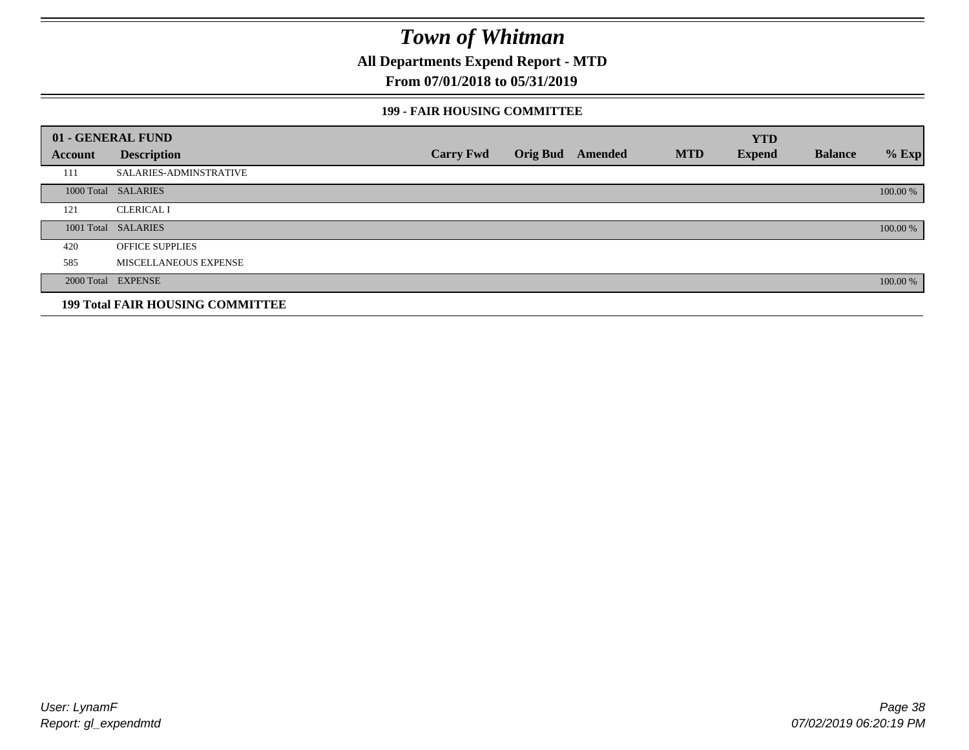**All Departments Expend Report - MTD**

## **From 07/01/2018 to 05/31/2019**

### **199 - FAIR HOUSING COMMITTEE**

|         | 01 - GENERAL FUND                       |                  |                         |            | <b>YTD</b>    |                |          |
|---------|-----------------------------------------|------------------|-------------------------|------------|---------------|----------------|----------|
| Account | <b>Description</b>                      | <b>Carry Fwd</b> | <b>Orig Bud</b> Amended | <b>MTD</b> | <b>Expend</b> | <b>Balance</b> | $%$ Exp  |
| 111     | <b>SALARIES-ADMINSTRATIVE</b>           |                  |                         |            |               |                |          |
|         | 1000 Total SALARIES                     |                  |                         |            |               |                | 100.00 % |
| 121     | <b>CLERICAL I</b>                       |                  |                         |            |               |                |          |
|         | 1001 Total SALARIES                     |                  |                         |            |               |                | 100.00 % |
| 420     | <b>OFFICE SUPPLIES</b>                  |                  |                         |            |               |                |          |
| 585     | MISCELLANEOUS EXPENSE                   |                  |                         |            |               |                |          |
|         | 2000 Total EXPENSE                      |                  |                         |            |               |                | 100.00 % |
|         | <b>199 Total FAIR HOUSING COMMITTEE</b> |                  |                         |            |               |                |          |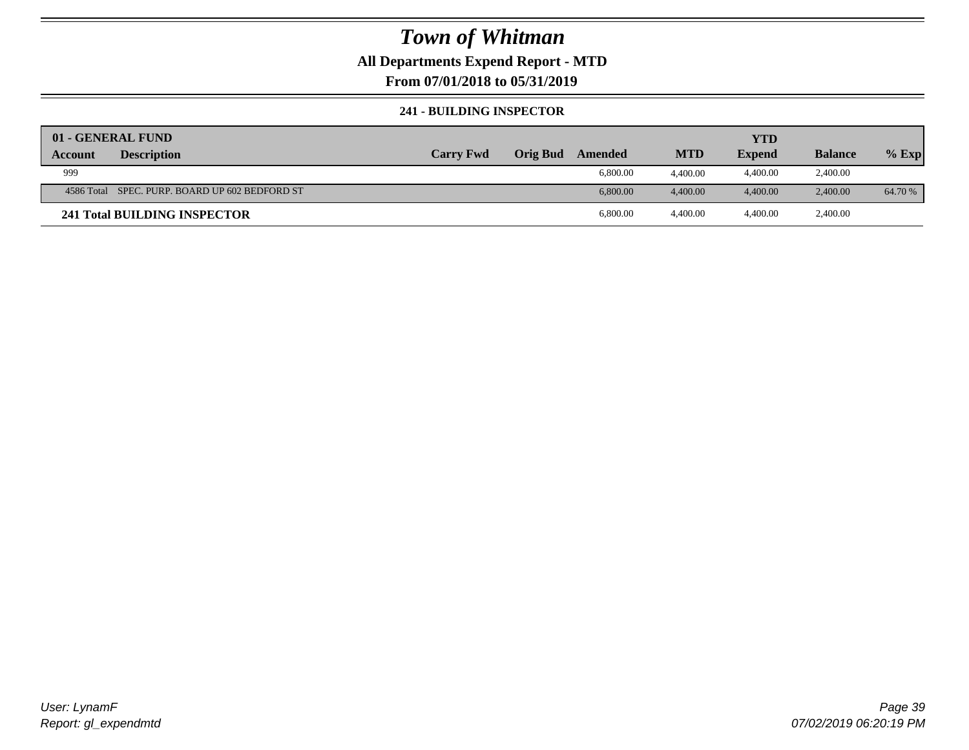## **All Departments Expend Report - MTD**

**From 07/01/2018 to 05/31/2019**

### **241 - BUILDING INSPECTOR**

| 01 - GENERAL FUND |                                                |                  |                 |          |            | YTD           |                |         |
|-------------------|------------------------------------------------|------------------|-----------------|----------|------------|---------------|----------------|---------|
| Account           | <b>Description</b>                             | <b>Carry Fwd</b> | <b>Orig Bud</b> | Amended  | <b>MTD</b> | <b>Expend</b> | <b>Balance</b> | $%$ Exp |
| 999               |                                                |                  |                 | 6,800.00 | 4.400.00   | 4,400.00      | 2,400.00       |         |
|                   | 4586 Total SPEC. PURP. BOARD UP 602 BEDFORD ST |                  |                 | 6,800.00 | 4.400.00   | 4.400.00      | 2,400.00       | 64.70 % |
|                   | 241 Total BUILDING INSPECTOR                   |                  |                 | 6,800.00 | 4.400.00   | 4,400.00      | 2,400.00       |         |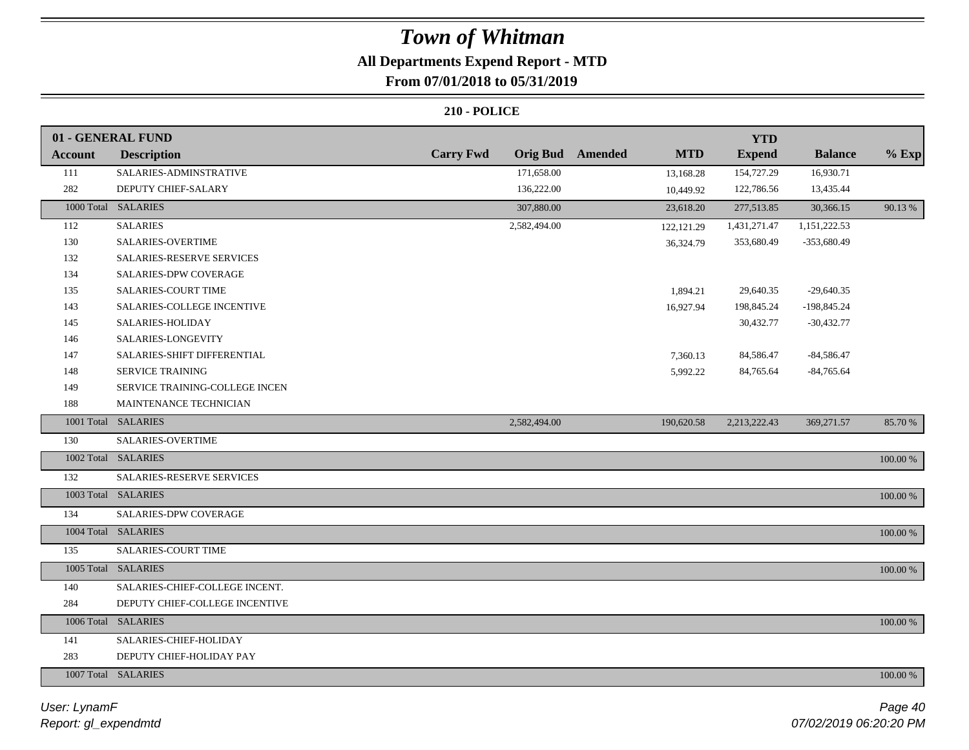# **All Departments Expend Report - MTD**

# **From 07/01/2018 to 05/31/2019**

|                     | 01 - GENERAL FUND              |                  |                                | <b>YTD</b>    |                |          |
|---------------------|--------------------------------|------------------|--------------------------------|---------------|----------------|----------|
| <b>Account</b>      | <b>Description</b>             | <b>Carry Fwd</b> | Orig Bud Amended<br><b>MTD</b> | <b>Expend</b> | <b>Balance</b> | $%$ Exp  |
| 111                 | SALARIES-ADMINSTRATIVE         | 171,658.00       | 13,168.28                      | 154,727.29    | 16,930.71      |          |
| 282                 | DEPUTY CHIEF-SALARY            | 136,222.00       | 10,449.92                      | 122,786.56    | 13,435.44      |          |
|                     | 1000 Total SALARIES            | 307,880.00       | 23,618.20                      | 277,513.85    | 30,366.15      | 90.13 %  |
| 112                 | <b>SALARIES</b>                | 2,582,494.00     | 122, 121.29                    | 1,431,271.47  | 1,151,222.53   |          |
| 130                 | SALARIES-OVERTIME              |                  | 36,324.79                      | 353,680.49    | $-353,680.49$  |          |
| 132                 | SALARIES-RESERVE SERVICES      |                  |                                |               |                |          |
| 134                 | SALARIES-DPW COVERAGE          |                  |                                |               |                |          |
| 135                 | SALARIES-COURT TIME            |                  | 1,894.21                       | 29,640.35     | $-29,640.35$   |          |
| 143                 | SALARIES-COLLEGE INCENTIVE     |                  | 16,927.94                      | 198,845.24    | $-198,845.24$  |          |
| 145                 | SALARIES-HOLIDAY               |                  |                                | 30,432.77     | $-30,432.77$   |          |
| 146                 | SALARIES-LONGEVITY             |                  |                                |               |                |          |
| 147                 | SALARIES-SHIFT DIFFERENTIAL    |                  | 7,360.13                       | 84,586.47     | $-84,586.47$   |          |
| 148                 | <b>SERVICE TRAINING</b>        |                  | 5,992.22                       | 84,765.64     | $-84,765.64$   |          |
| 149                 | SERVICE TRAINING-COLLEGE INCEN |                  |                                |               |                |          |
| 188                 | MAINTENANCE TECHNICIAN         |                  |                                |               |                |          |
|                     | 1001 Total SALARIES            | 2,582,494.00     | 190,620.58                     | 2,213,222.43  | 369,271.57     | 85.70%   |
| 130                 | <b>SALARIES-OVERTIME</b>       |                  |                                |               |                |          |
|                     | 1002 Total SALARIES            |                  |                                |               |                | 100.00 % |
| 132                 | SALARIES-RESERVE SERVICES      |                  |                                |               |                |          |
|                     | 1003 Total SALARIES            |                  |                                |               |                | 100.00 % |
| 134                 | SALARIES-DPW COVERAGE          |                  |                                |               |                |          |
|                     | 1004 Total SALARIES            |                  |                                |               |                | 100.00 % |
| 135                 | SALARIES-COURT TIME            |                  |                                |               |                |          |
|                     | 1005 Total SALARIES            |                  |                                |               |                | 100.00 % |
| 140                 | SALARIES-CHIEF-COLLEGE INCENT. |                  |                                |               |                |          |
| 284                 | DEPUTY CHIEF-COLLEGE INCENTIVE |                  |                                |               |                |          |
|                     | 1006 Total SALARIES            |                  |                                |               |                | 100.00 % |
| 141                 | SALARIES-CHIEF-HOLIDAY         |                  |                                |               |                |          |
| 283                 | DEPUTY CHIEF-HOLIDAY PAY       |                  |                                |               |                |          |
| 1007 Total SALARIES |                                |                  |                                |               |                | 100.00 % |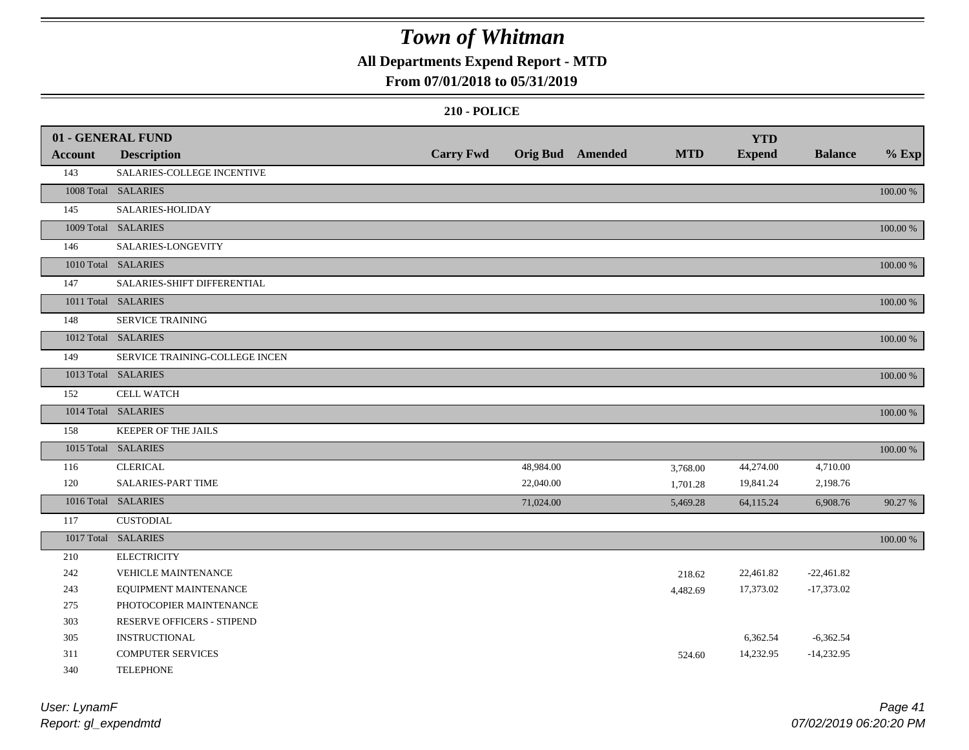# **All Departments Expend Report - MTD**

## **From 07/01/2018 to 05/31/2019**

|                | 01 - GENERAL FUND              |                  |           |                         |            |                             |                |          |
|----------------|--------------------------------|------------------|-----------|-------------------------|------------|-----------------------------|----------------|----------|
| <b>Account</b> | <b>Description</b>             | <b>Carry Fwd</b> |           | <b>Orig Bud</b> Amended | <b>MTD</b> | <b>YTD</b><br><b>Expend</b> | <b>Balance</b> | $%$ Exp  |
| 143            | SALARIES-COLLEGE INCENTIVE     |                  |           |                         |            |                             |                |          |
|                | 1008 Total SALARIES            |                  |           |                         |            |                             |                | 100.00 % |
| 145            | SALARIES-HOLIDAY               |                  |           |                         |            |                             |                |          |
|                |                                |                  |           |                         |            |                             |                |          |
|                | 1009 Total SALARIES            |                  |           |                         |            |                             |                | 100.00 % |
| 146            | SALARIES-LONGEVITY             |                  |           |                         |            |                             |                |          |
|                | 1010 Total SALARIES            |                  |           |                         |            |                             |                | 100.00 % |
| 147            | SALARIES-SHIFT DIFFERENTIAL    |                  |           |                         |            |                             |                |          |
|                | 1011 Total SALARIES            |                  |           |                         |            |                             |                | 100.00 % |
| 148            | <b>SERVICE TRAINING</b>        |                  |           |                         |            |                             |                |          |
|                | 1012 Total SALARIES            |                  |           |                         |            |                             |                | 100.00 % |
| 149            | SERVICE TRAINING-COLLEGE INCEN |                  |           |                         |            |                             |                |          |
|                | 1013 Total SALARIES            |                  |           |                         |            |                             |                | 100.00 % |
| 152            | <b>CELL WATCH</b>              |                  |           |                         |            |                             |                |          |
|                | 1014 Total SALARIES            |                  |           |                         |            |                             |                | 100.00 % |
| 158            | KEEPER OF THE JAILS            |                  |           |                         |            |                             |                |          |
|                | 1015 Total SALARIES            |                  |           |                         |            |                             |                | 100.00 % |
| 116            | <b>CLERICAL</b>                |                  | 48,984.00 |                         | 3,768.00   | 44,274.00                   | 4,710.00       |          |
| 120            | SALARIES-PART TIME             |                  | 22,040.00 |                         | 1,701.28   | 19,841.24                   | 2,198.76       |          |
|                | 1016 Total SALARIES            |                  | 71,024.00 |                         | 5,469.28   | 64,115.24                   | 6,908.76       | 90.27 %  |
| 117            | <b>CUSTODIAL</b>               |                  |           |                         |            |                             |                |          |
|                | 1017 Total SALARIES            |                  |           |                         |            |                             |                | 100.00 % |
| 210            | <b>ELECTRICITY</b>             |                  |           |                         |            |                             |                |          |
| 242            | VEHICLE MAINTENANCE            |                  |           |                         | 218.62     | 22,461.82                   | $-22,461.82$   |          |
| 243            | EQUIPMENT MAINTENANCE          |                  |           |                         | 4,482.69   | 17,373.02                   | $-17,373.02$   |          |
| 275            | PHOTOCOPIER MAINTENANCE        |                  |           |                         |            |                             |                |          |
| 303            | RESERVE OFFICERS - STIPEND     |                  |           |                         |            |                             |                |          |
| 305            | <b>INSTRUCTIONAL</b>           |                  |           |                         |            | 6,362.54                    | $-6,362.54$    |          |
| 311            | <b>COMPUTER SERVICES</b>       |                  |           |                         | 524.60     | 14,232.95                   | $-14,232.95$   |          |
| 340            | <b>TELEPHONE</b>               |                  |           |                         |            |                             |                |          |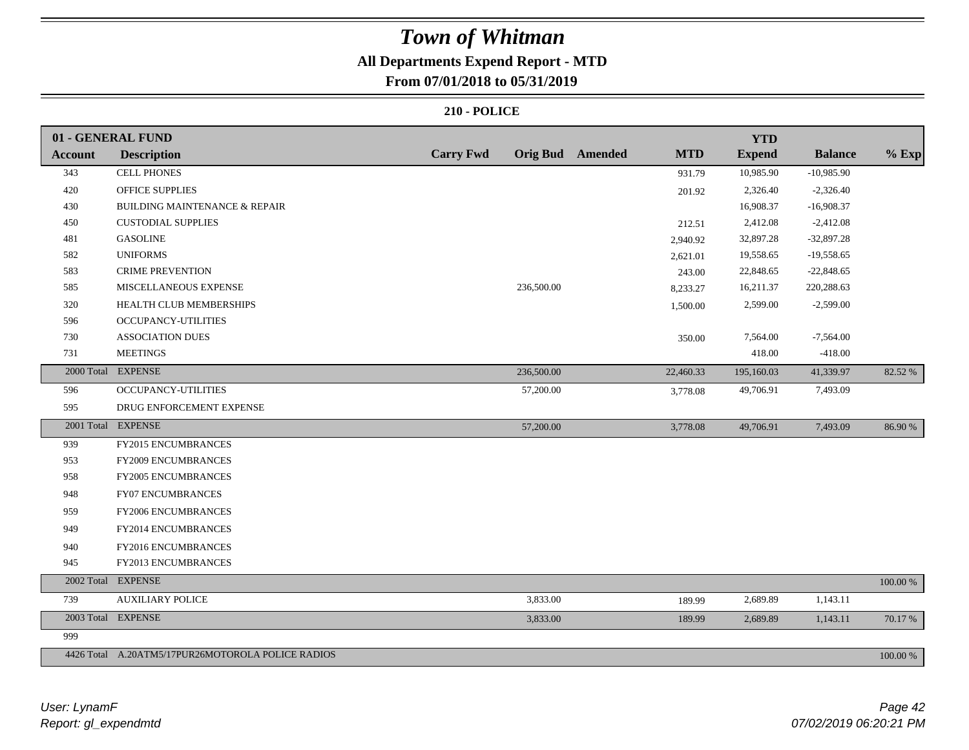# **All Departments Expend Report - MTD**

# **From 07/01/2018 to 05/31/2019**

|                | 01 - GENERAL FUND                                 |                  |            |                         |            | <b>YTD</b>    |                |             |
|----------------|---------------------------------------------------|------------------|------------|-------------------------|------------|---------------|----------------|-------------|
| <b>Account</b> | <b>Description</b>                                | <b>Carry Fwd</b> |            | <b>Orig Bud</b> Amended | <b>MTD</b> | <b>Expend</b> | <b>Balance</b> | $%$ Exp     |
| 343            | <b>CELL PHONES</b>                                |                  |            |                         | 931.79     | 10,985.90     | $-10,985.90$   |             |
| 420            | OFFICE SUPPLIES                                   |                  |            |                         | 201.92     | 2,326.40      | $-2,326.40$    |             |
| 430            | BUILDING MAINTENANCE & REPAIR                     |                  |            |                         |            | 16,908.37     | $-16,908.37$   |             |
| 450            | <b>CUSTODIAL SUPPLIES</b>                         |                  |            |                         | 212.51     | 2,412.08      | $-2,412.08$    |             |
| 481            | <b>GASOLINE</b>                                   |                  |            |                         | 2,940.92   | 32,897.28     | $-32,897.28$   |             |
| 582            | <b>UNIFORMS</b>                                   |                  |            |                         | 2,621.01   | 19,558.65     | $-19,558.65$   |             |
| 583            | <b>CRIME PREVENTION</b>                           |                  |            |                         | 243.00     | 22,848.65     | $-22,848.65$   |             |
| 585            | MISCELLANEOUS EXPENSE                             |                  | 236,500.00 |                         | 8,233.27   | 16,211.37     | 220,288.63     |             |
| 320            | HEALTH CLUB MEMBERSHIPS                           |                  |            |                         | 1,500.00   | 2,599.00      | $-2,599.00$    |             |
| 596            | <b>OCCUPANCY-UTILITIES</b>                        |                  |            |                         |            |               |                |             |
| 730            | <b>ASSOCIATION DUES</b>                           |                  |            |                         | 350.00     | 7,564.00      | $-7,564.00$    |             |
| 731            | <b>MEETINGS</b>                                   |                  |            |                         |            | 418.00        | $-418.00$      |             |
|                | 2000 Total EXPENSE                                |                  | 236,500.00 |                         | 22,460.33  | 195,160.03    | 41,339.97      | 82.52 %     |
| 596            | <b>OCCUPANCY-UTILITIES</b>                        |                  | 57,200.00  |                         | 3,778.08   | 49,706.91     | 7,493.09       |             |
| 595            | DRUG ENFORCEMENT EXPENSE                          |                  |            |                         |            |               |                |             |
|                | 2001 Total EXPENSE                                |                  | 57,200.00  |                         | 3,778.08   | 49,706.91     | 7,493.09       | 86.90 %     |
| 939            | FY2015 ENCUMBRANCES                               |                  |            |                         |            |               |                |             |
| 953            | <b>FY2009 ENCUMBRANCES</b>                        |                  |            |                         |            |               |                |             |
| 958            | FY2005 ENCUMBRANCES                               |                  |            |                         |            |               |                |             |
| 948            | FY07 ENCUMBRANCES                                 |                  |            |                         |            |               |                |             |
| 959            | FY2006 ENCUMBRANCES                               |                  |            |                         |            |               |                |             |
| 949            | FY2014 ENCUMBRANCES                               |                  |            |                         |            |               |                |             |
| 940            | FY2016 ENCUMBRANCES                               |                  |            |                         |            |               |                |             |
| 945            | FY2013 ENCUMBRANCES                               |                  |            |                         |            |               |                |             |
| 2002 Total     | <b>EXPENSE</b>                                    |                  |            |                         |            |               |                | $100.00~\%$ |
| 739            | <b>AUXILIARY POLICE</b>                           |                  | 3,833.00   |                         | 189.99     | 2,689.89      | 1,143.11       |             |
|                | 2003 Total EXPENSE                                |                  | 3,833.00   |                         | 189.99     | 2,689.89      | 1,143.11       | 70.17 %     |
| 999            |                                                   |                  |            |                         |            |               |                |             |
|                | 4426 Total A.20ATM5/17PUR26MOTOROLA POLICE RADIOS |                  |            |                         |            |               |                | 100.00 %    |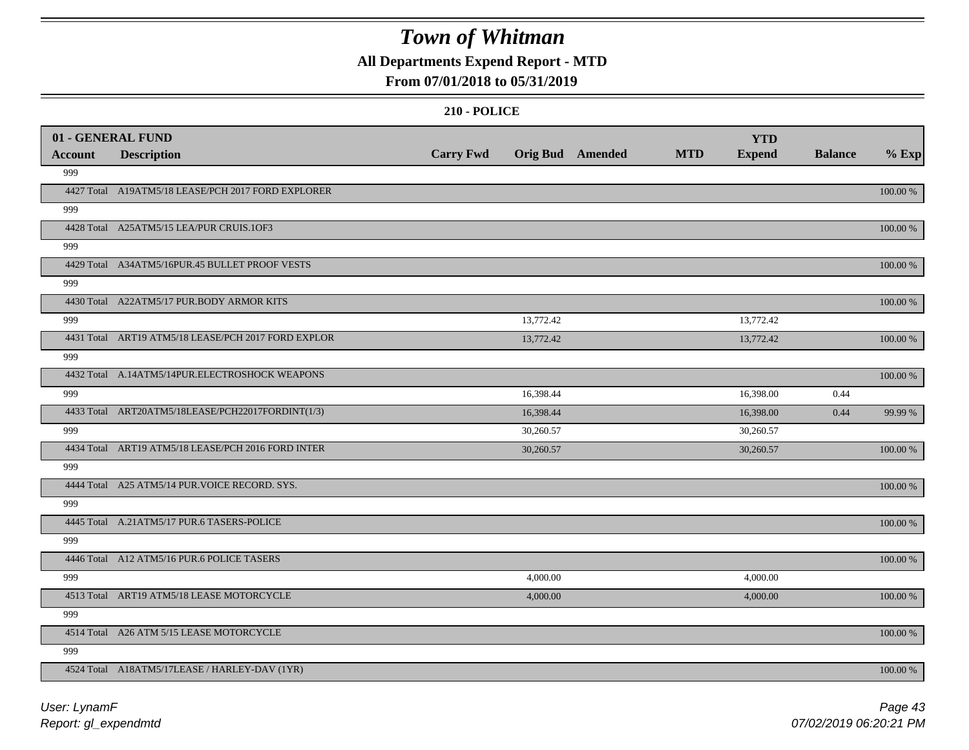# **All Departments Expend Report - MTD**

## **From 07/01/2018 to 05/31/2019**

|                | 01 - GENERAL FUND                                   |                  |                  |            | <b>YTD</b>    |                |             |
|----------------|-----------------------------------------------------|------------------|------------------|------------|---------------|----------------|-------------|
| <b>Account</b> | <b>Description</b>                                  | <b>Carry Fwd</b> | Orig Bud Amended | <b>MTD</b> | <b>Expend</b> | <b>Balance</b> | $%$ Exp     |
| 999            |                                                     |                  |                  |            |               |                |             |
|                | 4427 Total A19ATM5/18 LEASE/PCH 2017 FORD EXPLORER  |                  |                  |            |               |                | 100.00 %    |
| 999            |                                                     |                  |                  |            |               |                |             |
|                | 4428 Total A25ATM5/15 LEA/PUR CRUIS.1OF3            |                  |                  |            |               |                | $100.00~\%$ |
| 999            |                                                     |                  |                  |            |               |                |             |
|                | 4429 Total A34ATM5/16PUR.45 BULLET PROOF VESTS      |                  |                  |            |               |                | 100.00 %    |
| 999            |                                                     |                  |                  |            |               |                |             |
|                | 4430 Total A22ATM5/17 PUR.BODY ARMOR KITS           |                  |                  |            |               |                | 100.00 %    |
| 999            |                                                     |                  | 13,772.42        |            | 13,772.42     |                |             |
|                | 4431 Total ART19 ATM5/18 LEASE/PCH 2017 FORD EXPLOR |                  | 13,772.42        |            | 13,772.42     |                | 100.00 %    |
| 999            |                                                     |                  |                  |            |               |                |             |
|                | 4432 Total A.14ATM5/14PUR.ELECTROSHOCK WEAPONS      |                  |                  |            |               |                | 100.00 %    |
| 999            |                                                     |                  | 16,398.44        |            | 16,398.00     | 0.44           |             |
|                | 4433 Total ART20ATM5/18LEASE/PCH22017FORDINT(1/3)   |                  | 16,398.44        |            | 16,398.00     | 0.44           | 99.99 %     |
| 999            |                                                     |                  | 30,260.57        |            | 30,260.57     |                |             |
|                | 4434 Total ART19 ATM5/18 LEASE/PCH 2016 FORD INTER  |                  | 30,260.57        |            | 30,260.57     |                | 100.00 %    |
| 999            |                                                     |                  |                  |            |               |                |             |
|                | 4444 Total A25 ATM5/14 PUR. VOICE RECORD. SYS.      |                  |                  |            |               |                | 100.00 %    |
| 999            |                                                     |                  |                  |            |               |                |             |
|                | 4445 Total A.21ATM5/17 PUR.6 TASERS-POLICE          |                  |                  |            |               |                | 100.00 %    |
| 999            |                                                     |                  |                  |            |               |                |             |
|                | 4446 Total A12 ATM5/16 PUR.6 POLICE TASERS          |                  |                  |            |               |                | 100.00 %    |
| 999            |                                                     |                  | 4,000.00         |            | 4,000.00      |                |             |
|                | 4513 Total ART19 ATM5/18 LEASE MOTORCYCLE           |                  | 4,000.00         |            | 4,000.00      |                | 100.00 %    |
| 999            |                                                     |                  |                  |            |               |                |             |
|                | 4514 Total A26 ATM 5/15 LEASE MOTORCYCLE            |                  |                  |            |               |                | 100.00 %    |
| 999            |                                                     |                  |                  |            |               |                |             |
|                | 4524 Total A18ATM5/17LEASE / HARLEY-DAV (1YR)       |                  |                  |            |               |                | 100.00 %    |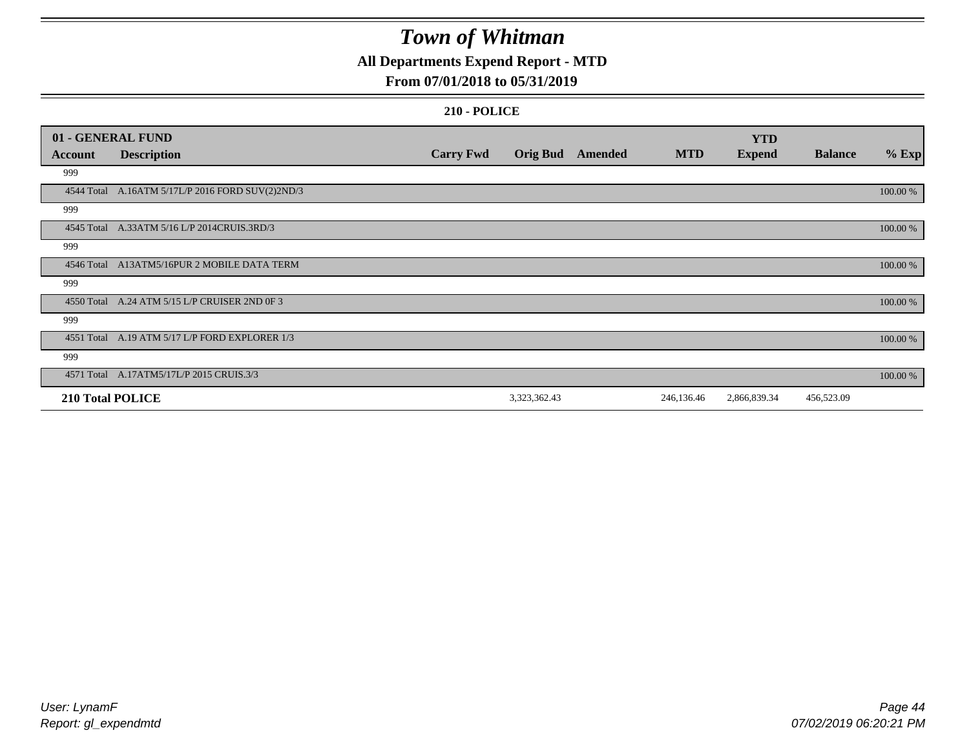# **All Departments Expend Report - MTD**

## **From 07/01/2018 to 05/31/2019**

| 01 - GENERAL FUND       |                                                  |                  |                 |         |            | <b>YTD</b>    |                |          |
|-------------------------|--------------------------------------------------|------------------|-----------------|---------|------------|---------------|----------------|----------|
| Account                 | <b>Description</b>                               | <b>Carry Fwd</b> | <b>Orig Bud</b> | Amended | <b>MTD</b> | <b>Expend</b> | <b>Balance</b> | $%$ Exp  |
| 999                     |                                                  |                  |                 |         |            |               |                |          |
|                         | 4544 Total A.16ATM 5/17L/P 2016 FORD SUV(2)2ND/3 |                  |                 |         |            |               |                | 100.00 % |
| 999                     |                                                  |                  |                 |         |            |               |                |          |
| 4545 Total              | A.33ATM 5/16 L/P 2014CRUIS.3RD/3                 |                  |                 |         |            |               |                | 100.00 % |
| 999                     |                                                  |                  |                 |         |            |               |                |          |
|                         | 4546 Total A13ATM5/16PUR 2 MOBILE DATA TERM      |                  |                 |         |            |               |                | 100.00 % |
| 999                     |                                                  |                  |                 |         |            |               |                |          |
|                         | 4550 Total A.24 ATM 5/15 L/P CRUISER 2ND 0F 3    |                  |                 |         |            |               |                | 100.00 % |
| 999                     |                                                  |                  |                 |         |            |               |                |          |
| 4551 Total              | A.19 ATM 5/17 L/P FORD EXPLORER 1/3              |                  |                 |         |            |               |                | 100.00 % |
| 999                     |                                                  |                  |                 |         |            |               |                |          |
|                         | 4571 Total A.17ATM5/17L/P 2015 CRUIS.3/3         |                  |                 |         |            |               |                | 100.00 % |
| <b>210 Total POLICE</b> |                                                  |                  | 3,323,362.43    |         | 246,136.46 | 2,866,839.34  | 456,523.09     |          |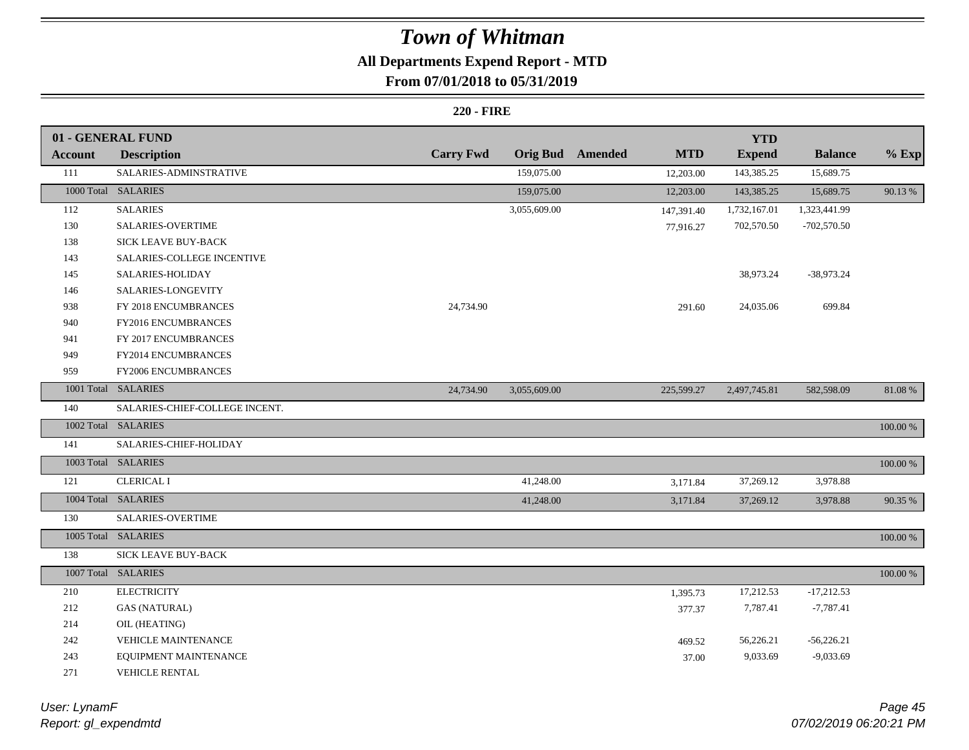# **All Departments Expend Report - MTD**

# **From 07/01/2018 to 05/31/2019**

### **220 - FIRE**

|                | 01 - GENERAL FUND              |                  |              |                         |            | <b>YTD</b>    |                |             |
|----------------|--------------------------------|------------------|--------------|-------------------------|------------|---------------|----------------|-------------|
| <b>Account</b> | <b>Description</b>             | <b>Carry Fwd</b> |              | <b>Orig Bud</b> Amended | <b>MTD</b> | <b>Expend</b> | <b>Balance</b> | $%$ Exp     |
| 111            | SALARIES-ADMINSTRATIVE         |                  | 159,075.00   |                         | 12,203.00  | 143,385.25    | 15,689.75      |             |
|                | 1000 Total SALARIES            |                  | 159,075.00   |                         | 12,203.00  | 143,385.25    | 15,689.75      | 90.13 %     |
| 112            | <b>SALARIES</b>                |                  | 3,055,609.00 |                         | 147,391.40 | 1,732,167.01  | 1,323,441.99   |             |
| 130            | SALARIES-OVERTIME              |                  |              |                         | 77,916.27  | 702,570.50    | -702,570.50    |             |
| 138            | SICK LEAVE BUY-BACK            |                  |              |                         |            |               |                |             |
| 143            | SALARIES-COLLEGE INCENTIVE     |                  |              |                         |            |               |                |             |
| 145            | SALARIES-HOLIDAY               |                  |              |                         |            | 38,973.24     | $-38,973.24$   |             |
| 146            | SALARIES-LONGEVITY             |                  |              |                         |            |               |                |             |
| 938            | FY 2018 ENCUMBRANCES           | 24,734.90        |              |                         | 291.60     | 24,035.06     | 699.84         |             |
| 940            | FY2016 ENCUMBRANCES            |                  |              |                         |            |               |                |             |
| 941            | FY 2017 ENCUMBRANCES           |                  |              |                         |            |               |                |             |
| 949            | FY2014 ENCUMBRANCES            |                  |              |                         |            |               |                |             |
| 959            | FY2006 ENCUMBRANCES            |                  |              |                         |            |               |                |             |
|                | 1001 Total SALARIES            | 24,734.90        | 3,055,609.00 |                         | 225,599.27 | 2,497,745.81  | 582,598.09     | 81.08%      |
| 140            | SALARIES-CHIEF-COLLEGE INCENT. |                  |              |                         |            |               |                |             |
|                | 1002 Total SALARIES            |                  |              |                         |            |               |                | $100.00~\%$ |
| 141            | SALARIES-CHIEF-HOLIDAY         |                  |              |                         |            |               |                |             |
|                | 1003 Total SALARIES            |                  |              |                         |            |               |                | 100.00 %    |
| 121            | <b>CLERICAL I</b>              |                  | 41,248.00    |                         | 3,171.84   | 37,269.12     | 3,978.88       |             |
|                | 1004 Total SALARIES            |                  | 41,248.00    |                         | 3,171.84   | 37,269.12     | 3,978.88       | 90.35 %     |
| 130            | SALARIES-OVERTIME              |                  |              |                         |            |               |                |             |
|                | 1005 Total SALARIES            |                  |              |                         |            |               |                | 100.00 %    |
| 138            | SICK LEAVE BUY-BACK            |                  |              |                         |            |               |                |             |
| 1007 Total     | <b>SALARIES</b>                |                  |              |                         |            |               |                | 100.00 %    |
| 210            | <b>ELECTRICITY</b>             |                  |              |                         | 1,395.73   | 17,212.53     | $-17,212.53$   |             |
| 212            | <b>GAS (NATURAL)</b>           |                  |              |                         | 377.37     | 7,787.41      | $-7,787.41$    |             |
| 214            | OIL (HEATING)                  |                  |              |                         |            |               |                |             |
| 242            | VEHICLE MAINTENANCE            |                  |              |                         | 469.52     | 56,226.21     | $-56,226.21$   |             |
| 243            | EQUIPMENT MAINTENANCE          |                  |              |                         | 37.00      | 9,033.69      | $-9,033.69$    |             |
| 271            | <b>VEHICLE RENTAL</b>          |                  |              |                         |            |               |                |             |

*Report: gl\_expendmtd User: LynamF*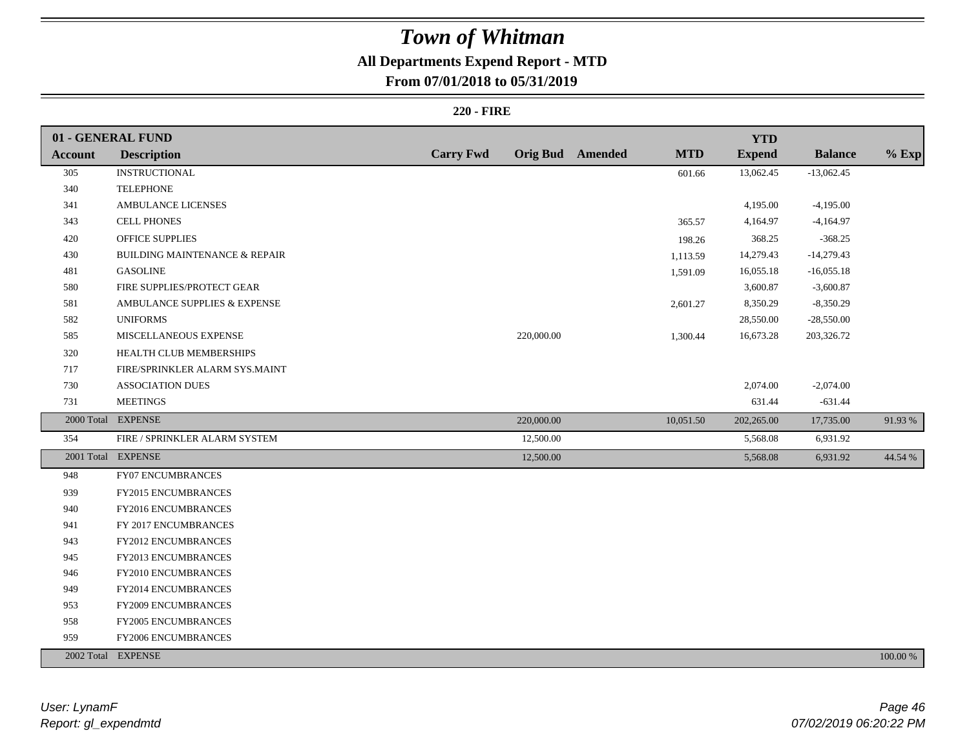# **All Departments Expend Report - MTD**

## **From 07/01/2018 to 05/31/2019**

### **220 - FIRE**

|                | 01 - GENERAL FUND                        |                  |                         |            | <b>YTD</b>    |                |          |
|----------------|------------------------------------------|------------------|-------------------------|------------|---------------|----------------|----------|
| <b>Account</b> | <b>Description</b>                       | <b>Carry Fwd</b> | <b>Orig Bud</b> Amended | <b>MTD</b> | <b>Expend</b> | <b>Balance</b> | $%$ Exp  |
| 305            | <b>INSTRUCTIONAL</b>                     |                  |                         | 601.66     | 13,062.45     | $-13,062.45$   |          |
| 340            | <b>TELEPHONE</b>                         |                  |                         |            |               |                |          |
| 341            | AMBULANCE LICENSES                       |                  |                         |            | 4,195.00      | $-4,195.00$    |          |
| 343            | <b>CELL PHONES</b>                       |                  |                         | 365.57     | 4,164.97      | $-4,164.97$    |          |
| 420            | <b>OFFICE SUPPLIES</b>                   |                  |                         | 198.26     | 368.25        | $-368.25$      |          |
| 430            | <b>BUILDING MAINTENANCE &amp; REPAIR</b> |                  |                         | 1,113.59   | 14,279.43     | $-14,279.43$   |          |
| 481            | <b>GASOLINE</b>                          |                  |                         | 1,591.09   | 16,055.18     | $-16,055.18$   |          |
| 580            | FIRE SUPPLIES/PROTECT GEAR               |                  |                         |            | 3,600.87      | $-3,600.87$    |          |
| 581            | AMBULANCE SUPPLIES & EXPENSE             |                  |                         | 2,601.27   | 8,350.29      | $-8,350.29$    |          |
| 582            | <b>UNIFORMS</b>                          |                  |                         |            | 28,550.00     | $-28,550.00$   |          |
| 585            | MISCELLANEOUS EXPENSE                    |                  | 220,000.00              | 1,300.44   | 16,673.28     | 203,326.72     |          |
| 320            | HEALTH CLUB MEMBERSHIPS                  |                  |                         |            |               |                |          |
| $717\,$        | FIRE/SPRINKLER ALARM SYS.MAINT           |                  |                         |            |               |                |          |
| 730            | <b>ASSOCIATION DUES</b>                  |                  |                         |            | 2,074.00      | $-2,074.00$    |          |
| 731            | <b>MEETINGS</b>                          |                  |                         |            | 631.44        | $-631.44$      |          |
|                | 2000 Total EXPENSE                       |                  | 220,000.00              | 10,051.50  | 202,265.00    | 17,735.00      | 91.93%   |
| 354            | FIRE / SPRINKLER ALARM SYSTEM            |                  | 12,500.00               |            | 5,568.08      | 6,931.92       |          |
|                | 2001 Total EXPENSE                       |                  | 12,500.00               |            | 5,568.08      | 6,931.92       | 44.54 %  |
| 948            | <b>FY07 ENCUMBRANCES</b>                 |                  |                         |            |               |                |          |
| 939            | FY2015 ENCUMBRANCES                      |                  |                         |            |               |                |          |
| 940            | FY2016 ENCUMBRANCES                      |                  |                         |            |               |                |          |
| 941            | FY 2017 ENCUMBRANCES                     |                  |                         |            |               |                |          |
| 943            | <b>FY2012 ENCUMBRANCES</b>               |                  |                         |            |               |                |          |
| 945            | FY2013 ENCUMBRANCES                      |                  |                         |            |               |                |          |
| 946            | FY2010 ENCUMBRANCES                      |                  |                         |            |               |                |          |
| 949            | FY2014 ENCUMBRANCES                      |                  |                         |            |               |                |          |
| 953            | FY2009 ENCUMBRANCES                      |                  |                         |            |               |                |          |
| 958            | FY2005 ENCUMBRANCES                      |                  |                         |            |               |                |          |
| 959            | FY2006 ENCUMBRANCES                      |                  |                         |            |               |                |          |
|                | 2002 Total EXPENSE                       |                  |                         |            |               |                | 100.00 % |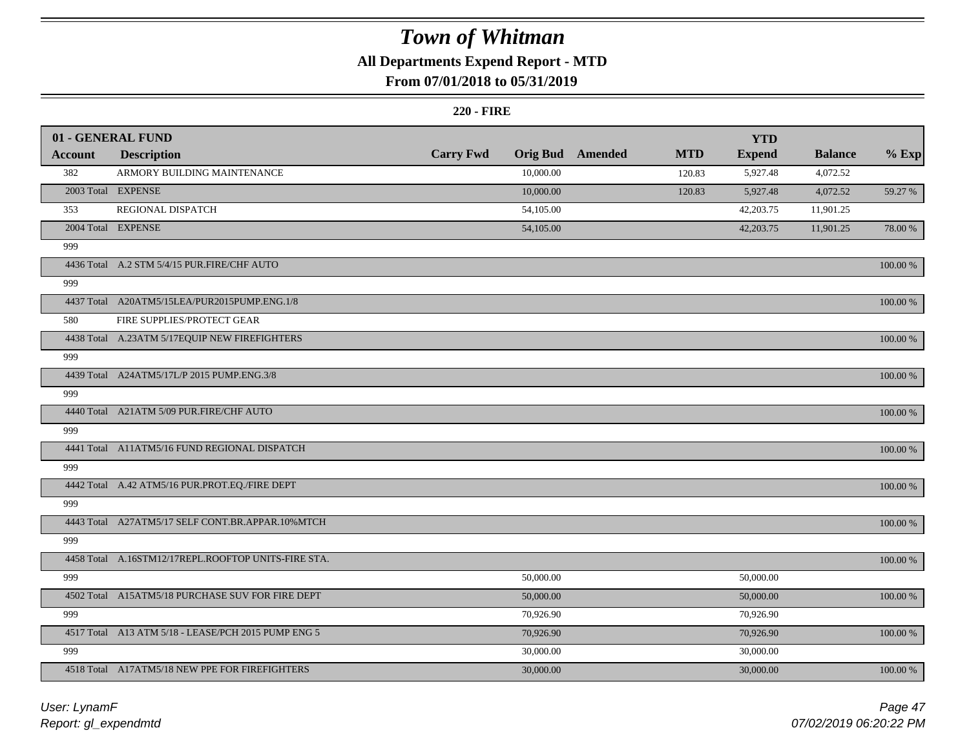# **All Departments Expend Report - MTD**

## **From 07/01/2018 to 05/31/2019**

### **220 - FIRE**

|         | 01 - GENERAL FUND                                   |                  |                 |         |            | <b>YTD</b>    |                |             |
|---------|-----------------------------------------------------|------------------|-----------------|---------|------------|---------------|----------------|-------------|
| Account | <b>Description</b>                                  | <b>Carry Fwd</b> | <b>Orig Bud</b> | Amended | <b>MTD</b> | <b>Expend</b> | <b>Balance</b> | $%$ Exp     |
| 382     | ARMORY BUILDING MAINTENANCE                         |                  | 10,000.00       |         | 120.83     | 5,927.48      | 4,072.52       |             |
|         | 2003 Total EXPENSE                                  |                  | 10,000.00       |         | 120.83     | 5,927.48      | 4,072.52       | 59.27 %     |
| 353     | REGIONAL DISPATCH                                   |                  | 54,105.00       |         |            | 42,203.75     | 11,901.25      |             |
|         | 2004 Total EXPENSE                                  |                  | 54,105.00       |         |            | 42,203.75     | 11,901.25      | 78.00 %     |
| 999     |                                                     |                  |                 |         |            |               |                |             |
|         | 4436 Total A.2 STM 5/4/15 PUR.FIRE/CHF AUTO         |                  |                 |         |            |               |                | 100.00 %    |
| 999     |                                                     |                  |                 |         |            |               |                |             |
|         | 4437 Total A20ATM5/15LEA/PUR2015PUMP.ENG.1/8        |                  |                 |         |            |               |                | $100.00~\%$ |
| 580     | FIRE SUPPLIES/PROTECT GEAR                          |                  |                 |         |            |               |                |             |
|         | 4438 Total A.23ATM 5/17EQUIP NEW FIREFIGHTERS       |                  |                 |         |            |               |                | 100.00 %    |
| 999     |                                                     |                  |                 |         |            |               |                |             |
|         | 4439 Total A24ATM5/17L/P 2015 PUMP.ENG.3/8          |                  |                 |         |            |               |                | $100.00~\%$ |
| 999     |                                                     |                  |                 |         |            |               |                |             |
|         | 4440 Total A21ATM 5/09 PUR.FIRE/CHF AUTO            |                  |                 |         |            |               |                | $100.00~\%$ |
| 999     |                                                     |                  |                 |         |            |               |                |             |
|         | 4441 Total A11ATM5/16 FUND REGIONAL DISPATCH        |                  |                 |         |            |               |                | 100.00 %    |
| 999     |                                                     |                  |                 |         |            |               |                |             |
|         | 4442 Total A.42 ATM5/16 PUR.PROT.EQ./FIRE DEPT      |                  |                 |         |            |               |                | 100.00 %    |
| 999     |                                                     |                  |                 |         |            |               |                |             |
|         | 4443 Total A27ATM5/17 SELF CONT.BR.APPAR.10%MTCH    |                  |                 |         |            |               |                | 100.00 %    |
| 999     |                                                     |                  |                 |         |            |               |                |             |
|         | 4458 Total A.16STM12/17REPL.ROOFTOP UNITS-FIRE STA. |                  |                 |         |            |               |                | 100.00 %    |
| 999     |                                                     |                  | 50,000.00       |         |            | 50,000.00     |                |             |
|         | 4502 Total A15ATM5/18 PURCHASE SUV FOR FIRE DEPT    |                  | 50,000.00       |         |            | 50,000.00     |                | 100.00 %    |
| 999     |                                                     |                  | 70,926.90       |         |            | 70,926.90     |                |             |
|         | 4517 Total A13 ATM 5/18 - LEASE/PCH 2015 PUMP ENG 5 |                  | 70,926.90       |         |            | 70,926.90     |                | 100.00 %    |
| 999     |                                                     |                  | 30,000.00       |         |            | 30,000.00     |                |             |
|         | 4518 Total A17ATM5/18 NEW PPE FOR FIREFIGHTERS      |                  | 30,000.00       |         |            | 30,000.00     |                | 100.00 %    |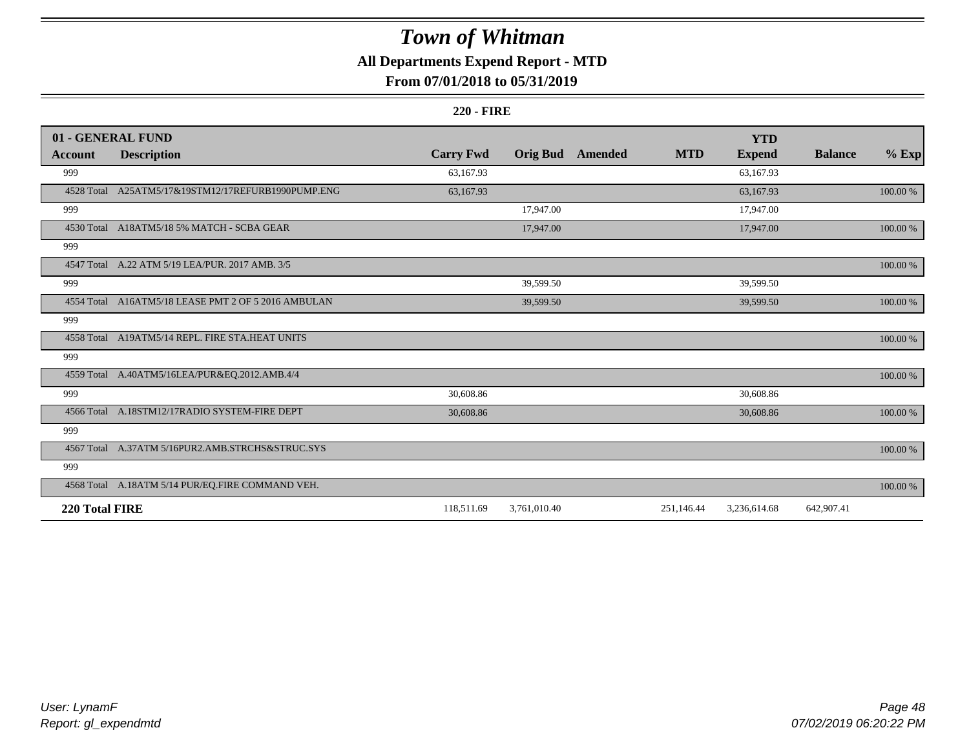# **All Departments Expend Report - MTD**

## **From 07/01/2018 to 05/31/2019**

#### **220 - FIRE**

|                | 01 - GENERAL FUND                                   |                  |                 |         |            | <b>YTD</b>    |                |             |
|----------------|-----------------------------------------------------|------------------|-----------------|---------|------------|---------------|----------------|-------------|
| Account        | <b>Description</b>                                  | <b>Carry Fwd</b> | <b>Orig Bud</b> | Amended | <b>MTD</b> | <b>Expend</b> | <b>Balance</b> | $%$ Exp     |
| 999            |                                                     | 63,167.93        |                 |         |            | 63,167.93     |                |             |
|                | 4528 Total A25ATM5/17&19STM12/17REFURB1990PUMP.ENG  | 63,167.93        |                 |         |            | 63,167.93     |                | 100.00 %    |
| 999            |                                                     |                  | 17,947.00       |         |            | 17,947.00     |                |             |
|                | 4530 Total A18ATM5/18 5% MATCH - SCBA GEAR          |                  | 17,947.00       |         |            | 17,947.00     |                | 100.00 %    |
| 999            |                                                     |                  |                 |         |            |               |                |             |
|                | 4547 Total A.22 ATM 5/19 LEA/PUR. 2017 AMB. 3/5     |                  |                 |         |            |               |                | $100.00~\%$ |
| 999            |                                                     |                  | 39,599.50       |         |            | 39,599.50     |                |             |
|                | 4554 Total A16ATM5/18 LEASE PMT 2 OF 5 2016 AMBULAN |                  | 39,599.50       |         |            | 39,599.50     |                | 100.00 %    |
| 999            |                                                     |                  |                 |         |            |               |                |             |
|                | 4558 Total A19ATM5/14 REPL. FIRE STA.HEAT UNITS     |                  |                 |         |            |               |                | 100.00 %    |
| 999            |                                                     |                  |                 |         |            |               |                |             |
|                | 4559 Total A.40ATM5/16LEA/PUR&EQ.2012.AMB.4/4       |                  |                 |         |            |               |                | 100.00 %    |
| 999            |                                                     | 30,608.86        |                 |         |            | 30,608.86     |                |             |
|                | 4566 Total A.18STM12/17RADIO SYSTEM-FIRE DEPT       | 30,608.86        |                 |         |            | 30,608.86     |                | $100.00~\%$ |
| 999            |                                                     |                  |                 |         |            |               |                |             |
|                | 4567 Total A.37ATM 5/16PUR2.AMB.STRCHS&STRUC.SYS    |                  |                 |         |            |               |                | 100.00 %    |
| 999            |                                                     |                  |                 |         |            |               |                |             |
|                | 4568 Total A.18ATM 5/14 PUR/EQ.FIRE COMMAND VEH.    |                  |                 |         |            |               |                | 100.00 %    |
| 220 Total FIRE |                                                     | 118,511.69       | 3,761,010.40    |         | 251,146.44 | 3,236,614.68  | 642,907.41     |             |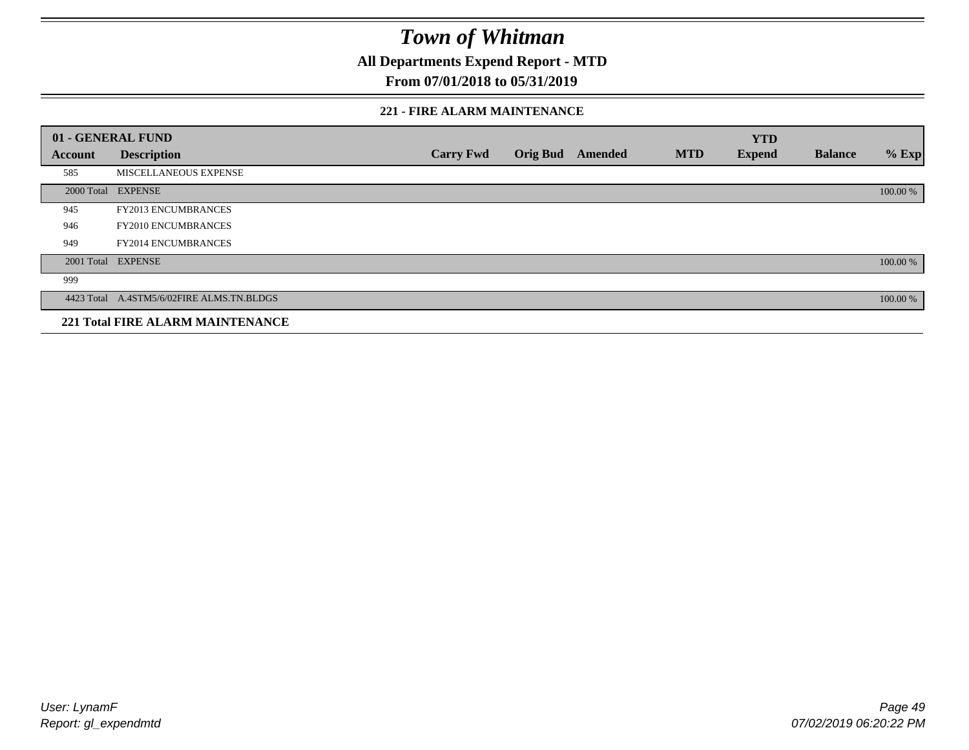**All Departments Expend Report - MTD**

## **From 07/01/2018 to 05/31/2019**

### **221 - FIRE ALARM MAINTENANCE**

|         | 01 - GENERAL FUND                         |                  |                 |         |            | <b>YTD</b>    |                |          |
|---------|-------------------------------------------|------------------|-----------------|---------|------------|---------------|----------------|----------|
| Account | <b>Description</b>                        | <b>Carry Fwd</b> | <b>Orig Bud</b> | Amended | <b>MTD</b> | <b>Expend</b> | <b>Balance</b> | $%$ Exp  |
| 585     | MISCELLANEOUS EXPENSE                     |                  |                 |         |            |               |                |          |
|         | 2000 Total EXPENSE                        |                  |                 |         |            |               |                | 100.00 % |
| 945     | <b>FY2013 ENCUMBRANCES</b>                |                  |                 |         |            |               |                |          |
| 946     | <b>FY2010 ENCUMBRANCES</b>                |                  |                 |         |            |               |                |          |
| 949     | <b>FY2014 ENCUMBRANCES</b>                |                  |                 |         |            |               |                |          |
|         | 2001 Total EXPENSE                        |                  |                 |         |            |               |                | 100.00 % |
| 999     |                                           |                  |                 |         |            |               |                |          |
|         | 4423 Total A.4STM5/6/02FIRE ALMS.TN.BLDGS |                  |                 |         |            |               |                | 100.00 % |
|         | <b>221 Total FIRE ALARM MAINTENANCE</b>   |                  |                 |         |            |               |                |          |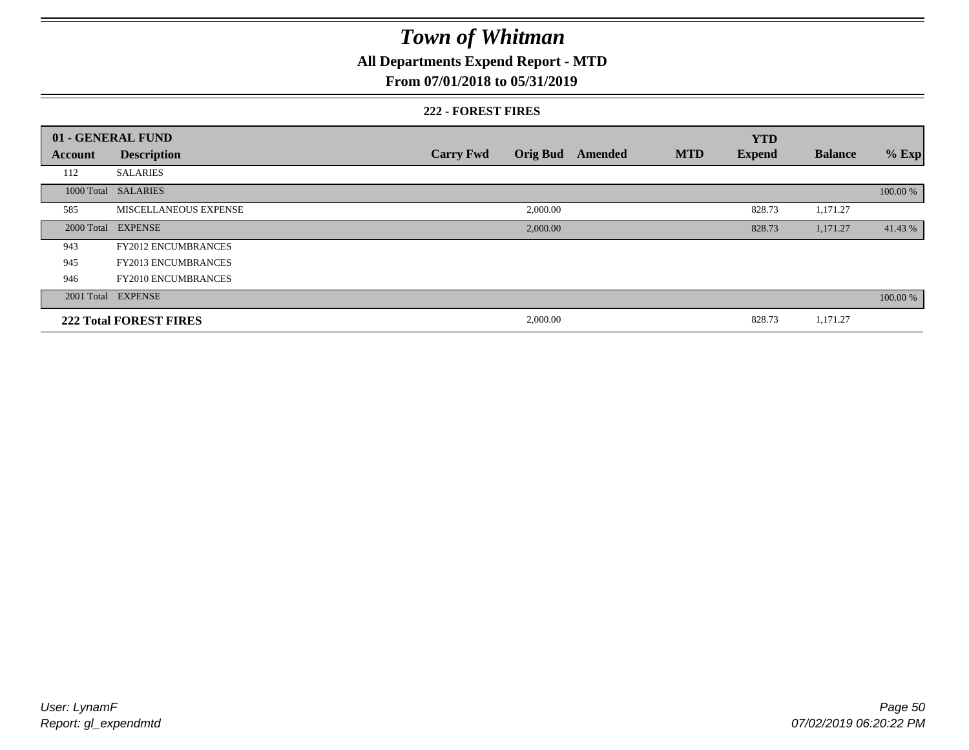# **All Departments Expend Report - MTD**

## **From 07/01/2018 to 05/31/2019**

### **222 - FOREST FIRES**

|         | 01 - GENERAL FUND             |                  |          |                  |            | <b>YTD</b>    |                |          |
|---------|-------------------------------|------------------|----------|------------------|------------|---------------|----------------|----------|
| Account | <b>Description</b>            | <b>Carry Fwd</b> |          | Orig Bud Amended | <b>MTD</b> | <b>Expend</b> | <b>Balance</b> | $%$ Exp  |
| 112     | <b>SALARIES</b>               |                  |          |                  |            |               |                |          |
|         | 1000 Total SALARIES           |                  |          |                  |            |               |                | 100.00 % |
| 585     | MISCELLANEOUS EXPENSE         |                  | 2,000.00 |                  |            | 828.73        | 1,171.27       |          |
|         | 2000 Total EXPENSE            |                  | 2,000.00 |                  |            | 828.73        | 1,171.27       | 41.43 %  |
| 943     | <b>FY2012 ENCUMBRANCES</b>    |                  |          |                  |            |               |                |          |
| 945     | <b>FY2013 ENCUMBRANCES</b>    |                  |          |                  |            |               |                |          |
| 946     | <b>FY2010 ENCUMBRANCES</b>    |                  |          |                  |            |               |                |          |
|         | 2001 Total EXPENSE            |                  |          |                  |            |               |                | 100.00 % |
|         | <b>222 Total FOREST FIRES</b> |                  | 2,000.00 |                  |            | 828.73        | 1,171.27       |          |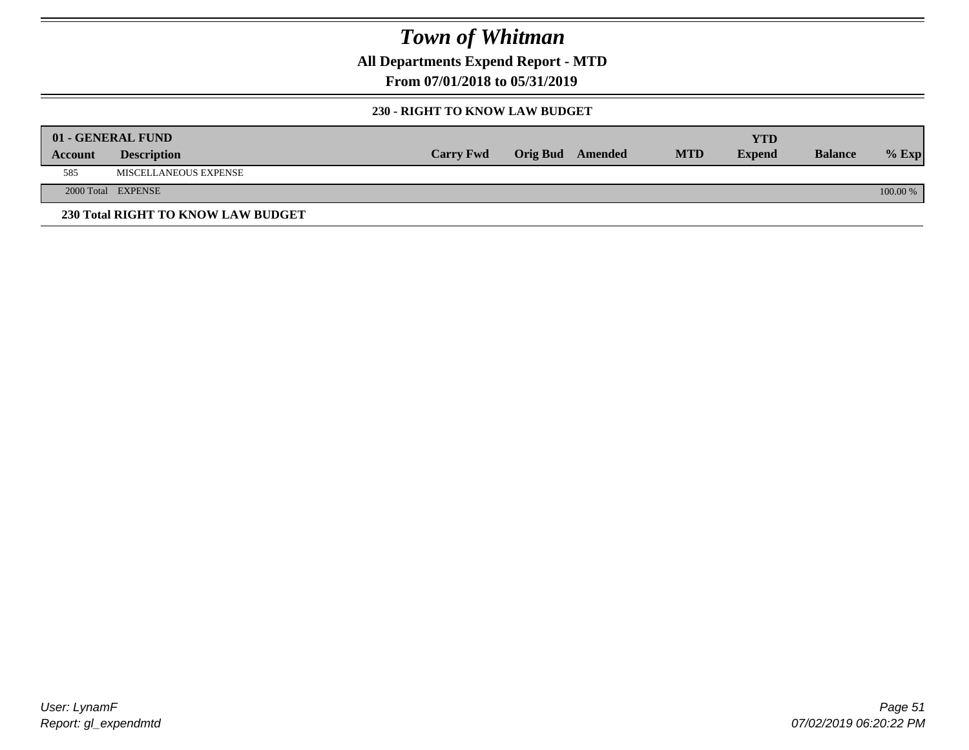**All Departments Expend Report - MTD**

**From 07/01/2018 to 05/31/2019**

## **230 - RIGHT TO KNOW LAW BUDGET**

|         | 01 - GENERAL FUND                  |                  |                         |            | YTD           |                |            |
|---------|------------------------------------|------------------|-------------------------|------------|---------------|----------------|------------|
| Account | <b>Description</b>                 | <b>Carry Fwd</b> | <b>Orig Bud</b> Amended | <b>MTD</b> | <b>Expend</b> | <b>Balance</b> | $%$ Exp    |
| 585     | MISCELLANEOUS EXPENSE              |                  |                         |            |               |                |            |
|         | 2000 Total EXPENSE                 |                  |                         |            |               |                | $100.00\%$ |
|         | 230 Total RIGHT TO KNOW LAW BUDGET |                  |                         |            |               |                |            |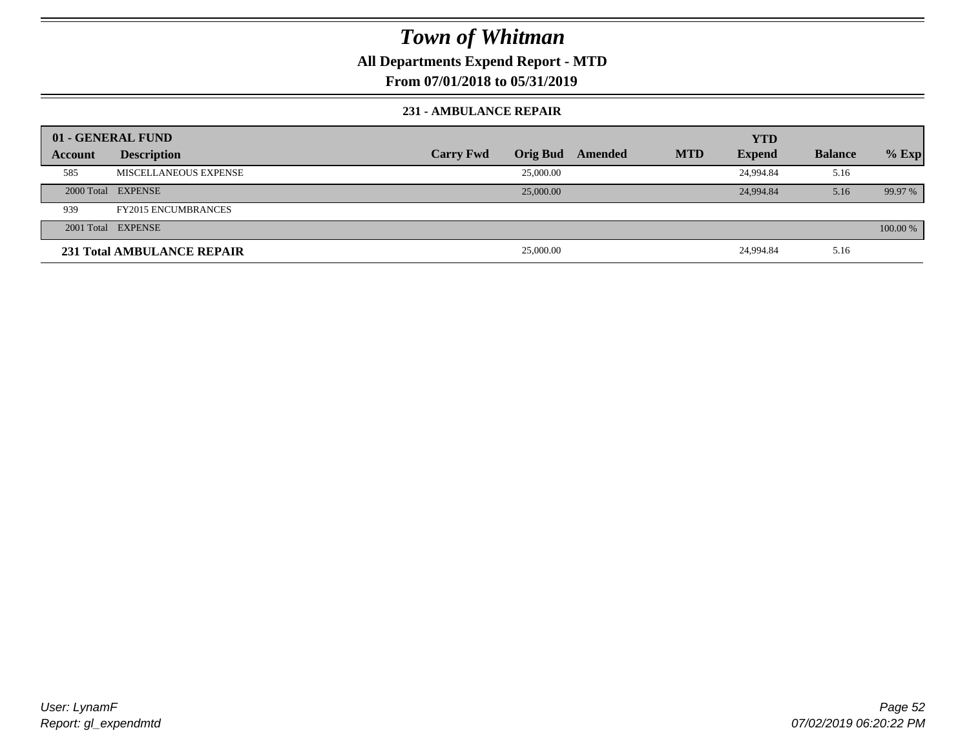## **All Departments Expend Report - MTD**

## **From 07/01/2018 to 05/31/2019**

### **231 - AMBULANCE REPAIR**

| 01 - GENERAL FUND |                                   |                  |                 |         |            | <b>YTD</b>    |                |          |
|-------------------|-----------------------------------|------------------|-----------------|---------|------------|---------------|----------------|----------|
| Account           | <b>Description</b>                | <b>Carry Fwd</b> | <b>Orig Bud</b> | Amended | <b>MTD</b> | <b>Expend</b> | <b>Balance</b> | $%$ Exp  |
| 585               | MISCELLANEOUS EXPENSE             |                  | 25,000.00       |         |            | 24,994.84     | 5.16           |          |
|                   | 2000 Total EXPENSE                |                  | 25,000.00       |         |            | 24,994.84     | 5.16           | 99.97 %  |
| 939               | <b>FY2015 ENCUMBRANCES</b>        |                  |                 |         |            |               |                |          |
|                   | 2001 Total EXPENSE                |                  |                 |         |            |               |                | 100.00 % |
|                   | <b>231 Total AMBULANCE REPAIR</b> |                  | 25,000.00       |         |            | 24,994.84     | 5.16           |          |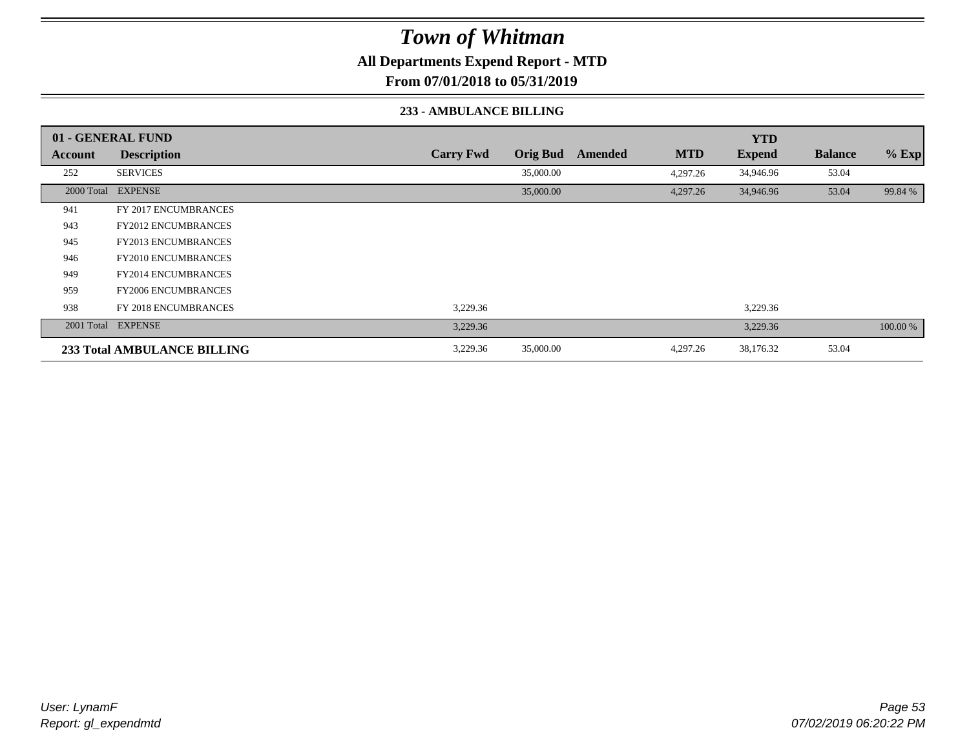**All Departments Expend Report - MTD**

**From 07/01/2018 to 05/31/2019**

### **233 - AMBULANCE BILLING**

|         | 01 - GENERAL FUND                  |                  |                 |         |            | <b>YTD</b>    |                |          |
|---------|------------------------------------|------------------|-----------------|---------|------------|---------------|----------------|----------|
| Account | <b>Description</b>                 | <b>Carry Fwd</b> | <b>Orig Bud</b> | Amended | <b>MTD</b> | <b>Expend</b> | <b>Balance</b> | $%$ Exp  |
| 252     | <b>SERVICES</b>                    |                  | 35,000.00       |         | 4,297.26   | 34,946.96     | 53.04          |          |
|         | 2000 Total EXPENSE                 |                  | 35,000.00       |         | 4,297.26   | 34,946.96     | 53.04          | 99.84 %  |
| 941     | FY 2017 ENCUMBRANCES               |                  |                 |         |            |               |                |          |
| 943     | <b>FY2012 ENCUMBRANCES</b>         |                  |                 |         |            |               |                |          |
| 945     | <b>FY2013 ENCUMBRANCES</b>         |                  |                 |         |            |               |                |          |
| 946     | <b>FY2010 ENCUMBRANCES</b>         |                  |                 |         |            |               |                |          |
| 949     | <b>FY2014 ENCUMBRANCES</b>         |                  |                 |         |            |               |                |          |
| 959     | <b>FY2006 ENCUMBRANCES</b>         |                  |                 |         |            |               |                |          |
| 938     | <b>FY 2018 ENCUMBRANCES</b>        | 3,229.36         |                 |         |            | 3,229.36      |                |          |
|         | 2001 Total EXPENSE                 | 3,229.36         |                 |         |            | 3,229.36      |                | 100.00 % |
|         | <b>233 Total AMBULANCE BILLING</b> | 3,229.36         | 35,000.00       |         | 4,297.26   | 38,176.32     | 53.04          |          |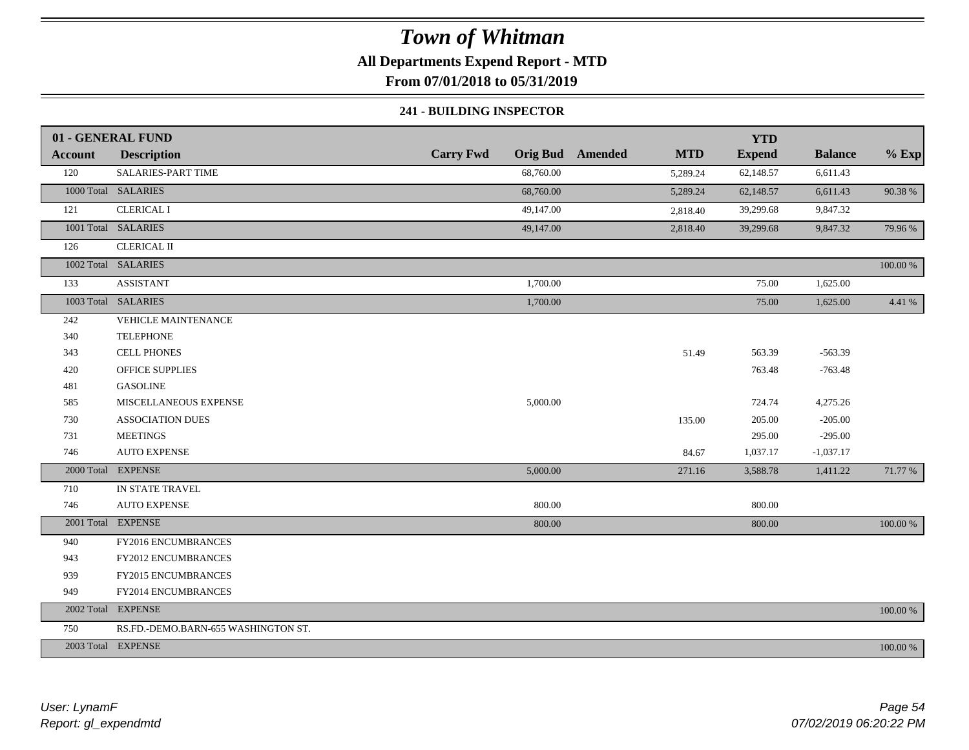# **All Departments Expend Report - MTD**

**From 07/01/2018 to 05/31/2019**

### **241 - BUILDING INSPECTOR**

|                | 01 - GENERAL FUND                   |                  |                                       | <b>YTD</b>    |                |          |
|----------------|-------------------------------------|------------------|---------------------------------------|---------------|----------------|----------|
| <b>Account</b> | <b>Description</b>                  | <b>Carry Fwd</b> | <b>Orig Bud</b> Amended<br><b>MTD</b> | <b>Expend</b> | <b>Balance</b> | $%$ Exp  |
| 120            | SALARIES-PART TIME                  | 68,760.00        | 5,289.24                              | 62,148.57     | 6,611.43       |          |
|                | 1000 Total SALARIES                 | 68,760.00        | 5,289.24                              | 62,148.57     | 6,611.43       | 90.38%   |
| 121            | <b>CLERICAL I</b>                   | 49,147.00        | 2,818.40                              | 39,299.68     | 9,847.32       |          |
|                | 1001 Total SALARIES                 | 49,147.00        | 2,818.40                              | 39,299.68     | 9,847.32       | 79.96%   |
| 126            | <b>CLERICAL II</b>                  |                  |                                       |               |                |          |
|                | 1002 Total SALARIES                 |                  |                                       |               |                | 100.00 % |
| 133            | <b>ASSISTANT</b>                    | 1,700.00         |                                       | 75.00         | 1,625.00       |          |
|                | 1003 Total SALARIES                 | 1,700.00         |                                       | 75.00         | 1,625.00       | 4.41 %   |
| 242            | VEHICLE MAINTENANCE                 |                  |                                       |               |                |          |
| 340            | <b>TELEPHONE</b>                    |                  |                                       |               |                |          |
| 343            | <b>CELL PHONES</b>                  |                  | 51.49                                 | 563.39        | $-563.39$      |          |
| 420            | <b>OFFICE SUPPLIES</b>              |                  |                                       | 763.48        | $-763.48$      |          |
| 481            | <b>GASOLINE</b>                     |                  |                                       |               |                |          |
| 585            | MISCELLANEOUS EXPENSE               | 5,000.00         |                                       | 724.74        | 4,275.26       |          |
| 730            | <b>ASSOCIATION DUES</b>             |                  | 135.00                                | 205.00        | $-205.00$      |          |
| 731            | <b>MEETINGS</b>                     |                  |                                       | 295.00        | $-295.00$      |          |
| 746            | <b>AUTO EXPENSE</b>                 |                  | 84.67                                 | 1,037.17      | $-1,037.17$    |          |
|                | 2000 Total EXPENSE                  | 5,000.00         | 271.16                                | 3,588.78      | 1,411.22       | 71.77 %  |
| 710            | IN STATE TRAVEL                     |                  |                                       |               |                |          |
| 746            | <b>AUTO EXPENSE</b>                 | 800.00           |                                       | 800.00        |                |          |
|                | 2001 Total EXPENSE                  | 800.00           |                                       | 800.00        |                | 100.00 % |
| 940            | FY2016 ENCUMBRANCES                 |                  |                                       |               |                |          |
| 943            | FY2012 ENCUMBRANCES                 |                  |                                       |               |                |          |
| 939            | FY2015 ENCUMBRANCES                 |                  |                                       |               |                |          |
| 949            | FY2014 ENCUMBRANCES                 |                  |                                       |               |                |          |
|                | 2002 Total EXPENSE                  |                  |                                       |               |                | 100.00 % |
| 750            | RS.FD.-DEMO.BARN-655 WASHINGTON ST. |                  |                                       |               |                |          |
|                | 2003 Total EXPENSE                  |                  |                                       |               |                | 100.00 % |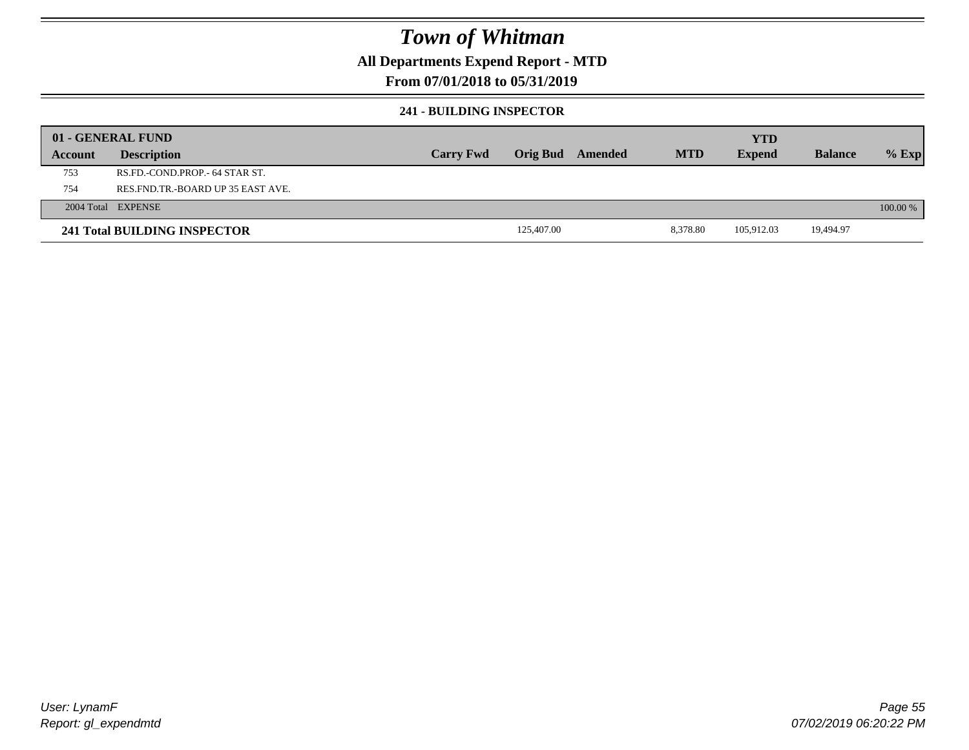## **All Departments Expend Report - MTD**

## **From 07/01/2018 to 05/31/2019**

### **241 - BUILDING INSPECTOR**

|         | 01 - GENERAL FUND                 |                  |                 |         |            | <b>YTD</b>    |                |          |
|---------|-----------------------------------|------------------|-----------------|---------|------------|---------------|----------------|----------|
| Account | <b>Description</b>                | <b>Carry Fwd</b> | <b>Orig Bud</b> | Amended | <b>MTD</b> | <b>Expend</b> | <b>Balance</b> | $%$ Exp  |
| 753     | RS.FD.-COND.PROP.- 64 STAR ST.    |                  |                 |         |            |               |                |          |
| 754     | RES.FND.TR.-BOARD UP 35 EAST AVE. |                  |                 |         |            |               |                |          |
|         | 2004 Total EXPENSE                |                  |                 |         |            |               |                | 100.00 % |
|         | 241 Total BUILDING INSPECTOR      |                  | 125,407.00      |         | 8.378.80   | 105.912.03    | 19,494.97      |          |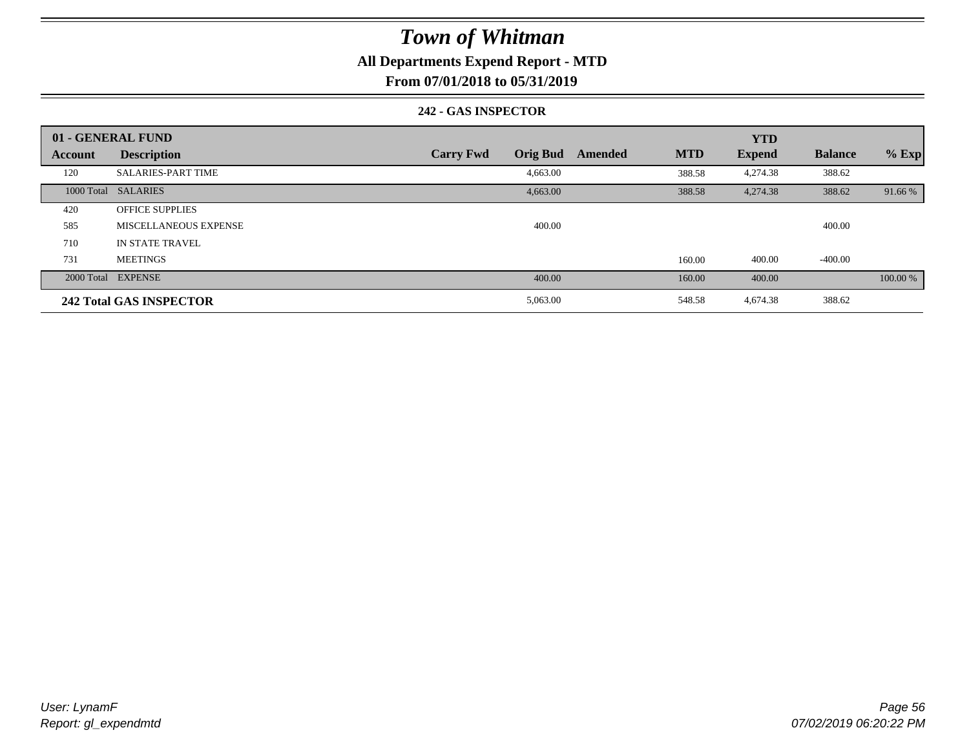# **All Departments Expend Report - MTD**

**From 07/01/2018 to 05/31/2019**

### **242 - GAS INSPECTOR**

|         | 01 - GENERAL FUND              |                                     |                       | <b>YTD</b>    |                |          |
|---------|--------------------------------|-------------------------------------|-----------------------|---------------|----------------|----------|
| Account | <b>Description</b>             | <b>Orig Bud</b><br><b>Carry Fwd</b> | <b>MTD</b><br>Amended | <b>Expend</b> | <b>Balance</b> | $%$ Exp  |
| 120     | <b>SALARIES-PART TIME</b>      | 4,663.00                            | 388.58                | 4,274.38      | 388.62         |          |
|         | 1000 Total SALARIES            | 4,663.00                            | 388.58                | 4,274.38      | 388.62         | 91.66 %  |
| 420     | <b>OFFICE SUPPLIES</b>         |                                     |                       |               |                |          |
| 585     | MISCELLANEOUS EXPENSE          | 400.00                              |                       |               | 400.00         |          |
| 710     | IN STATE TRAVEL                |                                     |                       |               |                |          |
| 731     | <b>MEETINGS</b>                |                                     | 160.00                | 400.00        | $-400.00$      |          |
|         | 2000 Total EXPENSE             | 400.00                              | 160.00                | 400.00        |                | 100.00 % |
|         | <b>242 Total GAS INSPECTOR</b> | 5,063.00                            | 548.58                | 4,674.38      | 388.62         |          |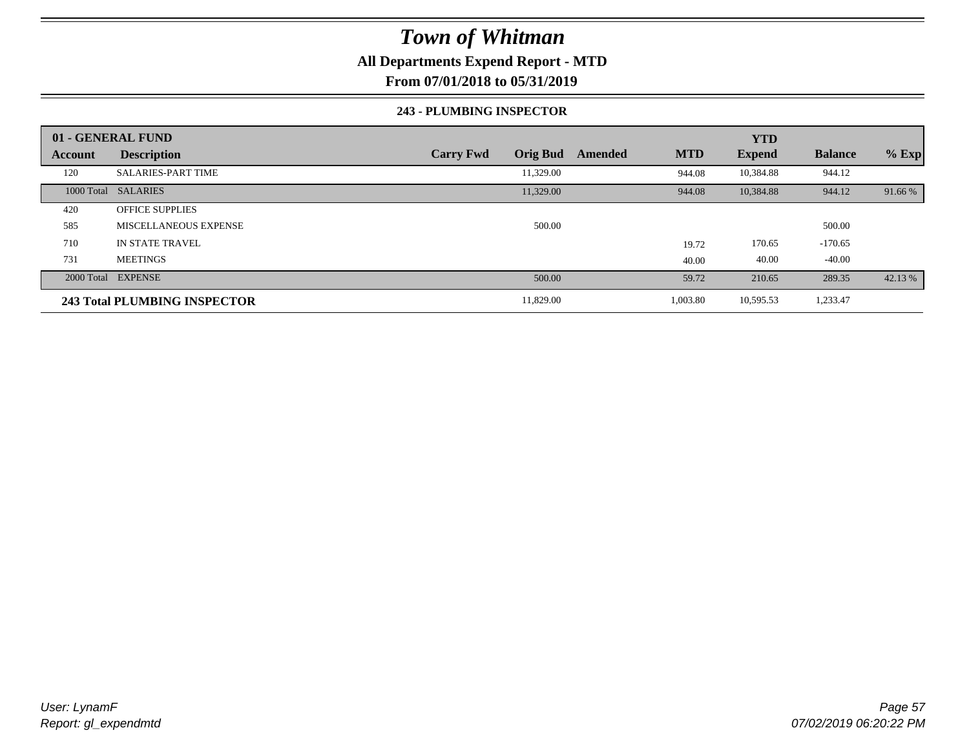# **All Departments Expend Report - MTD**

**From 07/01/2018 to 05/31/2019**

### **243 - PLUMBING INSPECTOR**

|                | 01 - GENERAL FUND                   |                                     |                       | <b>YTD</b>    |                |         |
|----------------|-------------------------------------|-------------------------------------|-----------------------|---------------|----------------|---------|
| <b>Account</b> | <b>Description</b>                  | <b>Orig Bud</b><br><b>Carry Fwd</b> | <b>MTD</b><br>Amended | <b>Expend</b> | <b>Balance</b> | $%$ Exp |
| 120            | <b>SALARIES-PART TIME</b>           | 11,329.00                           | 944.08                | 10,384.88     | 944.12         |         |
|                | 1000 Total SALARIES                 | 11,329.00                           | 944.08                | 10,384.88     | 944.12         | 91.66 % |
| 420            | <b>OFFICE SUPPLIES</b>              |                                     |                       |               |                |         |
| 585            | MISCELLANEOUS EXPENSE               | 500.00                              |                       |               | 500.00         |         |
| 710            | IN STATE TRAVEL                     |                                     | 19.72                 | 170.65        | $-170.65$      |         |
| 731            | <b>MEETINGS</b>                     |                                     | 40.00                 | 40.00         | $-40.00$       |         |
|                | 2000 Total EXPENSE                  | 500.00                              | 59.72                 | 210.65        | 289.35         | 42.13 % |
|                | <b>243 Total PLUMBING INSPECTOR</b> | 11,829.00                           | 1,003.80              | 10,595.53     | 1,233.47       |         |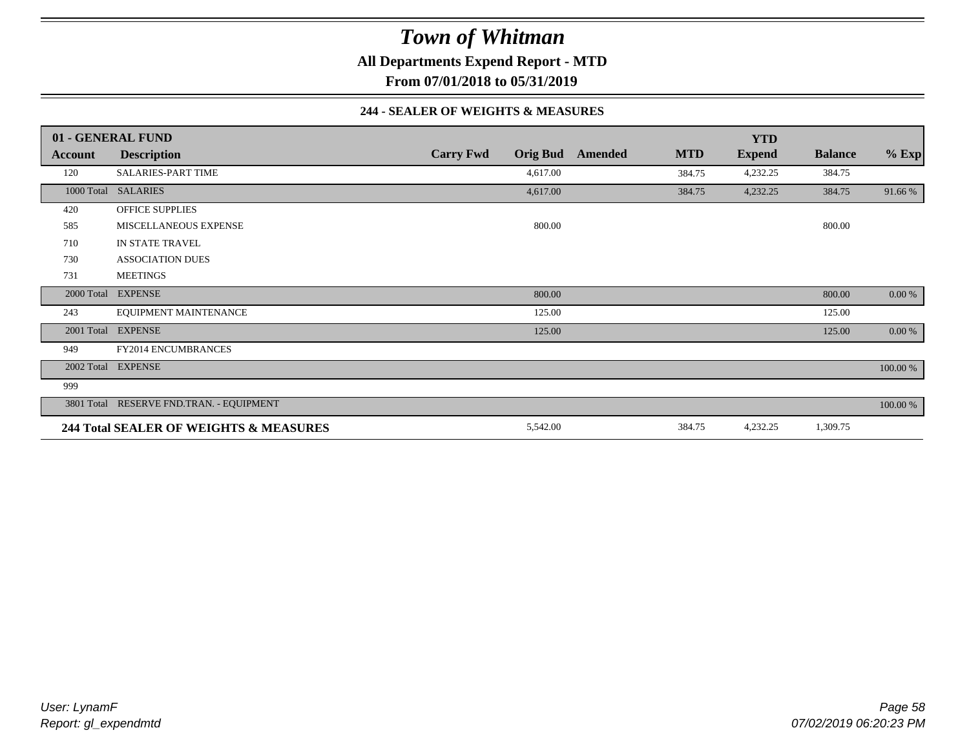**All Departments Expend Report - MTD**

**From 07/01/2018 to 05/31/2019**

### **244 - SEALER OF WEIGHTS & MEASURES**

|                | 01 - GENERAL FUND                        |                                     |        |         |            | <b>YTD</b>    |                |          |
|----------------|------------------------------------------|-------------------------------------|--------|---------|------------|---------------|----------------|----------|
| <b>Account</b> | <b>Description</b>                       | <b>Carry Fwd</b><br><b>Orig Bud</b> |        | Amended | <b>MTD</b> | <b>Expend</b> | <b>Balance</b> | $%$ Exp  |
| 120            | <b>SALARIES-PART TIME</b>                | 4,617.00                            |        |         | 384.75     | 4,232.25      | 384.75         |          |
|                | 1000 Total SALARIES                      | 4,617.00                            |        |         | 384.75     | 4,232.25      | 384.75         | 91.66 %  |
| 420            | <b>OFFICE SUPPLIES</b>                   |                                     |        |         |            |               |                |          |
| 585            | MISCELLANEOUS EXPENSE                    |                                     | 800.00 |         |            |               | 800.00         |          |
| 710            | IN STATE TRAVEL                          |                                     |        |         |            |               |                |          |
| 730            | <b>ASSOCIATION DUES</b>                  |                                     |        |         |            |               |                |          |
| 731            | <b>MEETINGS</b>                          |                                     |        |         |            |               |                |          |
|                | 2000 Total EXPENSE                       |                                     | 800.00 |         |            |               | 800.00         | 0.00 %   |
| 243            | EQUIPMENT MAINTENANCE                    |                                     | 125.00 |         |            |               | 125.00         |          |
|                | 2001 Total EXPENSE                       |                                     | 125.00 |         |            |               | 125.00         | 0.00 %   |
| 949            | <b>FY2014 ENCUMBRANCES</b>               |                                     |        |         |            |               |                |          |
|                | 2002 Total EXPENSE                       |                                     |        |         |            |               |                | 100.00 % |
| 999            |                                          |                                     |        |         |            |               |                |          |
|                | 3801 Total RESERVE FND.TRAN. - EQUIPMENT |                                     |        |         |            |               |                | 100.00 % |
|                | 244 Total SEALER OF WEIGHTS & MEASURES   | 5,542.00                            |        |         | 384.75     | 4,232.25      | 1,309.75       |          |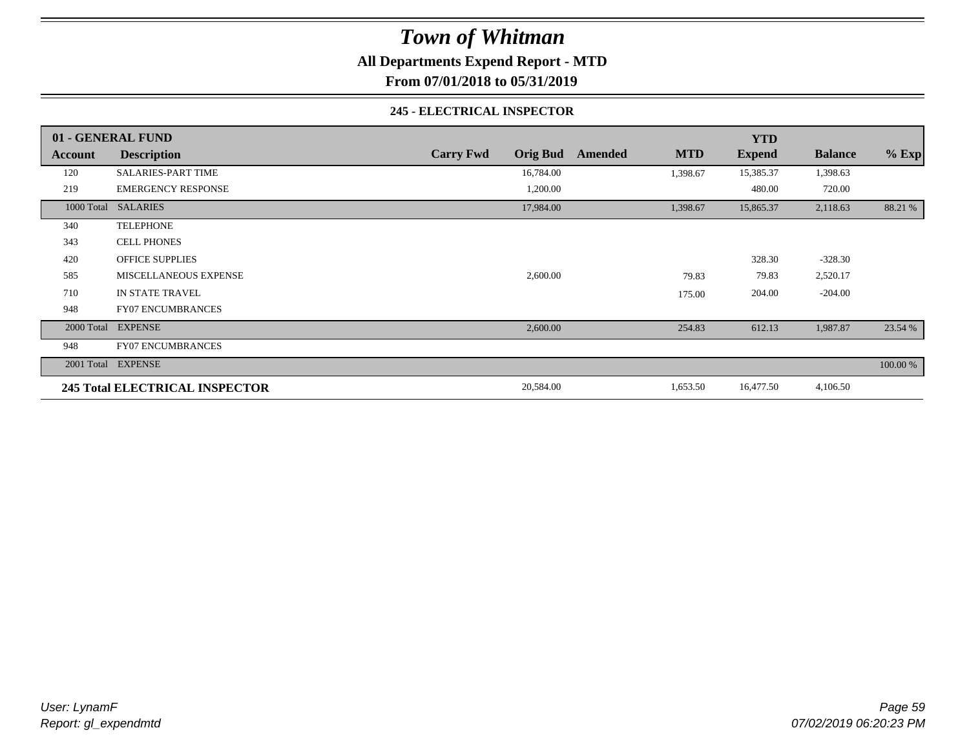**All Departments Expend Report - MTD**

**From 07/01/2018 to 05/31/2019**

### **245 - ELECTRICAL INSPECTOR**

|         | 01 - GENERAL FUND              |                                     |                       | <b>YTD</b>    |                |          |
|---------|--------------------------------|-------------------------------------|-----------------------|---------------|----------------|----------|
| Account | <b>Description</b>             | <b>Carry Fwd</b><br><b>Orig Bud</b> | <b>MTD</b><br>Amended | <b>Expend</b> | <b>Balance</b> | $%$ Exp  |
| 120     | <b>SALARIES-PART TIME</b>      | 16,784.00                           | 1,398.67              | 15,385.37     | 1,398.63       |          |
| 219     | <b>EMERGENCY RESPONSE</b>      | 1,200.00                            |                       | 480.00        | 720.00         |          |
|         | 1000 Total SALARIES            | 17,984.00                           | 1,398.67              | 15,865.37     | 2,118.63       | 88.21 %  |
| 340     | <b>TELEPHONE</b>               |                                     |                       |               |                |          |
| 343     | <b>CELL PHONES</b>             |                                     |                       |               |                |          |
| 420     | <b>OFFICE SUPPLIES</b>         |                                     |                       | 328.30        | $-328.30$      |          |
| 585     | MISCELLANEOUS EXPENSE          | 2,600.00                            | 79.83                 | 79.83         | 2,520.17       |          |
| 710     | IN STATE TRAVEL                |                                     | 175.00                | 204.00        | $-204.00$      |          |
| 948     | <b>FY07 ENCUMBRANCES</b>       |                                     |                       |               |                |          |
|         | 2000 Total EXPENSE             | 2,600.00                            | 254.83                | 612.13        | 1,987.87       | 23.54 %  |
| 948     | <b>FY07 ENCUMBRANCES</b>       |                                     |                       |               |                |          |
|         | 2001 Total EXPENSE             |                                     |                       |               |                | 100.00 % |
|         | 245 Total ELECTRICAL INSPECTOR | 20,584.00                           | 1,653.50              | 16,477.50     | 4,106.50       |          |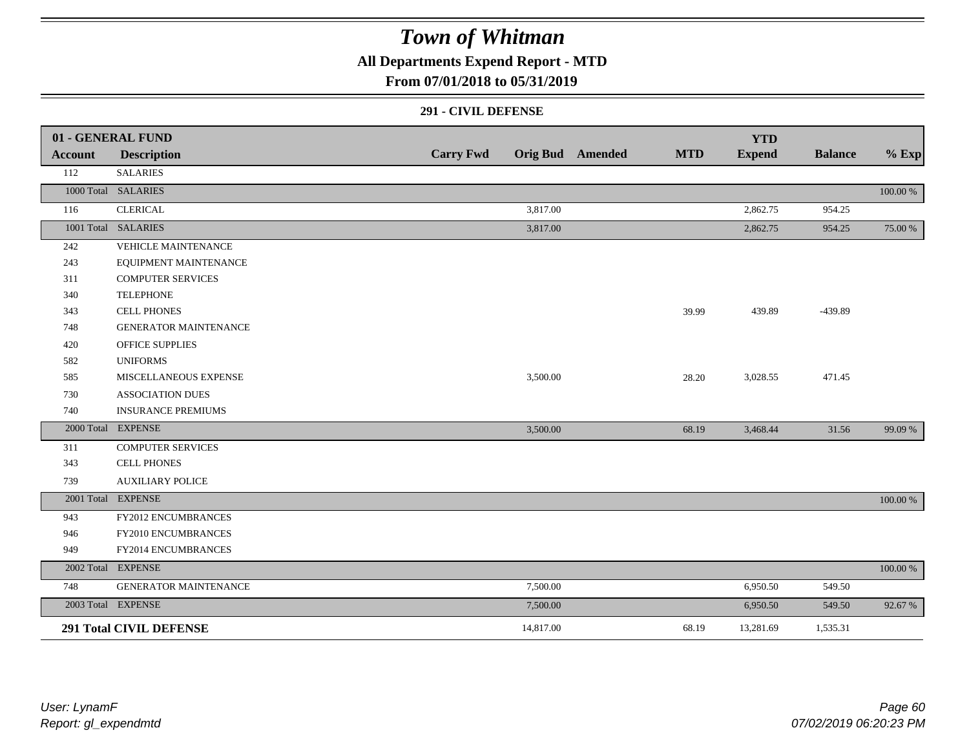**All Departments Expend Report - MTD**

## **From 07/01/2018 to 05/31/2019**

### **291 - CIVIL DEFENSE**

|         | 01 - GENERAL FUND              |                  |           |                         |            | <b>YTD</b>    |                |          |
|---------|--------------------------------|------------------|-----------|-------------------------|------------|---------------|----------------|----------|
| Account | <b>Description</b>             | <b>Carry Fwd</b> |           | <b>Orig Bud</b> Amended | <b>MTD</b> | <b>Expend</b> | <b>Balance</b> | $%$ Exp  |
| 112     | <b>SALARIES</b>                |                  |           |                         |            |               |                |          |
|         | 1000 Total SALARIES            |                  |           |                         |            |               |                | 100.00 % |
| 116     | <b>CLERICAL</b>                |                  | 3,817.00  |                         |            | 2,862.75      | 954.25         |          |
|         | 1001 Total SALARIES            |                  | 3,817.00  |                         |            | 2,862.75      | 954.25         | 75.00 %  |
| 242     | VEHICLE MAINTENANCE            |                  |           |                         |            |               |                |          |
| 243     | EQUIPMENT MAINTENANCE          |                  |           |                         |            |               |                |          |
| 311     | <b>COMPUTER SERVICES</b>       |                  |           |                         |            |               |                |          |
| 340     | <b>TELEPHONE</b>               |                  |           |                         |            |               |                |          |
| 343     | <b>CELL PHONES</b>             |                  |           |                         | 39.99      | 439.89        | -439.89        |          |
| 748     | <b>GENERATOR MAINTENANCE</b>   |                  |           |                         |            |               |                |          |
| 420     | <b>OFFICE SUPPLIES</b>         |                  |           |                         |            |               |                |          |
| 582     | <b>UNIFORMS</b>                |                  |           |                         |            |               |                |          |
| 585     | MISCELLANEOUS EXPENSE          |                  | 3,500.00  |                         | 28.20      | 3,028.55      | 471.45         |          |
| 730     | <b>ASSOCIATION DUES</b>        |                  |           |                         |            |               |                |          |
| 740     | <b>INSURANCE PREMIUMS</b>      |                  |           |                         |            |               |                |          |
|         | 2000 Total EXPENSE             |                  | 3,500.00  |                         | 68.19      | 3,468.44      | 31.56          | 99.09 %  |
| 311     | <b>COMPUTER SERVICES</b>       |                  |           |                         |            |               |                |          |
| 343     | <b>CELL PHONES</b>             |                  |           |                         |            |               |                |          |
| 739     | <b>AUXILIARY POLICE</b>        |                  |           |                         |            |               |                |          |
|         | 2001 Total EXPENSE             |                  |           |                         |            |               |                | 100.00 % |
| 943     | FY2012 ENCUMBRANCES            |                  |           |                         |            |               |                |          |
| 946     | FY2010 ENCUMBRANCES            |                  |           |                         |            |               |                |          |
| 949     | FY2014 ENCUMBRANCES            |                  |           |                         |            |               |                |          |
|         | 2002 Total EXPENSE             |                  |           |                         |            |               |                | 100.00 % |
| 748     | GENERATOR MAINTENANCE          |                  | 7,500.00  |                         |            | 6,950.50      | 549.50         |          |
|         | 2003 Total EXPENSE             |                  | 7,500.00  |                         |            | 6,950.50      | 549.50         | 92.67 %  |
|         | <b>291 Total CIVIL DEFENSE</b> |                  | 14,817.00 |                         | 68.19      | 13,281.69     | 1,535.31       |          |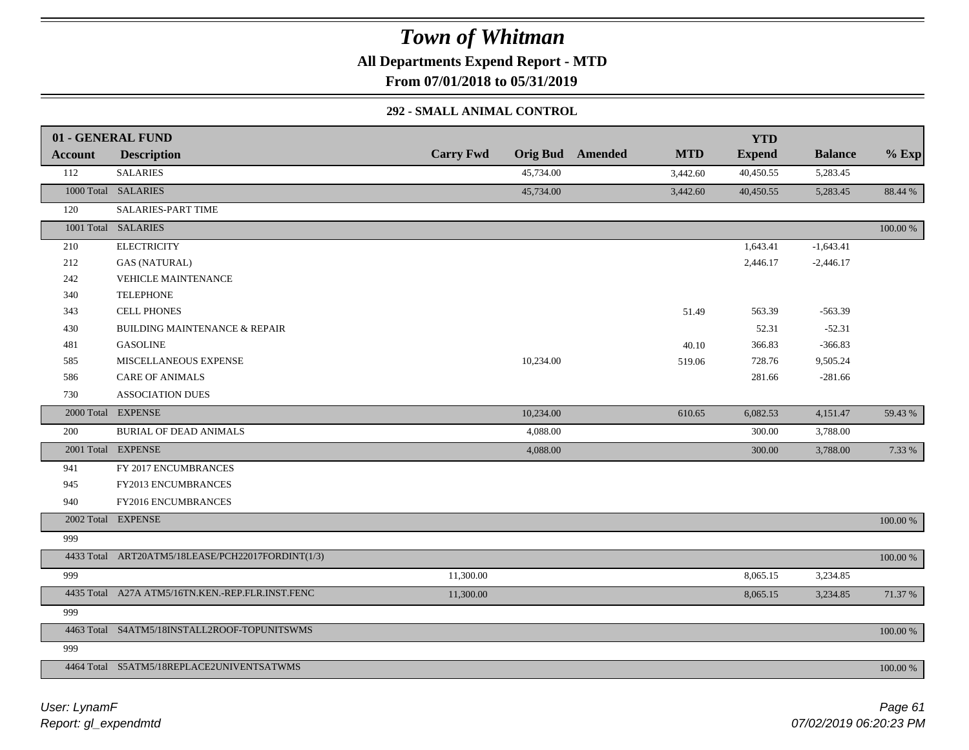**All Departments Expend Report - MTD**

**From 07/01/2018 to 05/31/2019**

## **292 - SMALL ANIMAL CONTROL**

|         | 01 - GENERAL FUND                                 |                  |           |                         |            | <b>YTD</b>    |                |          |
|---------|---------------------------------------------------|------------------|-----------|-------------------------|------------|---------------|----------------|----------|
| Account | <b>Description</b>                                | <b>Carry Fwd</b> |           | <b>Orig Bud</b> Amended | <b>MTD</b> | <b>Expend</b> | <b>Balance</b> | $%$ Exp  |
| 112     | <b>SALARIES</b>                                   |                  | 45,734.00 |                         | 3,442.60   | 40,450.55     | 5,283.45       |          |
|         | 1000 Total SALARIES                               |                  | 45,734.00 |                         | 3,442.60   | 40,450.55     | 5,283.45       | 88.44 %  |
| 120     | SALARIES-PART TIME                                |                  |           |                         |            |               |                |          |
|         | 1001 Total SALARIES                               |                  |           |                         |            |               |                | 100.00 % |
| 210     | <b>ELECTRICITY</b>                                |                  |           |                         |            | 1,643.41      | $-1,643.41$    |          |
| 212     | <b>GAS (NATURAL)</b>                              |                  |           |                         |            | 2,446.17      | $-2,446.17$    |          |
| 242     | <b>VEHICLE MAINTENANCE</b>                        |                  |           |                         |            |               |                |          |
| 340     | <b>TELEPHONE</b>                                  |                  |           |                         |            |               |                |          |
| 343     | <b>CELL PHONES</b>                                |                  |           |                         | 51.49      | 563.39        | $-563.39$      |          |
| 430     | <b>BUILDING MAINTENANCE &amp; REPAIR</b>          |                  |           |                         |            | 52.31         | $-52.31$       |          |
| 481     | <b>GASOLINE</b>                                   |                  |           |                         | 40.10      | 366.83        | $-366.83$      |          |
| 585     | MISCELLANEOUS EXPENSE                             |                  | 10,234.00 |                         | 519.06     | 728.76        | 9,505.24       |          |
| 586     | <b>CARE OF ANIMALS</b>                            |                  |           |                         |            | 281.66        | $-281.66$      |          |
| 730     | <b>ASSOCIATION DUES</b>                           |                  |           |                         |            |               |                |          |
|         | 2000 Total EXPENSE                                |                  | 10,234.00 |                         | 610.65     | 6,082.53      | 4,151.47       | 59.43 %  |
| 200     | <b>BURIAL OF DEAD ANIMALS</b>                     |                  | 4,088.00  |                         |            | 300.00        | 3,788.00       |          |
|         | 2001 Total EXPENSE                                |                  | 4,088.00  |                         |            | 300.00        | 3,788.00       | 7.33 %   |
| 941     | FY 2017 ENCUMBRANCES                              |                  |           |                         |            |               |                |          |
| 945     | FY2013 ENCUMBRANCES                               |                  |           |                         |            |               |                |          |
| 940     | FY2016 ENCUMBRANCES                               |                  |           |                         |            |               |                |          |
|         | 2002 Total EXPENSE                                |                  |           |                         |            |               |                | 100.00 % |
| 999     |                                                   |                  |           |                         |            |               |                |          |
|         | 4433 Total ART20ATM5/18LEASE/PCH22017FORDINT(1/3) |                  |           |                         |            |               |                | 100.00 % |
| 999     |                                                   | 11,300.00        |           |                         |            | 8,065.15      | 3,234.85       |          |
|         | 4435 Total A27A ATM5/16TN.KEN.-REP.FLR.INST.FENC  | 11,300.00        |           |                         |            | 8,065.15      | 3,234.85       | 71.37 %  |
| 999     |                                                   |                  |           |                         |            |               |                |          |
|         | 4463 Total S4ATM5/18INSTALL2ROOF-TOPUNITSWMS      |                  |           |                         |            |               |                | 100.00 % |
| 999     |                                                   |                  |           |                         |            |               |                |          |
|         | 4464 Total S5ATM5/18REPLACE2UNIVENTSATWMS         |                  |           |                         |            |               |                | 100.00 % |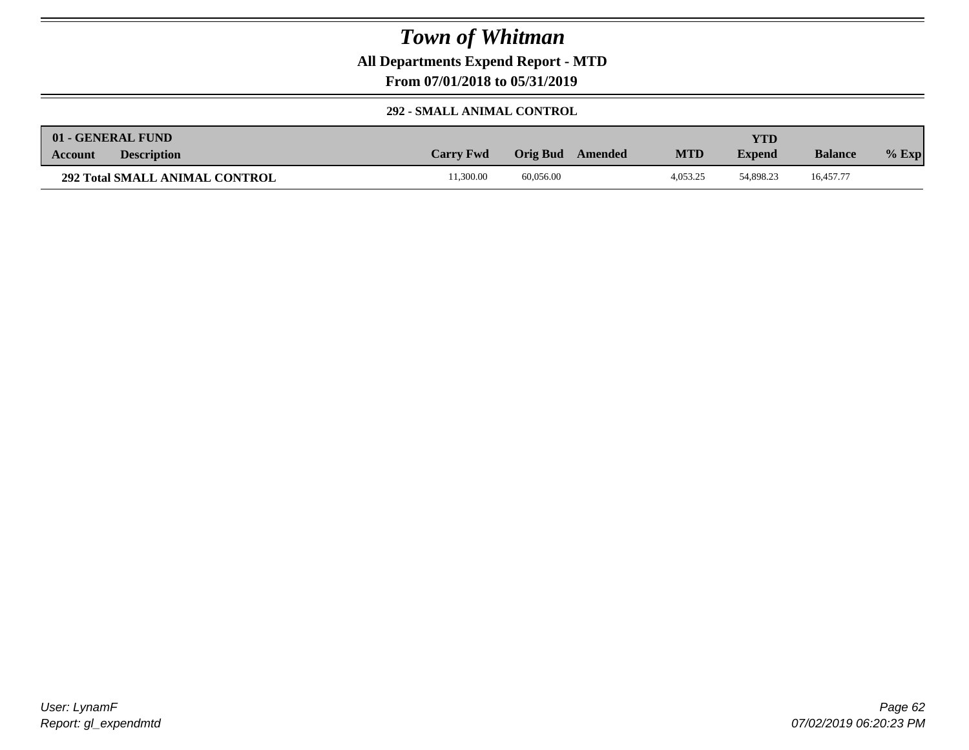**All Departments Expend Report - MTD**

**From 07/01/2018 to 05/31/2019**

## **292 - SMALL ANIMAL CONTROL**

| 01 - GENERAL FUND                     |                  |                     |            | YTD           |                |         |
|---------------------------------------|------------------|---------------------|------------|---------------|----------------|---------|
| <b>Description</b><br><b>Account</b>  | <b>Carry Fwd</b> | Orig Bud<br>Amended | <b>MTD</b> | <b>Expend</b> | <b>Balance</b> | $%$ Exp |
| <b>292 Total SMALL ANIMAL CONTROL</b> | 1.300.00         | 60.056.00           | 4.053.25   | 54,898.23     | 16.457.77      |         |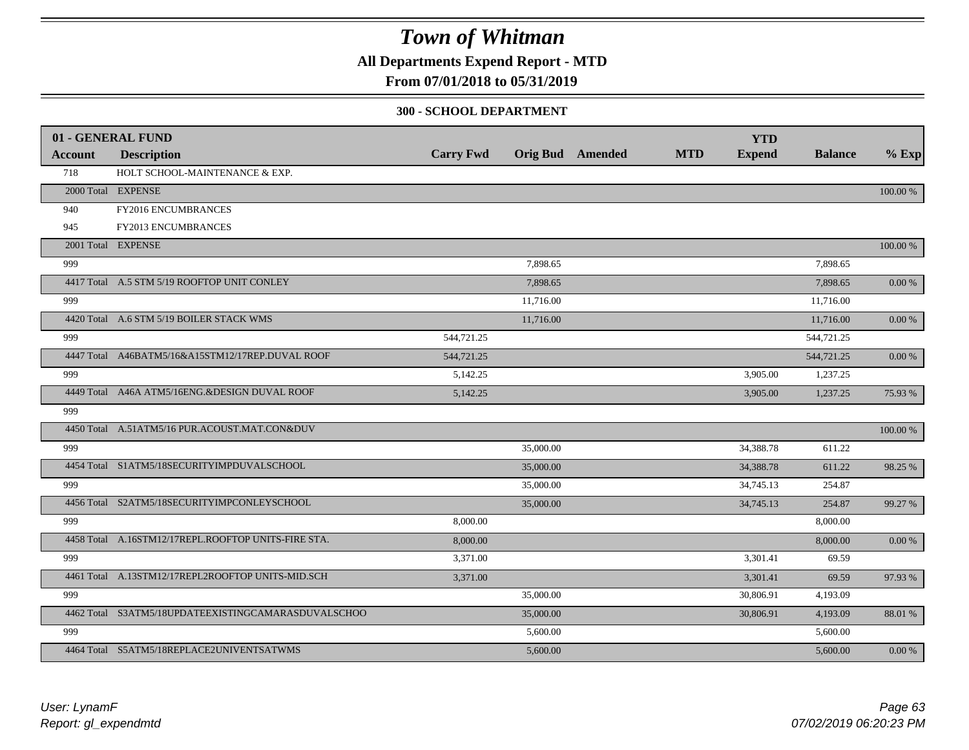**All Departments Expend Report - MTD**

## **From 07/01/2018 to 05/31/2019**

#### **300 - SCHOOL DEPARTMENT**

|                | 01 - GENERAL FUND                                   |                  |           |                         |            | <b>YTD</b>    |                |             |
|----------------|-----------------------------------------------------|------------------|-----------|-------------------------|------------|---------------|----------------|-------------|
| <b>Account</b> | <b>Description</b>                                  | <b>Carry Fwd</b> |           | <b>Orig Bud</b> Amended | <b>MTD</b> | <b>Expend</b> | <b>Balance</b> | $%$ Exp     |
| 718            | HOLT SCHOOL-MAINTENANCE & EXP.                      |                  |           |                         |            |               |                |             |
|                | 2000 Total EXPENSE                                  |                  |           |                         |            |               |                | 100.00 %    |
| 940            | FY2016 ENCUMBRANCES                                 |                  |           |                         |            |               |                |             |
| 945            | <b>FY2013 ENCUMBRANCES</b>                          |                  |           |                         |            |               |                |             |
|                | 2001 Total EXPENSE                                  |                  |           |                         |            |               |                | 100.00 %    |
| 999            |                                                     |                  | 7,898.65  |                         |            |               | 7,898.65       |             |
|                | 4417 Total A.5 STM 5/19 ROOFTOP UNIT CONLEY         |                  | 7,898.65  |                         |            |               | 7,898.65       | 0.00 %      |
| 999            |                                                     |                  | 11,716.00 |                         |            |               | 11,716.00      |             |
|                | 4420 Total A.6 STM 5/19 BOILER STACK WMS            |                  | 11,716.00 |                         |            |               | 11,716.00      | 0.00 %      |
| 999            |                                                     | 544,721.25       |           |                         |            |               | 544,721.25     |             |
|                | 4447 Total A46BATM5/16&A15STM12/17REP.DUVAL ROOF    | 544,721.25       |           |                         |            |               | 544,721.25     | $0.00\ \%$  |
| 999            |                                                     | 5,142.25         |           |                         |            | 3,905.00      | 1,237.25       |             |
|                | 4449 Total A46A ATM5/16ENG.&DESIGN DUVAL ROOF       | 5,142.25         |           |                         |            | 3,905.00      | 1,237.25       | 75.93 %     |
| 999            |                                                     |                  |           |                         |            |               |                |             |
|                | 4450 Total A.51ATM5/16 PUR.ACOUST.MAT.CON&DUV       |                  |           |                         |            |               |                | $100.00~\%$ |
| 999            |                                                     |                  | 35,000.00 |                         |            | 34,388.78     | 611.22         |             |
|                | 4454 Total S1ATM5/18SECURITYIMPDUVALSCHOOL          |                  | 35,000.00 |                         |            | 34,388.78     | 611.22         | 98.25 %     |
| 999            |                                                     |                  | 35,000.00 |                         |            | 34,745.13     | 254.87         |             |
|                | 4456 Total S2ATM5/18SECURITYIMPCONLEYSCHOOL         |                  | 35,000.00 |                         |            | 34,745.13     | 254.87         | 99.27 %     |
| 999            |                                                     | 8,000.00         |           |                         |            |               | 8,000.00       |             |
|                | 4458 Total A.16STM12/17REPL.ROOFTOP UNITS-FIRE STA. | 8,000.00         |           |                         |            |               | 8,000.00       | 0.00 %      |
| 999            |                                                     | 3,371.00         |           |                         |            | 3,301.41      | 69.59          |             |
|                | 4461 Total A.13STM12/17REPL2ROOFTOP UNITS-MID.SCH   | 3,371.00         |           |                         |            | 3,301.41      | 69.59          | 97.93%      |
| 999            |                                                     |                  | 35,000.00 |                         |            | 30,806.91     | 4,193.09       |             |
|                | 4462 Total S3ATM5/18UPDATEEXISTINGCAMARASDUVALSCHOO |                  | 35,000.00 |                         |            | 30,806.91     | 4,193.09       | 88.01 %     |
| 999            |                                                     |                  | 5,600.00  |                         |            |               | 5,600.00       |             |
|                | 4464 Total S5ATM5/18REPLACE2UNIVENTSATWMS           |                  | 5,600.00  |                         |            |               | 5,600.00       | $0.00\ \%$  |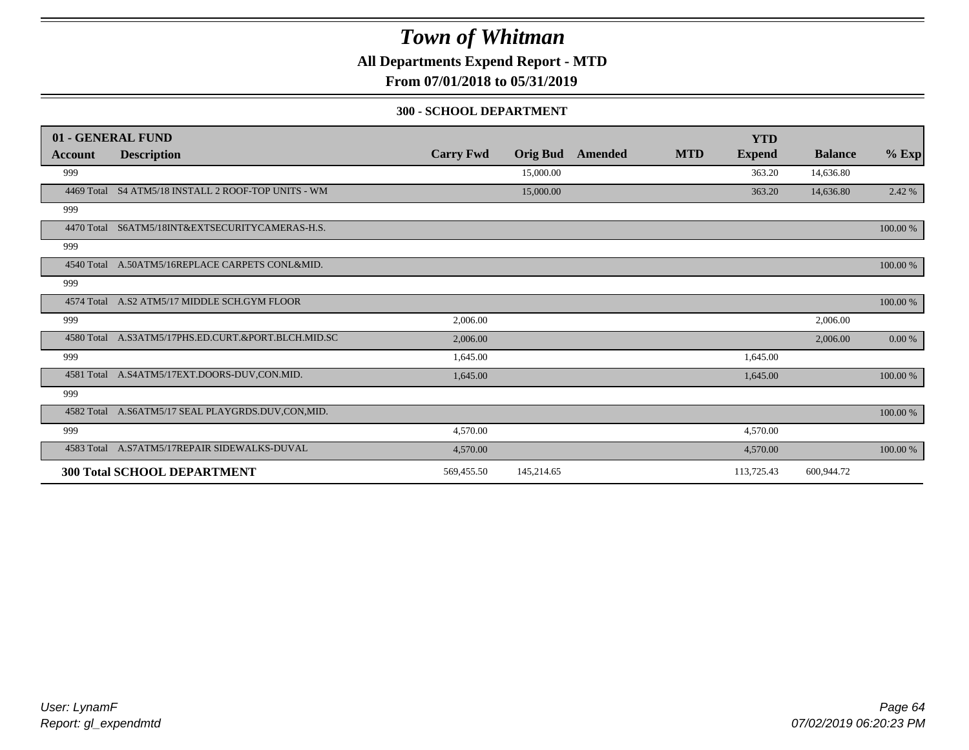**All Departments Expend Report - MTD**

**From 07/01/2018 to 05/31/2019**

#### **300 - SCHOOL DEPARTMENT**

|         | 01 - GENERAL FUND                                   |                  |                 |         |            | <b>YTD</b>    |                |          |
|---------|-----------------------------------------------------|------------------|-----------------|---------|------------|---------------|----------------|----------|
| Account | <b>Description</b>                                  | <b>Carry Fwd</b> | <b>Orig Bud</b> | Amended | <b>MTD</b> | <b>Expend</b> | <b>Balance</b> | $%$ Exp  |
| 999     |                                                     |                  | 15,000.00       |         |            | 363.20        | 14,636.80      |          |
|         | 4469 Total S4 ATM5/18 INSTALL 2 ROOF-TOP UNITS - WM |                  | 15,000.00       |         |            | 363.20        | 14,636.80      | 2.42 %   |
| 999     |                                                     |                  |                 |         |            |               |                |          |
|         | 4470 Total S6ATM5/18INT&EXTSECURITYCAMERAS-H.S.     |                  |                 |         |            |               |                | 100.00 % |
| 999     |                                                     |                  |                 |         |            |               |                |          |
|         | 4540 Total A.50ATM5/16REPLACE CARPETS CONL&MID.     |                  |                 |         |            |               |                | 100.00 % |
| 999     |                                                     |                  |                 |         |            |               |                |          |
|         | 4574 Total A.S2 ATM5/17 MIDDLE SCH.GYM FLOOR        |                  |                 |         |            |               |                | 100.00 % |
| 999     |                                                     | 2,006.00         |                 |         |            |               | 2,006.00       |          |
|         | 4580 Total A.S3ATM5/17PHS.ED.CURT.&PORT.BLCH.MID.SC | 2,006.00         |                 |         |            |               | 2,006.00       | 0.00 %   |
| 999     |                                                     | 1,645.00         |                 |         |            | 1,645.00      |                |          |
|         | 4581 Total A.S4ATM5/17EXT.DOORS-DUV,CON.MID.        | 1,645.00         |                 |         |            | 1,645.00      |                | 100.00 % |
| 999     |                                                     |                  |                 |         |            |               |                |          |
|         | 4582 Total A.S6ATM5/17 SEAL PLAYGRDS.DUV,CON,MID.   |                  |                 |         |            |               |                | 100.00 % |
| 999     |                                                     | 4,570.00         |                 |         |            | 4,570.00      |                |          |
|         | 4583 Total A.S7ATM5/17REPAIR SIDEWALKS-DUVAL        | 4,570.00         |                 |         |            | 4,570.00      |                | 100.00 % |
|         | <b>300 Total SCHOOL DEPARTMENT</b>                  | 569,455.50       | 145,214.65      |         |            | 113,725.43    | 600,944.72     |          |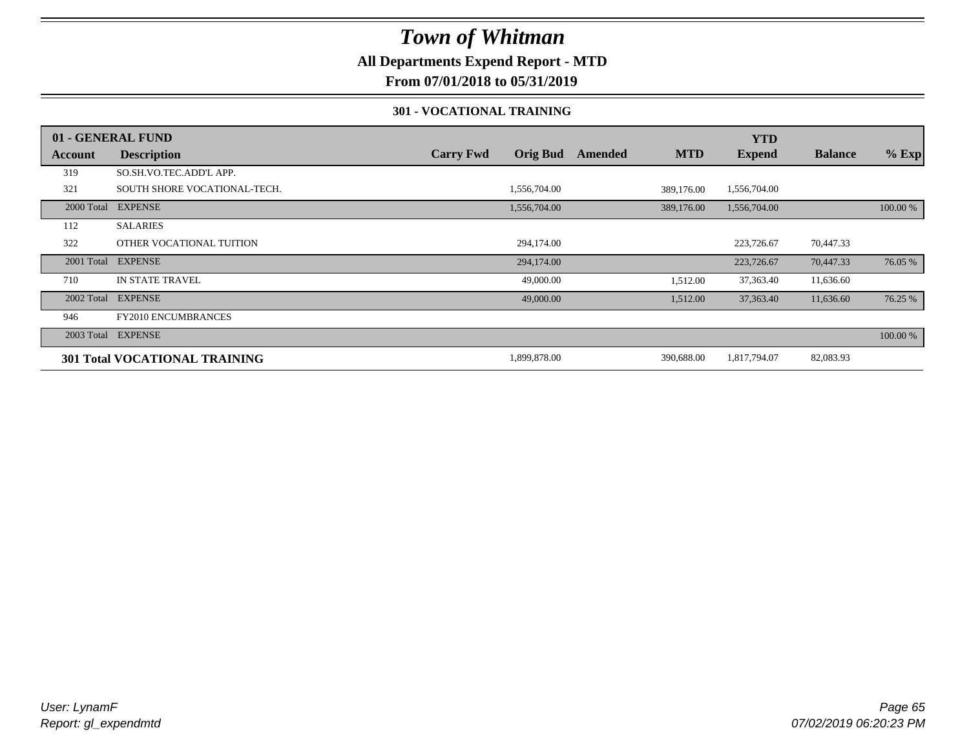## **All Departments Expend Report - MTD**

**From 07/01/2018 to 05/31/2019**

### **301 - VOCATIONAL TRAINING**

|         | 01 - GENERAL FUND                    |                  |                 |         |            | <b>YTD</b>    |                |          |
|---------|--------------------------------------|------------------|-----------------|---------|------------|---------------|----------------|----------|
| Account | <b>Description</b>                   | <b>Carry Fwd</b> | <b>Orig Bud</b> | Amended | <b>MTD</b> | <b>Expend</b> | <b>Balance</b> | $%$ Exp  |
| 319     | SO.SH.VO.TEC.ADD'L APP.              |                  |                 |         |            |               |                |          |
| 321     | SOUTH SHORE VOCATIONAL-TECH.         |                  | 1,556,704.00    |         | 389,176.00 | 1,556,704.00  |                |          |
|         | 2000 Total EXPENSE                   |                  | 1,556,704.00    |         | 389,176.00 | 1,556,704.00  |                | 100.00 % |
| 112     | <b>SALARIES</b>                      |                  |                 |         |            |               |                |          |
| 322     | OTHER VOCATIONAL TUITION             |                  | 294,174.00      |         |            | 223,726.67    | 70,447.33      |          |
|         | 2001 Total EXPENSE                   |                  | 294,174.00      |         |            | 223,726.67    | 70,447.33      | 76.05 %  |
| 710     | <b>IN STATE TRAVEL</b>               |                  | 49,000.00       |         | 1,512.00   | 37,363.40     | 11,636.60      |          |
|         | 2002 Total EXPENSE                   |                  | 49,000.00       |         | 1,512.00   | 37,363.40     | 11,636.60      | 76.25 %  |
| 946     | <b>FY2010 ENCUMBRANCES</b>           |                  |                 |         |            |               |                |          |
|         | 2003 Total EXPENSE                   |                  |                 |         |            |               |                | 100.00 % |
|         | <b>301 Total VOCATIONAL TRAINING</b> |                  | 1,899,878.00    |         | 390,688.00 | 1,817,794.07  | 82,083.93      |          |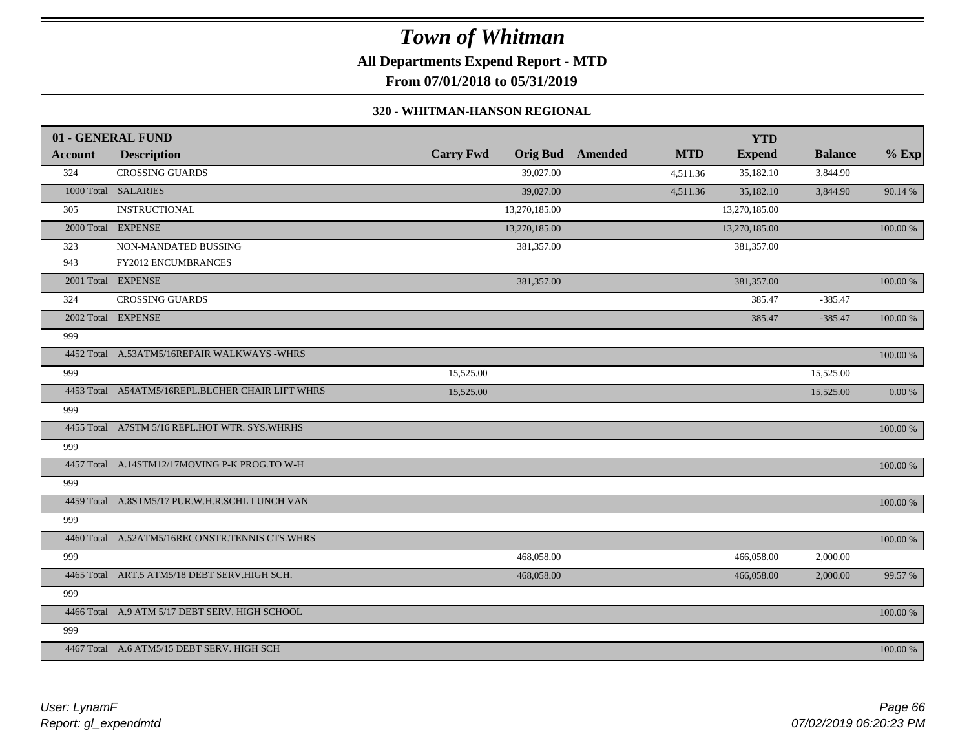# *Town of Whitman* **All Departments Expend Report - MTD From 07/01/2018 to 05/31/2019**

#### **320 - WHITMAN-HANSON REGIONAL**

|         | 01 - GENERAL FUND                                |                  |                 |                |            | <b>YTD</b>    |                |             |
|---------|--------------------------------------------------|------------------|-----------------|----------------|------------|---------------|----------------|-------------|
| Account | <b>Description</b>                               | <b>Carry Fwd</b> | <b>Orig Bud</b> | <b>Amended</b> | <b>MTD</b> | <b>Expend</b> | <b>Balance</b> | $%$ Exp     |
| 324     | <b>CROSSING GUARDS</b>                           |                  | 39,027.00       |                | 4,511.36   | 35,182.10     | 3,844.90       |             |
|         | 1000 Total SALARIES                              |                  | 39,027.00       |                | 4,511.36   | 35,182.10     | 3,844.90       | 90.14 %     |
| 305     | <b>INSTRUCTIONAL</b>                             |                  | 13,270,185.00   |                |            | 13,270,185.00 |                |             |
|         | 2000 Total EXPENSE                               |                  | 13,270,185.00   |                |            | 13,270,185.00 |                | 100.00 %    |
| 323     | NON-MANDATED BUSSING                             |                  | 381,357.00      |                |            | 381,357.00    |                |             |
| 943     | FY2012 ENCUMBRANCES                              |                  |                 |                |            |               |                |             |
|         | 2001 Total EXPENSE                               |                  | 381,357.00      |                |            | 381,357.00    |                | 100.00 %    |
| 324     | <b>CROSSING GUARDS</b>                           |                  |                 |                |            | 385.47        | $-385.47$      |             |
|         | 2002 Total EXPENSE                               |                  |                 |                |            | 385.47        | $-385.47$      | 100.00 %    |
| 999     |                                                  |                  |                 |                |            |               |                |             |
|         | 4452 Total A.53ATM5/16REPAIR WALKWAYS -WHRS      |                  |                 |                |            |               |                | $100.00~\%$ |
| 999     |                                                  | 15,525.00        |                 |                |            |               | 15,525.00      |             |
|         | 4453 Total A54ATM5/16REPL.BLCHER CHAIR LIFT WHRS | 15,525.00        |                 |                |            |               | 15,525.00      | 0.00 %      |
| 999     |                                                  |                  |                 |                |            |               |                |             |
|         | 4455 Total A7STM 5/16 REPL.HOT WTR. SYS.WHRHS    |                  |                 |                |            |               |                | 100.00 %    |
| 999     |                                                  |                  |                 |                |            |               |                |             |
|         | 4457 Total A.14STM12/17MOVING P-K PROG.TO W-H    |                  |                 |                |            |               |                | 100.00 %    |
| 999     |                                                  |                  |                 |                |            |               |                |             |
|         | 4459 Total A.8STM5/17 PUR.W.H.R.SCHL LUNCH VAN   |                  |                 |                |            |               |                | 100.00 %    |
| 999     |                                                  |                  |                 |                |            |               |                |             |
|         | 4460 Total A.52ATM5/16RECONSTR.TENNIS CTS.WHRS   |                  |                 |                |            |               |                | $100.00~\%$ |
| 999     |                                                  |                  | 468,058.00      |                |            | 466,058.00    | 2,000.00       |             |
|         | 4465 Total ART.5 ATM5/18 DEBT SERV.HIGH SCH.     |                  | 468,058.00      |                |            | 466,058.00    | 2,000.00       | 99.57 %     |
| 999     |                                                  |                  |                 |                |            |               |                |             |
|         | 4466 Total A.9 ATM 5/17 DEBT SERV. HIGH SCHOOL   |                  |                 |                |            |               |                | 100.00 %    |
| 999     |                                                  |                  |                 |                |            |               |                |             |
|         | 4467 Total A.6 ATM5/15 DEBT SERV. HIGH SCH       |                  |                 |                |            |               |                | 100.00 %    |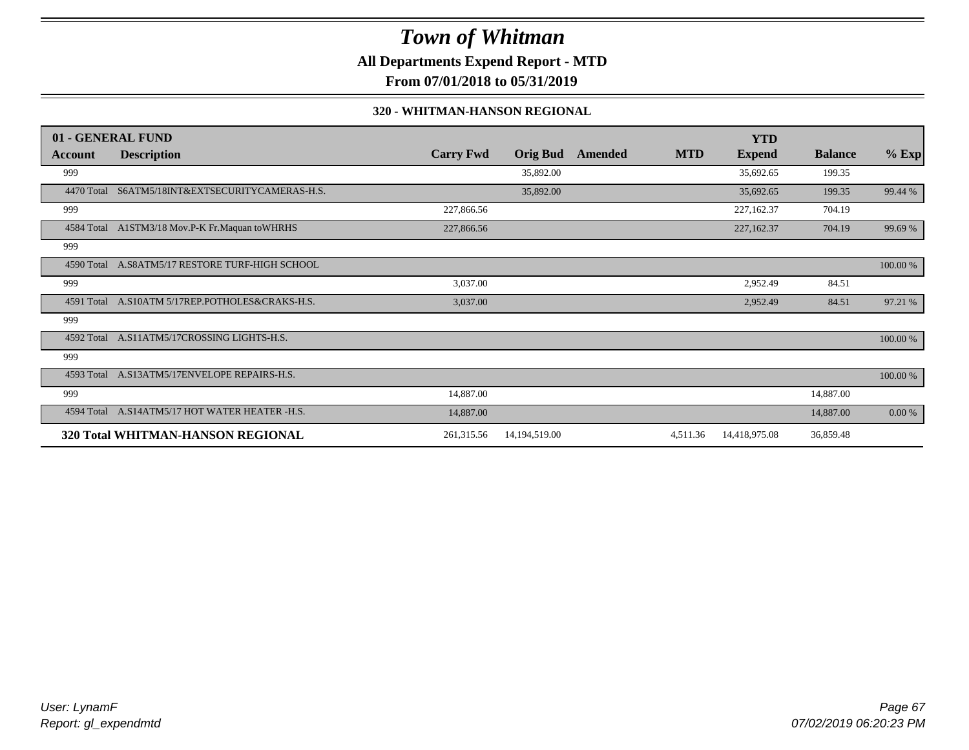**All Departments Expend Report - MTD**

**From 07/01/2018 to 05/31/2019**

### **320 - WHITMAN-HANSON REGIONAL**

|            | 01 - GENERAL FUND                               |                  |                 |         |            | <b>YTD</b>    |                |          |
|------------|-------------------------------------------------|------------------|-----------------|---------|------------|---------------|----------------|----------|
| Account    | <b>Description</b>                              | <b>Carry Fwd</b> | <b>Orig Bud</b> | Amended | <b>MTD</b> | <b>Expend</b> | <b>Balance</b> | $%$ Exp  |
| 999        |                                                 |                  | 35,892.00       |         |            | 35,692.65     | 199.35         |          |
| 4470 Total | S6ATM5/18INT&EXTSECURITYCAMERAS-H.S.            |                  | 35,892.00       |         |            | 35,692.65     | 199.35         | 99.44 %  |
| 999        |                                                 | 227,866.56       |                 |         |            | 227,162.37    | 704.19         |          |
|            | 4584 Total A1STM3/18 Mov.P-K Fr.Maquan to WHRHS | 227,866.56       |                 |         |            | 227,162.37    | 704.19         | 99.69 %  |
| 999        |                                                 |                  |                 |         |            |               |                |          |
| 4590 Total | A.S8ATM5/17 RESTORE TURF-HIGH SCHOOL            |                  |                 |         |            |               |                | 100.00 % |
| 999        |                                                 | 3,037.00         |                 |         |            | 2,952.49      | 84.51          |          |
|            | 4591 Total A.S10ATM 5/17REP.POTHOLES&CRAKS-H.S. | 3,037.00         |                 |         |            | 2,952.49      | 84.51          | 97.21 %  |
| 999        |                                                 |                  |                 |         |            |               |                |          |
| 4592 Total | A.S11ATM5/17CROSSING LIGHTS-H.S.                |                  |                 |         |            |               |                | 100.00 % |
| 999        |                                                 |                  |                 |         |            |               |                |          |
|            | 4593 Total A.S13ATM5/17ENVELOPE REPAIRS-H.S.    |                  |                 |         |            |               |                | 100.00 % |
| 999        |                                                 | 14,887.00        |                 |         |            |               | 14,887.00      |          |
| 4594 Total | A.S14ATM5/17 HOT WATER HEATER -H.S.             | 14,887.00        |                 |         |            |               | 14,887.00      | 0.00 %   |
|            | 320 Total WHITMAN-HANSON REGIONAL               | 261,315.56       | 14,194,519.00   |         | 4,511.36   | 14,418,975.08 | 36,859.48      |          |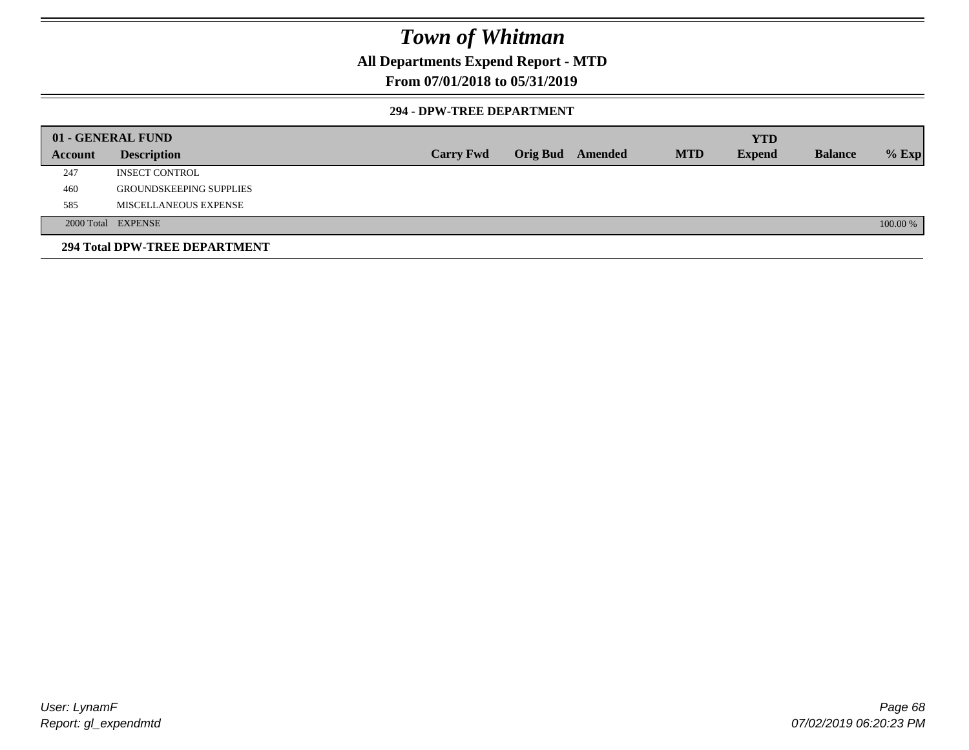## **All Departments Expend Report - MTD**

## **From 07/01/2018 to 05/31/2019**

### **294 - DPW-TREE DEPARTMENT**

|         | 01 - GENERAL FUND              |                  |                  |            | <b>YTD</b>    |                |          |
|---------|--------------------------------|------------------|------------------|------------|---------------|----------------|----------|
| Account | <b>Description</b>             | <b>Carry Fwd</b> | Orig Bud Amended | <b>MTD</b> | <b>Expend</b> | <b>Balance</b> | $%$ Exp  |
| 247     | <b>INSECT CONTROL</b>          |                  |                  |            |               |                |          |
| 460     | <b>GROUNDSKEEPING SUPPLIES</b> |                  |                  |            |               |                |          |
| 585     | MISCELLANEOUS EXPENSE          |                  |                  |            |               |                |          |
|         | 2000 Total EXPENSE             |                  |                  |            |               |                | 100.00 % |
|         | 294 Total DPW-TREE DEPARTMENT  |                  |                  |            |               |                |          |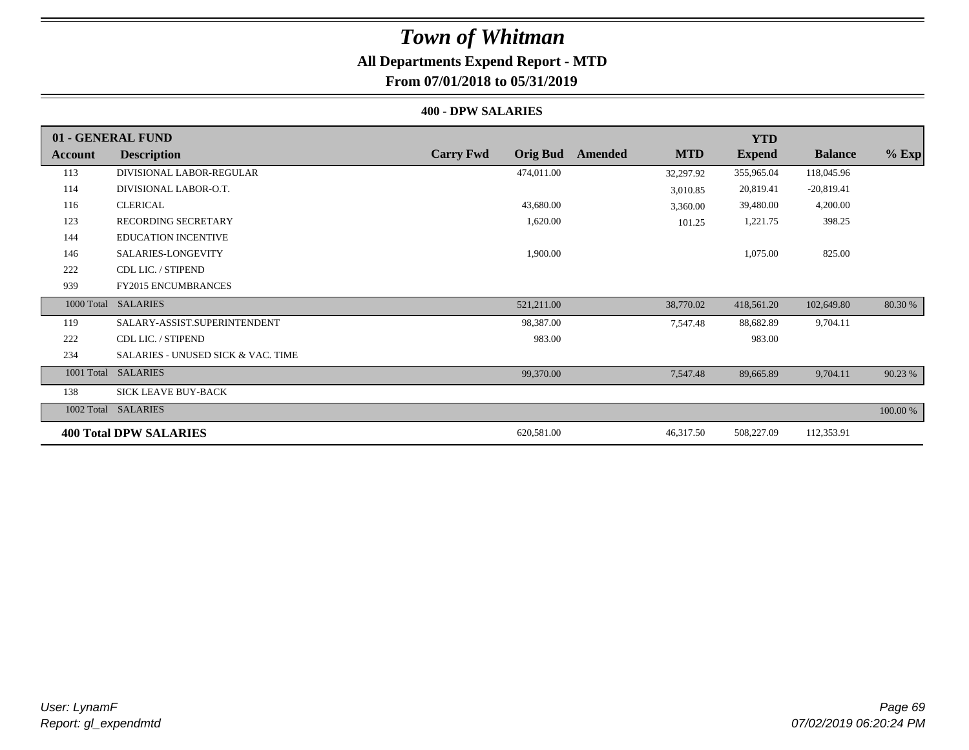## **All Departments Expend Report - MTD From 07/01/2018 to 05/31/2019**

#### **400 - DPW SALARIES**

|         | 01 - GENERAL FUND                             |                                     |                       | <b>YTD</b>    |                |          |
|---------|-----------------------------------------------|-------------------------------------|-----------------------|---------------|----------------|----------|
| Account | <b>Description</b>                            | <b>Carry Fwd</b><br><b>Orig Bud</b> | <b>MTD</b><br>Amended | <b>Expend</b> | <b>Balance</b> | $%$ Exp  |
| 113     | DIVISIONAL LABOR-REGULAR                      | 474,011.00                          | 32,297.92             | 355,965.04    | 118,045.96     |          |
| 114     | DIVISIONAL LABOR-O.T.                         |                                     | 3,010.85              | 20,819.41     | $-20,819.41$   |          |
| 116     | <b>CLERICAL</b>                               | 43,680.00                           | 3,360.00              | 39,480.00     | 4,200.00       |          |
| 123     | <b>RECORDING SECRETARY</b>                    | 1,620.00                            | 101.25                | 1,221.75      | 398.25         |          |
| 144     | <b>EDUCATION INCENTIVE</b>                    |                                     |                       |               |                |          |
| 146     | SALARIES-LONGEVITY                            | 1,900.00                            |                       | 1,075.00      | 825.00         |          |
| 222     | CDL LIC. / STIPEND                            |                                     |                       |               |                |          |
| 939     | <b>FY2015 ENCUMBRANCES</b>                    |                                     |                       |               |                |          |
|         | 1000 Total SALARIES                           | 521,211.00                          | 38,770.02             | 418,561.20    | 102,649.80     | 80.30 %  |
| 119     | SALARY-ASSIST.SUPERINTENDENT                  | 98,387.00                           | 7,547.48              | 88,682.89     | 9,704.11       |          |
| 222     | CDL LIC. / STIPEND                            | 983.00                              |                       | 983.00        |                |          |
| 234     | <b>SALARIES - UNUSED SICK &amp; VAC. TIME</b> |                                     |                       |               |                |          |
|         | 1001 Total SALARIES                           | 99,370.00                           | 7,547.48              | 89,665.89     | 9,704.11       | 90.23 %  |
| 138     | SICK LEAVE BUY-BACK                           |                                     |                       |               |                |          |
|         | 1002 Total SALARIES                           |                                     |                       |               |                | 100.00 % |
|         | <b>400 Total DPW SALARIES</b>                 | 620,581.00                          | 46,317.50             | 508,227.09    | 112,353.91     |          |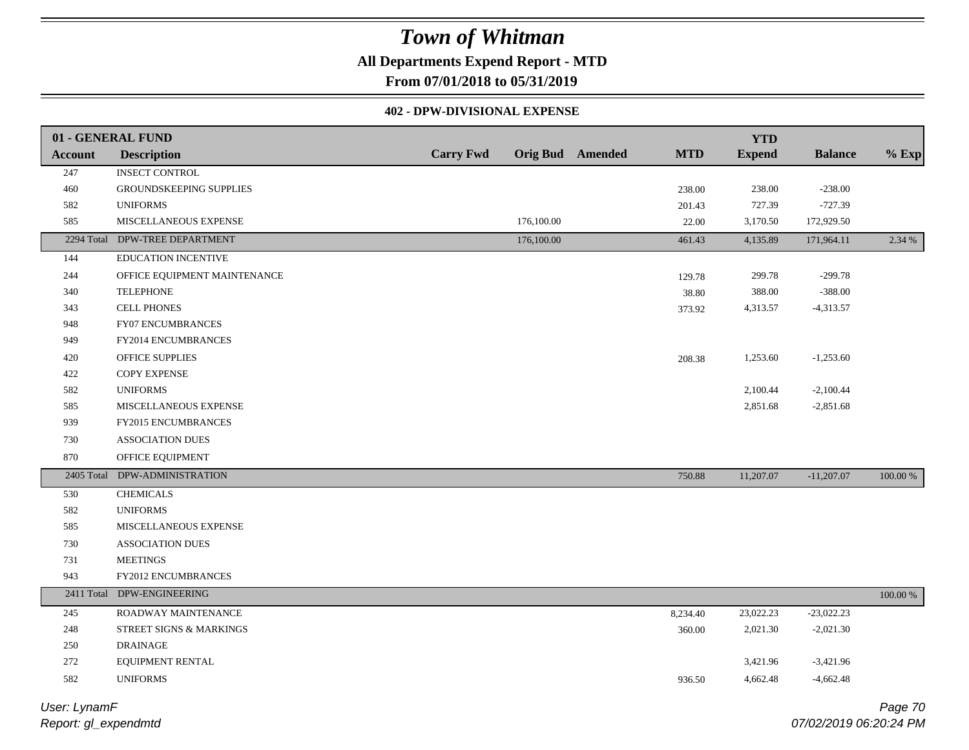## **All Departments Expend Report - MTD**

**From 07/01/2018 to 05/31/2019**

### **402 - DPW-DIVISIONAL EXPENSE**

|                | 01 - GENERAL FUND             |                  |                  |            | <b>YTD</b>    |                |             |
|----------------|-------------------------------|------------------|------------------|------------|---------------|----------------|-------------|
| <b>Account</b> | <b>Description</b>            | <b>Carry Fwd</b> | Orig Bud Amended | <b>MTD</b> | <b>Expend</b> | <b>Balance</b> | $%$ Exp     |
| 247            | <b>INSECT CONTROL</b>         |                  |                  |            |               |                |             |
| 460            | GROUNDSKEEPING SUPPLIES       |                  |                  | 238.00     | 238.00        | $-238.00$      |             |
| 582            | <b>UNIFORMS</b>               |                  |                  | 201.43     | 727.39        | $-727.39$      |             |
| 585            | MISCELLANEOUS EXPENSE         |                  | 176,100.00       | 22.00      | 3,170.50      | 172,929.50     |             |
| 2294 Total     | DPW-TREE DEPARTMENT           |                  | 176,100.00       | 461.43     | 4,135.89      | 171,964.11     | 2.34 %      |
| 144            | EDUCATION INCENTIVE           |                  |                  |            |               |                |             |
| 244            | OFFICE EQUIPMENT MAINTENANCE  |                  |                  | 129.78     | 299.78        | $-299.78$      |             |
| 340            | <b>TELEPHONE</b>              |                  |                  | 38.80      | 388.00        | $-388.00$      |             |
| 343            | <b>CELL PHONES</b>            |                  |                  | 373.92     | 4,313.57      | $-4,313.57$    |             |
| 948            | FY07 ENCUMBRANCES             |                  |                  |            |               |                |             |
| 949            | FY2014 ENCUMBRANCES           |                  |                  |            |               |                |             |
| 420            | OFFICE SUPPLIES               |                  |                  | 208.38     | 1,253.60      | $-1,253.60$    |             |
| 422            | <b>COPY EXPENSE</b>           |                  |                  |            |               |                |             |
| 582            | <b>UNIFORMS</b>               |                  |                  |            | 2,100.44      | $-2,100.44$    |             |
| 585            | MISCELLANEOUS EXPENSE         |                  |                  |            | 2,851.68      | $-2,851.68$    |             |
| 939            | <b>FY2015 ENCUMBRANCES</b>    |                  |                  |            |               |                |             |
| 730            | <b>ASSOCIATION DUES</b>       |                  |                  |            |               |                |             |
| 870            | OFFICE EQUIPMENT              |                  |                  |            |               |                |             |
|                | 2405 Total DPW-ADMINISTRATION |                  |                  | 750.88     | 11,207.07     | $-11,207.07$   | 100.00 %    |
| 530            | <b>CHEMICALS</b>              |                  |                  |            |               |                |             |
| 582            | <b>UNIFORMS</b>               |                  |                  |            |               |                |             |
| 585            | MISCELLANEOUS EXPENSE         |                  |                  |            |               |                |             |
| 730            | <b>ASSOCIATION DUES</b>       |                  |                  |            |               |                |             |
| 731            | <b>MEETINGS</b>               |                  |                  |            |               |                |             |
| 943            | FY2012 ENCUMBRANCES           |                  |                  |            |               |                |             |
|                | 2411 Total DPW-ENGINEERING    |                  |                  |            |               |                | $100.00~\%$ |
| 245            | ROADWAY MAINTENANCE           |                  |                  | 8,234.40   | 23,022.23     | $-23,022.23$   |             |
| 248            | STREET SIGNS & MARKINGS       |                  |                  | 360.00     | 2,021.30      | $-2,021.30$    |             |
| 250            | <b>DRAINAGE</b>               |                  |                  |            |               |                |             |
| 272            | EQUIPMENT RENTAL              |                  |                  |            | 3,421.96      | $-3,421.96$    |             |
| 582            | <b>UNIFORMS</b>               |                  |                  | 936.50     | 4,662.48      | $-4,662.48$    |             |
|                |                               |                  |                  |            |               |                |             |

*Report: gl\_expendmtd User: LynamF*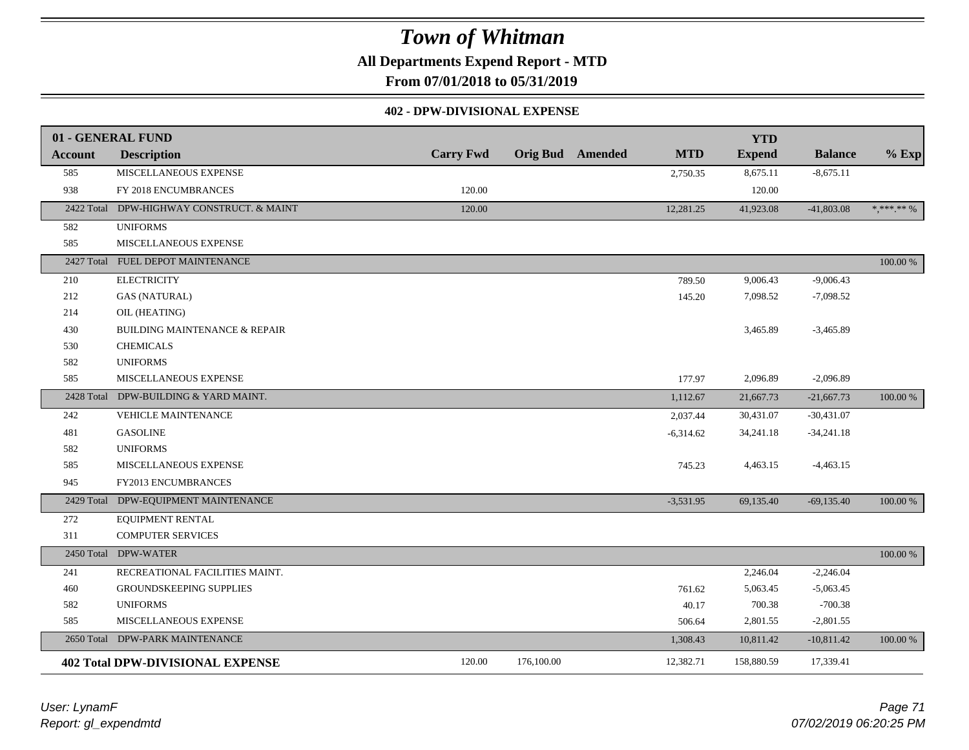**All Departments Expend Report - MTD**

**From 07/01/2018 to 05/31/2019**

### **402 - DPW-DIVISIONAL EXPENSE**

|                | 01 - GENERAL FUND                        |                  |                         |             | <b>YTD</b>    |                |            |
|----------------|------------------------------------------|------------------|-------------------------|-------------|---------------|----------------|------------|
| <b>Account</b> | <b>Description</b>                       | <b>Carry Fwd</b> | <b>Orig Bud</b> Amended | <b>MTD</b>  | <b>Expend</b> | <b>Balance</b> | $%$ Exp    |
| 585            | MISCELLANEOUS EXPENSE                    |                  |                         | 2,750.35    | 8,675.11      | $-8,675.11$    |            |
| 938            | FY 2018 ENCUMBRANCES                     | 120.00           |                         |             | 120.00        |                |            |
| 2422 Total     | DPW-HIGHWAY CONSTRUCT. & MAINT           | 120.00           |                         | 12,281.25   | 41,923.08     | $-41,803.08$   | * *** ** % |
| 582            | <b>UNIFORMS</b>                          |                  |                         |             |               |                |            |
| 585            | MISCELLANEOUS EXPENSE                    |                  |                         |             |               |                |            |
|                | 2427 Total FUEL DEPOT MAINTENANCE        |                  |                         |             |               |                | 100.00 %   |
| 210            | <b>ELECTRICITY</b>                       |                  |                         | 789.50      | 9,006.43      | $-9,006.43$    |            |
| 212            | <b>GAS (NATURAL)</b>                     |                  |                         | 145.20      | 7,098.52      | $-7,098.52$    |            |
| 214            | OIL (HEATING)                            |                  |                         |             |               |                |            |
| 430            | <b>BUILDING MAINTENANCE &amp; REPAIR</b> |                  |                         |             | 3,465.89      | $-3,465.89$    |            |
| 530            | <b>CHEMICALS</b>                         |                  |                         |             |               |                |            |
| 582            | <b>UNIFORMS</b>                          |                  |                         |             |               |                |            |
| 585            | MISCELLANEOUS EXPENSE                    |                  |                         | 177.97      | 2,096.89      | $-2,096.89$    |            |
| 2428 Total     | DPW-BUILDING & YARD MAINT.               |                  |                         | 1,112.67    | 21,667.73     | $-21,667.73$   | 100.00 %   |
| 242            | VEHICLE MAINTENANCE                      |                  |                         | 2,037.44    | 30,431.07     | $-30,431.07$   |            |
| 481            | <b>GASOLINE</b>                          |                  |                         | $-6,314.62$ | 34,241.18     | $-34,241.18$   |            |
| 582            | <b>UNIFORMS</b>                          |                  |                         |             |               |                |            |
| 585            | MISCELLANEOUS EXPENSE                    |                  |                         | 745.23      | 4,463.15      | $-4,463.15$    |            |
| 945            | FY2013 ENCUMBRANCES                      |                  |                         |             |               |                |            |
| 2429 Total     | DPW-EQUIPMENT MAINTENANCE                |                  |                         | $-3,531.95$ | 69,135.40     | $-69,135.40$   | 100.00 %   |
| 272            | <b>EQUIPMENT RENTAL</b>                  |                  |                         |             |               |                |            |
| 311            | <b>COMPUTER SERVICES</b>                 |                  |                         |             |               |                |            |
|                | 2450 Total DPW-WATER                     |                  |                         |             |               |                | 100.00 %   |
| 241            | RECREATIONAL FACILITIES MAINT.           |                  |                         |             | 2,246.04      | $-2,246.04$    |            |
| 460            | <b>GROUNDSKEEPING SUPPLIES</b>           |                  |                         | 761.62      | 5,063.45      | $-5,063.45$    |            |
| 582            | <b>UNIFORMS</b>                          |                  |                         | 40.17       | 700.38        | $-700.38$      |            |
| 585            | MISCELLANEOUS EXPENSE                    |                  |                         | 506.64      | 2,801.55      | $-2,801.55$    |            |
| 2650 Total     | DPW-PARK MAINTENANCE                     |                  |                         | 1,308.43    | 10,811.42     | $-10,811.42$   | 100.00 %   |
|                | <b>402 Total DPW-DIVISIONAL EXPENSE</b>  | 120.00           | 176,100.00              | 12,382.71   | 158,880.59    | 17,339.41      |            |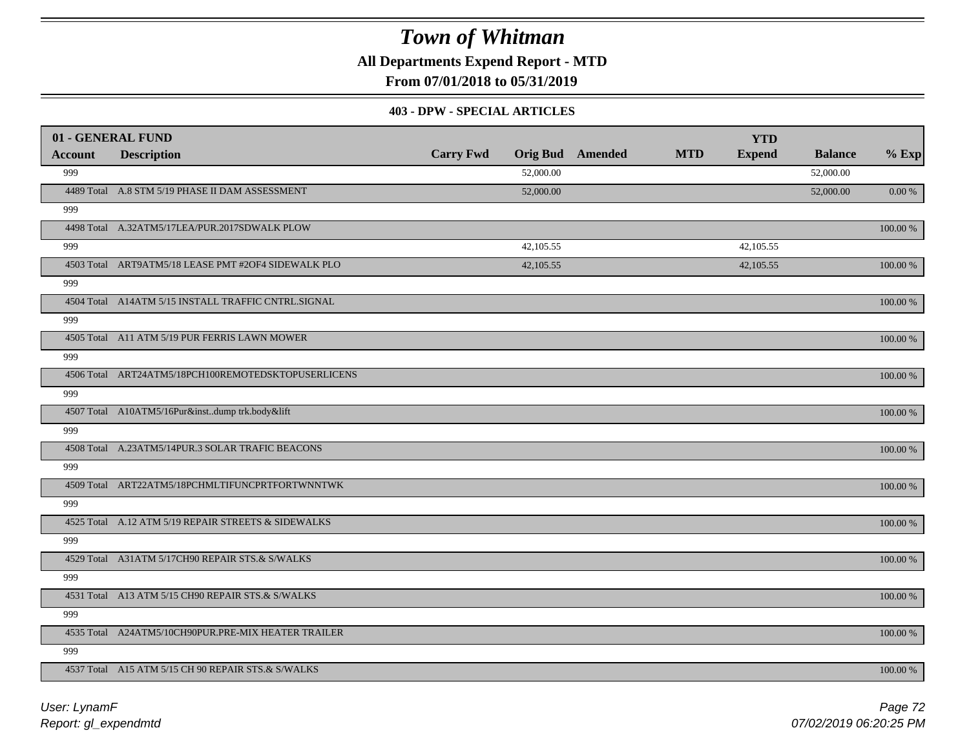**All Departments Expend Report - MTD**

**From 07/01/2018 to 05/31/2019**

### **403 - DPW - SPECIAL ARTICLES**

|                | 01 - GENERAL FUND                                   |                  |           |                         |            | <b>YTD</b>    |                |            |
|----------------|-----------------------------------------------------|------------------|-----------|-------------------------|------------|---------------|----------------|------------|
| <b>Account</b> | <b>Description</b>                                  | <b>Carry Fwd</b> |           | <b>Orig Bud</b> Amended | <b>MTD</b> | <b>Expend</b> | <b>Balance</b> | $%$ Exp    |
| 999            |                                                     |                  | 52,000.00 |                         |            |               | 52,000.00      |            |
|                | 4489 Total A.8 STM 5/19 PHASE II DAM ASSESSMENT     |                  | 52,000.00 |                         |            |               | 52,000.00      | 0.00 %     |
| 999            |                                                     |                  |           |                         |            |               |                |            |
|                | 4498 Total A.32ATM5/17LEA/PUR.2017SDWALK PLOW       |                  |           |                         |            |               |                | 100.00 %   |
| 999            |                                                     |                  | 42,105.55 |                         |            | 42,105.55     |                |            |
|                | 4503 Total ART9ATM5/18 LEASE PMT #2OF4 SIDEWALK PLO |                  | 42,105.55 |                         |            | 42,105.55     |                | 100.00 %   |
| 999            |                                                     |                  |           |                         |            |               |                |            |
|                | 4504 Total A14ATM 5/15 INSTALL TRAFFIC CNTRL.SIGNAL |                  |           |                         |            |               |                | 100.00 %   |
| 999            |                                                     |                  |           |                         |            |               |                |            |
|                | 4505 Total A11 ATM 5/19 PUR FERRIS LAWN MOWER       |                  |           |                         |            |               |                | $100.00\%$ |
| 999            |                                                     |                  |           |                         |            |               |                |            |
|                | 4506 Total ART24ATM5/18PCH100REMOTEDSKTOPUSERLICENS |                  |           |                         |            |               |                | 100.00 %   |
| 999            |                                                     |                  |           |                         |            |               |                |            |
|                | 4507 Total A10ATM5/16Pur&instdump trk.body&lift     |                  |           |                         |            |               |                | 100.00 %   |
| 999            |                                                     |                  |           |                         |            |               |                |            |
|                | 4508 Total A.23ATM5/14PUR.3 SOLAR TRAFIC BEACONS    |                  |           |                         |            |               |                | 100.00 %   |
| 999            |                                                     |                  |           |                         |            |               |                |            |
|                | 4509 Total ART22ATM5/18PCHMLTIFUNCPRTFORTWNNTWK     |                  |           |                         |            |               |                | 100.00 %   |
| 999            |                                                     |                  |           |                         |            |               |                |            |
|                | 4525 Total A.12 ATM 5/19 REPAIR STREETS & SIDEWALKS |                  |           |                         |            |               |                | 100.00 %   |
| 999            |                                                     |                  |           |                         |            |               |                |            |
|                | 4529 Total A31ATM 5/17CH90 REPAIR STS.& S/WALKS     |                  |           |                         |            |               |                | 100.00 %   |
| 999            |                                                     |                  |           |                         |            |               |                |            |
|                | 4531 Total A13 ATM 5/15 CH90 REPAIR STS.& S/WALKS   |                  |           |                         |            |               |                | $100.00\%$ |
| 999            |                                                     |                  |           |                         |            |               |                |            |
|                | 4535 Total A24ATM5/10CH90PUR.PRE-MIX HEATER TRAILER |                  |           |                         |            |               |                | $100.00\%$ |
| 999            |                                                     |                  |           |                         |            |               |                |            |
|                | 4537 Total A15 ATM 5/15 CH 90 REPAIR STS.& S/WALKS  |                  |           |                         |            |               |                | 100.00 %   |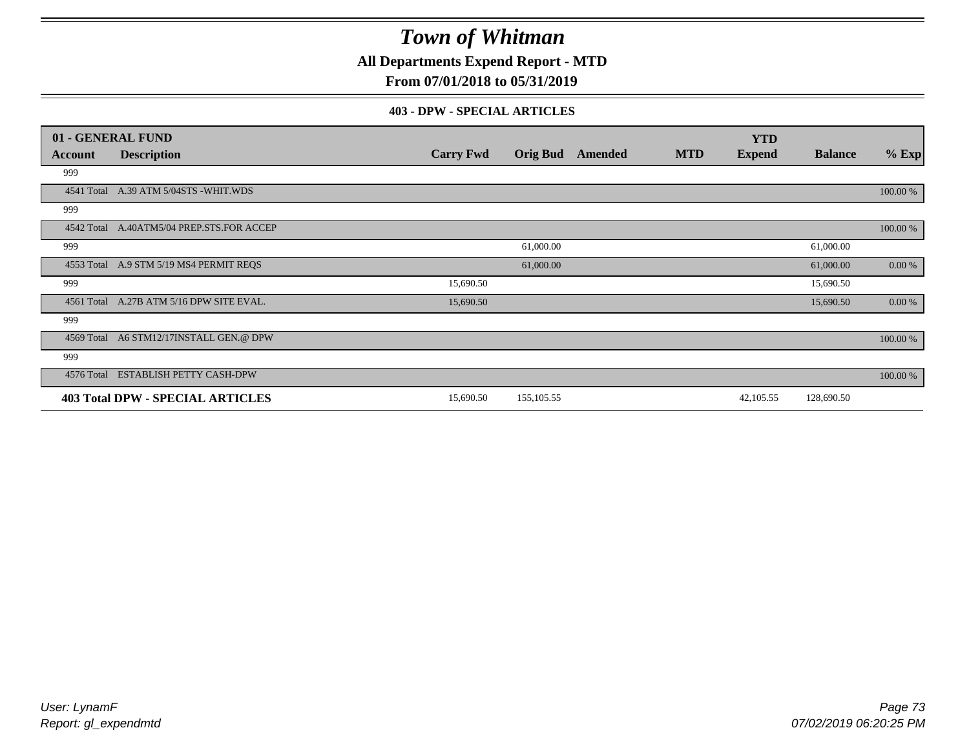**All Departments Expend Report - MTD**

## **From 07/01/2018 to 05/31/2019**

### **403 - DPW - SPECIAL ARTICLES**

|            | 01 - GENERAL FUND                         |                  |                 |         |            | <b>YTD</b>    |                |          |
|------------|-------------------------------------------|------------------|-----------------|---------|------------|---------------|----------------|----------|
| Account    | <b>Description</b>                        | <b>Carry Fwd</b> | <b>Orig Bud</b> | Amended | <b>MTD</b> | <b>Expend</b> | <b>Balance</b> | $%$ Exp  |
| 999        |                                           |                  |                 |         |            |               |                |          |
|            | 4541 Total A.39 ATM 5/04STS -WHIT.WDS     |                  |                 |         |            |               |                | 100.00 % |
| 999        |                                           |                  |                 |         |            |               |                |          |
|            | 4542 Total A.40ATM5/04 PREP.STS.FOR ACCEP |                  |                 |         |            |               |                | 100.00 % |
| 999        |                                           |                  | 61,000.00       |         |            |               | 61,000.00      |          |
|            | 4553 Total A.9 STM 5/19 MS4 PERMIT REQS   |                  | 61,000.00       |         |            |               | 61,000.00      | 0.00 %   |
| 999        |                                           | 15,690.50        |                 |         |            |               | 15,690.50      |          |
| 4561 Total | A.27B ATM 5/16 DPW SITE EVAL.             | 15,690.50        |                 |         |            |               | 15,690.50      | 0.00 %   |
| 999        |                                           |                  |                 |         |            |               |                |          |
|            | 4569 Total A6 STM12/17INSTALL GEN.@ DPW   |                  |                 |         |            |               |                | 100.00 % |
| 999        |                                           |                  |                 |         |            |               |                |          |
| 4576 Total | <b>ESTABLISH PETTY CASH-DPW</b>           |                  |                 |         |            |               |                | 100.00 % |
|            | <b>403 Total DPW - SPECIAL ARTICLES</b>   | 15,690.50        | 155,105.55      |         |            | 42,105.55     | 128,690.50     |          |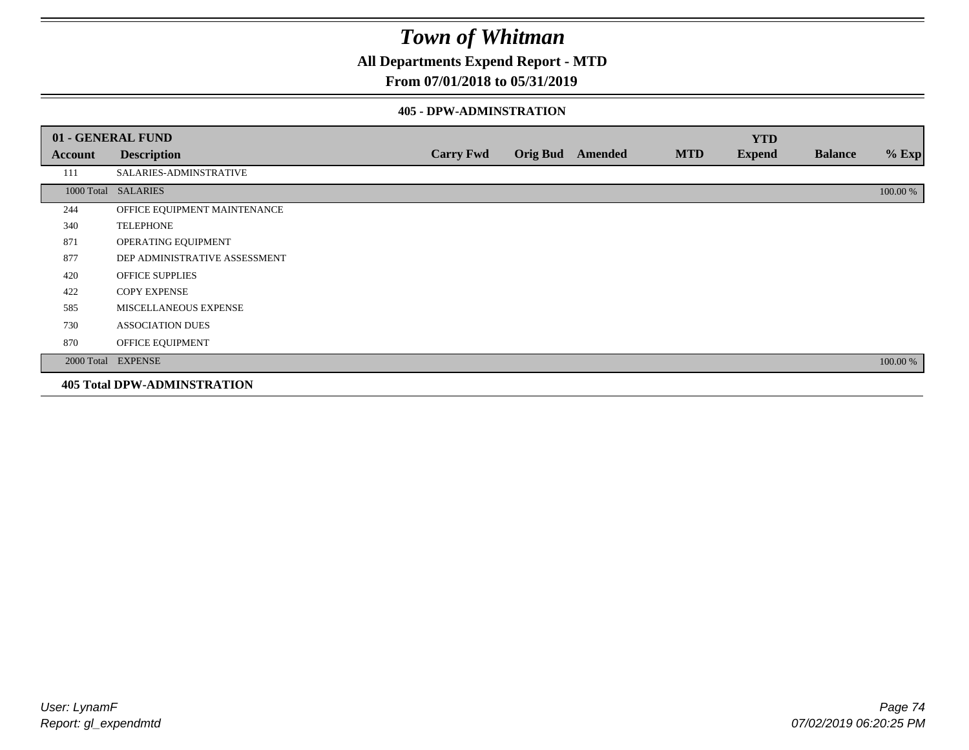**All Departments Expend Report - MTD**

## **From 07/01/2018 to 05/31/2019**

#### **405 - DPW-ADMINSTRATION**

|         | 01 - GENERAL FUND                  |                  |  |                         |            | <b>YTD</b>    |                |          |  |
|---------|------------------------------------|------------------|--|-------------------------|------------|---------------|----------------|----------|--|
| Account | <b>Description</b>                 | <b>Carry Fwd</b> |  | <b>Orig Bud</b> Amended | <b>MTD</b> | <b>Expend</b> | <b>Balance</b> | $%$ Exp  |  |
| 111     | SALARIES-ADMINSTRATIVE             |                  |  |                         |            |               |                |          |  |
|         | 1000 Total SALARIES                |                  |  |                         |            |               |                | 100.00 % |  |
| 244     | OFFICE EQUIPMENT MAINTENANCE       |                  |  |                         |            |               |                |          |  |
| 340     | <b>TELEPHONE</b>                   |                  |  |                         |            |               |                |          |  |
| 871     | OPERATING EQUIPMENT                |                  |  |                         |            |               |                |          |  |
| 877     | DEP ADMINISTRATIVE ASSESSMENT      |                  |  |                         |            |               |                |          |  |
| 420     | <b>OFFICE SUPPLIES</b>             |                  |  |                         |            |               |                |          |  |
| 422     | <b>COPY EXPENSE</b>                |                  |  |                         |            |               |                |          |  |
| 585     | MISCELLANEOUS EXPENSE              |                  |  |                         |            |               |                |          |  |
| 730     | <b>ASSOCIATION DUES</b>            |                  |  |                         |            |               |                |          |  |
| 870     | OFFICE EQUIPMENT                   |                  |  |                         |            |               |                |          |  |
|         | 2000 Total EXPENSE                 |                  |  |                         |            |               |                | 100.00 % |  |
|         | <b>405 Total DPW-ADMINSTRATION</b> |                  |  |                         |            |               |                |          |  |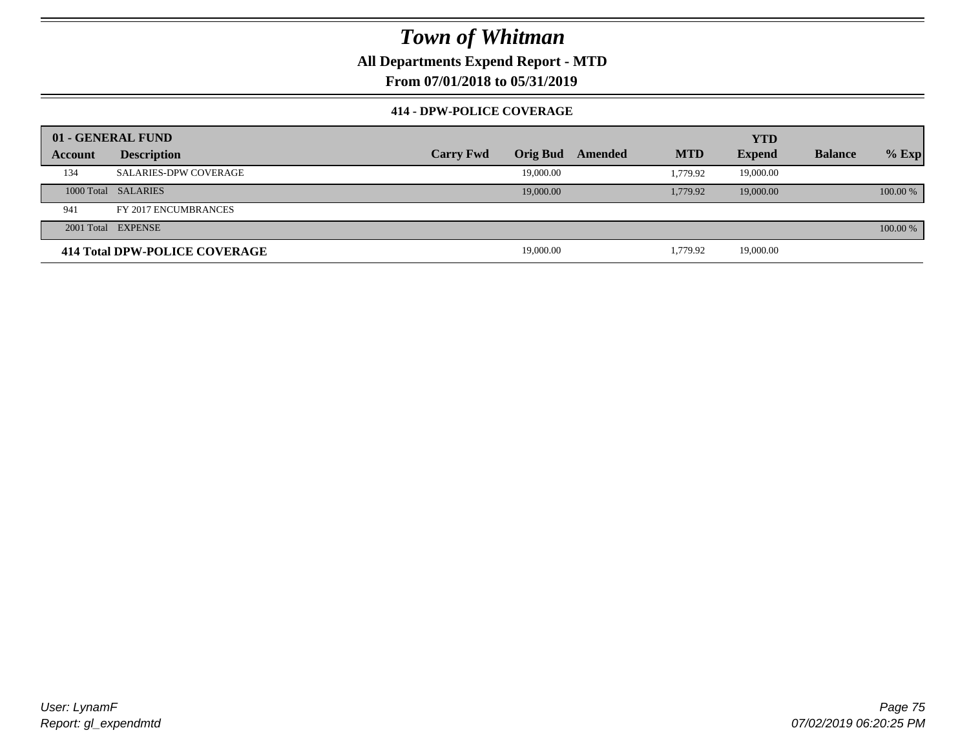**All Departments Expend Report - MTD**

**From 07/01/2018 to 05/31/2019**

### **414 - DPW-POLICE COVERAGE**

|         | 01 - GENERAL FUND             |                  |                 |         |            | <b>YTD</b>    |                |          |
|---------|-------------------------------|------------------|-----------------|---------|------------|---------------|----------------|----------|
| Account | <b>Description</b>            | <b>Carry Fwd</b> | <b>Orig Bud</b> | Amended | <b>MTD</b> | <b>Expend</b> | <b>Balance</b> | $%$ Exp  |
| 134     | <b>SALARIES-DPW COVERAGE</b>  |                  | 19,000.00       |         | 1.779.92   | 19,000.00     |                |          |
|         | 1000 Total SALARIES           |                  | 19,000.00       |         | 1,779.92   | 19,000.00     |                | 100.00 % |
| 941     | FY 2017 ENCUMBRANCES          |                  |                 |         |            |               |                |          |
|         | 2001 Total EXPENSE            |                  |                 |         |            |               |                | 100.00 % |
|         | 414 Total DPW-POLICE COVERAGE |                  | 19,000.00       |         | 1,779.92   | 19,000.00     |                |          |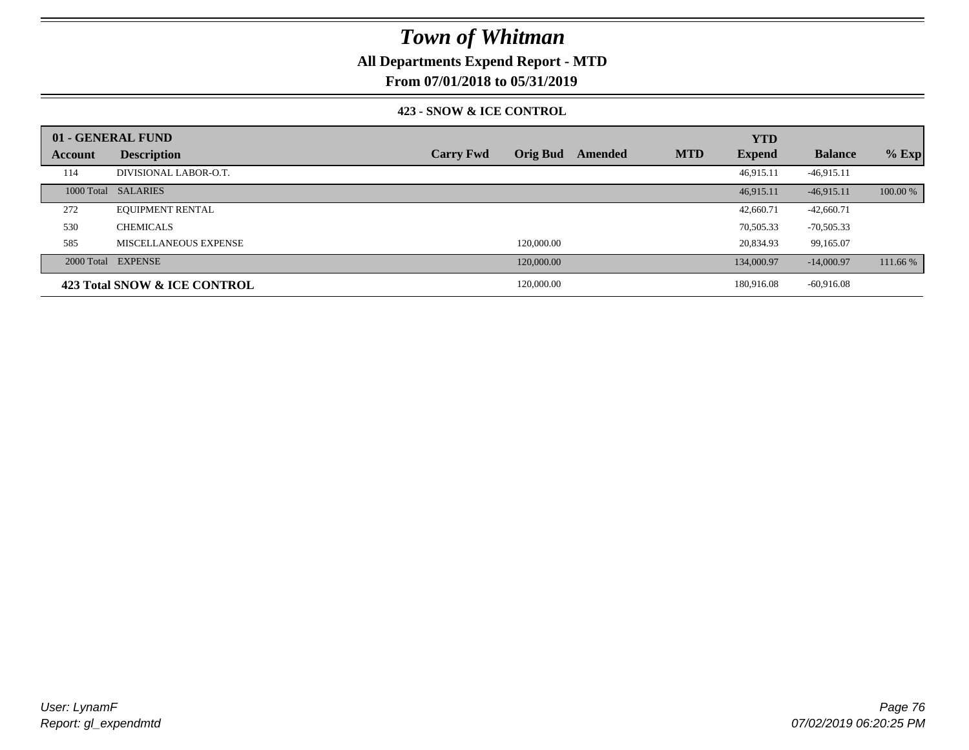## **All Departments Expend Report - MTD**

**From 07/01/2018 to 05/31/2019**

### **423 - SNOW & ICE CONTROL**

|         | 01 - GENERAL FUND            |                  |                 |         |            | <b>YTD</b>    |                |          |
|---------|------------------------------|------------------|-----------------|---------|------------|---------------|----------------|----------|
| Account | <b>Description</b>           | <b>Carry Fwd</b> | <b>Orig Bud</b> | Amended | <b>MTD</b> | <b>Expend</b> | <b>Balance</b> | $%$ Exp  |
| 114     | DIVISIONAL LABOR-O.T.        |                  |                 |         |            | 46,915.11     | $-46,915.11$   |          |
|         | 1000 Total SALARIES          |                  |                 |         |            | 46.915.11     | $-46.915.11$   | 100.00 % |
| 272     | <b>EQUIPMENT RENTAL</b>      |                  |                 |         |            | 42,660.71     | $-42,660.71$   |          |
| 530     | <b>CHEMICALS</b>             |                  |                 |         |            | 70,505.33     | $-70,505.33$   |          |
| 585     | MISCELLANEOUS EXPENSE        |                  | 120,000.00      |         |            | 20,834.93     | 99,165.07      |          |
|         | 2000 Total EXPENSE           |                  | 120,000.00      |         |            | 134,000.97    | $-14,000.97$   | 111.66 % |
|         | 423 Total SNOW & ICE CONTROL |                  | 120,000.00      |         |            | 180,916.08    | $-60,916.08$   |          |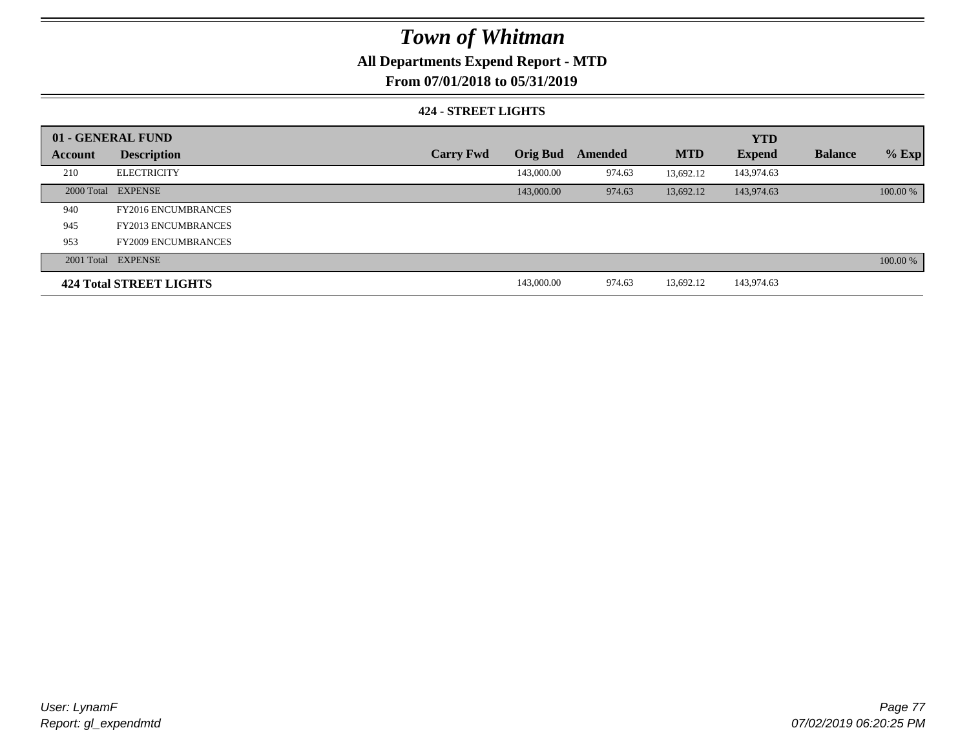## **All Departments Expend Report - MTD**

## **From 07/01/2018 to 05/31/2019**

### **424 - STREET LIGHTS**

|         | 01 - GENERAL FUND          |                  |                 |         |            | <b>YTD</b>    |                |          |
|---------|----------------------------|------------------|-----------------|---------|------------|---------------|----------------|----------|
| Account | <b>Description</b>         | <b>Carry Fwd</b> | <b>Orig Bud</b> | Amended | <b>MTD</b> | <b>Expend</b> | <b>Balance</b> | $%$ Exp  |
| 210     | <b>ELECTRICITY</b>         |                  | 143,000.00      | 974.63  | 13.692.12  | 143,974.63    |                |          |
|         | 2000 Total EXPENSE         |                  | 143,000.00      | 974.63  | 13,692.12  | 143,974.63    |                | 100.00 % |
| 940     | <b>FY2016 ENCUMBRANCES</b> |                  |                 |         |            |               |                |          |
| 945     | <b>FY2013 ENCUMBRANCES</b> |                  |                 |         |            |               |                |          |
| 953     | <b>FY2009 ENCUMBRANCES</b> |                  |                 |         |            |               |                |          |
|         | 2001 Total EXPENSE         |                  |                 |         |            |               |                | 100.00 % |
|         | 424 Total STREET LIGHTS    |                  | 143,000.00      | 974.63  | 13.692.12  | 143,974.63    |                |          |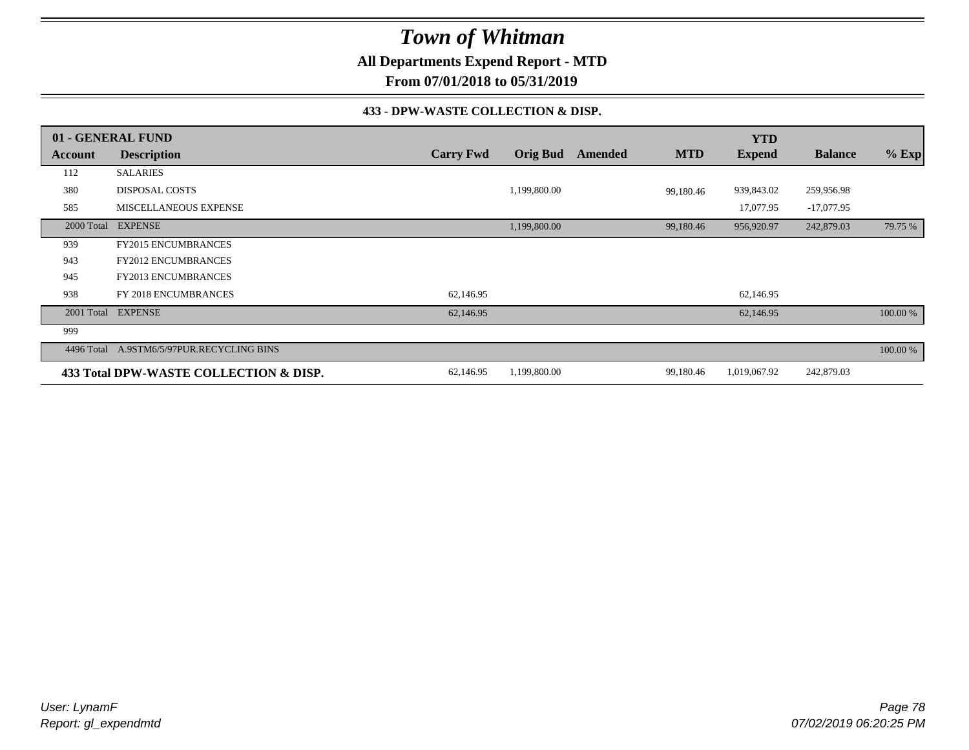**All Departments Expend Report - MTD**

**From 07/01/2018 to 05/31/2019**

### **433 - DPW-WASTE COLLECTION & DISP.**

|            | 01 - GENERAL FUND                         |                  |                 |         |            | <b>YTD</b>    |                |          |
|------------|-------------------------------------------|------------------|-----------------|---------|------------|---------------|----------------|----------|
| Account    | <b>Description</b>                        | <b>Carry Fwd</b> | <b>Orig Bud</b> | Amended | <b>MTD</b> | <b>Expend</b> | <b>Balance</b> | $%$ Exp  |
| 112        | <b>SALARIES</b>                           |                  |                 |         |            |               |                |          |
| 380        | <b>DISPOSAL COSTS</b>                     |                  | 1,199,800.00    |         | 99,180.46  | 939,843.02    | 259,956.98     |          |
| 585        | MISCELLANEOUS EXPENSE                     |                  |                 |         |            | 17,077.95     | $-17,077.95$   |          |
| 2000 Total | <b>EXPENSE</b>                            |                  | 1,199,800.00    |         | 99,180.46  | 956,920.97    | 242,879.03     | 79.75 %  |
| 939        | <b>FY2015 ENCUMBRANCES</b>                |                  |                 |         |            |               |                |          |
| 943        | <b>FY2012 ENCUMBRANCES</b>                |                  |                 |         |            |               |                |          |
| 945        | <b>FY2013 ENCUMBRANCES</b>                |                  |                 |         |            |               |                |          |
| 938        | FY 2018 ENCUMBRANCES                      | 62,146.95        |                 |         |            | 62,146.95     |                |          |
|            | 2001 Total EXPENSE                        | 62,146.95        |                 |         |            | 62,146.95     |                | 100.00 % |
| 999        |                                           |                  |                 |         |            |               |                |          |
|            | 4496 Total A.9STM6/5/97PUR.RECYCLING BINS |                  |                 |         |            |               |                | 100.00 % |
|            | 433 Total DPW-WASTE COLLECTION & DISP.    | 62,146.95        | 1,199,800.00    |         | 99,180.46  | 1,019,067.92  | 242,879.03     |          |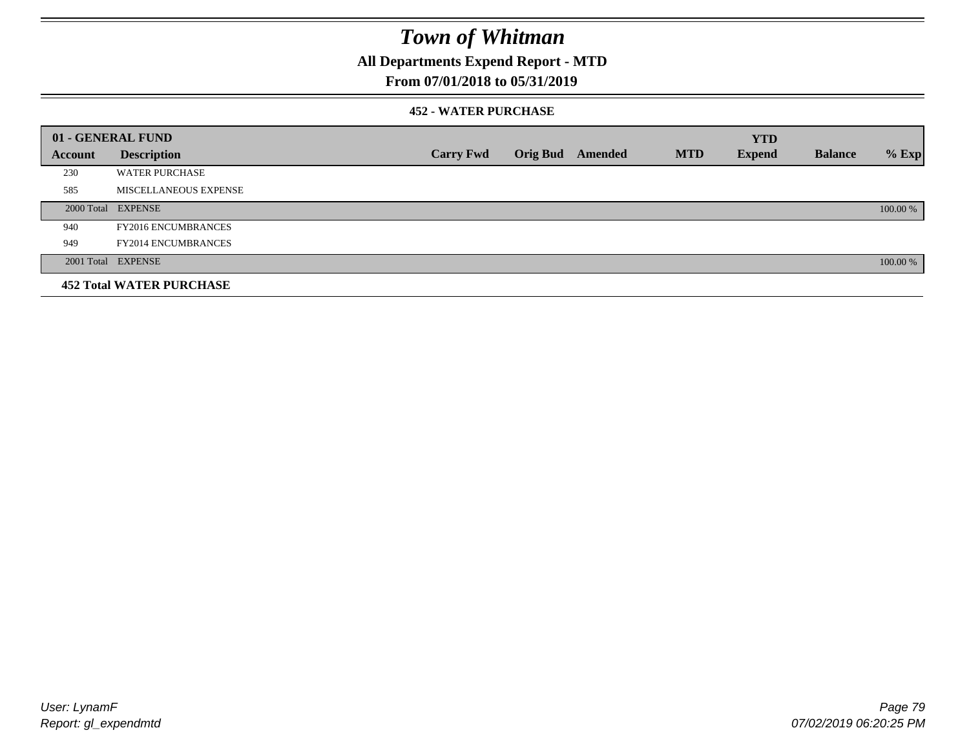## **All Departments Expend Report - MTD**

## **From 07/01/2018 to 05/31/2019**

### **452 - WATER PURCHASE**

|                | 01 - GENERAL FUND               |                  |                  |            | <b>YTD</b>    |                |          |
|----------------|---------------------------------|------------------|------------------|------------|---------------|----------------|----------|
| <b>Account</b> | <b>Description</b>              | <b>Carry Fwd</b> | Orig Bud Amended | <b>MTD</b> | <b>Expend</b> | <b>Balance</b> | $%$ Exp  |
| 230            | <b>WATER PURCHASE</b>           |                  |                  |            |               |                |          |
| 585            | MISCELLANEOUS EXPENSE           |                  |                  |            |               |                |          |
|                | 2000 Total EXPENSE              |                  |                  |            |               |                | 100.00 % |
| 940            | <b>FY2016 ENCUMBRANCES</b>      |                  |                  |            |               |                |          |
| 949            | <b>FY2014 ENCUMBRANCES</b>      |                  |                  |            |               |                |          |
|                | 2001 Total EXPENSE              |                  |                  |            |               |                | 100.00 % |
|                | <b>452 Total WATER PURCHASE</b> |                  |                  |            |               |                |          |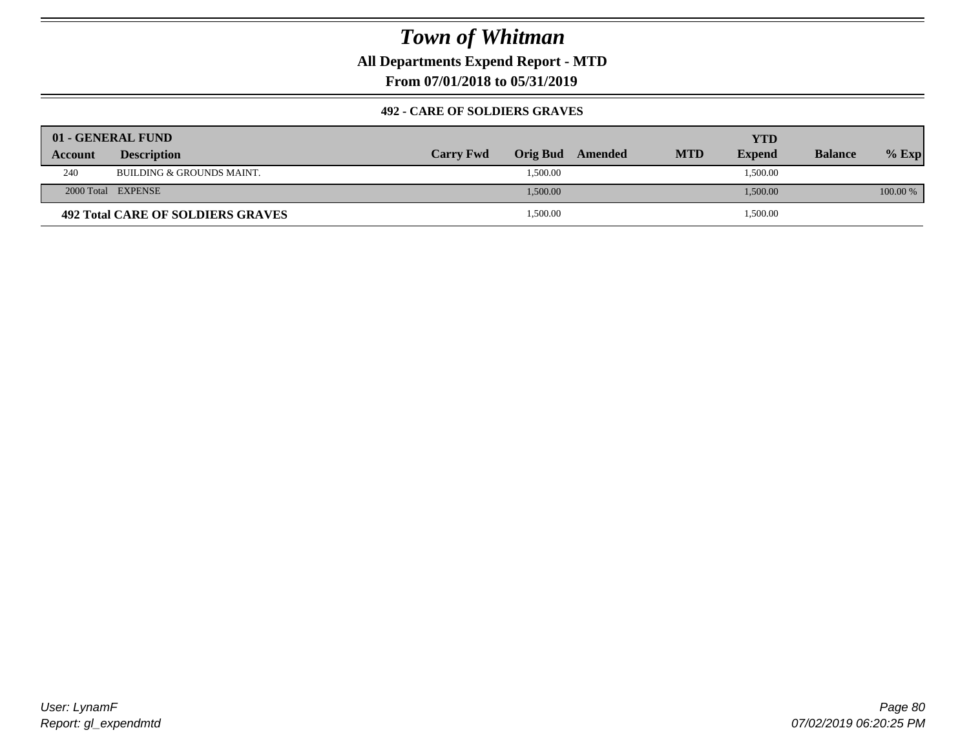**All Departments Expend Report - MTD**

**From 07/01/2018 to 05/31/2019**

### **492 - CARE OF SOLDIERS GRAVES**

|                | 01 - GENERAL FUND                    |                  |          |         |            | YTD           |                |          |
|----------------|--------------------------------------|------------------|----------|---------|------------|---------------|----------------|----------|
| <b>Account</b> | <b>Description</b>                   | <b>Carry Fwd</b> | Orig Bud | Amended | <b>MTD</b> | <b>Expend</b> | <b>Balance</b> | $%$ Exp  |
| 240            | <b>BUILDING &amp; GROUNDS MAINT.</b> |                  | 1,500.00 |         |            | 1,500.00      |                |          |
|                | 2000 Total EXPENSE                   |                  | 1,500.00 |         |            | 1,500.00      |                | 100.00 % |
|                | 492 Total CARE OF SOLDIERS GRAVES    |                  | 1,500.00 |         |            | 1,500.00      |                |          |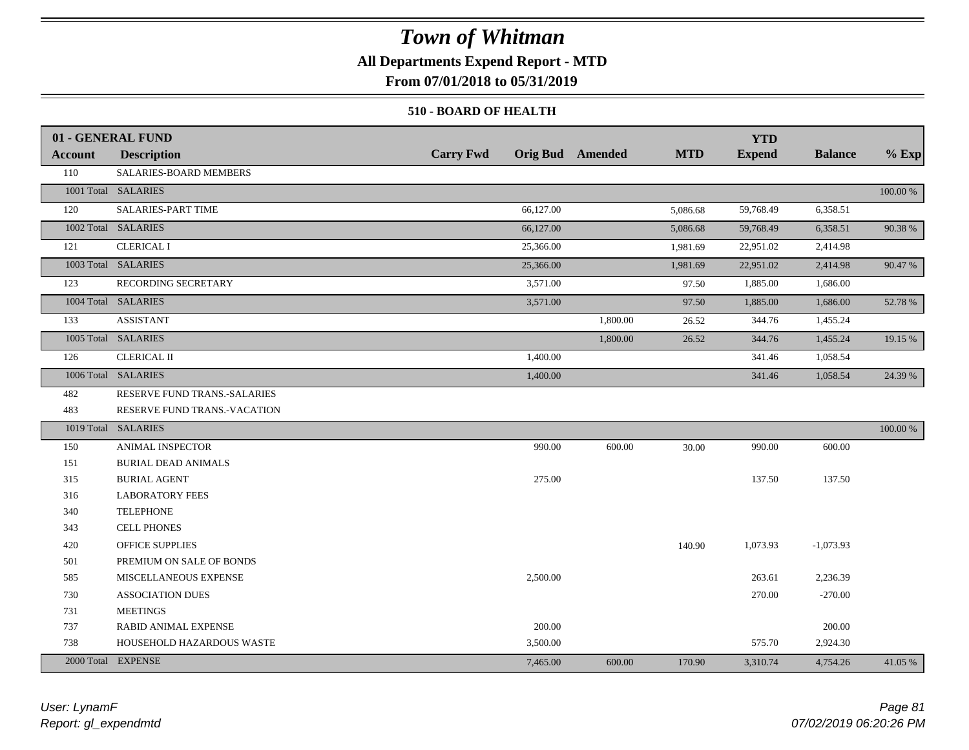## **All Departments Expend Report - MTD**

**From 07/01/2018 to 05/31/2019**

### **510 - BOARD OF HEALTH**

|         | 01 - GENERAL FUND            |                  |                         |            | <b>YTD</b>    |                |          |
|---------|------------------------------|------------------|-------------------------|------------|---------------|----------------|----------|
| Account | <b>Description</b>           | <b>Carry Fwd</b> | <b>Orig Bud</b> Amended | <b>MTD</b> | <b>Expend</b> | <b>Balance</b> | $%$ Exp  |
| 110     | SALARIES-BOARD MEMBERS       |                  |                         |            |               |                |          |
|         | 1001 Total SALARIES          |                  |                         |            |               |                | 100.00 % |
| 120     | <b>SALARIES-PART TIME</b>    | 66,127.00        |                         | 5,086.68   | 59,768.49     | 6,358.51       |          |
|         | 1002 Total SALARIES          | 66,127.00        |                         | 5,086.68   | 59,768.49     | 6,358.51       | 90.38%   |
| 121     | <b>CLERICAL I</b>            | 25,366.00        |                         | 1,981.69   | 22,951.02     | 2,414.98       |          |
|         | 1003 Total SALARIES          | 25,366.00        |                         | 1,981.69   | 22,951.02     | 2,414.98       | 90.47 %  |
| 123     | RECORDING SECRETARY          | 3,571.00         |                         | 97.50      | 1,885.00      | 1,686.00       |          |
|         | 1004 Total SALARIES          | 3,571.00         |                         | 97.50      | 1,885.00      | 1,686.00       | 52.78 %  |
| 133     | <b>ASSISTANT</b>             |                  | 1,800.00                | 26.52      | 344.76        | 1,455.24       |          |
|         | 1005 Total SALARIES          |                  | 1,800.00                | 26.52      | 344.76        | 1,455.24       | 19.15 %  |
| 126     | <b>CLERICAL II</b>           | 1,400.00         |                         |            | 341.46        | 1,058.54       |          |
|         | 1006 Total SALARIES          | 1,400.00         |                         |            | 341.46        | 1,058.54       | 24.39 %  |
| 482     | RESERVE FUND TRANS.-SALARIES |                  |                         |            |               |                |          |
| 483     | RESERVE FUND TRANS.-VACATION |                  |                         |            |               |                |          |
|         | 1019 Total SALARIES          |                  |                         |            |               |                | 100.00 % |
| 150     | ANIMAL INSPECTOR             | 990.00           | 600.00                  | 30.00      | 990.00        | 600.00         |          |
| 151     | <b>BURIAL DEAD ANIMALS</b>   |                  |                         |            |               |                |          |
| 315     | <b>BURIAL AGENT</b>          | 275.00           |                         |            | 137.50        | 137.50         |          |
| 316     | <b>LABORATORY FEES</b>       |                  |                         |            |               |                |          |
| 340     | <b>TELEPHONE</b>             |                  |                         |            |               |                |          |
| 343     | CELL PHONES                  |                  |                         |            |               |                |          |
| 420     | OFFICE SUPPLIES              |                  |                         | 140.90     | 1,073.93      | $-1,073.93$    |          |
| 501     | PREMIUM ON SALE OF BONDS     |                  |                         |            |               |                |          |
| 585     | MISCELLANEOUS EXPENSE        | 2,500.00         |                         |            | 263.61        | 2,236.39       |          |
| 730     | <b>ASSOCIATION DUES</b>      |                  |                         |            | 270.00        | $-270.00$      |          |
| 731     | <b>MEETINGS</b>              |                  |                         |            |               |                |          |
| 737     | RABID ANIMAL EXPENSE         | 200.00           |                         |            |               | 200.00         |          |
| 738     | HOUSEHOLD HAZARDOUS WASTE    | 3,500.00         |                         |            | 575.70        | 2,924.30       |          |
|         | 2000 Total EXPENSE           | 7,465.00         | 600.00                  | 170.90     | 3,310.74      | 4,754.26       | 41.05 %  |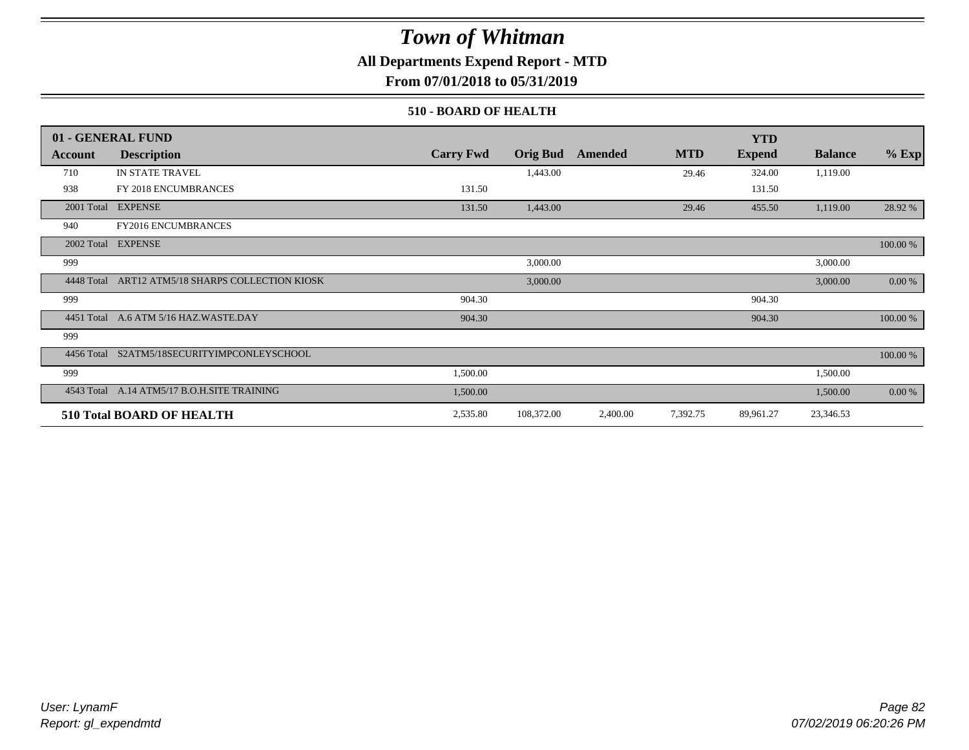## **All Departments Expend Report - MTD**

**From 07/01/2018 to 05/31/2019**

### **510 - BOARD OF HEALTH**

|            | 01 - GENERAL FUND                           |                  |                 |          |            | <b>YTD</b>    |                |             |
|------------|---------------------------------------------|------------------|-----------------|----------|------------|---------------|----------------|-------------|
| Account    | <b>Description</b>                          | <b>Carry Fwd</b> | <b>Orig Bud</b> | Amended  | <b>MTD</b> | <b>Expend</b> | <b>Balance</b> | $%$ Exp     |
| 710        | <b>IN STATE TRAVEL</b>                      |                  | 1,443.00        |          | 29.46      | 324.00        | 1,119.00       |             |
| 938        | FY 2018 ENCUMBRANCES                        | 131.50           |                 |          |            | 131.50        |                |             |
| 2001 Total | <b>EXPENSE</b>                              | 131.50           | 1,443.00        |          | 29.46      | 455.50        | 1,119.00       | 28.92 %     |
| 940        | FY2016 ENCUMBRANCES                         |                  |                 |          |            |               |                |             |
|            | 2002 Total EXPENSE                          |                  |                 |          |            |               |                | $100.00~\%$ |
| 999        |                                             |                  | 3,000.00        |          |            |               | 3,000.00       |             |
| 4448 Total | ART12 ATM5/18 SHARPS COLLECTION KIOSK       |                  | 3,000.00        |          |            |               | 3,000.00       | $0.00 \%$   |
| 999        |                                             | 904.30           |                 |          |            | 904.30        |                |             |
|            | 4451 Total A.6 ATM 5/16 HAZ.WASTE.DAY       | 904.30           |                 |          |            | 904.30        |                | 100.00 %    |
| 999        |                                             |                  |                 |          |            |               |                |             |
|            | 4456 Total S2ATM5/18SECURITYIMPCONLEYSCHOOL |                  |                 |          |            |               |                | 100.00 %    |
| 999        |                                             | 1,500.00         |                 |          |            |               | 1,500.00       |             |
|            | 4543 Total A.14 ATM5/17 B.O.H.SITE TRAINING | 1,500.00         |                 |          |            |               | 1,500.00       | 0.00 %      |
|            | 510 Total BOARD OF HEALTH                   | 2,535.80         | 108,372.00      | 2,400.00 | 7,392.75   | 89,961.27     | 23,346.53      |             |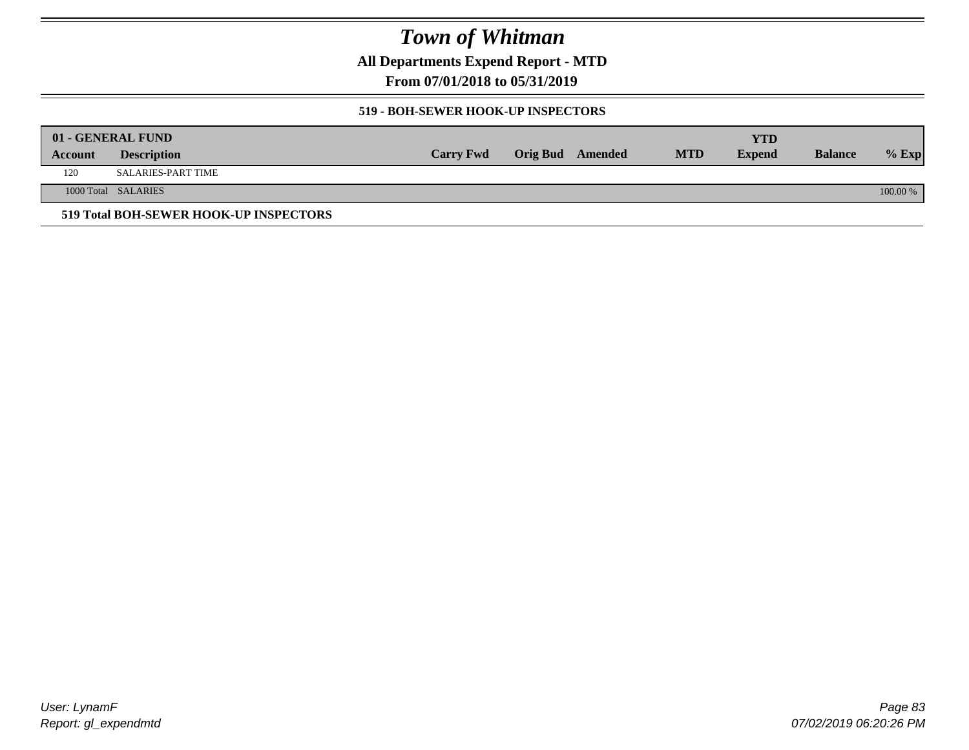**All Departments Expend Report - MTD**

**From 07/01/2018 to 05/31/2019**

### **519 - BOH-SEWER HOOK-UP INSPECTORS**

|         | 01 - GENERAL FUND                      |                  |                         |            | YTD           |                |          |
|---------|----------------------------------------|------------------|-------------------------|------------|---------------|----------------|----------|
| Account | <b>Description</b>                     | <b>Carry Fwd</b> | <b>Orig Bud</b> Amended | <b>MTD</b> | <b>Expend</b> | <b>Balance</b> | $%$ Exp  |
| 120     | SALARIES-PART TIME                     |                  |                         |            |               |                |          |
|         | 1000 Total SALARIES                    |                  |                         |            |               |                | 100.00 % |
|         | 519 Total BOH-SEWER HOOK-UP INSPECTORS |                  |                         |            |               |                |          |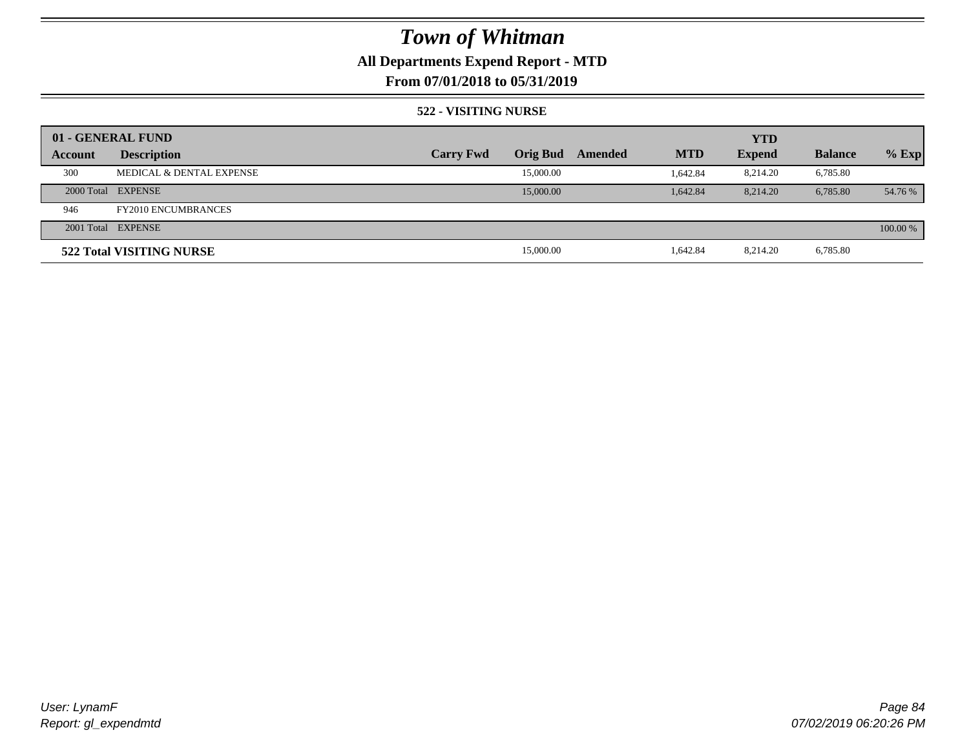## **All Departments Expend Report - MTD**

## **From 07/01/2018 to 05/31/2019**

### **522 - VISITING NURSE**

|         | 01 - GENERAL FUND                   |                  |                 |         |            | <b>YTD</b>    |                |          |
|---------|-------------------------------------|------------------|-----------------|---------|------------|---------------|----------------|----------|
| Account | <b>Description</b>                  | <b>Carry Fwd</b> | <b>Orig Bud</b> | Amended | <b>MTD</b> | <b>Expend</b> | <b>Balance</b> | $%$ Exp  |
| 300     | <b>MEDICAL &amp; DENTAL EXPENSE</b> |                  | 15,000.00       |         | 1.642.84   | 8,214.20      | 6,785.80       |          |
|         | 2000 Total EXPENSE                  |                  | 15,000.00       |         | 1.642.84   | 8.214.20      | 6,785.80       | 54.76 %  |
| 946     | <b>FY2010 ENCUMBRANCES</b>          |                  |                 |         |            |               |                |          |
|         | 2001 Total EXPENSE                  |                  |                 |         |            |               |                | 100.00 % |
|         | 522 Total VISITING NURSE            |                  | 15,000.00       |         | 1,642.84   | 8,214.20      | 6,785.80       |          |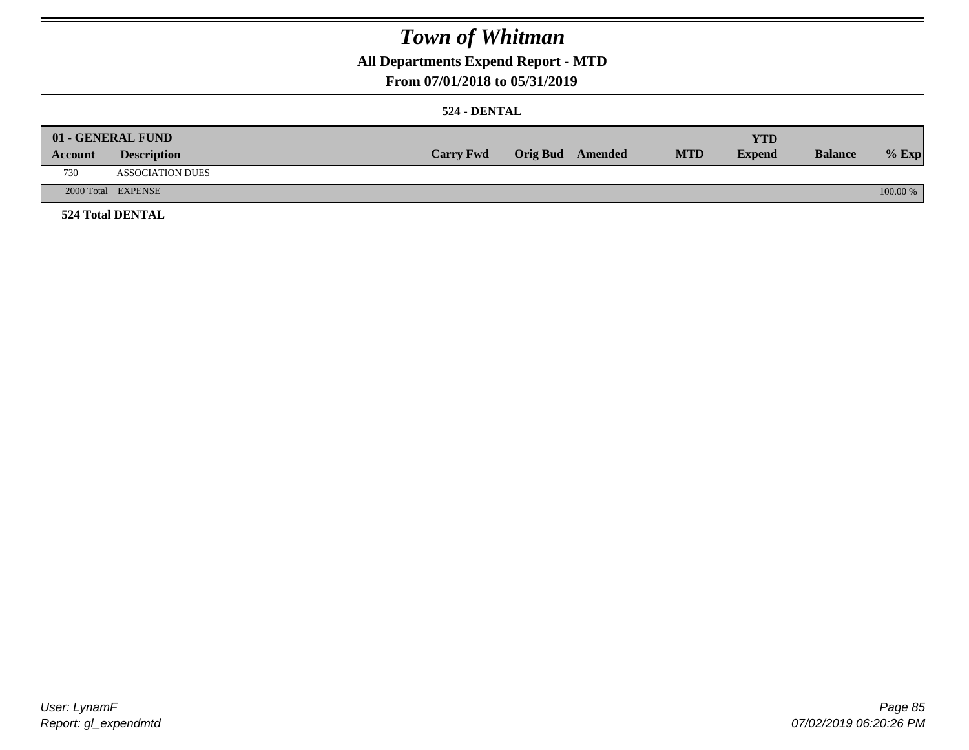## **All Departments Expend Report - MTD**

## **From 07/01/2018 to 05/31/2019**

### **524 - DENTAL**

|         | 01 - GENERAL FUND       |                  |                  |            | <b>YTD</b>    |                |          |
|---------|-------------------------|------------------|------------------|------------|---------------|----------------|----------|
| Account | <b>Description</b>      | <b>Carry Fwd</b> | Orig Bud Amended | <b>MTD</b> | <b>Expend</b> | <b>Balance</b> | $%$ Exp  |
| 730     | <b>ASSOCIATION DUES</b> |                  |                  |            |               |                |          |
|         | 2000 Total EXPENSE      |                  |                  |            |               |                | 100.00 % |
|         | <b>524 Total DENTAL</b> |                  |                  |            |               |                |          |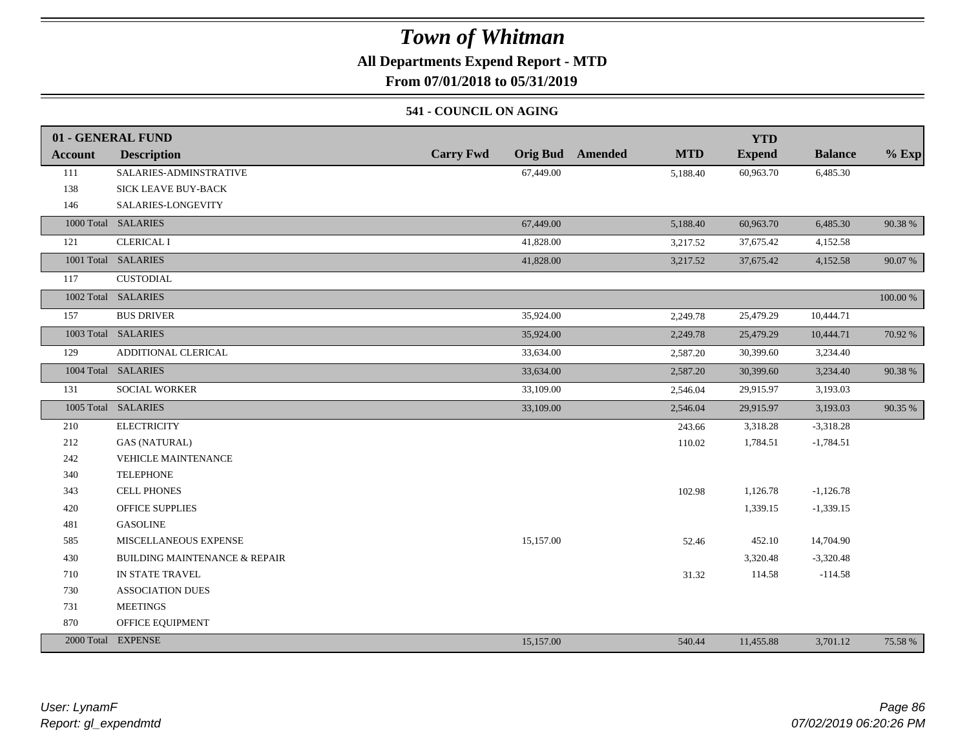## **All Departments Expend Report - MTD**

**From 07/01/2018 to 05/31/2019**

### **541 - COUNCIL ON AGING**

|         | 01 - GENERAL FUND                        |                  |                                       | <b>YTD</b>    |                |          |
|---------|------------------------------------------|------------------|---------------------------------------|---------------|----------------|----------|
| Account | <b>Description</b>                       | <b>Carry Fwd</b> | <b>Orig Bud</b> Amended<br><b>MTD</b> | <b>Expend</b> | <b>Balance</b> | $%$ Exp  |
| 111     | SALARIES-ADMINSTRATIVE                   | 67,449.00        | 5,188.40                              | 60,963.70     | 6,485.30       |          |
| 138     | SICK LEAVE BUY-BACK                      |                  |                                       |               |                |          |
| 146     | SALARIES-LONGEVITY                       |                  |                                       |               |                |          |
|         | 1000 Total SALARIES                      | 67,449.00        | 5,188.40                              | 60,963.70     | 6,485.30       | 90.38 %  |
| 121     | <b>CLERICAL I</b>                        | 41,828.00        | 3,217.52                              | 37,675.42     | 4,152.58       |          |
|         | 1001 Total SALARIES                      | 41,828.00        | 3,217.52                              | 37,675.42     | 4,152.58       | 90.07 %  |
| 117     | <b>CUSTODIAL</b>                         |                  |                                       |               |                |          |
|         | 1002 Total SALARIES                      |                  |                                       |               |                | 100.00 % |
| 157     | <b>BUS DRIVER</b>                        | 35,924.00        | 2,249.78                              | 25,479.29     | 10,444.71      |          |
|         | 1003 Total SALARIES                      | 35,924.00        | 2,249.78                              | 25,479.29     | 10,444.71      | 70.92 %  |
| 129     | ADDITIONAL CLERICAL                      | 33,634.00        | 2,587.20                              | 30,399.60     | 3,234.40       |          |
|         | 1004 Total SALARIES                      | 33,634.00        | 2,587.20                              | 30,399.60     | 3,234.40       | 90.38 %  |
| 131     | SOCIAL WORKER                            | 33,109.00        | 2,546.04                              | 29,915.97     | 3,193.03       |          |
|         | 1005 Total SALARIES                      | 33,109.00        | 2,546.04                              | 29,915.97     | 3,193.03       | 90.35 %  |
| 210     | <b>ELECTRICITY</b>                       |                  | 243.66                                | 3,318.28      | $-3,318.28$    |          |
| 212     | <b>GAS (NATURAL)</b>                     |                  | 110.02                                | 1,784.51      | $-1,784.51$    |          |
| 242     | <b>VEHICLE MAINTENANCE</b>               |                  |                                       |               |                |          |
| 340     | <b>TELEPHONE</b>                         |                  |                                       |               |                |          |
| 343     | <b>CELL PHONES</b>                       |                  | 102.98                                | 1,126.78      | $-1,126.78$    |          |
| 420     | <b>OFFICE SUPPLIES</b>                   |                  |                                       | 1,339.15      | $-1,339.15$    |          |
| 481     | <b>GASOLINE</b>                          |                  |                                       |               |                |          |
| 585     | MISCELLANEOUS EXPENSE                    | 15,157.00        | 52.46                                 | 452.10        | 14,704.90      |          |
| 430     | <b>BUILDING MAINTENANCE &amp; REPAIR</b> |                  |                                       | 3,320.48      | $-3,320.48$    |          |
| 710     | IN STATE TRAVEL                          |                  | 31.32                                 | 114.58        | $-114.58$      |          |
| 730     | <b>ASSOCIATION DUES</b>                  |                  |                                       |               |                |          |
| 731     | <b>MEETINGS</b>                          |                  |                                       |               |                |          |
| 870     | OFFICE EQUIPMENT                         |                  |                                       |               |                |          |
|         | 2000 Total EXPENSE                       | 15,157.00        | 540.44                                | 11,455.88     | 3,701.12       | 75.58 %  |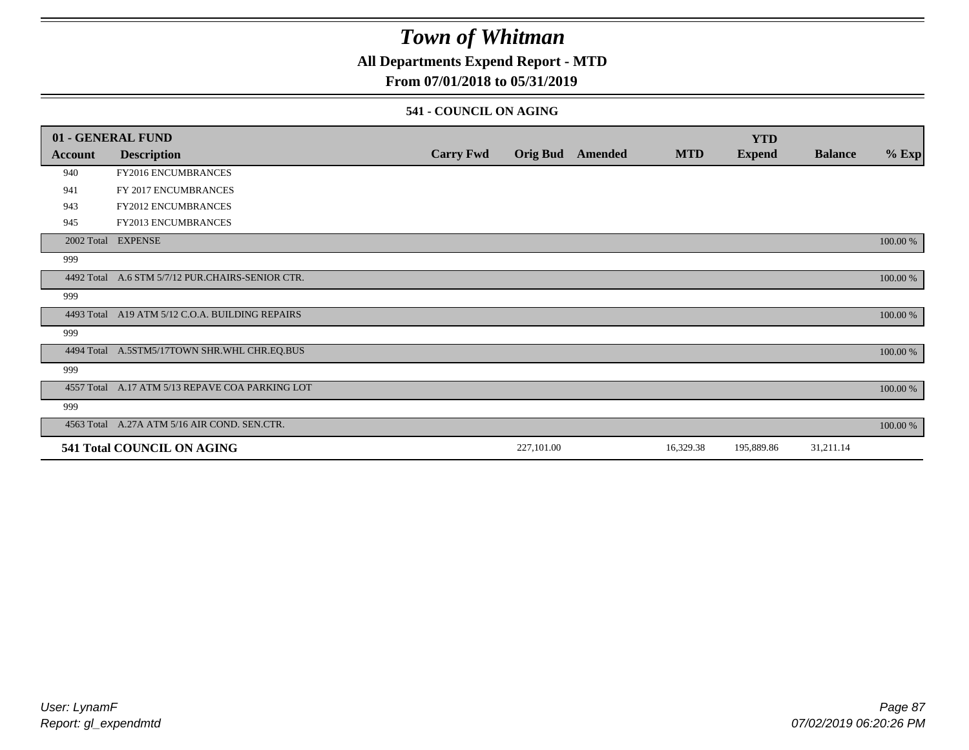## **All Departments Expend Report - MTD**

## **From 07/01/2018 to 05/31/2019**

### **541 - COUNCIL ON AGING**

|         | 01 - GENERAL FUND                                |                  |                 |         |            | <b>YTD</b>    |                |          |
|---------|--------------------------------------------------|------------------|-----------------|---------|------------|---------------|----------------|----------|
| Account | <b>Description</b>                               | <b>Carry Fwd</b> | <b>Orig Bud</b> | Amended | <b>MTD</b> | <b>Expend</b> | <b>Balance</b> | $%$ Exp  |
| 940     | <b>FY2016 ENCUMBRANCES</b>                       |                  |                 |         |            |               |                |          |
| 941     | FY 2017 ENCUMBRANCES                             |                  |                 |         |            |               |                |          |
| 943     | FY2012 ENCUMBRANCES                              |                  |                 |         |            |               |                |          |
| 945     | <b>FY2013 ENCUMBRANCES</b>                       |                  |                 |         |            |               |                |          |
|         | 2002 Total EXPENSE                               |                  |                 |         |            |               |                | 100.00 % |
| 999     |                                                  |                  |                 |         |            |               |                |          |
|         | 4492 Total A.6 STM 5/7/12 PUR.CHAIRS-SENIOR CTR. |                  |                 |         |            |               |                | 100.00 % |
| 999     |                                                  |                  |                 |         |            |               |                |          |
|         | 4493 Total A19 ATM 5/12 C.O.A. BUILDING REPAIRS  |                  |                 |         |            |               |                | 100.00 % |
| 999     |                                                  |                  |                 |         |            |               |                |          |
|         | 4494 Total A.5STM5/17TOWN SHR.WHL CHR.EQ.BUS     |                  |                 |         |            |               |                | 100.00 % |
| 999     |                                                  |                  |                 |         |            |               |                |          |
|         | 4557 Total A.17 ATM 5/13 REPAVE COA PARKING LOT  |                  |                 |         |            |               |                | 100.00 % |
| 999     |                                                  |                  |                 |         |            |               |                |          |
|         | 4563 Total A.27A ATM 5/16 AIR COND. SEN.CTR.     |                  |                 |         |            |               |                | 100.00 % |
|         | 541 Total COUNCIL ON AGING                       |                  | 227,101.00      |         | 16,329.38  | 195,889.86    | 31,211.14      |          |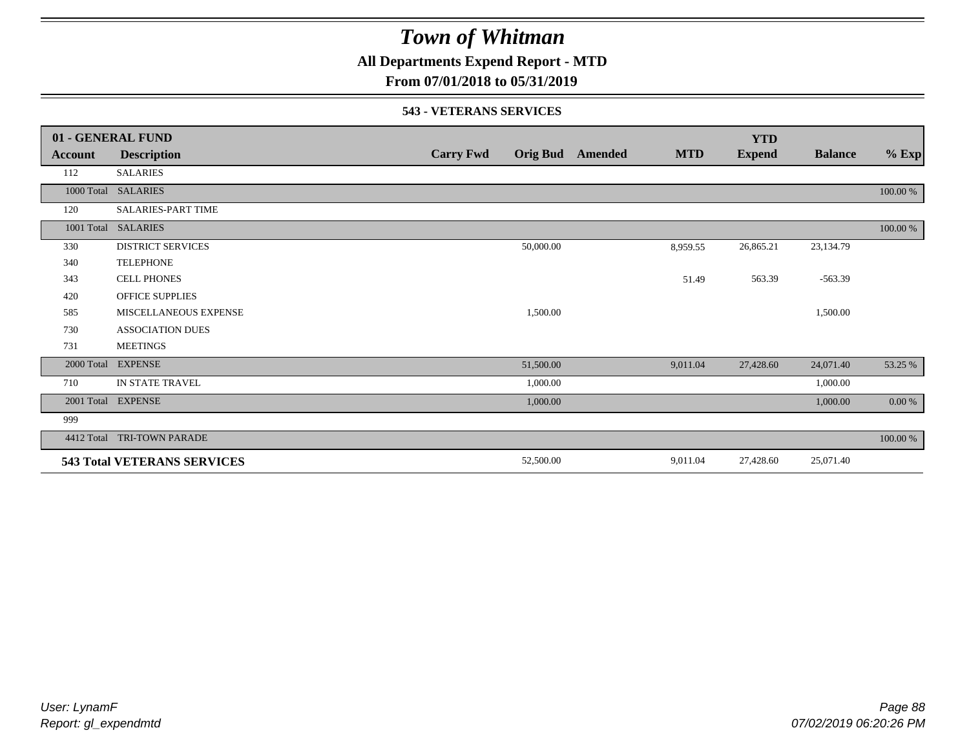**All Departments Expend Report - MTD**

## **From 07/01/2018 to 05/31/2019**

#### **543 - VETERANS SERVICES**

|            | 01 - GENERAL FUND                  |                  |                 |         |            | <b>YTD</b>    |                |          |
|------------|------------------------------------|------------------|-----------------|---------|------------|---------------|----------------|----------|
| Account    | <b>Description</b>                 | <b>Carry Fwd</b> | <b>Orig Bud</b> | Amended | <b>MTD</b> | <b>Expend</b> | <b>Balance</b> | $%$ Exp  |
| 112        | <b>SALARIES</b>                    |                  |                 |         |            |               |                |          |
|            | 1000 Total SALARIES                |                  |                 |         |            |               |                | 100.00 % |
| 120        | <b>SALARIES-PART TIME</b>          |                  |                 |         |            |               |                |          |
|            | 1001 Total SALARIES                |                  |                 |         |            |               |                | 100.00 % |
| 330        | <b>DISTRICT SERVICES</b>           |                  | 50,000.00       |         | 8,959.55   | 26,865.21     | 23,134.79      |          |
| 340        | <b>TELEPHONE</b>                   |                  |                 |         |            |               |                |          |
| 343        | <b>CELL PHONES</b>                 |                  |                 |         | 51.49      | 563.39        | $-563.39$      |          |
| 420        | <b>OFFICE SUPPLIES</b>             |                  |                 |         |            |               |                |          |
| 585        | MISCELLANEOUS EXPENSE              |                  | 1,500.00        |         |            |               | 1,500.00       |          |
| 730        | <b>ASSOCIATION DUES</b>            |                  |                 |         |            |               |                |          |
| 731        | <b>MEETINGS</b>                    |                  |                 |         |            |               |                |          |
| 2000 Total | <b>EXPENSE</b>                     |                  | 51,500.00       |         | 9,011.04   | 27,428.60     | 24,071.40      | 53.25 %  |
| 710        | IN STATE TRAVEL                    |                  | 1,000.00        |         |            |               | 1,000.00       |          |
| 2001 Total | <b>EXPENSE</b>                     |                  | 1,000.00        |         |            |               | 1,000.00       | 0.00 %   |
| 999        |                                    |                  |                 |         |            |               |                |          |
| 4412 Total | <b>TRI-TOWN PARADE</b>             |                  |                 |         |            |               |                | 100.00 % |
|            | <b>543 Total VETERANS SERVICES</b> |                  | 52,500.00       |         | 9,011.04   | 27,428.60     | 25,071.40      |          |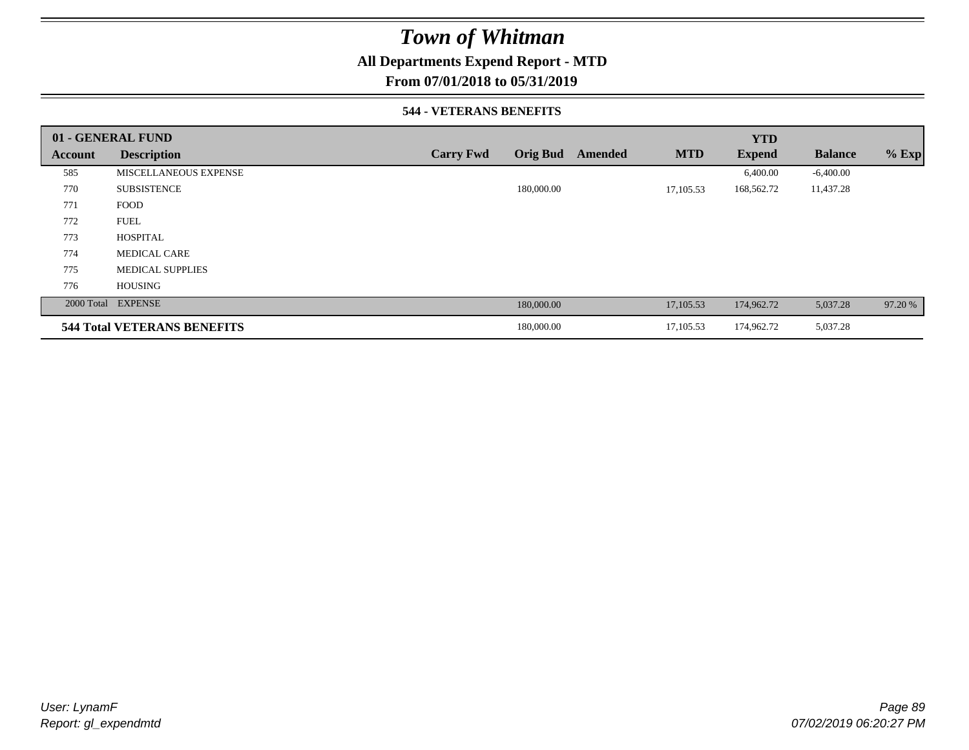## **All Departments Expend Report - MTD**

**From 07/01/2018 to 05/31/2019**

### **544 - VETERANS BENEFITS**

|         | 01 - GENERAL FUND                  |                  |                 |         |            | <b>YTD</b>    |                |         |
|---------|------------------------------------|------------------|-----------------|---------|------------|---------------|----------------|---------|
| Account | <b>Description</b>                 | <b>Carry Fwd</b> | <b>Orig Bud</b> | Amended | <b>MTD</b> | <b>Expend</b> | <b>Balance</b> | $%$ Exp |
| 585     | MISCELLANEOUS EXPENSE              |                  |                 |         |            | 6,400.00      | $-6,400.00$    |         |
| 770     | <b>SUBSISTENCE</b>                 |                  | 180,000.00      |         | 17,105.53  | 168,562.72    | 11,437.28      |         |
| 771     | <b>FOOD</b>                        |                  |                 |         |            |               |                |         |
| 772     | <b>FUEL</b>                        |                  |                 |         |            |               |                |         |
| 773     | <b>HOSPITAL</b>                    |                  |                 |         |            |               |                |         |
| 774     | <b>MEDICAL CARE</b>                |                  |                 |         |            |               |                |         |
| 775     | <b>MEDICAL SUPPLIES</b>            |                  |                 |         |            |               |                |         |
| 776     | <b>HOUSING</b>                     |                  |                 |         |            |               |                |         |
|         | 2000 Total EXPENSE                 |                  | 180,000.00      |         | 17,105.53  | 174,962.72    | 5,037.28       | 97.20 % |
|         | <b>544 Total VETERANS BENEFITS</b> |                  | 180,000.00      |         | 17,105.53  | 174,962.72    | 5,037.28       |         |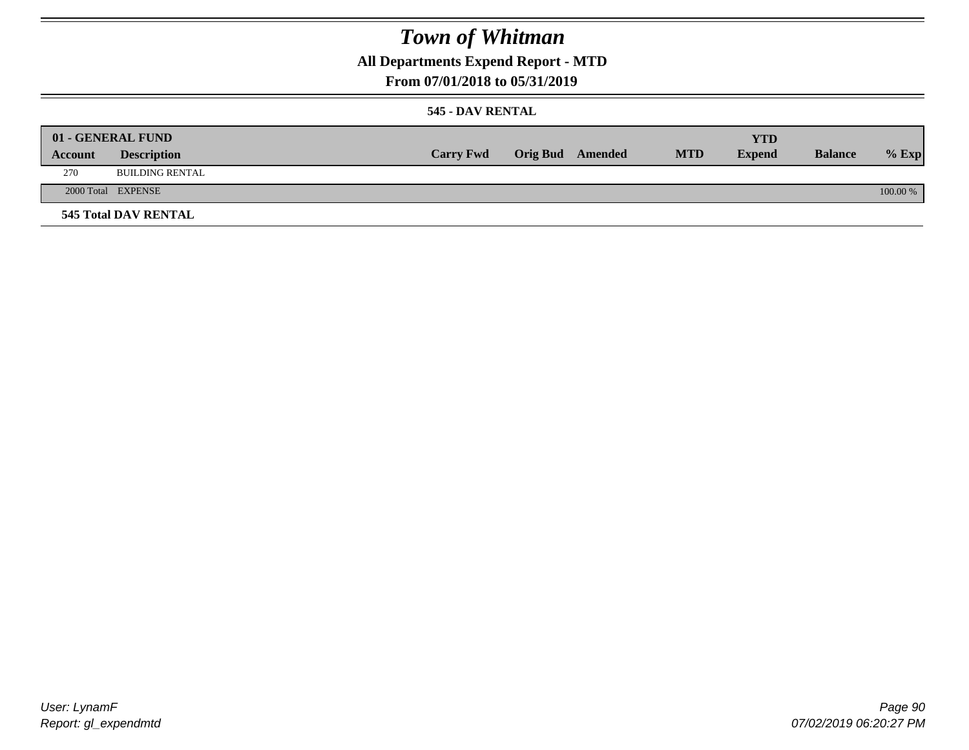**All Departments Expend Report - MTD**

## **From 07/01/2018 to 05/31/2019**

### **545 - DAV RENTAL**

|         | 01 - GENERAL FUND           |                  |                  |            | <b>YTD</b>    |                |          |
|---------|-----------------------------|------------------|------------------|------------|---------------|----------------|----------|
| Account | <b>Description</b>          | <b>Carry Fwd</b> | Orig Bud Amended | <b>MTD</b> | <b>Expend</b> | <b>Balance</b> | $%$ Exp  |
| 270     | <b>BUILDING RENTAL</b>      |                  |                  |            |               |                |          |
|         | 2000 Total EXPENSE          |                  |                  |            |               |                | 100.00 % |
|         | <b>545 Total DAV RENTAL</b> |                  |                  |            |               |                |          |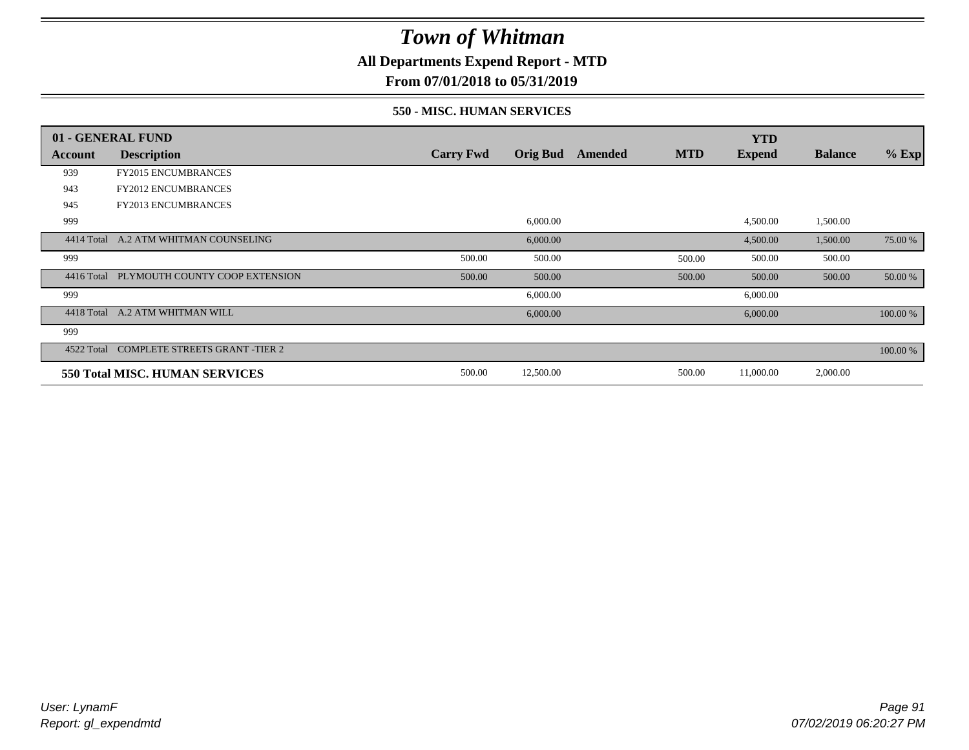**All Departments Expend Report - MTD**

**From 07/01/2018 to 05/31/2019**

### **550 - MISC. HUMAN SERVICES**

|            | 01 - GENERAL FUND                     |                  |                 |         |            | <b>YTD</b>    |                |          |
|------------|---------------------------------------|------------------|-----------------|---------|------------|---------------|----------------|----------|
| Account    | <b>Description</b>                    | <b>Carry Fwd</b> | <b>Orig Bud</b> | Amended | <b>MTD</b> | <b>Expend</b> | <b>Balance</b> | $%$ Exp  |
| 939        | <b>FY2015 ENCUMBRANCES</b>            |                  |                 |         |            |               |                |          |
| 943        | <b>FY2012 ENCUMBRANCES</b>            |                  |                 |         |            |               |                |          |
| 945        | FY2013 ENCUMBRANCES                   |                  |                 |         |            |               |                |          |
| 999        |                                       |                  | 6,000.00        |         |            | 4,500.00      | 1,500.00       |          |
| 4414 Total | A.2 ATM WHITMAN COUNSELING            |                  | 6,000.00        |         |            | 4,500.00      | 1,500.00       | 75.00 %  |
| 999        |                                       | 500.00           | 500.00          |         | 500.00     | 500.00        | 500.00         |          |
| 4416 Total | PLYMOUTH COUNTY COOP EXTENSION        | 500.00           | 500.00          |         | 500.00     | 500.00        | 500.00         | 50.00 %  |
| 999        |                                       |                  | 6,000.00        |         |            | 6,000.00      |                |          |
| 4418 Total | A.2 ATM WHITMAN WILL                  |                  | 6,000.00        |         |            | 6,000.00      |                | 100.00 % |
| 999        |                                       |                  |                 |         |            |               |                |          |
| 4522 Total | <b>COMPLETE STREETS GRANT -TIER 2</b> |                  |                 |         |            |               |                | 100.00 % |
|            | 550 Total MISC. HUMAN SERVICES        | 500.00           | 12,500.00       |         | 500.00     | 11,000.00     | 2,000.00       |          |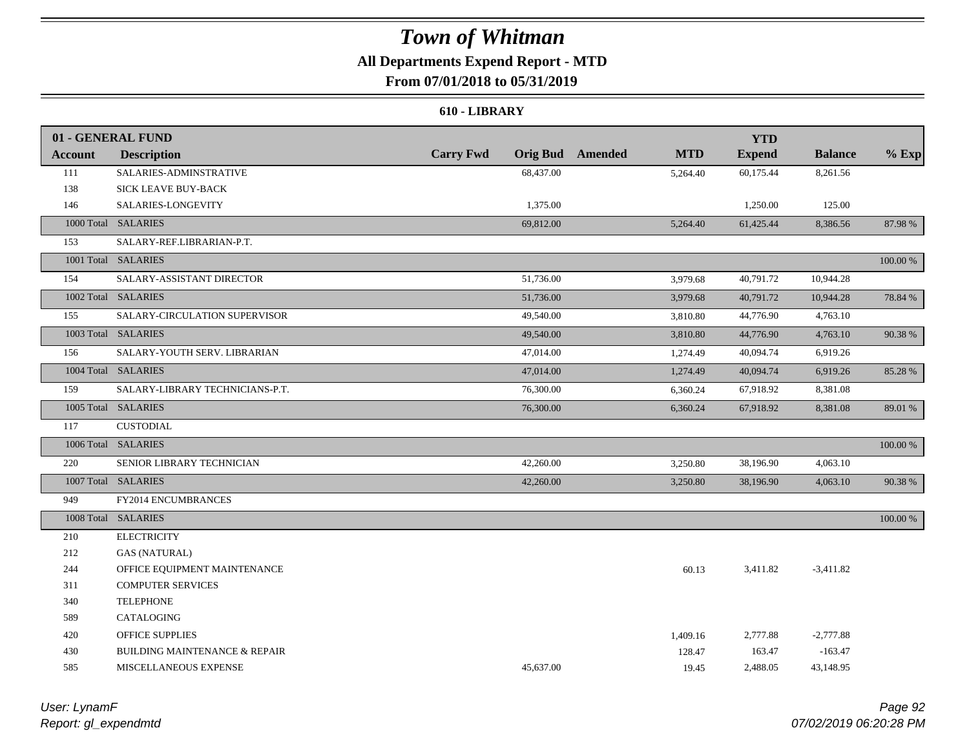## **All Departments Expend Report - MTD**

## **From 07/01/2018 to 05/31/2019**

#### **610 - LIBRARY**

|                | 01 - GENERAL FUND                        |                  |           |                         |            | <b>YTD</b>    |                |          |
|----------------|------------------------------------------|------------------|-----------|-------------------------|------------|---------------|----------------|----------|
| <b>Account</b> | <b>Description</b>                       | <b>Carry Fwd</b> |           | <b>Orig Bud</b> Amended | <b>MTD</b> | <b>Expend</b> | <b>Balance</b> | $%$ Exp  |
| 111            | SALARIES-ADMINSTRATIVE                   |                  | 68,437.00 |                         | 5,264.40   | 60,175.44     | 8,261.56       |          |
| 138            | SICK LEAVE BUY-BACK                      |                  |           |                         |            |               |                |          |
| 146            | SALARIES-LONGEVITY                       |                  | 1,375.00  |                         |            | 1,250.00      | 125.00         |          |
|                | 1000 Total SALARIES                      |                  | 69,812.00 |                         | 5,264.40   | 61,425.44     | 8,386.56       | 87.98%   |
| 153            | SALARY-REF.LIBRARIAN-P.T.                |                  |           |                         |            |               |                |          |
|                | 1001 Total SALARIES                      |                  |           |                         |            |               |                | 100.00 % |
| 154            | SALARY-ASSISTANT DIRECTOR                |                  | 51,736.00 |                         | 3,979.68   | 40,791.72     | 10,944.28      |          |
|                | 1002 Total SALARIES                      |                  | 51,736.00 |                         | 3,979.68   | 40,791.72     | 10,944.28      | 78.84 %  |
| 155            | SALARY-CIRCULATION SUPERVISOR            |                  | 49,540.00 |                         | 3,810.80   | 44,776.90     | 4,763.10       |          |
|                | 1003 Total SALARIES                      |                  | 49,540.00 |                         | 3,810.80   | 44,776.90     | 4,763.10       | 90.38%   |
| 156            | SALARY-YOUTH SERV. LIBRARIAN             |                  | 47,014.00 |                         | 1,274.49   | 40,094.74     | 6,919.26       |          |
|                | 1004 Total SALARIES                      |                  | 47,014.00 |                         | 1,274.49   | 40,094.74     | 6,919.26       | 85.28 %  |
| 159            | SALARY-LIBRARY TECHNICIANS-P.T.          |                  | 76,300.00 |                         | 6,360.24   | 67,918.92     | 8,381.08       |          |
|                | 1005 Total SALARIES                      |                  | 76,300.00 |                         | 6,360.24   | 67,918.92     | 8,381.08       | 89.01 %  |
| 117            | <b>CUSTODIAL</b>                         |                  |           |                         |            |               |                |          |
|                | 1006 Total SALARIES                      |                  |           |                         |            |               |                | 100.00 % |
| 220            | SENIOR LIBRARY TECHNICIAN                |                  | 42,260.00 |                         | 3,250.80   | 38,196.90     | 4,063.10       |          |
|                | 1007 Total SALARIES                      |                  | 42,260.00 |                         | 3,250.80   | 38,196.90     | 4,063.10       | 90.38 %  |
| 949            | FY2014 ENCUMBRANCES                      |                  |           |                         |            |               |                |          |
|                | 1008 Total SALARIES                      |                  |           |                         |            |               |                | 100.00 % |
| 210            | <b>ELECTRICITY</b>                       |                  |           |                         |            |               |                |          |
| 212            | <b>GAS (NATURAL)</b>                     |                  |           |                         |            |               |                |          |
| 244            | OFFICE EQUIPMENT MAINTENANCE             |                  |           |                         | 60.13      | 3,411.82      | $-3,411.82$    |          |
| 311            | <b>COMPUTER SERVICES</b>                 |                  |           |                         |            |               |                |          |
| 340            | <b>TELEPHONE</b>                         |                  |           |                         |            |               |                |          |
| 589            | CATALOGING                               |                  |           |                         |            |               |                |          |
| 420            | <b>OFFICE SUPPLIES</b>                   |                  |           |                         | 1,409.16   | 2,777.88      | $-2,777.88$    |          |
| 430            | <b>BUILDING MAINTENANCE &amp; REPAIR</b> |                  |           |                         | 128.47     | 163.47        | $-163.47$      |          |
| 585            | MISCELLANEOUS EXPENSE                    |                  | 45.637.00 |                         | 19.45      | 2,488.05      | 43,148.95      |          |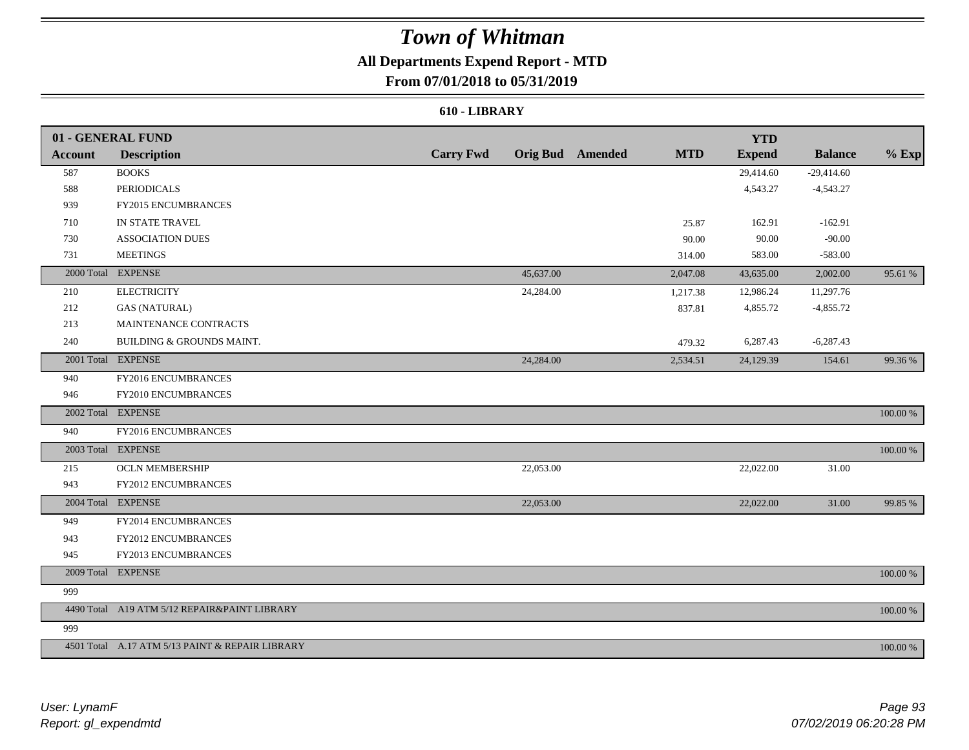## **All Departments Expend Report - MTD**

## **From 07/01/2018 to 05/31/2019**

### **610 - LIBRARY**

|         | 01 - GENERAL FUND                               |                  |           |                         |            | <b>YTD</b>    |                |          |
|---------|-------------------------------------------------|------------------|-----------|-------------------------|------------|---------------|----------------|----------|
| Account | <b>Description</b>                              | <b>Carry Fwd</b> |           | <b>Orig Bud</b> Amended | <b>MTD</b> | <b>Expend</b> | <b>Balance</b> | $%$ Exp  |
| 587     | <b>BOOKS</b>                                    |                  |           |                         |            | 29,414.60     | $-29,414.60$   |          |
| 588     | <b>PERIODICALS</b>                              |                  |           |                         |            | 4,543.27      | $-4,543.27$    |          |
| 939     | FY2015 ENCUMBRANCES                             |                  |           |                         |            |               |                |          |
| 710     | IN STATE TRAVEL                                 |                  |           |                         | 25.87      | 162.91        | $-162.91$      |          |
| 730     | <b>ASSOCIATION DUES</b>                         |                  |           |                         | 90.00      | 90.00         | $-90.00$       |          |
| 731     | <b>MEETINGS</b>                                 |                  |           |                         | 314.00     | 583.00        | $-583.00$      |          |
|         | 2000 Total EXPENSE                              |                  | 45,637.00 |                         | 2,047.08   | 43,635.00     | 2,002.00       | 95.61 %  |
| 210     | <b>ELECTRICITY</b>                              |                  | 24,284.00 |                         | 1,217.38   | 12,986.24     | 11,297.76      |          |
| 212     | <b>GAS (NATURAL)</b>                            |                  |           |                         | 837.81     | 4,855.72      | $-4,855.72$    |          |
| 213     | MAINTENANCE CONTRACTS                           |                  |           |                         |            |               |                |          |
| 240     | BUILDING & GROUNDS MAINT.                       |                  |           |                         | 479.32     | 6,287.43      | $-6,287.43$    |          |
|         | 2001 Total EXPENSE                              |                  | 24,284.00 |                         | 2,534.51   | 24,129.39     | 154.61         | 99.36 %  |
| 940     | FY2016 ENCUMBRANCES                             |                  |           |                         |            |               |                |          |
| 946     | FY2010 ENCUMBRANCES                             |                  |           |                         |            |               |                |          |
|         | 2002 Total EXPENSE                              |                  |           |                         |            |               |                | 100.00 % |
| 940     | FY2016 ENCUMBRANCES                             |                  |           |                         |            |               |                |          |
|         | 2003 Total EXPENSE                              |                  |           |                         |            |               |                | 100.00 % |
| 215     | <b>OCLN MEMBERSHIP</b>                          |                  | 22,053.00 |                         |            | 22,022.00     | 31.00          |          |
| 943     | FY2012 ENCUMBRANCES                             |                  |           |                         |            |               |                |          |
|         | 2004 Total EXPENSE                              |                  | 22,053.00 |                         |            | 22,022.00     | 31.00          | 99.85 %  |
| 949     | FY2014 ENCUMBRANCES                             |                  |           |                         |            |               |                |          |
| 943     | FY2012 ENCUMBRANCES                             |                  |           |                         |            |               |                |          |
| 945     | FY2013 ENCUMBRANCES                             |                  |           |                         |            |               |                |          |
|         | 2009 Total EXPENSE                              |                  |           |                         |            |               |                | 100.00 % |
| 999     |                                                 |                  |           |                         |            |               |                |          |
|         | 4490 Total A19 ATM 5/12 REPAIR&PAINT LIBRARY    |                  |           |                         |            |               |                | 100.00 % |
| 999     |                                                 |                  |           |                         |            |               |                |          |
|         | 4501 Total A.17 ATM 5/13 PAINT & REPAIR LIBRARY |                  |           |                         |            |               |                | 100.00 % |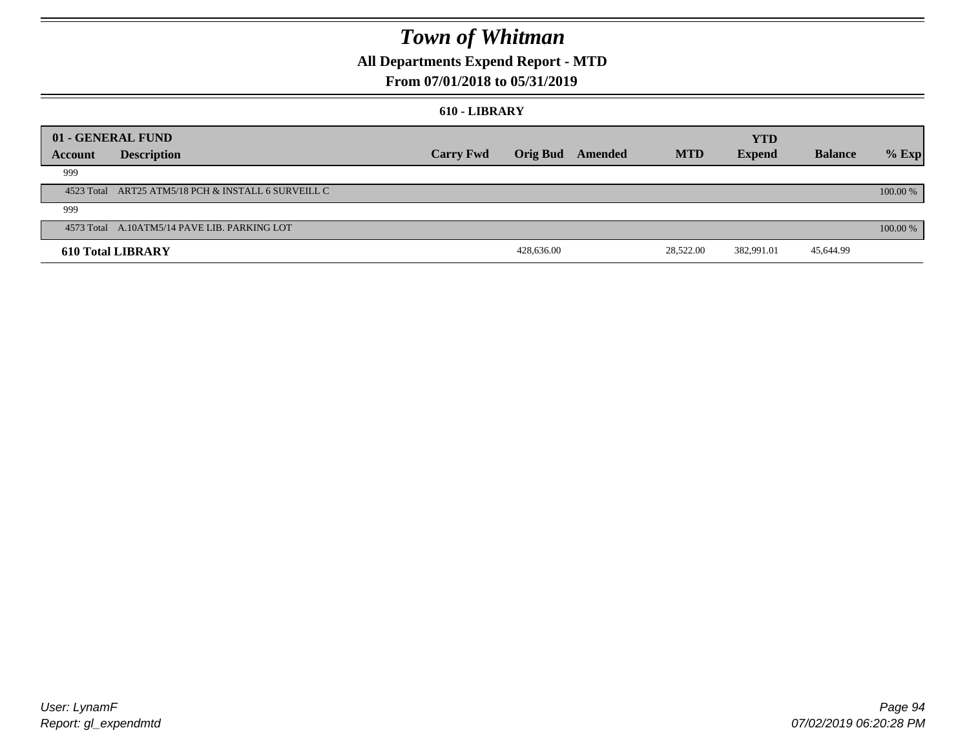## **All Departments Expend Report - MTD**

## **From 07/01/2018 to 05/31/2019**

#### **610 - LIBRARY**

| 01 - GENERAL FUND |                                                     |                  |                 |         |            | <b>YTD</b>    |                |          |
|-------------------|-----------------------------------------------------|------------------|-----------------|---------|------------|---------------|----------------|----------|
| Account           | <b>Description</b>                                  | <b>Carry Fwd</b> | <b>Orig Bud</b> | Amended | <b>MTD</b> | <b>Expend</b> | <b>Balance</b> | $%$ Exp  |
| 999               |                                                     |                  |                 |         |            |               |                |          |
|                   | 4523 Total ART25 ATM5/18 PCH & INSTALL 6 SURVEILL C |                  |                 |         |            |               |                | 100.00 % |
| 999               |                                                     |                  |                 |         |            |               |                |          |
|                   | 4573 Total A.10ATM5/14 PAVE LIB. PARKING LOT        |                  |                 |         |            |               |                | 100.00 % |
|                   | <b>610 Total LIBRARY</b>                            |                  | 428,636.00      |         | 28,522.00  | 382,991.01    | 45,644.99      |          |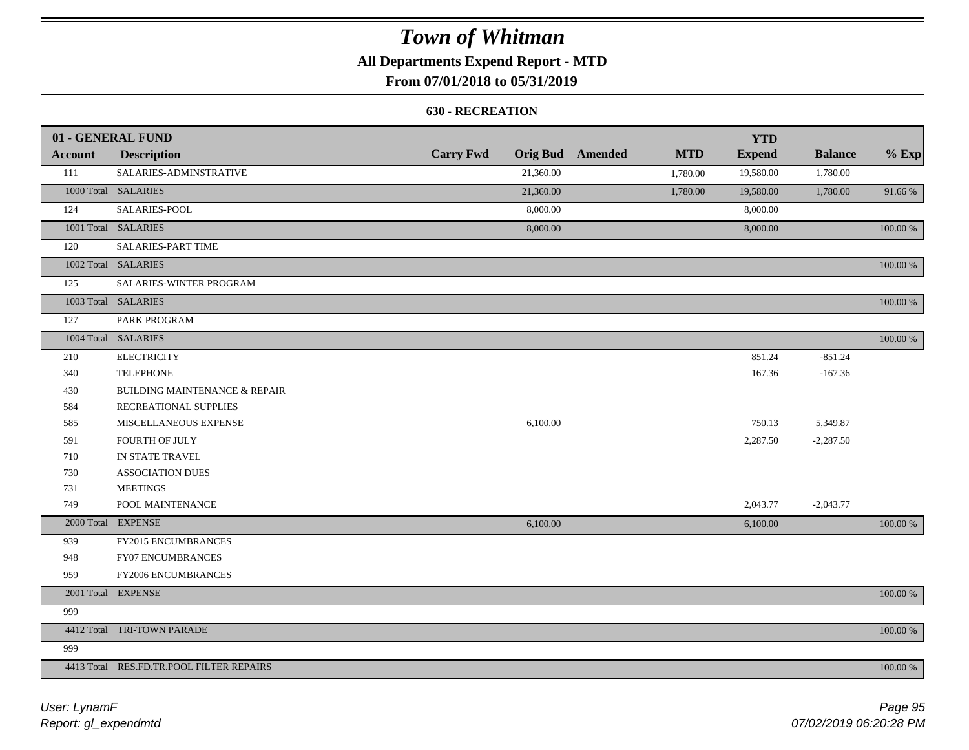## **All Departments Expend Report - MTD**

## **From 07/01/2018 to 05/31/2019**

#### **630 - RECREATION**

|                | 01 - GENERAL FUND                        |                  |           |                         |            | <b>YTD</b>    |                |          |
|----------------|------------------------------------------|------------------|-----------|-------------------------|------------|---------------|----------------|----------|
| <b>Account</b> | <b>Description</b>                       | <b>Carry Fwd</b> |           | <b>Orig Bud</b> Amended | <b>MTD</b> | <b>Expend</b> | <b>Balance</b> | $%$ Exp  |
| 111            | SALARIES-ADMINSTRATIVE                   |                  | 21,360.00 |                         | 1,780.00   | 19,580.00     | 1,780.00       |          |
|                | 1000 Total SALARIES                      |                  | 21,360.00 |                         | 1,780.00   | 19,580.00     | 1,780.00       | 91.66%   |
| 124            | SALARIES-POOL                            |                  | 8,000.00  |                         |            | 8,000.00      |                |          |
|                | 1001 Total SALARIES                      |                  | 8,000.00  |                         |            | 8,000.00      |                | 100.00 % |
| 120            | <b>SALARIES-PART TIME</b>                |                  |           |                         |            |               |                |          |
|                | 1002 Total SALARIES                      |                  |           |                         |            |               |                | 100.00 % |
| 125            | SALARIES-WINTER PROGRAM                  |                  |           |                         |            |               |                |          |
|                | 1003 Total SALARIES                      |                  |           |                         |            |               |                | 100.00 % |
| 127            | PARK PROGRAM                             |                  |           |                         |            |               |                |          |
|                | 1004 Total SALARIES                      |                  |           |                         |            |               |                | 100.00 % |
| 210            | <b>ELECTRICITY</b>                       |                  |           |                         |            | 851.24        | $-851.24$      |          |
| 340            | <b>TELEPHONE</b>                         |                  |           |                         |            | 167.36        | $-167.36$      |          |
| 430            | <b>BUILDING MAINTENANCE &amp; REPAIR</b> |                  |           |                         |            |               |                |          |
| 584            | RECREATIONAL SUPPLIES                    |                  |           |                         |            |               |                |          |
| 585            | MISCELLANEOUS EXPENSE                    |                  | 6,100.00  |                         |            | 750.13        | 5,349.87       |          |
| 591            | FOURTH OF JULY                           |                  |           |                         |            | 2,287.50      | $-2,287.50$    |          |
| 710            | IN STATE TRAVEL                          |                  |           |                         |            |               |                |          |
| 730            | <b>ASSOCIATION DUES</b>                  |                  |           |                         |            |               |                |          |
| 731            | <b>MEETINGS</b>                          |                  |           |                         |            |               |                |          |
| 749            | POOL MAINTENANCE                         |                  |           |                         |            | 2,043.77      | $-2,043.77$    |          |
|                | 2000 Total EXPENSE                       |                  | 6,100.00  |                         |            | 6,100.00      |                | 100.00 % |
| 939            | FY2015 ENCUMBRANCES                      |                  |           |                         |            |               |                |          |
| 948            | FY07 ENCUMBRANCES                        |                  |           |                         |            |               |                |          |
| 959            | FY2006 ENCUMBRANCES                      |                  |           |                         |            |               |                |          |
|                | 2001 Total EXPENSE                       |                  |           |                         |            |               |                | 100.00 % |
| 999            |                                          |                  |           |                         |            |               |                |          |
|                | 4412 Total TRI-TOWN PARADE               |                  |           |                         |            |               |                | 100.00 % |
| 999            |                                          |                  |           |                         |            |               |                |          |
|                | 4413 Total RES.FD.TR.POOL FILTER REPAIRS |                  |           |                         |            |               |                | 100.00 % |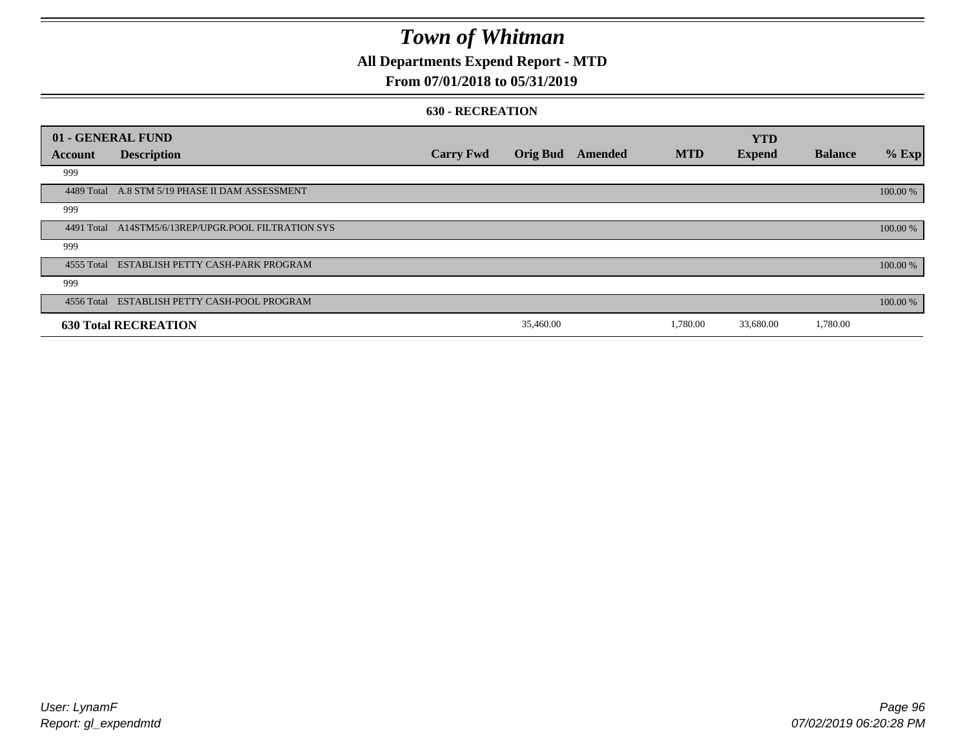## **All Departments Expend Report - MTD**

## **From 07/01/2018 to 05/31/2019**

#### **630 - RECREATION**

|            | 01 - GENERAL FUND                               |                  |                 |         |            | <b>YTD</b>    |                |          |
|------------|-------------------------------------------------|------------------|-----------------|---------|------------|---------------|----------------|----------|
| Account    | <b>Description</b>                              | <b>Carry Fwd</b> | <b>Orig Bud</b> | Amended | <b>MTD</b> | <b>Expend</b> | <b>Balance</b> | $%$ Exp  |
| 999        |                                                 |                  |                 |         |            |               |                |          |
|            | 4489 Total A.8 STM 5/19 PHASE II DAM ASSESSMENT |                  |                 |         |            |               |                | 100.00 % |
| 999        |                                                 |                  |                 |         |            |               |                |          |
| 4491 Total | A14STM5/6/13REP/UPGR.POOL FILTRATION SYS        |                  |                 |         |            |               |                | 100.00 % |
| 999        |                                                 |                  |                 |         |            |               |                |          |
|            | 4555 Total ESTABLISH PETTY CASH-PARK PROGRAM    |                  |                 |         |            |               |                | 100.00 % |
| 999        |                                                 |                  |                 |         |            |               |                |          |
|            | 4556 Total ESTABLISH PETTY CASH-POOL PROGRAM    |                  |                 |         |            |               |                | 100.00 % |
|            | <b>630 Total RECREATION</b>                     |                  | 35,460.00       |         | 1,780.00   | 33,680.00     | 1,780.00       |          |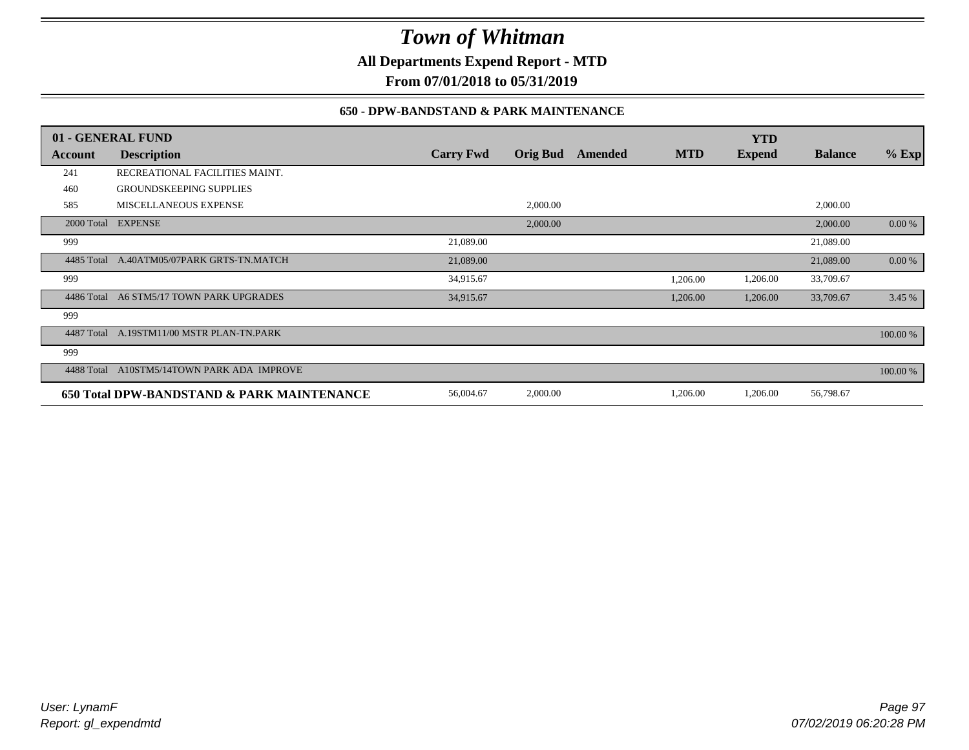**All Departments Expend Report - MTD**

**From 07/01/2018 to 05/31/2019**

### **650 - DPW-BANDSTAND & PARK MAINTENANCE**

|            | 01 - GENERAL FUND                          |                  |                 |         |            | <b>YTD</b>    |                |          |
|------------|--------------------------------------------|------------------|-----------------|---------|------------|---------------|----------------|----------|
| Account    | <b>Description</b>                         | <b>Carry Fwd</b> | <b>Orig Bud</b> | Amended | <b>MTD</b> | <b>Expend</b> | <b>Balance</b> | $%$ Exp  |
| 241        | RECREATIONAL FACILITIES MAINT.             |                  |                 |         |            |               |                |          |
| 460        | <b>GROUNDSKEEPING SUPPLIES</b>             |                  |                 |         |            |               |                |          |
| 585        | MISCELLANEOUS EXPENSE                      |                  | 2,000.00        |         |            |               | 2,000.00       |          |
|            | 2000 Total EXPENSE                         |                  | 2,000.00        |         |            |               | 2,000.00       | 0.00 %   |
| 999        |                                            | 21,089.00        |                 |         |            |               | 21,089.00      |          |
| 4485 Total | A.40ATM05/07PARK GRTS-TN.MATCH             | 21,089.00        |                 |         |            |               | 21,089.00      | 0.00 %   |
| 999        |                                            | 34,915.67        |                 |         | 1,206.00   | 1,206.00      | 33,709.67      |          |
| 4486 Total | A6 STM5/17 TOWN PARK UPGRADES              | 34,915.67        |                 |         | 1,206.00   | 1,206.00      | 33,709.67      | 3.45 %   |
| 999        |                                            |                  |                 |         |            |               |                |          |
| 4487 Total | A.19STM11/00 MSTR PLAN-TN.PARK             |                  |                 |         |            |               |                | 100.00 % |
| 999        |                                            |                  |                 |         |            |               |                |          |
| 4488 Total | A10STM5/14TOWN PARK ADA IMPROVE            |                  |                 |         |            |               |                | 100.00 % |
|            | 650 Total DPW-BANDSTAND & PARK MAINTENANCE | 56,004.67        | 2,000.00        |         | 1,206.00   | 1,206.00      | 56,798.67      |          |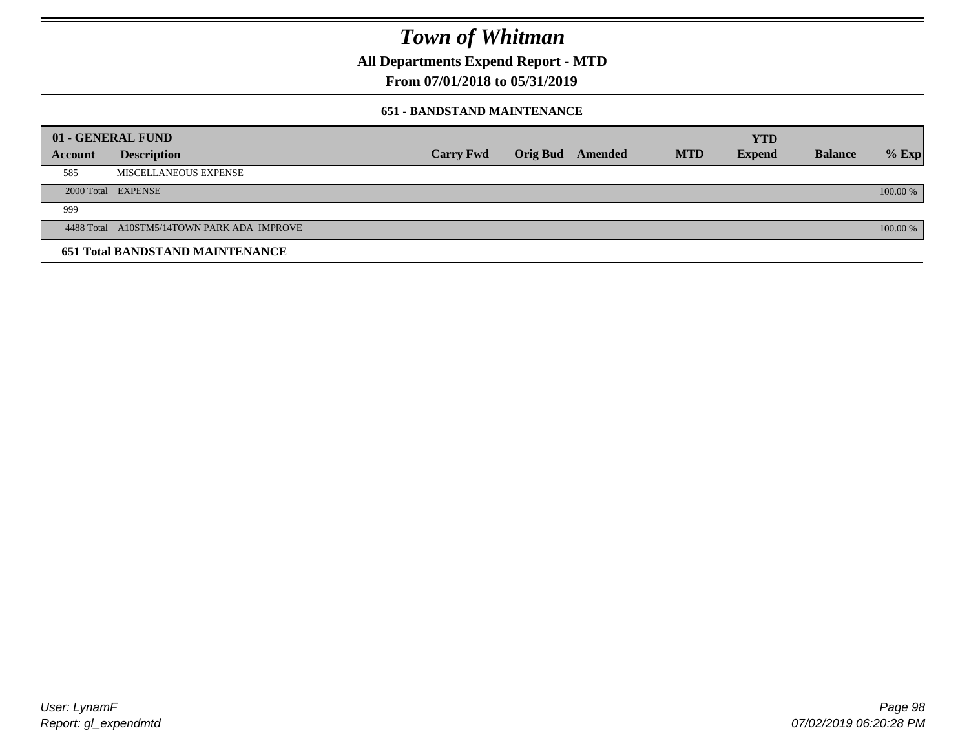**All Departments Expend Report - MTD**

**From 07/01/2018 to 05/31/2019**

### **651 - BANDSTAND MAINTENANCE**

| 01 - GENERAL FUND |                                            |                  |                         |            | <b>YTD</b>    |                |          |
|-------------------|--------------------------------------------|------------------|-------------------------|------------|---------------|----------------|----------|
| <b>Account</b>    | <b>Description</b>                         | <b>Carry Fwd</b> | <b>Orig Bud</b> Amended | <b>MTD</b> | <b>Expend</b> | <b>Balance</b> | $%$ Exp  |
| 585               | MISCELLANEOUS EXPENSE                      |                  |                         |            |               |                |          |
|                   | 2000 Total EXPENSE                         |                  |                         |            |               |                | 100.00 % |
| 999               |                                            |                  |                         |            |               |                |          |
|                   | 4488 Total A10STM5/14TOWN PARK ADA IMPROVE |                  |                         |            |               |                | 100.00 % |
|                   | <b>651 Total BANDSTAND MAINTENANCE</b>     |                  |                         |            |               |                |          |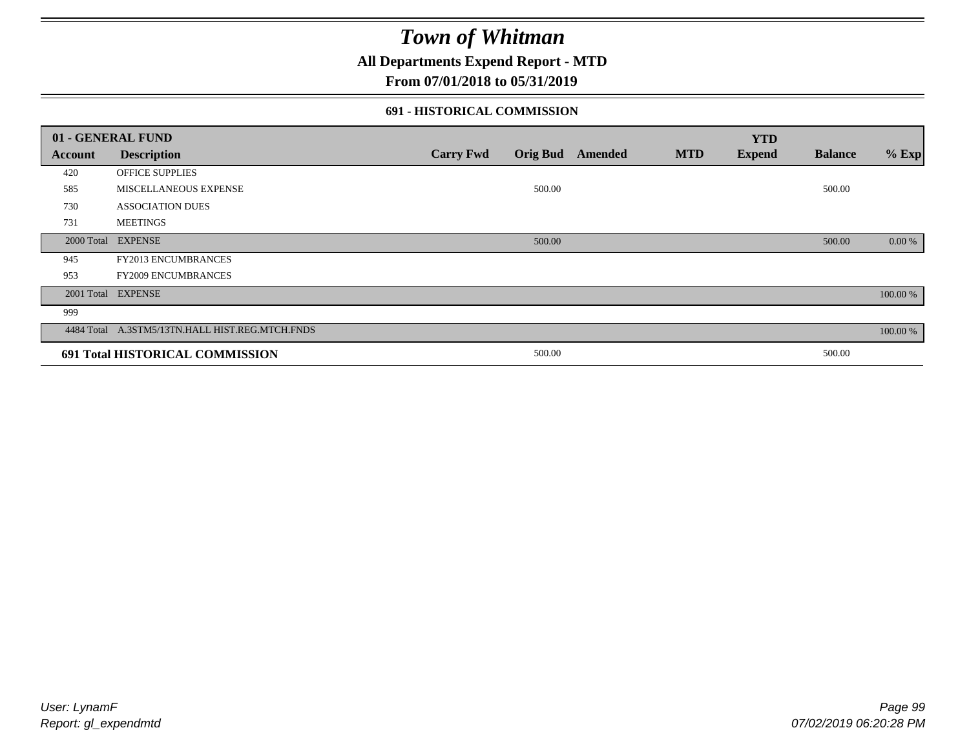## **All Departments Expend Report - MTD**

### **From 07/01/2018 to 05/31/2019**

### **691 - HISTORICAL COMMISSION**

|                | 01 - GENERAL FUND                               |                  |        |                  |            | <b>YTD</b>    |                |          |
|----------------|-------------------------------------------------|------------------|--------|------------------|------------|---------------|----------------|----------|
| <b>Account</b> | <b>Description</b>                              | <b>Carry Fwd</b> |        | Orig Bud Amended | <b>MTD</b> | <b>Expend</b> | <b>Balance</b> | $%$ Exp  |
| 420            | OFFICE SUPPLIES                                 |                  |        |                  |            |               |                |          |
| 585            | <b>MISCELLANEOUS EXPENSE</b>                    |                  | 500.00 |                  |            |               | 500.00         |          |
| 730            | <b>ASSOCIATION DUES</b>                         |                  |        |                  |            |               |                |          |
| 731            | <b>MEETINGS</b>                                 |                  |        |                  |            |               |                |          |
|                | 2000 Total EXPENSE                              |                  | 500.00 |                  |            |               | 500.00         | 0.00 %   |
| 945            | FY2013 ENCUMBRANCES                             |                  |        |                  |            |               |                |          |
| 953            | <b>FY2009 ENCUMBRANCES</b>                      |                  |        |                  |            |               |                |          |
|                | 2001 Total EXPENSE                              |                  |        |                  |            |               |                | 100.00 % |
| 999            |                                                 |                  |        |                  |            |               |                |          |
|                | 4484 Total A.3STM5/13TN.HALL HIST.REG.MTCH.FNDS |                  |        |                  |            |               |                | 100.00 % |
|                | 691 Total HISTORICAL COMMISSION                 |                  | 500.00 |                  |            |               | 500.00         |          |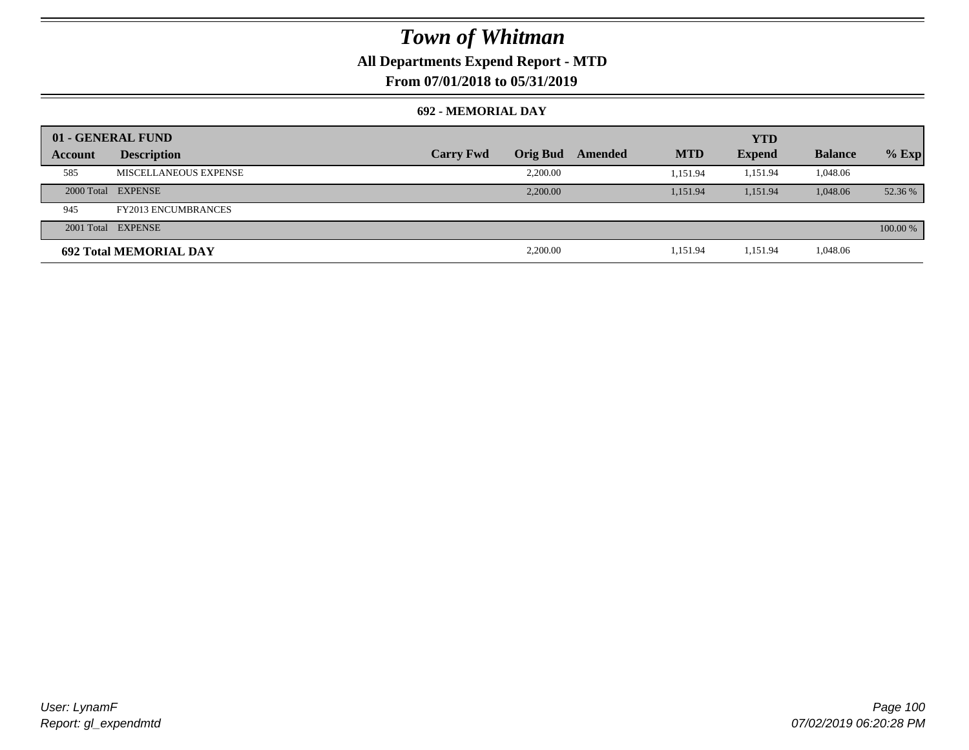## **All Departments Expend Report - MTD**

**From 07/01/2018 to 05/31/2019**

### **692 - MEMORIAL DAY**

|         | 01 - GENERAL FUND             |                  |                 |         |            | <b>YTD</b>    |                |          |
|---------|-------------------------------|------------------|-----------------|---------|------------|---------------|----------------|----------|
| Account | <b>Description</b>            | <b>Carry Fwd</b> | <b>Orig Bud</b> | Amended | <b>MTD</b> | <b>Expend</b> | <b>Balance</b> | $%$ Exp  |
| 585     | MISCELLANEOUS EXPENSE         |                  | 2.200.00        |         | 1.151.94   | 1.151.94      | 1,048.06       |          |
|         | 2000 Total EXPENSE            |                  | 2,200,00        |         | 1.151.94   | 1.151.94      | 1,048.06       | 52.36 %  |
| 945     | <b>FY2013 ENCUMBRANCES</b>    |                  |                 |         |            |               |                |          |
|         | 2001 Total EXPENSE            |                  |                 |         |            |               |                | 100.00 % |
|         | <b>692 Total MEMORIAL DAY</b> |                  | 2,200.00        |         | 1,151.94   | 1,151.94      | 1,048.06       |          |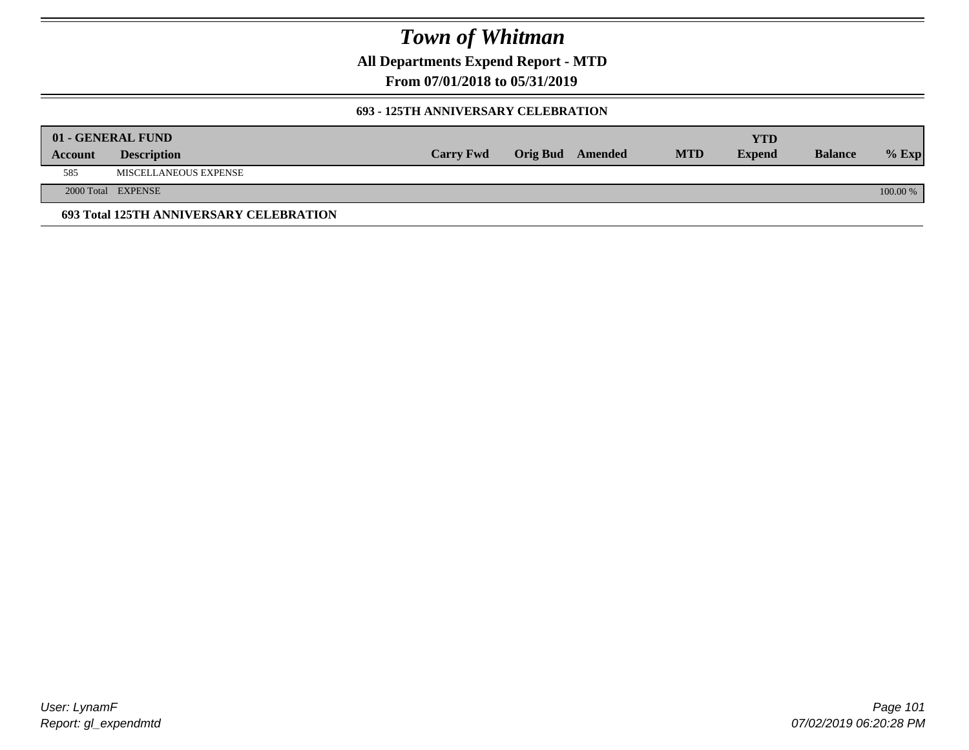**All Departments Expend Report - MTD**

**From 07/01/2018 to 05/31/2019**

### **693 - 125TH ANNIVERSARY CELEBRATION**

|         | 01 - GENERAL FUND                       |                  |                         |            | YTD           |                |          |
|---------|-----------------------------------------|------------------|-------------------------|------------|---------------|----------------|----------|
| Account | <b>Description</b>                      | <b>Carry Fwd</b> | <b>Orig Bud</b> Amended | <b>MTD</b> | <b>Expend</b> | <b>Balance</b> | $%$ Exp  |
| 585     | MISCELLANEOUS EXPENSE                   |                  |                         |            |               |                |          |
|         | 2000 Total EXPENSE                      |                  |                         |            |               |                | 100.00 % |
|         | 693 Total 125TH ANNIVERSARY CELEBRATION |                  |                         |            |               |                |          |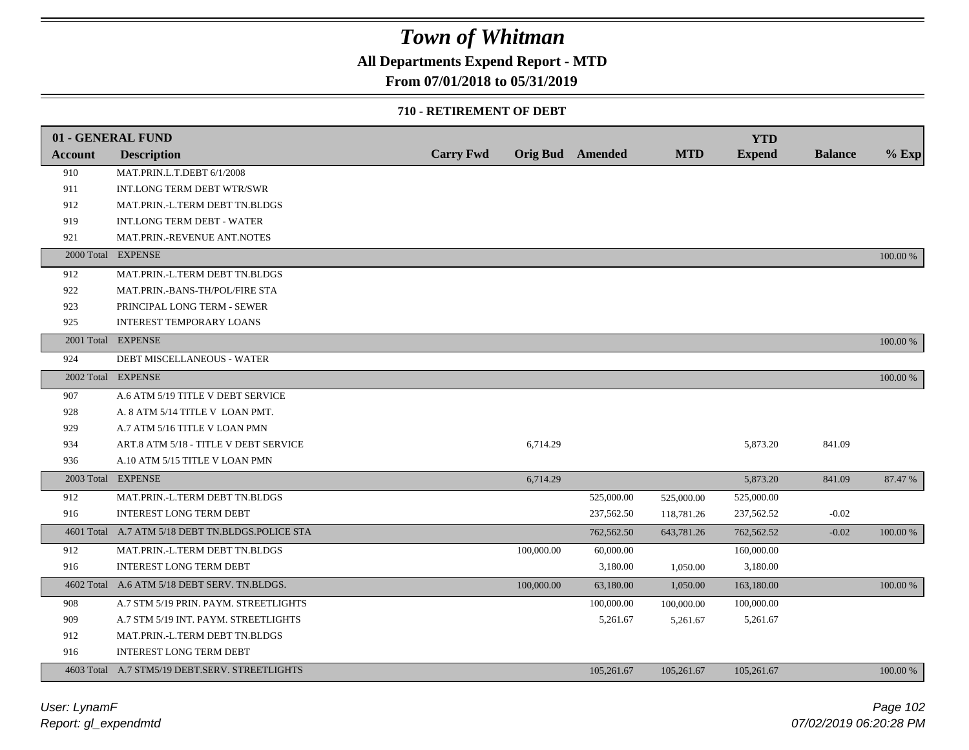## **All Departments Expend Report - MTD**

## **From 07/01/2018 to 05/31/2019**

#### **710 - RETIREMENT OF DEBT**

|            | 01 - GENERAL FUND                                |                  |            |                         |            | <b>YTD</b>    |                |          |
|------------|--------------------------------------------------|------------------|------------|-------------------------|------------|---------------|----------------|----------|
| Account    | <b>Description</b>                               | <b>Carry Fwd</b> |            | <b>Orig Bud</b> Amended | <b>MTD</b> | <b>Expend</b> | <b>Balance</b> | $%$ Exp  |
| 910        | MAT.PRIN.L.T.DEBT 6/1/2008                       |                  |            |                         |            |               |                |          |
| 911        | INT.LONG TERM DEBT WTR/SWR                       |                  |            |                         |            |               |                |          |
| 912        | MAT.PRIN.-L.TERM DEBT TN.BLDGS                   |                  |            |                         |            |               |                |          |
| 919        | <b>INT.LONG TERM DEBT - WATER</b>                |                  |            |                         |            |               |                |          |
| 921        | MAT.PRIN.-REVENUE ANT.NOTES                      |                  |            |                         |            |               |                |          |
| 2000 Total | <b>EXPENSE</b>                                   |                  |            |                         |            |               |                | 100.00 % |
| 912        | MAT.PRIN.-L.TERM DEBT TN.BLDGS                   |                  |            |                         |            |               |                |          |
| 922        | MAT.PRIN.-BANS-TH/POL/FIRE STA                   |                  |            |                         |            |               |                |          |
| 923        | PRINCIPAL LONG TERM - SEWER                      |                  |            |                         |            |               |                |          |
| 925        | <b>INTEREST TEMPORARY LOANS</b>                  |                  |            |                         |            |               |                |          |
|            | 2001 Total EXPENSE                               |                  |            |                         |            |               |                | 100.00 % |
| 924        | DEBT MISCELLANEOUS - WATER                       |                  |            |                         |            |               |                |          |
|            | 2002 Total EXPENSE                               |                  |            |                         |            |               |                | 100.00 % |
| 907        | A.6 ATM 5/19 TITLE V DEBT SERVICE                |                  |            |                         |            |               |                |          |
| 928        | A. 8 ATM 5/14 TITLE V LOAN PMT.                  |                  |            |                         |            |               |                |          |
| 929        | A.7 ATM 5/16 TITLE V LOAN PMN                    |                  |            |                         |            |               |                |          |
| 934        | ART.8 ATM 5/18 - TITLE V DEBT SERVICE            |                  | 6,714.29   |                         |            | 5,873.20      | 841.09         |          |
| 936        | A.10 ATM 5/15 TITLE V LOAN PMN                   |                  |            |                         |            |               |                |          |
|            | 2003 Total EXPENSE                               |                  | 6,714.29   |                         |            | 5,873.20      | 841.09         | 87.47 %  |
| 912        | MAT.PRIN.-L.TERM DEBT TN.BLDGS                   |                  |            | 525,000.00              | 525,000.00 | 525,000.00    |                |          |
| 916        | <b>INTEREST LONG TERM DEBT</b>                   |                  |            | 237,562.50              | 118,781.26 | 237,562.52    | $-0.02$        |          |
|            | 4601 Total A.7 ATM 5/18 DEBT TN.BLDGS.POLICE STA |                  |            | 762,562.50              | 643,781.26 | 762,562.52    | $-0.02$        | 100.00 % |
| 912        | MAT.PRIN.-L.TERM DEBT TN.BLDGS                   |                  | 100,000.00 | 60,000.00               |            | 160,000.00    |                |          |
| 916        | <b>INTEREST LONG TERM DEBT</b>                   |                  |            | 3,180.00                | 1,050.00   | 3,180.00      |                |          |
|            | 4602 Total A.6 ATM 5/18 DEBT SERV. TN.BLDGS.     |                  | 100,000.00 | 63,180.00               | 1,050.00   | 163,180.00    |                | 100.00 % |
| 908        | A.7 STM 5/19 PRIN. PAYM. STREETLIGHTS            |                  |            | 100,000.00              | 100,000.00 | 100,000.00    |                |          |
| 909        | A.7 STM 5/19 INT. PAYM. STREETLIGHTS             |                  |            | 5,261.67                | 5,261.67   | 5,261.67      |                |          |
| 912        | MAT.PRIN.-L.TERM DEBT TN.BLDGS                   |                  |            |                         |            |               |                |          |
| 916        | <b>INTEREST LONG TERM DEBT</b>                   |                  |            |                         |            |               |                |          |
|            | 4603 Total A.7 STM5/19 DEBT.SERV. STREETLIGHTS   |                  |            | 105,261.67              | 105,261.67 | 105,261.67    |                | 100.00 % |
|            |                                                  |                  |            |                         |            |               |                |          |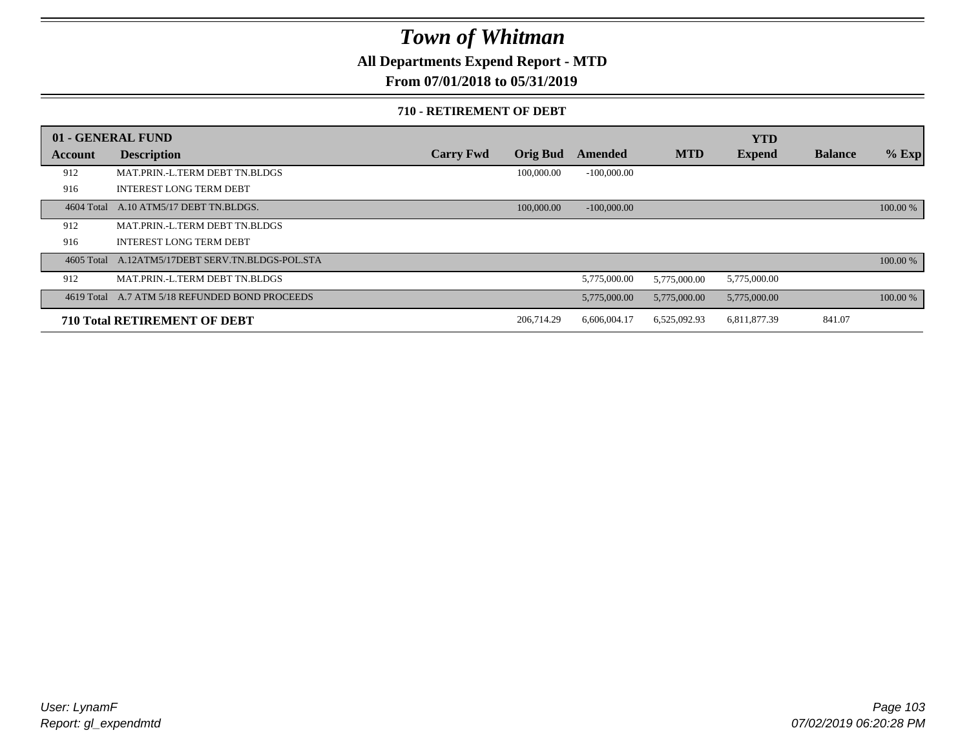**All Departments Expend Report - MTD**

**From 07/01/2018 to 05/31/2019**

#### **710 - RETIREMENT OF DEBT**

|            | 01 - GENERAL FUND                              |                  |                 |               |              | <b>YTD</b>    |                |          |
|------------|------------------------------------------------|------------------|-----------------|---------------|--------------|---------------|----------------|----------|
| Account    | <b>Description</b>                             | <b>Carry Fwd</b> | <b>Orig Bud</b> | Amended       | <b>MTD</b>   | <b>Expend</b> | <b>Balance</b> | $%$ Exp  |
| 912        | MAT.PRIN.-L.TERM DEBT TN.BLDGS                 |                  | 100,000.00      | $-100,000.00$ |              |               |                |          |
| 916        | <b>INTEREST LONG TERM DEBT</b>                 |                  |                 |               |              |               |                |          |
| 4604 Total | A.10 ATM5/17 DEBT TN.BLDGS.                    |                  | 100,000.00      | $-100,000,00$ |              |               |                | 100.00 % |
| 912        | MAT.PRIN.-L.TERM DEBT TN.BLDGS                 |                  |                 |               |              |               |                |          |
| 916        | <b>INTEREST LONG TERM DEBT</b>                 |                  |                 |               |              |               |                |          |
| 4605 Total | A.12ATM5/17DEBT SERV.TN.BLDGS-POL.STA          |                  |                 |               |              |               |                | 100.00 % |
| 912        | MAT.PRIN.-L.TERM DEBT TN.BLDGS                 |                  |                 | 5,775,000.00  | 5,775,000.00 | 5,775,000.00  |                |          |
|            | 4619 Total A.7 ATM 5/18 REFUNDED BOND PROCEEDS |                  |                 | 5,775,000.00  | 5,775,000.00 | 5,775,000.00  |                | 100.00 % |
|            | <b>710 Total RETIREMENT OF DEBT</b>            |                  | 206,714.29      | 6,606,004.17  | 6,525,092.93 | 6,811,877.39  | 841.07         |          |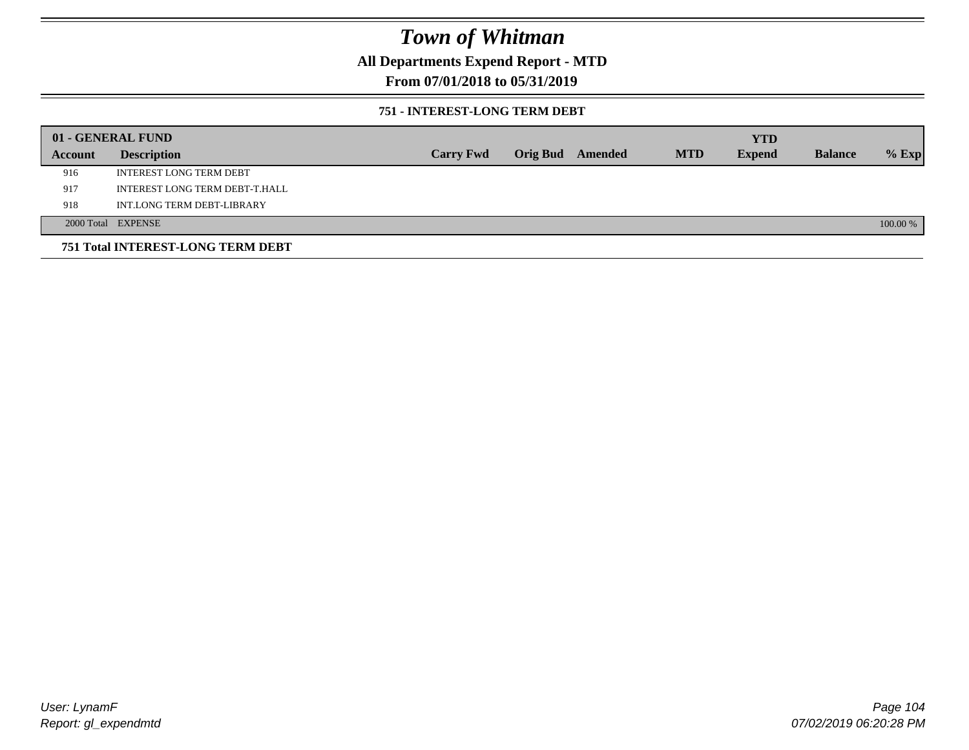## **All Departments Expend Report - MTD**

## **From 07/01/2018 to 05/31/2019**

### **751 - INTEREST-LONG TERM DEBT**

|         | 01 - GENERAL FUND                 |                  |                         |            | <b>YTD</b>    |                |          |
|---------|-----------------------------------|------------------|-------------------------|------------|---------------|----------------|----------|
| Account | <b>Description</b>                | <b>Carry Fwd</b> | <b>Orig Bud</b> Amended | <b>MTD</b> | <b>Expend</b> | <b>Balance</b> | $%$ Exp  |
| 916     | <b>INTEREST LONG TERM DEBT</b>    |                  |                         |            |               |                |          |
| 917     | INTEREST LONG TERM DEBT-T.HALL    |                  |                         |            |               |                |          |
| 918     | INT.LONG TERM DEBT-LIBRARY        |                  |                         |            |               |                |          |
|         | 2000 Total EXPENSE                |                  |                         |            |               |                | 100.00 % |
|         | 751 Total INTEREST-LONG TERM DEBT |                  |                         |            |               |                |          |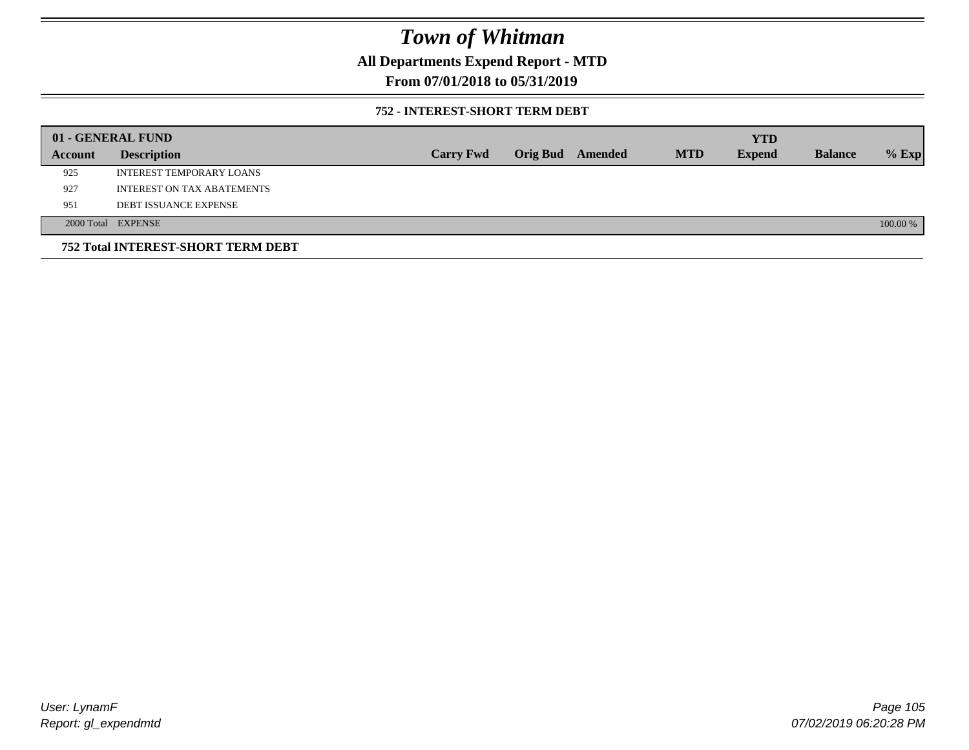## **All Departments Expend Report - MTD**

## **From 07/01/2018 to 05/31/2019**

### **752 - INTEREST-SHORT TERM DEBT**

|         | 01 - GENERAL FUND                  |                  |                 |         |            | <b>YTD</b>    |                |          |
|---------|------------------------------------|------------------|-----------------|---------|------------|---------------|----------------|----------|
| Account | <b>Description</b>                 | <b>Carry Fwd</b> | <b>Orig Bud</b> | Amended | <b>MTD</b> | <b>Expend</b> | <b>Balance</b> | $%$ Exp  |
| 925     | <b>INTEREST TEMPORARY LOANS</b>    |                  |                 |         |            |               |                |          |
| 927     | <b>INTEREST ON TAX ABATEMENTS</b>  |                  |                 |         |            |               |                |          |
| 951     | <b>DEBT ISSUANCE EXPENSE</b>       |                  |                 |         |            |               |                |          |
|         | 2000 Total EXPENSE                 |                  |                 |         |            |               |                | 100.00 % |
|         | 752 Total INTEREST-SHORT TERM DEBT |                  |                 |         |            |               |                |          |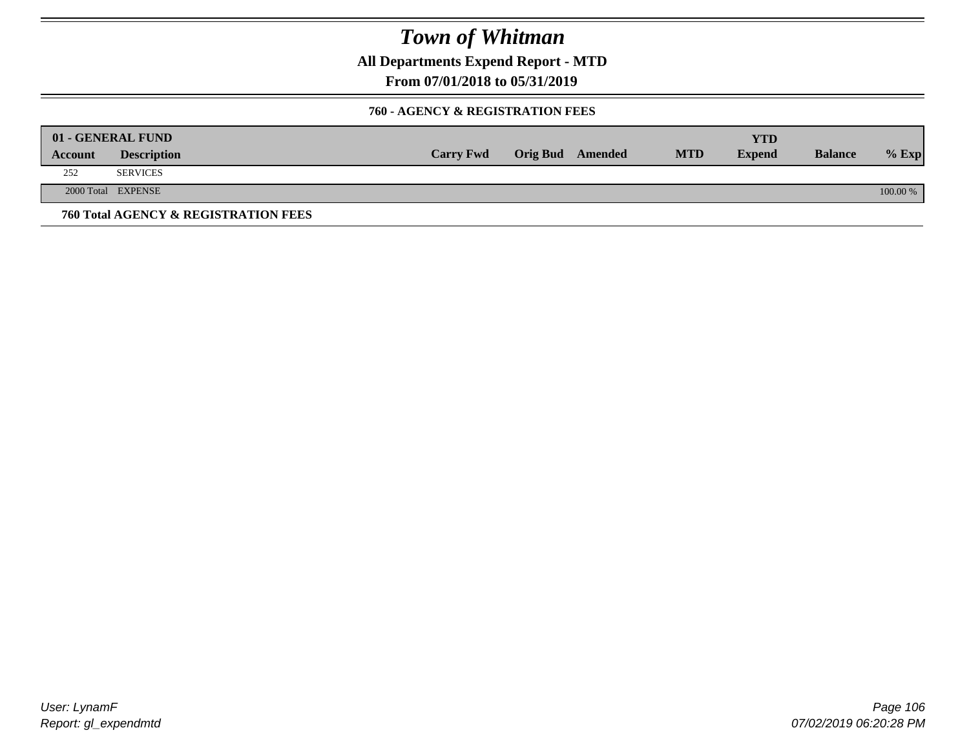**All Departments Expend Report - MTD**

**From 07/01/2018 to 05/31/2019**

### **760 - AGENCY & REGISTRATION FEES**

|         | 01 - GENERAL FUND                    |                  |                         |            | YTD           |                |          |
|---------|--------------------------------------|------------------|-------------------------|------------|---------------|----------------|----------|
| Account | <b>Description</b>                   | <b>Carry Fwd</b> | <b>Orig Bud</b> Amended | <b>MTD</b> | <b>Expend</b> | <b>Balance</b> | $%$ Exp  |
| 252     | <b>SERVICES</b>                      |                  |                         |            |               |                |          |
|         | 2000 Total EXPENSE                   |                  |                         |            |               |                | 100.00 % |
|         | 760 Total AGENCY & REGISTRATION FEES |                  |                         |            |               |                |          |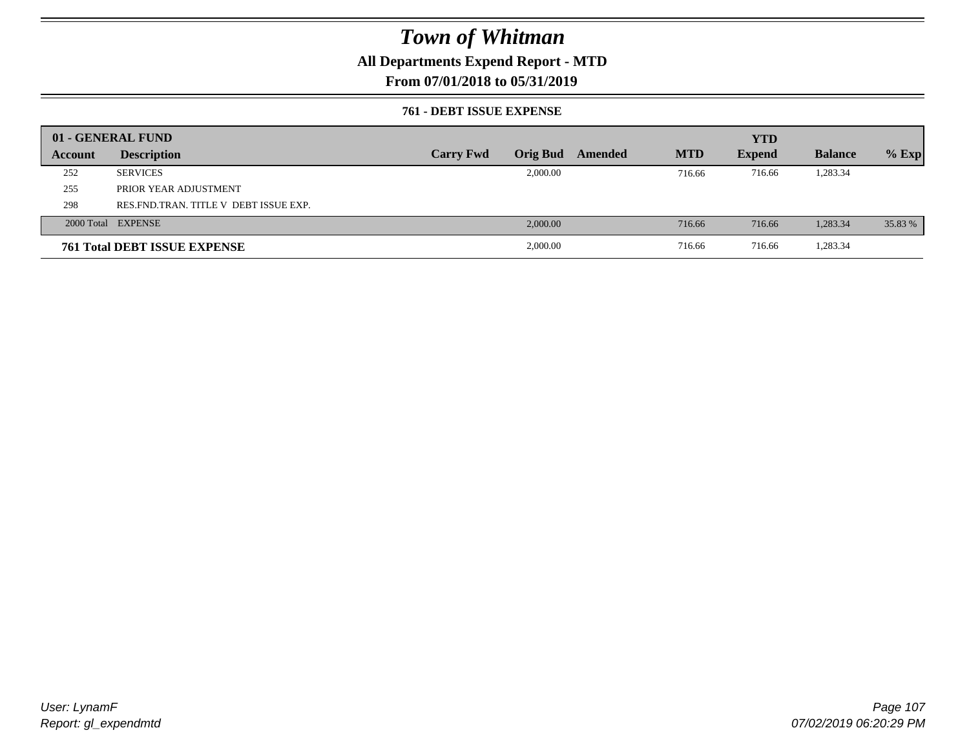## **All Departments Expend Report - MTD**

## **From 07/01/2018 to 05/31/2019**

### **761 - DEBT ISSUE EXPENSE**

|         | 01 - GENERAL FUND                       |                  |                 |         |            | <b>YTD</b>    |                |         |
|---------|-----------------------------------------|------------------|-----------------|---------|------------|---------------|----------------|---------|
| Account | <b>Description</b>                      | <b>Carry Fwd</b> | <b>Orig Bud</b> | Amended | <b>MTD</b> | <b>Expend</b> | <b>Balance</b> | $%$ Exp |
| 252     | <b>SERVICES</b>                         |                  | 2,000.00        |         | 716.66     | 716.66        | 1,283.34       |         |
| 255     | PRIOR YEAR ADJUSTMENT                   |                  |                 |         |            |               |                |         |
| 298     | RES. FND. TRAN. TITLE V DEBT ISSUE EXP. |                  |                 |         |            |               |                |         |
|         | 2000 Total EXPENSE                      |                  | 2,000.00        |         | 716.66     | 716.66        | 1,283.34       | 35.83 % |
|         | <b>761 Total DEBT ISSUE EXPENSE</b>     |                  | 2,000.00        |         | 716.66     | 716.66        | 1,283.34       |         |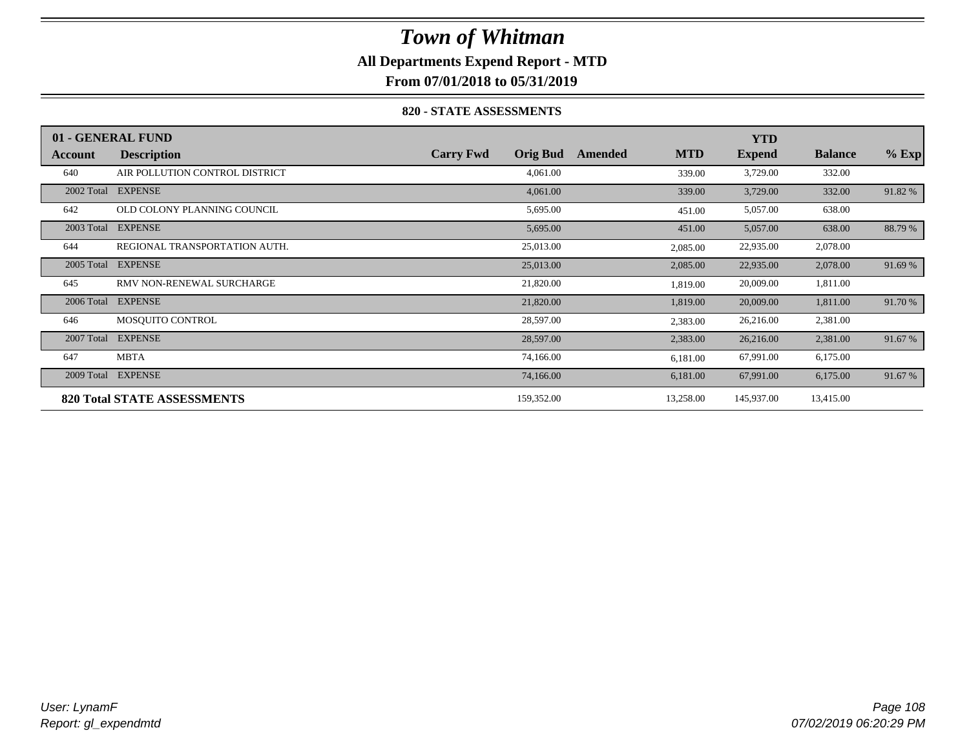## **All Departments Expend Report - MTD**

**From 07/01/2018 to 05/31/2019**

### **820 - STATE ASSESSMENTS**

|            | 01 - GENERAL FUND                  |                                     |                       | <b>YTD</b>    |                |         |
|------------|------------------------------------|-------------------------------------|-----------------------|---------------|----------------|---------|
| Account    | <b>Description</b>                 | <b>Carry Fwd</b><br><b>Orig Bud</b> | <b>MTD</b><br>Amended | <b>Expend</b> | <b>Balance</b> | $%$ Exp |
| 640        | AIR POLLUTION CONTROL DISTRICT     | 4,061.00                            | 339.00                | 3,729.00      | 332.00         |         |
| 2002 Total | <b>EXPENSE</b>                     | 4,061.00                            | 339.00                | 3,729.00      | 332.00         | 91.82 % |
| 642        | OLD COLONY PLANNING COUNCIL        | 5,695.00                            | 451.00                | 5,057.00      | 638.00         |         |
| 2003 Total | <b>EXPENSE</b>                     | 5,695.00                            | 451.00                | 5,057.00      | 638.00         | 88.79 % |
| 644        | REGIONAL TRANSPORTATION AUTH.      | 25,013.00                           | 2,085.00              | 22,935.00     | 2,078.00       |         |
| 2005 Total | <b>EXPENSE</b>                     | 25,013.00                           | 2,085.00              | 22,935.00     | 2,078.00       | 91.69 % |
| 645        | RMV NON-RENEWAL SURCHARGE          | 21,820.00                           | 1,819.00              | 20,009.00     | 1,811.00       |         |
| 2006 Total | <b>EXPENSE</b>                     | 21,820.00                           | 1,819.00              | 20,009.00     | 1,811.00       | 91.70 % |
| 646        | MOSOUITO CONTROL                   | 28,597.00                           | 2,383.00              | 26,216.00     | 2,381.00       |         |
| 2007 Total | <b>EXPENSE</b>                     | 28,597.00                           | 2,383.00              | 26,216.00     | 2,381.00       | 91.67 % |
| 647        | <b>MBTA</b>                        | 74,166.00                           | 6,181.00              | 67,991.00     | 6,175.00       |         |
| 2009 Total | <b>EXPENSE</b>                     | 74,166.00                           | 6,181.00              | 67,991.00     | 6,175.00       | 91.67 % |
|            | <b>820 Total STATE ASSESSMENTS</b> | 159,352.00                          | 13,258.00             | 145,937.00    | 13,415.00      |         |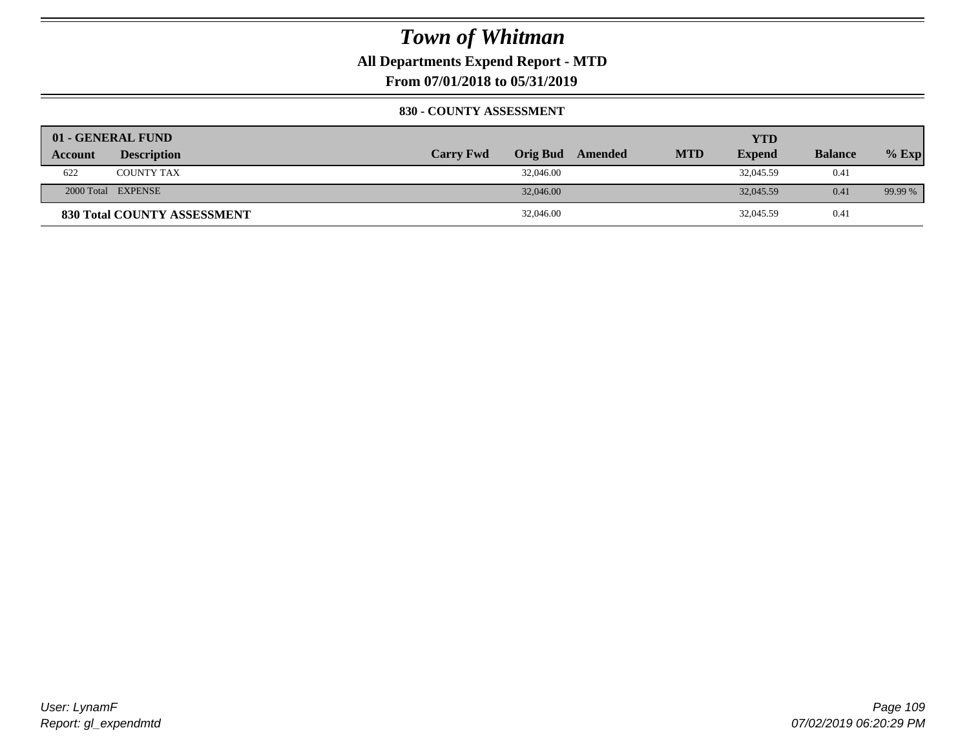**All Departments Expend Report - MTD**

**From 07/01/2018 to 05/31/2019**

#### **830 - COUNTY ASSESSMENT**

|                | 01 - GENERAL FUND                  |                  |                  |            | YTD           |                |         |
|----------------|------------------------------------|------------------|------------------|------------|---------------|----------------|---------|
| <b>Account</b> | <b>Description</b>                 | <b>Carry Fwd</b> | Orig Bud Amended | <b>MTD</b> | <b>Expend</b> | <b>Balance</b> | $%$ Exp |
| 622            | <b>COUNTY TAX</b>                  | 32,046.00        |                  |            | 32,045.59     | 0.41           |         |
|                | 2000 Total EXPENSE                 | 32,046.00        |                  |            | 32,045.59     | 0.41           | 99.99 % |
|                | <b>830 Total COUNTY ASSESSMENT</b> | 32,046.00        |                  |            | 32,045.59     | 0.41           |         |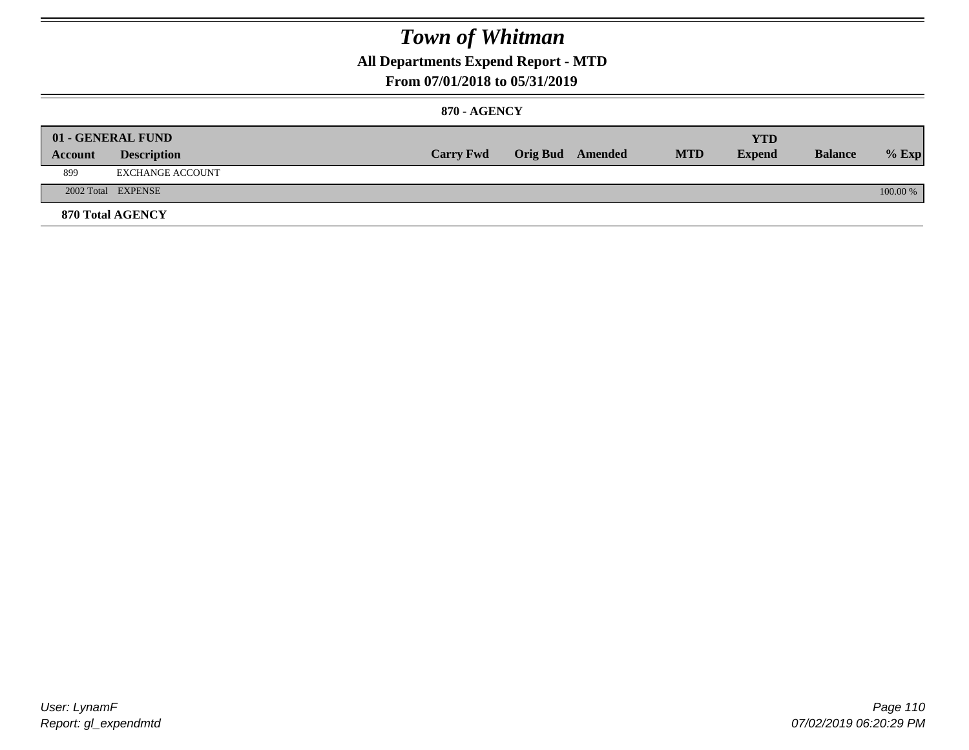### **All Departments Expend Report - MTD**

#### **From 07/01/2018 to 05/31/2019**

#### **870 - AGENCY**

| Account | 01 - GENERAL FUND<br><b>Description</b> | <b>Carry Fwd</b> | <b>Orig Bud</b> Amended | <b>MTD</b> | <b>YTD</b><br><b>Expend</b> | <b>Balance</b> | $%$ Exp  |
|---------|-----------------------------------------|------------------|-------------------------|------------|-----------------------------|----------------|----------|
| 899     | EXCHANGE ACCOUNT                        |                  |                         |            |                             |                |          |
|         | 2002 Total EXPENSE                      |                  |                         |            |                             |                | 100.00 % |
|         | <b>870 Total AGENCY</b>                 |                  |                         |            |                             |                |          |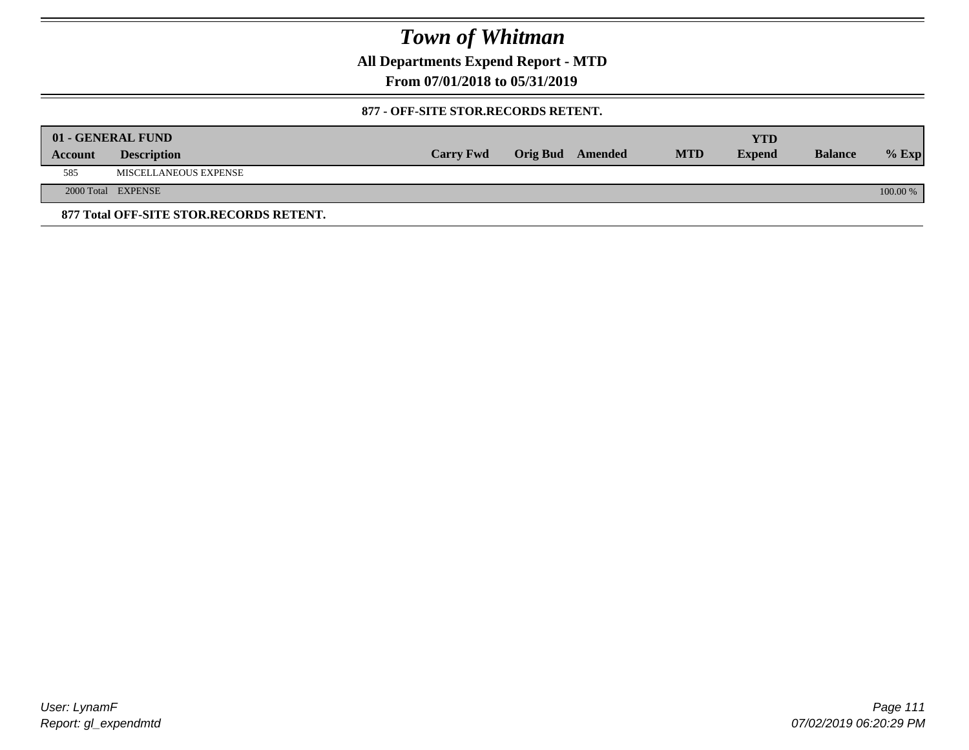**All Departments Expend Report - MTD**

**From 07/01/2018 to 05/31/2019**

#### **877 - OFF-SITE STOR.RECORDS RETENT.**

|         | 01 - GENERAL FUND                       |                  |                         |            | YTD           |                |          |
|---------|-----------------------------------------|------------------|-------------------------|------------|---------------|----------------|----------|
| Account | <b>Description</b>                      | <b>Carry Fwd</b> | <b>Orig Bud</b> Amended | <b>MTD</b> | <b>Expend</b> | <b>Balance</b> | $%$ Exp  |
| 585     | MISCELLANEOUS EXPENSE                   |                  |                         |            |               |                |          |
|         | 2000 Total EXPENSE                      |                  |                         |            |               |                | 100.00 % |
|         | 877 Total OFF-SITE STOR.RECORDS RETENT. |                  |                         |            |               |                |          |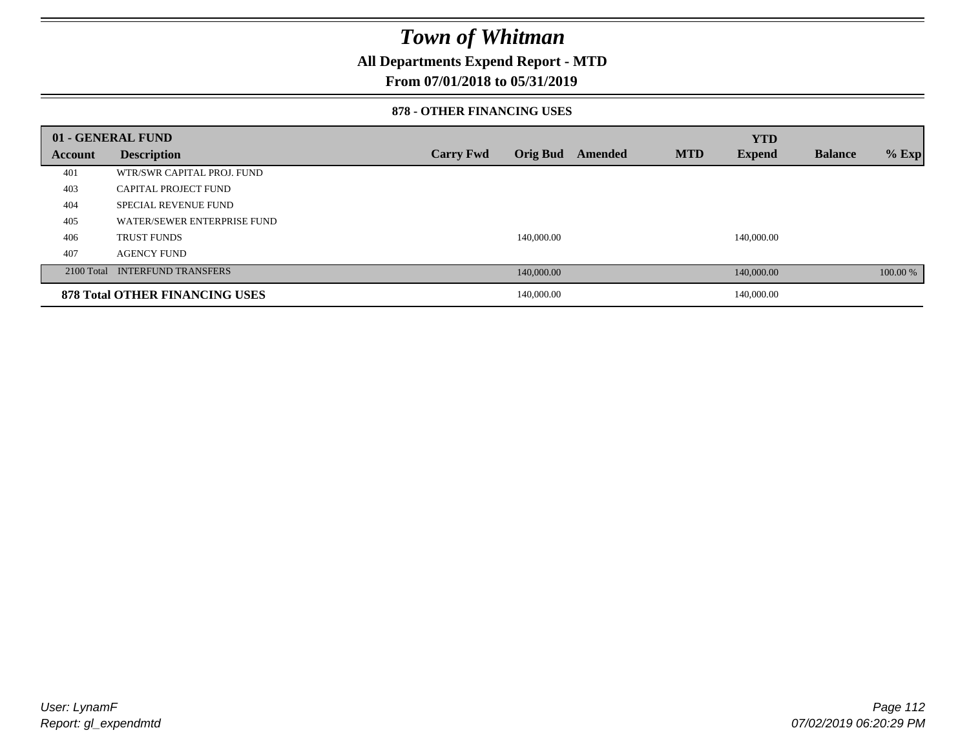### **All Departments Expend Report - MTD**

#### **From 07/01/2018 to 05/31/2019**

#### **878 - OTHER FINANCING USES**

|         | 01 - GENERAL FUND                     |                  |                 |         |            | <b>YTD</b>    |                |          |
|---------|---------------------------------------|------------------|-----------------|---------|------------|---------------|----------------|----------|
| Account | <b>Description</b>                    | <b>Carry Fwd</b> | <b>Orig Bud</b> | Amended | <b>MTD</b> | <b>Expend</b> | <b>Balance</b> | $%$ Exp  |
| 401     | WTR/SWR CAPITAL PROJ. FUND            |                  |                 |         |            |               |                |          |
| 403     | CAPITAL PROJECT FUND                  |                  |                 |         |            |               |                |          |
| 404     | <b>SPECIAL REVENUE FUND</b>           |                  |                 |         |            |               |                |          |
| 405     | WATER/SEWER ENTERPRISE FUND           |                  |                 |         |            |               |                |          |
| 406     | <b>TRUST FUNDS</b>                    |                  | 140,000.00      |         |            | 140,000.00    |                |          |
| 407     | <b>AGENCY FUND</b>                    |                  |                 |         |            |               |                |          |
|         | 2100 Total INTERFUND TRANSFERS        |                  | 140,000.00      |         |            | 140,000.00    |                | 100.00 % |
|         | <b>878 Total OTHER FINANCING USES</b> |                  | 140,000.00      |         |            | 140,000.00    |                |          |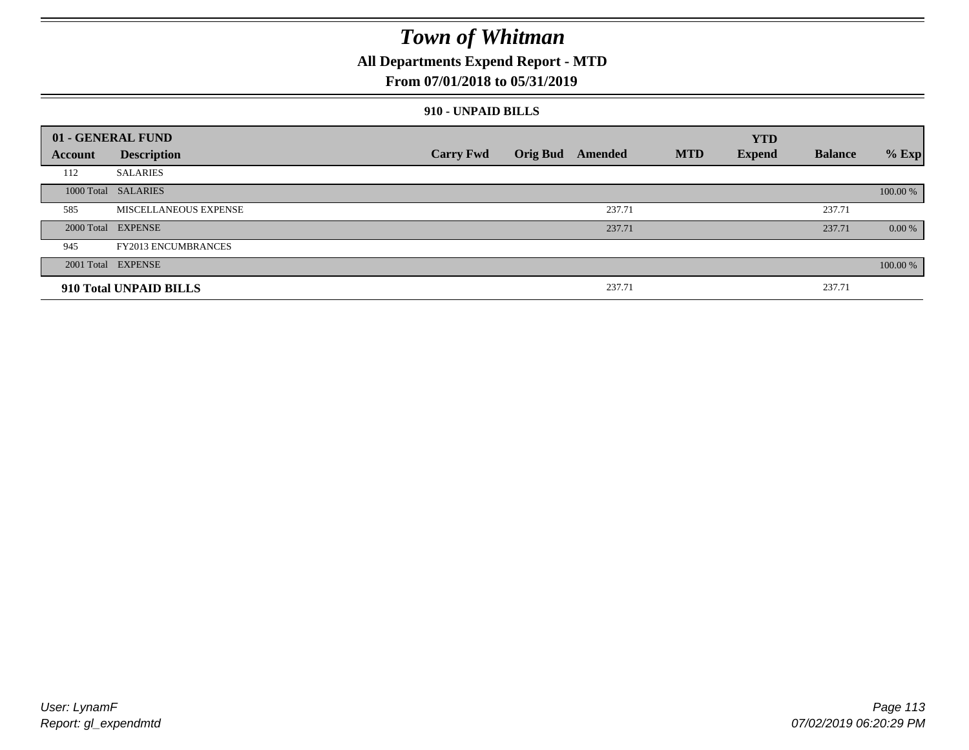### **All Departments Expend Report - MTD**

#### **From 07/01/2018 to 05/31/2019**

#### **910 - UNPAID BILLS**

|         | 01 - GENERAL FUND          |                  |                  |            | <b>YTD</b>    |                |          |
|---------|----------------------------|------------------|------------------|------------|---------------|----------------|----------|
| Account | <b>Description</b>         | <b>Carry Fwd</b> | Orig Bud Amended | <b>MTD</b> | <b>Expend</b> | <b>Balance</b> | $%$ Exp  |
| 112     | <b>SALARIES</b>            |                  |                  |            |               |                |          |
|         | 1000 Total SALARIES        |                  |                  |            |               |                | 100.00 % |
| 585     | MISCELLANEOUS EXPENSE      |                  | 237.71           |            |               | 237.71         |          |
|         | 2000 Total EXPENSE         |                  | 237.71           |            |               | 237.71         | 0.00 %   |
| 945     | <b>FY2013 ENCUMBRANCES</b> |                  |                  |            |               |                |          |
|         | 2001 Total EXPENSE         |                  |                  |            |               |                | 100.00 % |
|         | 910 Total UNPAID BILLS     |                  | 237.71           |            |               | 237.71         |          |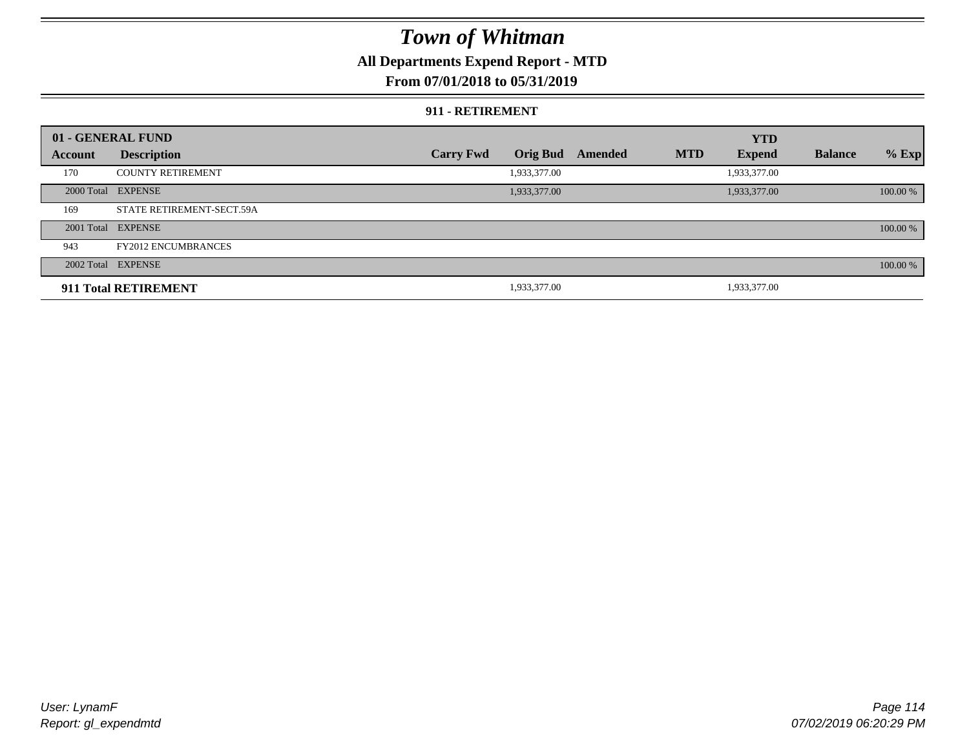### **All Departments Expend Report - MTD**

#### **From 07/01/2018 to 05/31/2019**

#### **911 - RETIREMENT**

|         | 01 - GENERAL FUND          |                  |                 |         |            | <b>YTD</b>    |                |          |
|---------|----------------------------|------------------|-----------------|---------|------------|---------------|----------------|----------|
| Account | <b>Description</b>         | <b>Carry Fwd</b> | <b>Orig Bud</b> | Amended | <b>MTD</b> | <b>Expend</b> | <b>Balance</b> | $%$ Exp  |
| 170     | <b>COUNTY RETIREMENT</b>   |                  | 1,933,377.00    |         |            | 1,933,377.00  |                |          |
|         | 2000 Total EXPENSE         |                  | 1,933,377.00    |         |            | 1,933,377.00  |                | 100.00 % |
| 169     | STATE RETIREMENT-SECT.59A  |                  |                 |         |            |               |                |          |
|         | 2001 Total EXPENSE         |                  |                 |         |            |               |                | 100.00 % |
| 943     | <b>FY2012 ENCUMBRANCES</b> |                  |                 |         |            |               |                |          |
|         | 2002 Total EXPENSE         |                  |                 |         |            |               |                | 100.00 % |
|         | 911 Total RETIREMENT       |                  | 1,933,377.00    |         |            | 1,933,377.00  |                |          |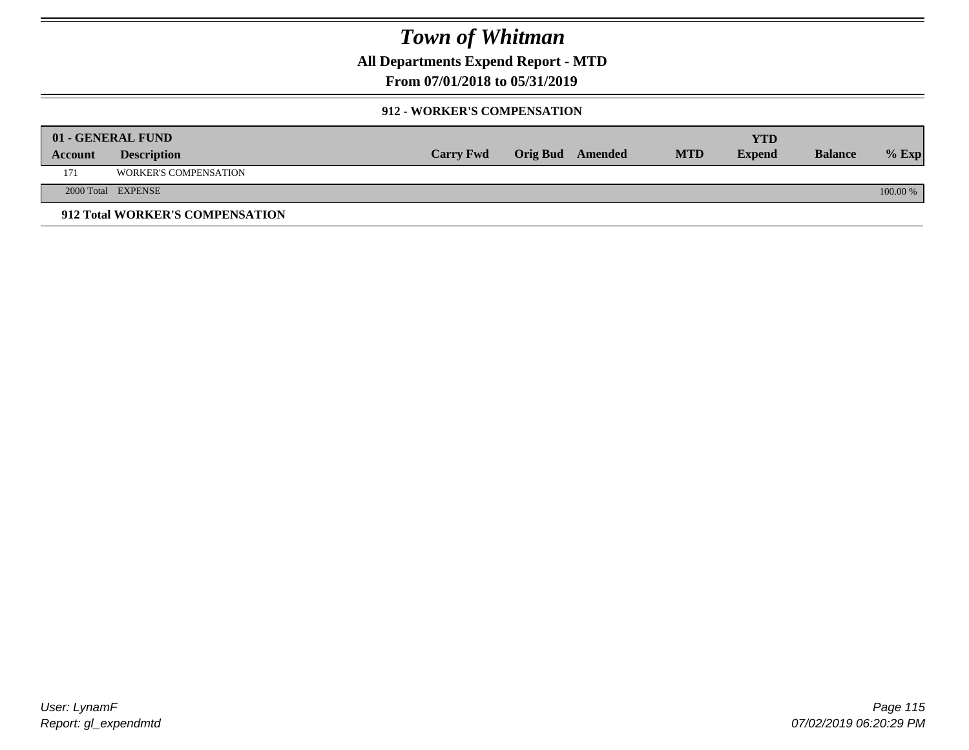**All Departments Expend Report - MTD**

### **From 07/01/2018 to 05/31/2019**

#### **912 - WORKER'S COMPENSATION**

|         | 01 - GENERAL FUND               |                  |                         |            | YTD           |                |            |
|---------|---------------------------------|------------------|-------------------------|------------|---------------|----------------|------------|
| Account | <b>Description</b>              | <b>Carry Fwd</b> | <b>Orig Bud</b> Amended | <b>MTD</b> | <b>Expend</b> | <b>Balance</b> | $%$ Exp    |
| 171     | <b>WORKER'S COMPENSATION</b>    |                  |                         |            |               |                |            |
|         | 2000 Total EXPENSE              |                  |                         |            |               |                | $100.00\%$ |
|         | 912 Total WORKER'S COMPENSATION |                  |                         |            |               |                |            |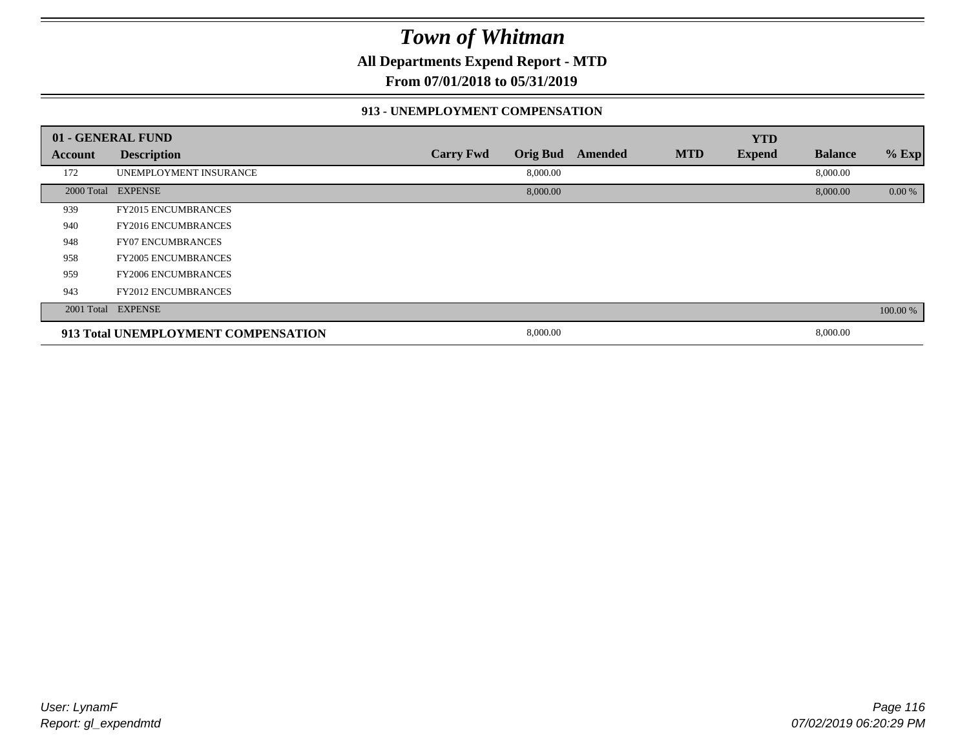**All Departments Expend Report - MTD**

**From 07/01/2018 to 05/31/2019**

#### **913 - UNEMPLOYMENT COMPENSATION**

|         | 01 - GENERAL FUND                   |                  |                 |         |            | <b>YTD</b>    |                |          |
|---------|-------------------------------------|------------------|-----------------|---------|------------|---------------|----------------|----------|
| Account | <b>Description</b>                  | <b>Carry Fwd</b> | <b>Orig Bud</b> | Amended | <b>MTD</b> | <b>Expend</b> | <b>Balance</b> | % Exp    |
| 172     | UNEMPLOYMENT INSURANCE              |                  | 8,000.00        |         |            |               | 8,000.00       |          |
|         | 2000 Total EXPENSE                  |                  | 8,000.00        |         |            |               | 8,000.00       | 0.00 %   |
| 939     | <b>FY2015 ENCUMBRANCES</b>          |                  |                 |         |            |               |                |          |
| 940     | <b>FY2016 ENCUMBRANCES</b>          |                  |                 |         |            |               |                |          |
| 948     | <b>FY07 ENCUMBRANCES</b>            |                  |                 |         |            |               |                |          |
| 958     | <b>FY2005 ENCUMBRANCES</b>          |                  |                 |         |            |               |                |          |
| 959     | <b>FY2006 ENCUMBRANCES</b>          |                  |                 |         |            |               |                |          |
| 943     | <b>FY2012 ENCUMBRANCES</b>          |                  |                 |         |            |               |                |          |
|         | 2001 Total EXPENSE                  |                  |                 |         |            |               |                | 100.00 % |
|         | 913 Total UNEMPLOYMENT COMPENSATION |                  | 8,000.00        |         |            |               | 8,000.00       |          |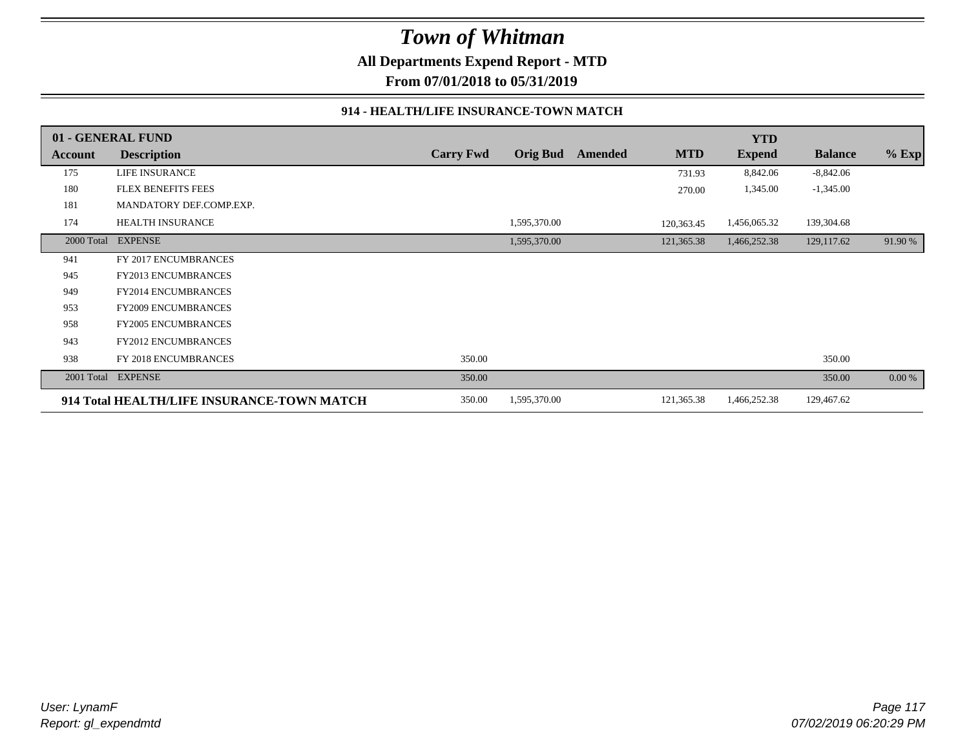**All Departments Expend Report - MTD**

**From 07/01/2018 to 05/31/2019**

#### **914 - HEALTH/LIFE INSURANCE-TOWN MATCH**

|            | 01 - GENERAL FUND                          |                  |                 |         |            | <b>YTD</b>    |                |         |
|------------|--------------------------------------------|------------------|-----------------|---------|------------|---------------|----------------|---------|
| Account    | <b>Description</b>                         | <b>Carry Fwd</b> | <b>Orig Bud</b> | Amended | <b>MTD</b> | <b>Expend</b> | <b>Balance</b> | $%$ Exp |
| 175        | LIFE INSURANCE                             |                  |                 |         | 731.93     | 8,842.06      | $-8,842.06$    |         |
| 180        | <b>FLEX BENEFITS FEES</b>                  |                  |                 |         | 270.00     | 1,345.00      | $-1,345.00$    |         |
| 181        | MANDATORY DEF.COMP.EXP.                    |                  |                 |         |            |               |                |         |
| 174        | <b>HEALTH INSURANCE</b>                    |                  | 1,595,370.00    |         | 120,363.45 | 1,456,065.32  | 139,304.68     |         |
| 2000 Total | <b>EXPENSE</b>                             |                  | 1,595,370.00    |         | 121,365.38 | 1,466,252.38  | 129,117.62     | 91.90 % |
| 941        | FY 2017 ENCUMBRANCES                       |                  |                 |         |            |               |                |         |
| 945        | <b>FY2013 ENCUMBRANCES</b>                 |                  |                 |         |            |               |                |         |
| 949        | <b>FY2014 ENCUMBRANCES</b>                 |                  |                 |         |            |               |                |         |
| 953        | FY2009 ENCUMBRANCES                        |                  |                 |         |            |               |                |         |
| 958        | <b>FY2005 ENCUMBRANCES</b>                 |                  |                 |         |            |               |                |         |
| 943        | <b>FY2012 ENCUMBRANCES</b>                 |                  |                 |         |            |               |                |         |
| 938        | FY 2018 ENCUMBRANCES                       | 350.00           |                 |         |            |               | 350.00         |         |
| 2001 Total | <b>EXPENSE</b>                             | 350.00           |                 |         |            |               | 350.00         | 0.00 %  |
|            | 914 Total HEALTH/LIFE INSURANCE-TOWN MATCH | 350.00           | 1,595,370.00    |         | 121,365.38 | 1,466,252.38  | 129,467.62     |         |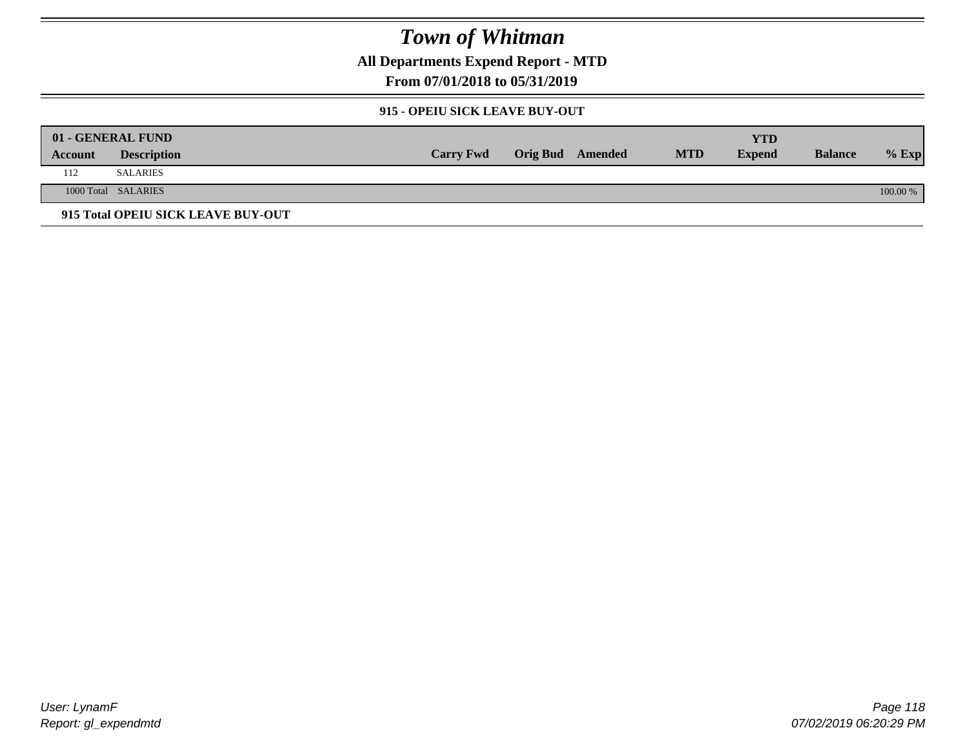**All Departments Expend Report - MTD**

**From 07/01/2018 to 05/31/2019**

#### **915 - OPEIU SICK LEAVE BUY-OUT**

|         | 01 - GENERAL FUND                  |                  |                         |            | YTD           |                |            |
|---------|------------------------------------|------------------|-------------------------|------------|---------------|----------------|------------|
| Account | <b>Description</b>                 | <b>Carry Fwd</b> | <b>Orig Bud</b> Amended | <b>MTD</b> | <b>Expend</b> | <b>Balance</b> | $%$ Exp    |
| 112     | <b>SALARIES</b>                    |                  |                         |            |               |                |            |
|         | 1000 Total SALARIES                |                  |                         |            |               |                | $100.00\%$ |
|         | 915 Total OPEIU SICK LEAVE BUY-OUT |                  |                         |            |               |                |            |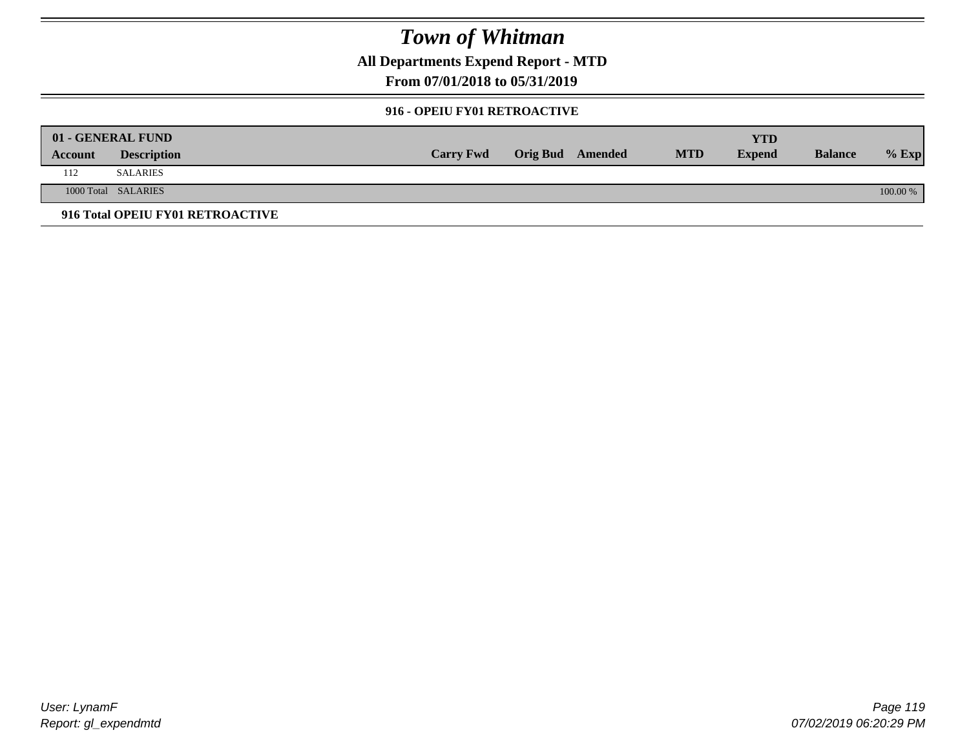**All Departments Expend Report - MTD**

**From 07/01/2018 to 05/31/2019**

#### **916 - OPEIU FY01 RETROACTIVE**

|         | 01 - GENERAL FUND                |                  |                         |            | YTD           |                |          |
|---------|----------------------------------|------------------|-------------------------|------------|---------------|----------------|----------|
| Account | <b>Description</b>               | <b>Carry Fwd</b> | <b>Orig Bud</b> Amended | <b>MTD</b> | <b>Expend</b> | <b>Balance</b> | $%$ Exp  |
| 112     | <b>SALARIES</b>                  |                  |                         |            |               |                |          |
|         | 1000 Total SALARIES              |                  |                         |            |               |                | 100.00 % |
|         | 916 Total OPEIU FY01 RETROACTIVE |                  |                         |            |               |                |          |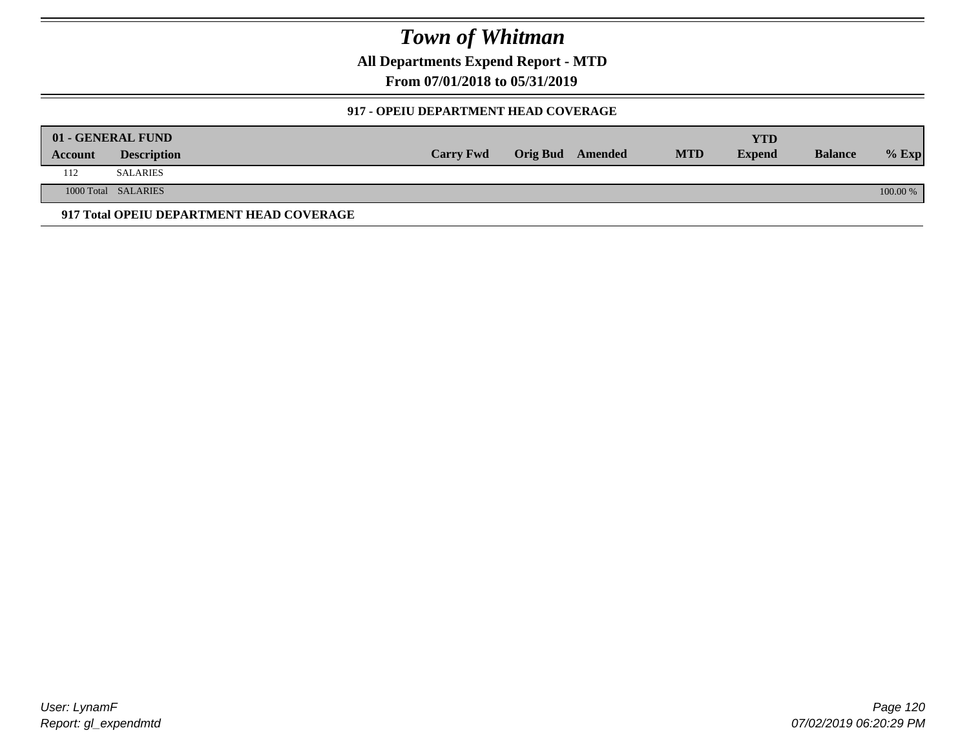**All Departments Expend Report - MTD**

**From 07/01/2018 to 05/31/2019**

#### **917 - OPEIU DEPARTMENT HEAD COVERAGE**

|         | 01 - GENERAL FUND                        |                  |                  |            | YTD           |                |            |
|---------|------------------------------------------|------------------|------------------|------------|---------------|----------------|------------|
| Account | <b>Description</b>                       | <b>Carry Fwd</b> | Orig Bud Amended | <b>MTD</b> | <b>Expend</b> | <b>Balance</b> | $%$ Exp    |
| 112     | SALARIES                                 |                  |                  |            |               |                |            |
|         | 1000 Total SALARIES                      |                  |                  |            |               |                | $100.00\%$ |
|         | 917 Total OPEIU DEPARTMENT HEAD COVERAGE |                  |                  |            |               |                |            |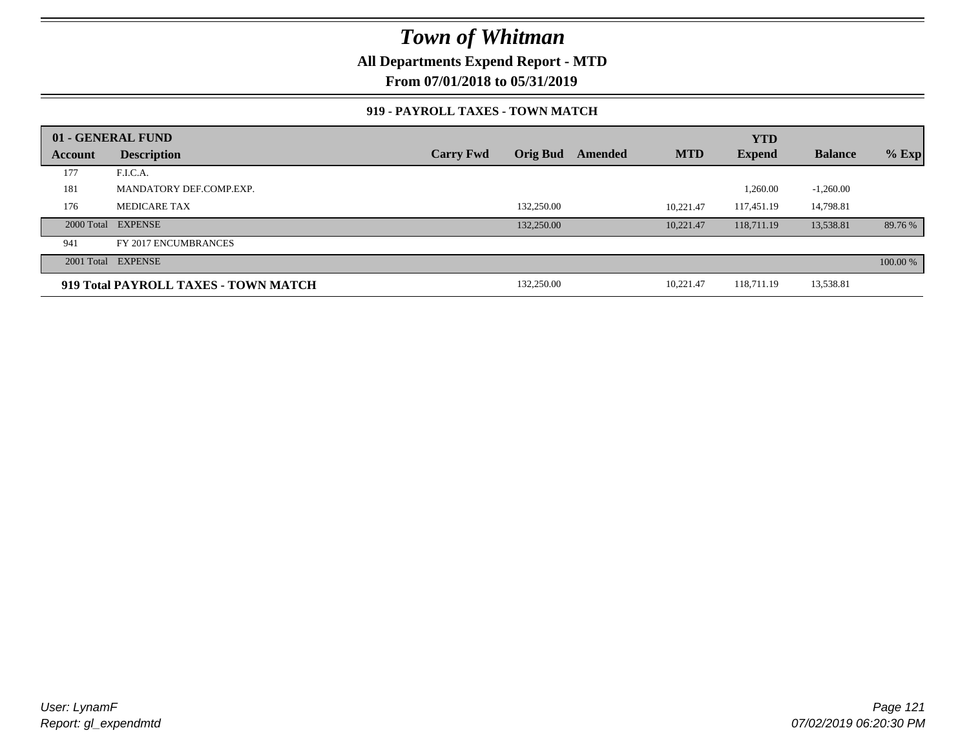### **All Departments Expend Report - MTD**

**From 07/01/2018 to 05/31/2019**

#### **919 - PAYROLL TAXES - TOWN MATCH**

|         | 01 - GENERAL FUND                    |                  |                 |         |            | <b>YTD</b>    |                |          |
|---------|--------------------------------------|------------------|-----------------|---------|------------|---------------|----------------|----------|
| Account | <b>Description</b>                   | <b>Carry Fwd</b> | <b>Orig Bud</b> | Amended | <b>MTD</b> | <b>Expend</b> | <b>Balance</b> | $%$ Exp  |
| 177     | F.I.C.A.                             |                  |                 |         |            |               |                |          |
| 181     | MANDATORY DEF.COMP.EXP.              |                  |                 |         |            | 1,260.00      | $-1,260.00$    |          |
| 176     | MEDICARE TAX                         |                  | 132,250.00      |         | 10.221.47  | 117.451.19    | 14.798.81      |          |
|         | 2000 Total EXPENSE                   |                  | 132,250.00      |         | 10.221.47  | 118,711.19    | 13,538.81      | 89.76 %  |
| 941     | FY 2017 ENCUMBRANCES                 |                  |                 |         |            |               |                |          |
|         | 2001 Total EXPENSE                   |                  |                 |         |            |               |                | 100.00 % |
|         | 919 Total PAYROLL TAXES - TOWN MATCH |                  | 132,250.00      |         | 10,221.47  | 118,711.19    | 13,538.81      |          |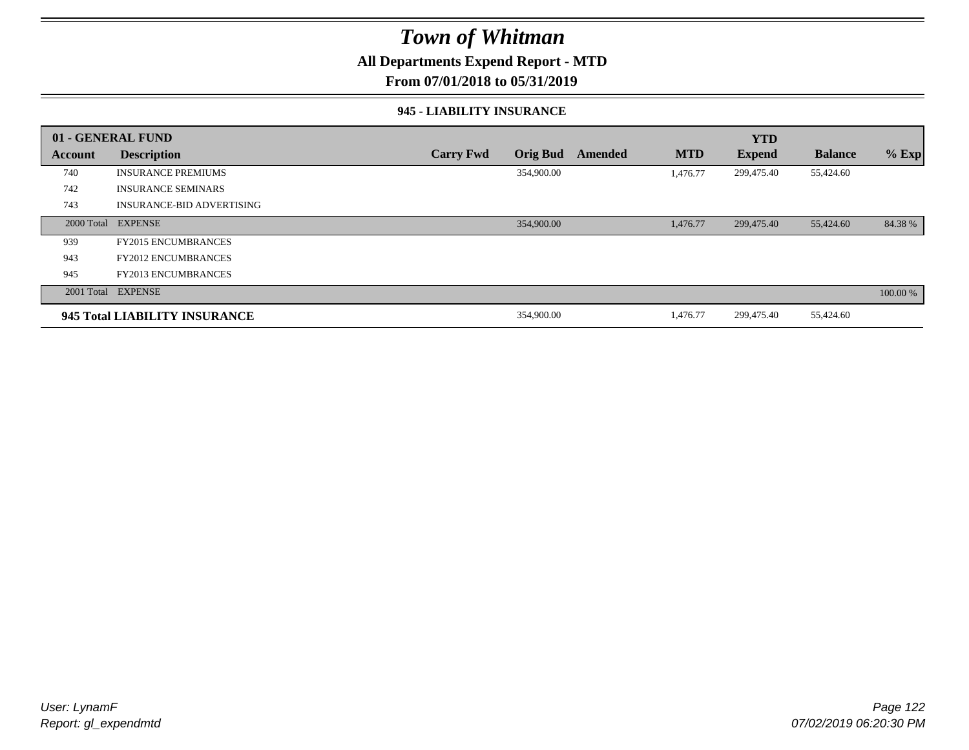### **All Departments Expend Report - MTD**

#### **From 07/01/2018 to 05/31/2019**

#### **945 - LIABILITY INSURANCE**

|         | 01 - GENERAL FUND                |                  |                 |         |            | <b>YTD</b>    |                |          |
|---------|----------------------------------|------------------|-----------------|---------|------------|---------------|----------------|----------|
| Account | <b>Description</b>               | <b>Carry Fwd</b> | <b>Orig Bud</b> | Amended | <b>MTD</b> | <b>Expend</b> | <b>Balance</b> | $%$ Exp  |
| 740     | <b>INSURANCE PREMIUMS</b>        |                  | 354,900.00      |         | 1.476.77   | 299,475.40    | 55,424.60      |          |
| 742     | <b>INSURANCE SEMINARS</b>        |                  |                 |         |            |               |                |          |
| 743     | <b>INSURANCE-BID ADVERTISING</b> |                  |                 |         |            |               |                |          |
|         | 2000 Total EXPENSE               |                  | 354,900.00      |         | 1,476.77   | 299,475.40    | 55,424.60      | 84.38 %  |
| 939     | <b>FY2015 ENCUMBRANCES</b>       |                  |                 |         |            |               |                |          |
| 943     | <b>FY2012 ENCUMBRANCES</b>       |                  |                 |         |            |               |                |          |
| 945     | <b>FY2013 ENCUMBRANCES</b>       |                  |                 |         |            |               |                |          |
|         | 2001 Total EXPENSE               |                  |                 |         |            |               |                | 100.00 % |
|         | 945 Total LIABILITY INSURANCE    |                  | 354,900.00      |         | 1,476.77   | 299,475.40    | 55,424.60      |          |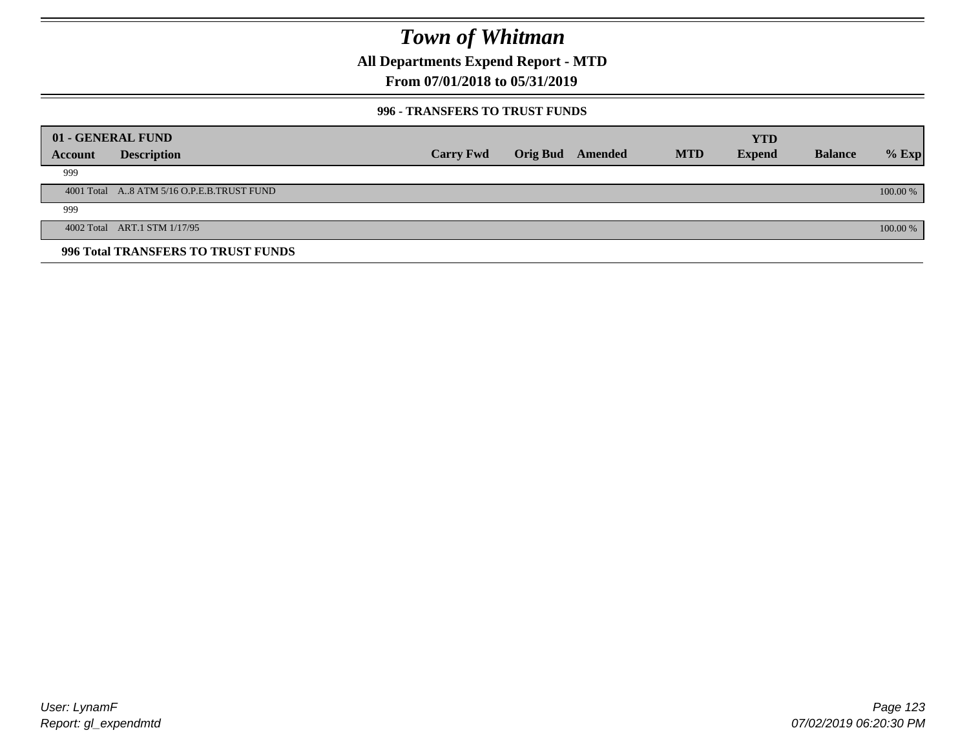**All Departments Expend Report - MTD**

### **From 07/01/2018 to 05/31/2019**

#### **996 - TRANSFERS TO TRUST FUNDS**

|         | 01 - GENERAL FUND                         |                  |                 |         |            | <b>YTD</b>    |                |            |
|---------|-------------------------------------------|------------------|-----------------|---------|------------|---------------|----------------|------------|
| Account | <b>Description</b>                        | <b>Carry Fwd</b> | <b>Orig Bud</b> | Amended | <b>MTD</b> | <b>Expend</b> | <b>Balance</b> | $%$ Exp    |
| 999     |                                           |                  |                 |         |            |               |                |            |
|         | 4001 Total A8 ATM 5/16 O.P.E.B.TRUST FUND |                  |                 |         |            |               |                | $100.00\%$ |
| 999     |                                           |                  |                 |         |            |               |                |            |
|         | 4002 Total ART.1 STM 1/17/95              |                  |                 |         |            |               |                | 100.00 %   |
|         | 996 Total TRANSFERS TO TRUST FUNDS        |                  |                 |         |            |               |                |            |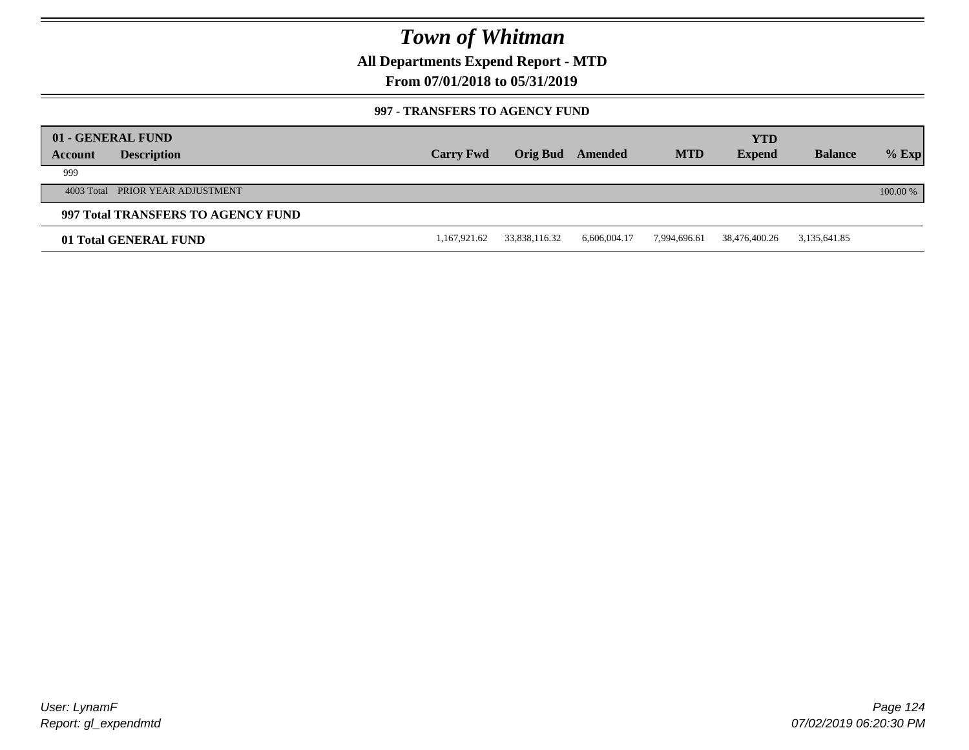**All Departments Expend Report - MTD**

**From 07/01/2018 to 05/31/2019**

#### **997 - TRANSFERS TO AGENCY FUND**

| Account | 01 - GENERAL FUND<br><b>Description</b> | <b>Carry Fwd</b> | <b>Orig Bud</b> | Amended      | <b>MTD</b>   | <b>YTD</b><br><b>Expend</b> | <b>Balance</b> | $%$ Exp  |
|---------|-----------------------------------------|------------------|-----------------|--------------|--------------|-----------------------------|----------------|----------|
| 999     |                                         |                  |                 |              |              |                             |                |          |
|         | 4003 Total PRIOR YEAR ADJUSTMENT        |                  |                 |              |              |                             |                | 100.00 % |
|         | 997 Total TRANSFERS TO AGENCY FUND      |                  |                 |              |              |                             |                |          |
|         | 01 Total GENERAL FUND                   | 1,167,921.62     | 33,838,116.32   | 6,606,004.17 | 7,994,696.61 | 38,476,400.26               | 3,135,641.85   |          |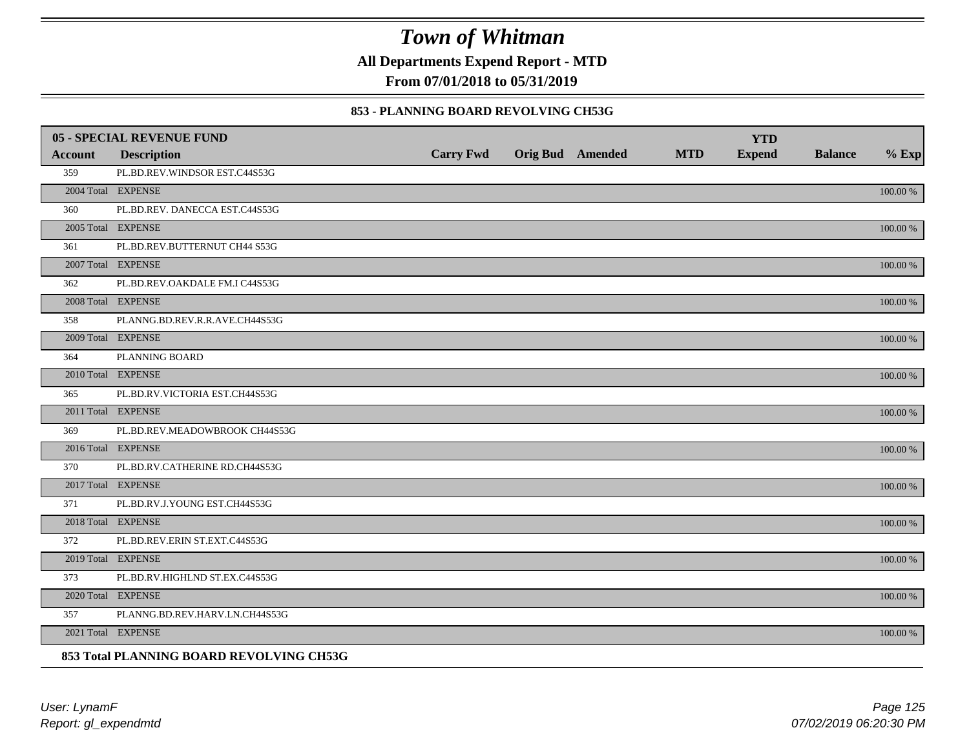**All Departments Expend Report - MTD**

**From 07/01/2018 to 05/31/2019**

#### **853 - PLANNING BOARD REVOLVING CH53G**

|                | <b>05 - SPECIAL REVENUE FUND</b>         |                  |                  |            | <b>YTD</b>    |                |          |
|----------------|------------------------------------------|------------------|------------------|------------|---------------|----------------|----------|
| <b>Account</b> | <b>Description</b>                       | <b>Carry Fwd</b> | Orig Bud Amended | <b>MTD</b> | <b>Expend</b> | <b>Balance</b> | $%$ Exp  |
| 359            | PL.BD.REV.WINDSOR EST.C44S53G            |                  |                  |            |               |                |          |
|                | 2004 Total EXPENSE                       |                  |                  |            |               |                | 100.00 % |
| 360            | PL.BD.REV. DANECCA EST.C44S53G           |                  |                  |            |               |                |          |
|                | 2005 Total EXPENSE                       |                  |                  |            |               |                | 100.00 % |
| 361            | PL.BD.REV.BUTTERNUT CH44 S53G            |                  |                  |            |               |                |          |
|                | 2007 Total EXPENSE                       |                  |                  |            |               |                | 100.00 % |
| 362            | PL.BD.REV.OAKDALE FM.I C44S53G           |                  |                  |            |               |                |          |
|                | 2008 Total EXPENSE                       |                  |                  |            |               |                | 100.00 % |
| 358            | PLANNG.BD.REV.R.R.AVE.CH44S53G           |                  |                  |            |               |                |          |
|                | 2009 Total EXPENSE                       |                  |                  |            |               |                | 100.00 % |
| 364            | PLANNING BOARD                           |                  |                  |            |               |                |          |
|                | 2010 Total EXPENSE                       |                  |                  |            |               |                | 100.00 % |
| 365            | PL.BD.RV.VICTORIA EST.CH44S53G           |                  |                  |            |               |                |          |
|                | 2011 Total EXPENSE                       |                  |                  |            |               |                | 100.00 % |
| 369            | PL.BD.REV.MEADOWBROOK CH44S53G           |                  |                  |            |               |                |          |
|                | 2016 Total EXPENSE                       |                  |                  |            |               |                | 100.00 % |
| 370            | PL.BD.RV.CATHERINE RD.CH44S53G           |                  |                  |            |               |                |          |
|                | 2017 Total EXPENSE                       |                  |                  |            |               |                | 100.00 % |
| 371            | PL.BD.RV.J.YOUNG EST.CH44S53G            |                  |                  |            |               |                |          |
|                | 2018 Total EXPENSE                       |                  |                  |            |               |                | 100.00 % |
| 372            | PL.BD.REV.ERIN ST.EXT.C44S53G            |                  |                  |            |               |                |          |
|                | 2019 Total EXPENSE                       |                  |                  |            |               |                | 100.00 % |
| 373            | PL.BD.RV.HIGHLND ST.EX.C44S53G           |                  |                  |            |               |                |          |
|                | 2020 Total EXPENSE                       |                  |                  |            |               |                | 100.00 % |
| 357            | PLANNG.BD.REV.HARV.LN.CH44S53G           |                  |                  |            |               |                |          |
|                | 2021 Total EXPENSE                       |                  |                  |            |               |                | 100.00 % |
|                | 853 Total PLANNING BOARD REVOLVING CH53G |                  |                  |            |               |                |          |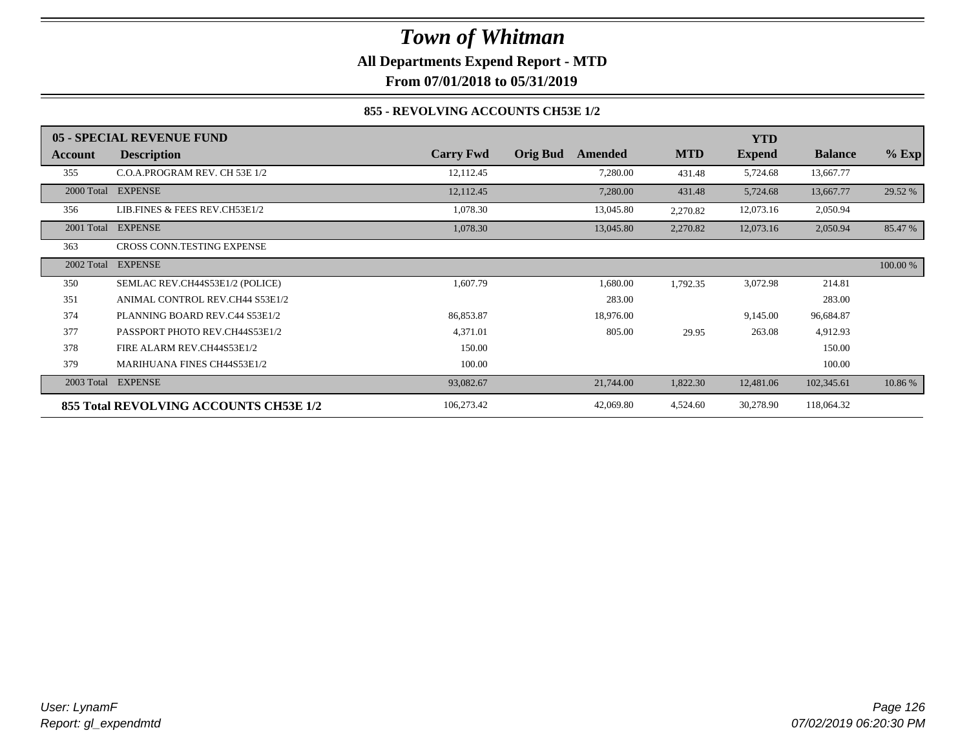## *Town of Whitman* **All Departments Expend Report - MTD**

### **From 07/01/2018 to 05/31/2019**

#### **855 - REVOLVING ACCOUNTS CH53E 1/2**

|            | 05 - SPECIAL REVENUE FUND              |                  |                            |            | <b>YTD</b>    |                |          |
|------------|----------------------------------------|------------------|----------------------------|------------|---------------|----------------|----------|
| Account    | <b>Description</b>                     | <b>Carry Fwd</b> | <b>Orig Bud</b><br>Amended | <b>MTD</b> | <b>Expend</b> | <b>Balance</b> | $%$ Exp  |
| 355        | C.O.A.PROGRAM REV. CH 53E 1/2          | 12,112.45        | 7,280.00                   | 431.48     | 5,724.68      | 13,667.77      |          |
|            | 2000 Total EXPENSE                     | 12,112.45        | 7,280.00                   | 431.48     | 5,724.68      | 13,667.77      | 29.52 %  |
| 356        | LIB.FINES & FEES REV.CH53E1/2          | 1,078.30         | 13,045.80                  | 2,270.82   | 12,073.16     | 2,050.94       |          |
| 2001 Total | <b>EXPENSE</b>                         | 1,078.30         | 13,045.80                  | 2,270.82   | 12,073.16     | 2,050.94       | 85.47 %  |
| 363        | CROSS CONN.TESTING EXPENSE             |                  |                            |            |               |                |          |
| 2002 Total | <b>EXPENSE</b>                         |                  |                            |            |               |                | 100.00 % |
| 350        | SEMLAC REV.CH44S53E1/2 (POLICE)        | 1,607.79         | 1,680.00                   | 1,792.35   | 3,072.98      | 214.81         |          |
| 351        | ANIMAL CONTROL REV.CH44 S53E1/2        |                  | 283.00                     |            |               | 283.00         |          |
| 374        | PLANNING BOARD REV.C44 S53E1/2         | 86,853.87        | 18,976.00                  |            | 9,145.00      | 96,684.87      |          |
| 377        | PASSPORT PHOTO REV.CH44S53E1/2         | 4,371.01         | 805.00                     | 29.95      | 263.08        | 4,912.93       |          |
| 378        | FIRE ALARM REV.CH44S53E1/2             | 150.00           |                            |            |               | 150.00         |          |
| 379        | <b>MARIHUANA FINES CH44S53E1/2</b>     | 100.00           |                            |            |               | 100.00         |          |
| 2003 Total | <b>EXPENSE</b>                         | 93,082.67        | 21,744.00                  | 1,822.30   | 12,481.06     | 102,345.61     | 10.86 %  |
|            | 855 Total REVOLVING ACCOUNTS CH53E 1/2 | 106,273.42       | 42,069.80                  | 4,524.60   | 30,278.90     | 118,064.32     |          |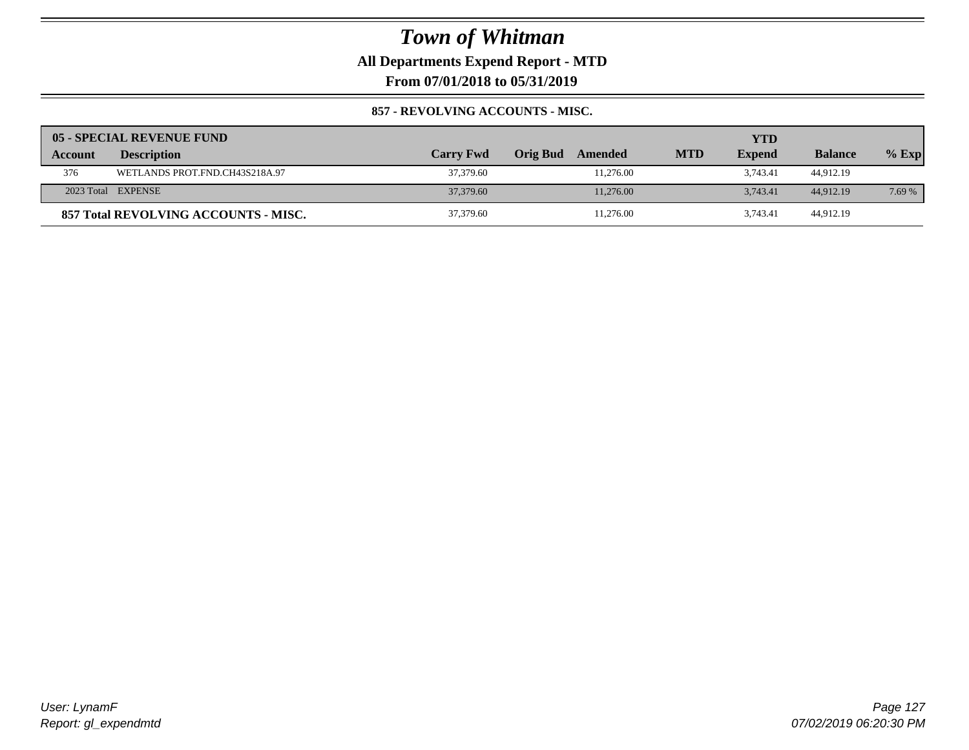### **All Departments Expend Report - MTD**

**From 07/01/2018 to 05/31/2019**

#### **857 - REVOLVING ACCOUNTS - MISC.**

|         | 05 - SPECIAL REVENUE FUND            |                  |                     |            | YTD           |                |         |
|---------|--------------------------------------|------------------|---------------------|------------|---------------|----------------|---------|
| Account | <b>Description</b>                   | <b>Carry Fwd</b> | Orig Bud<br>Amended | <b>MTD</b> | <b>Expend</b> | <b>Balance</b> | $%$ Exp |
| 376     | WETLANDS PROT.FND.CH43S218A.97       | 37,379.60        | 11.276.00           |            | 3.743.41      | 44.912.19      |         |
|         | 2023 Total EXPENSE                   | 37,379.60        | 11.276.00           |            | 3.743.41      | 44,912.19      | 7.69 %  |
|         | 857 Total REVOLVING ACCOUNTS - MISC. | 37,379.60        | 11.276.00           |            | 3.743.41      | 44,912.19      |         |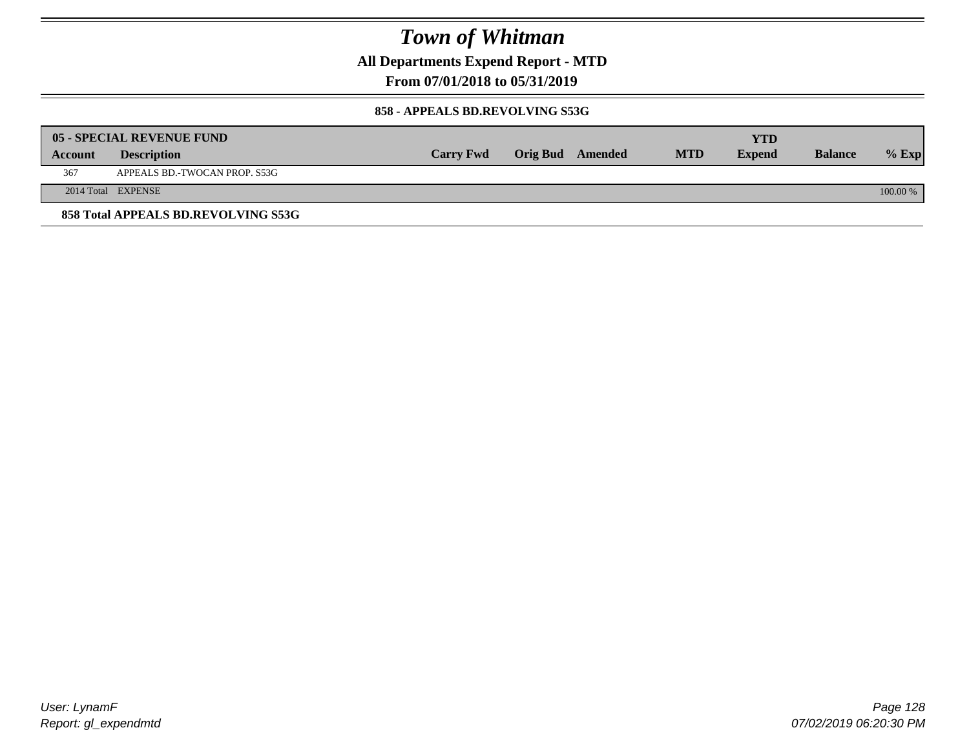**All Departments Expend Report - MTD**

**From 07/01/2018 to 05/31/2019**

#### **858 - APPEALS BD.REVOLVING S53G**

|         | 05 - SPECIAL REVENUE FUND           |                  |                  |            | YTD           |                |            |
|---------|-------------------------------------|------------------|------------------|------------|---------------|----------------|------------|
| Account | <b>Description</b>                  | <b>Carry Fwd</b> | Orig Bud Amended | <b>MTD</b> | <b>Expend</b> | <b>Balance</b> | $\%$ Exp   |
| 367     | APPEALS BD.-TWOCAN PROP. S53G       |                  |                  |            |               |                |            |
|         | 2014 Total EXPENSE                  |                  |                  |            |               |                | $100.00\%$ |
|         | 858 Total APPEALS BD.REVOLVING S53G |                  |                  |            |               |                |            |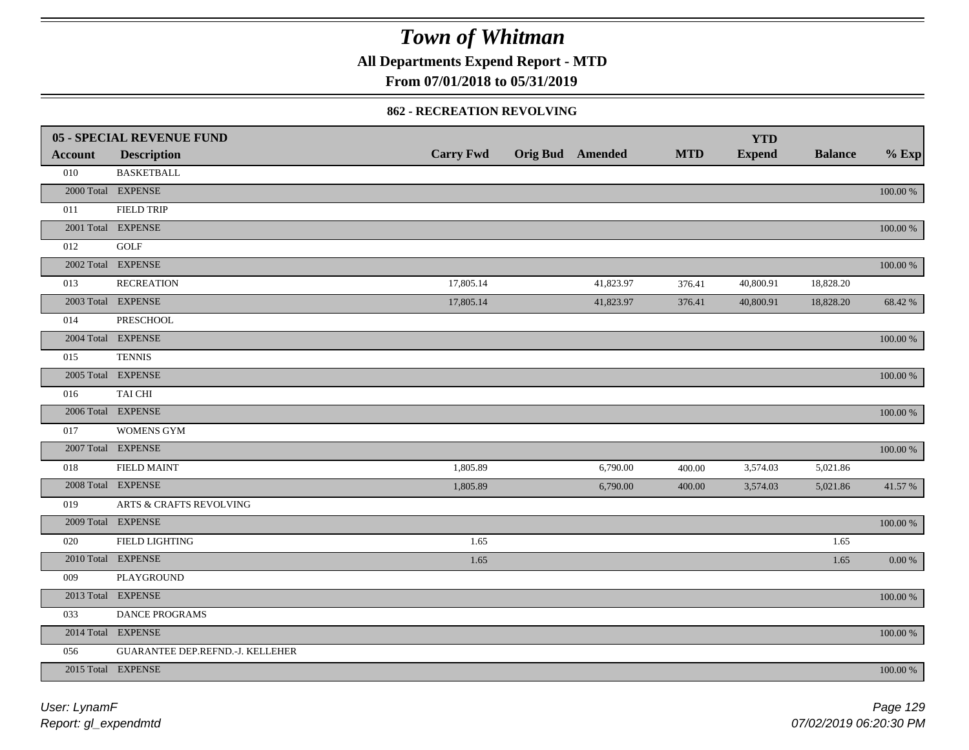**All Departments Expend Report - MTD**

### **From 07/01/2018 to 05/31/2019**

#### **862 - RECREATION REVOLVING**

|                | <b>05 - SPECIAL REVENUE FUND</b>   |                  |                  |            | <b>YTD</b>    |                |             |
|----------------|------------------------------------|------------------|------------------|------------|---------------|----------------|-------------|
| <b>Account</b> | <b>Description</b>                 | <b>Carry Fwd</b> | Orig Bud Amended | <b>MTD</b> | <b>Expend</b> | <b>Balance</b> | $%$ Exp     |
| 010            | <b>BASKETBALL</b>                  |                  |                  |            |               |                |             |
|                | 2000 Total EXPENSE                 |                  |                  |            |               |                | $100.00~\%$ |
| 011            | <b>FIELD TRIP</b>                  |                  |                  |            |               |                |             |
|                | 2001 Total EXPENSE                 |                  |                  |            |               |                | 100.00 %    |
| 012            | GOLF                               |                  |                  |            |               |                |             |
|                | 2002 Total EXPENSE                 |                  |                  |            |               |                | 100.00 %    |
| 013            | <b>RECREATION</b>                  | 17,805.14        | 41,823.97        | 376.41     | 40,800.91     | 18,828.20      |             |
|                | 2003 Total EXPENSE                 | 17,805.14        | 41,823.97        | 376.41     | 40,800.91     | 18,828.20      | 68.42 %     |
| 014            | PRESCHOOL                          |                  |                  |            |               |                |             |
|                | 2004 Total EXPENSE                 |                  |                  |            |               |                | 100.00 %    |
| 015            | <b>TENNIS</b>                      |                  |                  |            |               |                |             |
|                | 2005 Total EXPENSE                 |                  |                  |            |               |                | 100.00 %    |
| 016            | TAI CHI                            |                  |                  |            |               |                |             |
|                | 2006 Total EXPENSE                 |                  |                  |            |               |                | 100.00 %    |
| 017            | <b>WOMENS GYM</b>                  |                  |                  |            |               |                |             |
|                | 2007 Total EXPENSE                 |                  |                  |            |               |                | $100.00~\%$ |
| 018            | <b>FIELD MAINT</b>                 | 1,805.89         | 6,790.00         | 400.00     | 3,574.03      | 5,021.86       |             |
|                | 2008 Total EXPENSE                 | 1,805.89         | 6,790.00         | 400.00     | 3,574.03      | 5,021.86       | 41.57 %     |
| 019            | <b>ARTS &amp; CRAFTS REVOLVING</b> |                  |                  |            |               |                |             |
|                | 2009 Total EXPENSE                 |                  |                  |            |               |                | $100.00~\%$ |
| 020            | FIELD LIGHTING                     | 1.65             |                  |            |               | 1.65           |             |
|                | 2010 Total EXPENSE                 | 1.65             |                  |            |               | 1.65           | $0.00\,\%$  |
| 009            | PLAYGROUND                         |                  |                  |            |               |                |             |
|                | 2013 Total EXPENSE                 |                  |                  |            |               |                | $100.00~\%$ |
| 033            | DANCE PROGRAMS                     |                  |                  |            |               |                |             |
|                | 2014 Total EXPENSE                 |                  |                  |            |               |                | 100.00 %    |
| 056            | GUARANTEE DEP.REFND.-J. KELLEHER   |                  |                  |            |               |                |             |
|                | 2015 Total EXPENSE                 |                  |                  |            |               |                | 100.00 %    |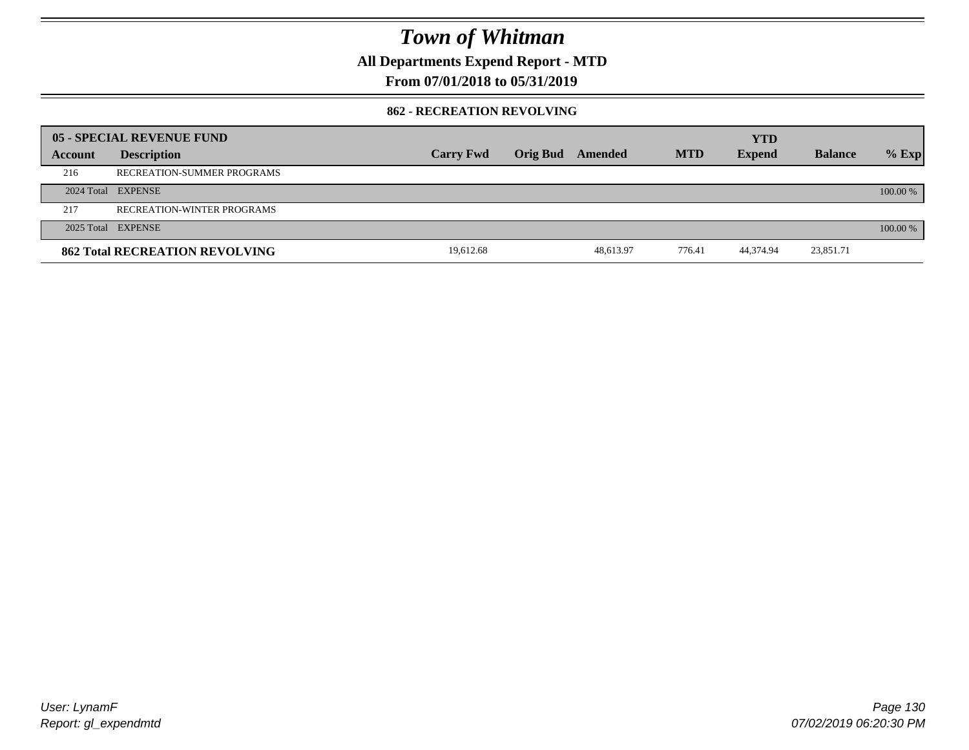**All Departments Expend Report - MTD**

### **From 07/01/2018 to 05/31/2019**

#### **862 - RECREATION REVOLVING**

|         | 05 - SPECIAL REVENUE FUND             |                  |                 |           |            | <b>YTD</b>    |                |            |
|---------|---------------------------------------|------------------|-----------------|-----------|------------|---------------|----------------|------------|
| Account | <b>Description</b>                    | <b>Carry Fwd</b> | <b>Orig Bud</b> | Amended   | <b>MTD</b> | <b>Expend</b> | <b>Balance</b> | $%$ Exp    |
| 216     | RECREATION-SUMMER PROGRAMS            |                  |                 |           |            |               |                |            |
|         | 2024 Total EXPENSE                    |                  |                 |           |            |               |                | $100.00\%$ |
| 217     | RECREATION-WINTER PROGRAMS            |                  |                 |           |            |               |                |            |
|         | 2025 Total EXPENSE                    |                  |                 |           |            |               |                | 100.00 %   |
|         | <b>862 Total RECREATION REVOLVING</b> | 19,612.68        |                 | 48.613.97 | 776.41     | 44,374.94     | 23,851.71      |            |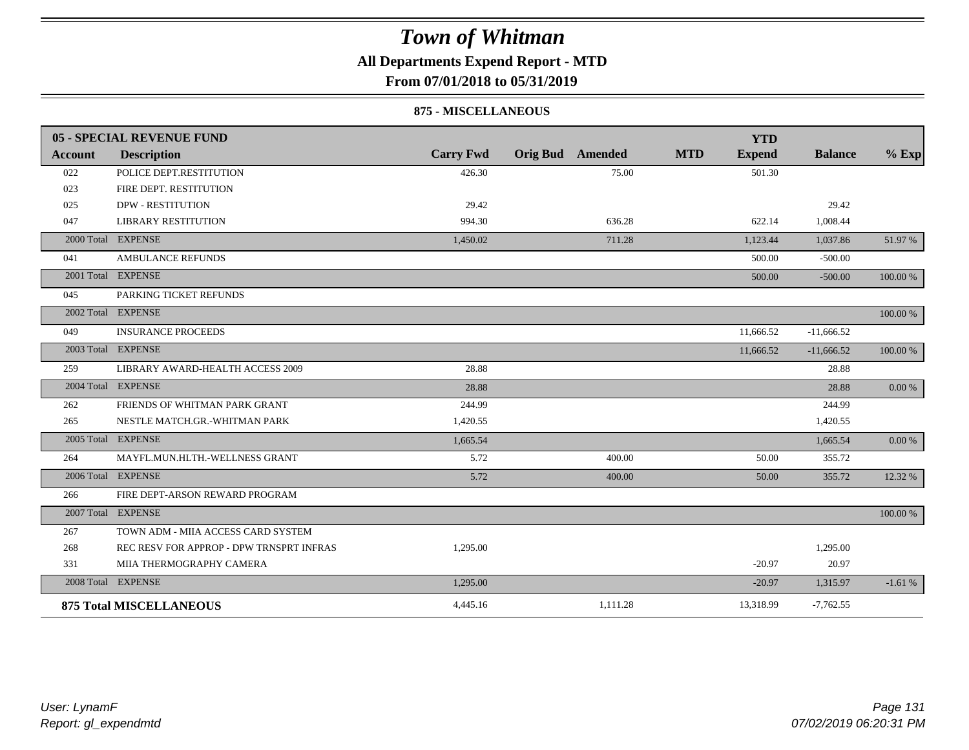### **All Departments Expend Report - MTD**

**From 07/01/2018 to 05/31/2019**

#### **875 - MISCELLANEOUS**

|                | 05 - SPECIAL REVENUE FUND                |                  |                 |          |            | <b>YTD</b>    |                |             |
|----------------|------------------------------------------|------------------|-----------------|----------|------------|---------------|----------------|-------------|
| <b>Account</b> | <b>Description</b>                       | <b>Carry Fwd</b> | <b>Orig Bud</b> | Amended  | <b>MTD</b> | <b>Expend</b> | <b>Balance</b> | $%$ Exp     |
| 022            | POLICE DEPT.RESTITUTION                  | 426.30           |                 | 75.00    |            | 501.30        |                |             |
| 023            | FIRE DEPT. RESTITUTION                   |                  |                 |          |            |               |                |             |
| 025            | <b>DPW - RESTITUTION</b>                 | 29.42            |                 |          |            |               | 29.42          |             |
| 047            | <b>LIBRARY RESTITUTION</b>               | 994.30           |                 | 636.28   |            | 622.14        | 1,008.44       |             |
|                | 2000 Total EXPENSE                       | 1,450.02         |                 | 711.28   |            | 1,123.44      | 1,037.86       | 51.97 %     |
| 041            | <b>AMBULANCE REFUNDS</b>                 |                  |                 |          |            | 500.00        | $-500.00$      |             |
|                | 2001 Total EXPENSE                       |                  |                 |          |            | 500.00        | $-500.00$      | 100.00 %    |
| 045            | PARKING TICKET REFUNDS                   |                  |                 |          |            |               |                |             |
|                | 2002 Total EXPENSE                       |                  |                 |          |            |               |                | 100.00 %    |
| 049            | <b>INSURANCE PROCEEDS</b>                |                  |                 |          |            | 11,666.52     | $-11,666.52$   |             |
|                | 2003 Total EXPENSE                       |                  |                 |          |            | 11,666.52     | $-11,666.52$   | 100.00 %    |
| 259            | LIBRARY AWARD-HEALTH ACCESS 2009         | 28.88            |                 |          |            |               | 28.88          |             |
|                | 2004 Total EXPENSE                       | 28.88            |                 |          |            |               | 28.88          | 0.00 %      |
| 262            | FRIENDS OF WHITMAN PARK GRANT            | 244.99           |                 |          |            |               | 244.99         |             |
| 265            | NESTLE MATCH.GR.-WHITMAN PARK            | 1,420.55         |                 |          |            |               | 1,420.55       |             |
|                | 2005 Total EXPENSE                       | 1,665.54         |                 |          |            |               | 1,665.54       | $0.00\,\%$  |
| 264            | MAYFL.MUN.HLTH.-WELLNESS GRANT           | 5.72             |                 | 400.00   |            | 50.00         | 355.72         |             |
|                | 2006 Total EXPENSE                       | 5.72             |                 | 400.00   |            | 50.00         | 355.72         | 12.32 %     |
| 266            | FIRE DEPT-ARSON REWARD PROGRAM           |                  |                 |          |            |               |                |             |
|                | 2007 Total EXPENSE                       |                  |                 |          |            |               |                | $100.00~\%$ |
| 267            | TOWN ADM - MIIA ACCESS CARD SYSTEM       |                  |                 |          |            |               |                |             |
| 268            | REC RESV FOR APPROP - DPW TRNSPRT INFRAS | 1,295.00         |                 |          |            |               | 1,295.00       |             |
| 331            | MIIA THERMOGRAPHY CAMERA                 |                  |                 |          |            | $-20.97$      | 20.97          |             |
|                | 2008 Total EXPENSE                       | 1,295.00         |                 |          |            | $-20.97$      | 1,315.97       | $-1.61%$    |
|                | <b>875 Total MISCELLANEOUS</b>           | 4,445.16         |                 | 1,111.28 |            | 13,318.99     | $-7,762.55$    |             |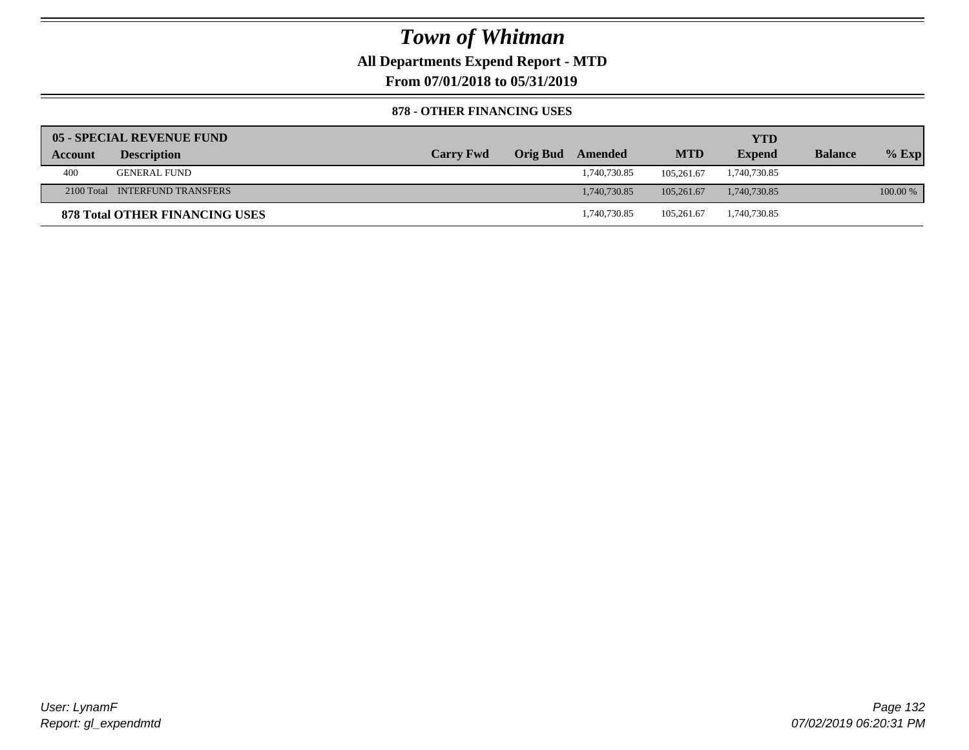**All Departments Expend Report - MTD**

**From 07/01/2018 to 05/31/2019**

#### **878 - OTHER FINANCING USES**

|         | 05 - SPECIAL REVENUE FUND      |                  |                  |            | YTD           |                |          |
|---------|--------------------------------|------------------|------------------|------------|---------------|----------------|----------|
| Account | <b>Description</b>             | <b>Carry Fwd</b> | Orig Bud Amended | <b>MTD</b> | <b>Expend</b> | <b>Balance</b> | $%$ Exp  |
| 400     | GENERAL FUND                   |                  | 1,740,730.85     | 105.261.67 | 1,740,730.85  |                |          |
|         | 2100 Total INTERFUND TRANSFERS |                  | 1.740.730.85     | 105,261.67 | 1,740,730.85  |                | 100.00 % |
|         | 878 Total OTHER FINANCING USES |                  | 1,740,730.85     | 105.261.67 | 1,740,730.85  |                |          |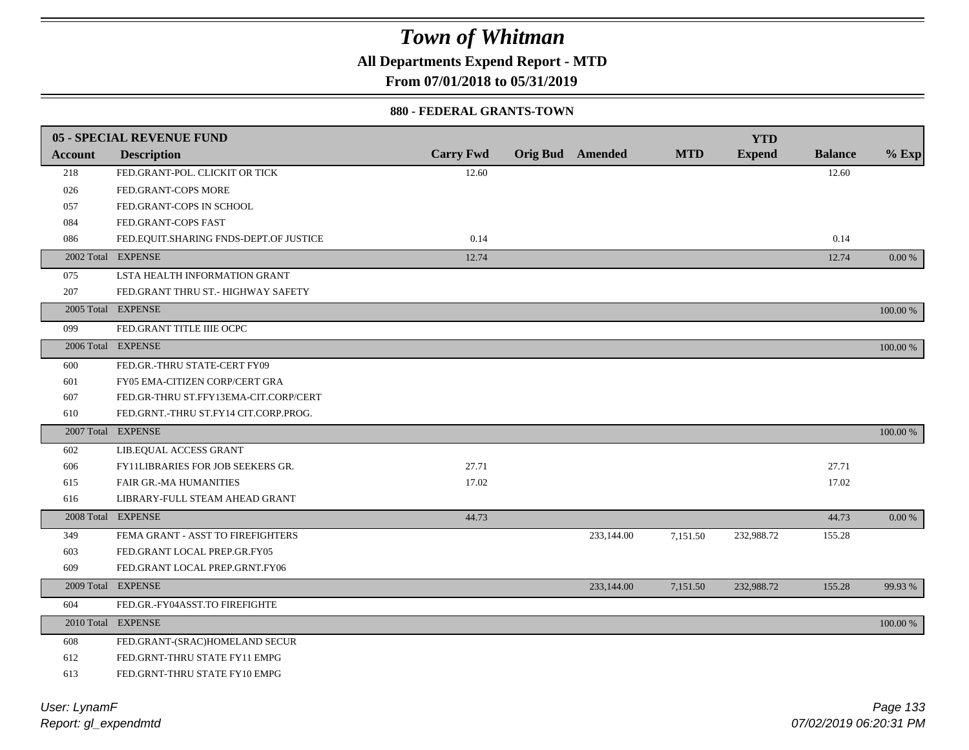**All Departments Expend Report - MTD**

**From 07/01/2018 to 05/31/2019**

#### **880 - FEDERAL GRANTS-TOWN**

|                | <b>05 - SPECIAL REVENUE FUND</b>         |                  |                         |            | <b>YTD</b>    |                |          |
|----------------|------------------------------------------|------------------|-------------------------|------------|---------------|----------------|----------|
| <b>Account</b> | <b>Description</b>                       | <b>Carry Fwd</b> | <b>Orig Bud</b> Amended | <b>MTD</b> | <b>Expend</b> | <b>Balance</b> | $%$ Exp  |
| 218            | FED.GRANT-POL. CLICKIT OR TICK           | 12.60            |                         |            |               | 12.60          |          |
| 026            | FED.GRANT-COPS MORE                      |                  |                         |            |               |                |          |
| 057            | FED.GRANT-COPS IN SCHOOL                 |                  |                         |            |               |                |          |
| 084            | FED.GRANT-COPS FAST                      |                  |                         |            |               |                |          |
| 086            | FED.EQUIT.SHARING FNDS-DEPT.OF JUSTICE   | 0.14             |                         |            |               | 0.14           |          |
|                | 2002 Total EXPENSE                       | 12.74            |                         |            |               | 12.74          | 0.00 %   |
| 075            | LSTA HEALTH INFORMATION GRANT            |                  |                         |            |               |                |          |
| 207            | FED.GRANT THRU ST.- HIGHWAY SAFETY       |                  |                         |            |               |                |          |
|                | 2005 Total EXPENSE                       |                  |                         |            |               |                | 100.00 % |
| 099            | FED.GRANT TITLE IIIE OCPC                |                  |                         |            |               |                |          |
|                | 2006 Total EXPENSE                       |                  |                         |            |               |                | 100.00 % |
| 600            | FED.GR.-THRU STATE-CERT FY09             |                  |                         |            |               |                |          |
| 601            | FY05 EMA-CITIZEN CORP/CERT GRA           |                  |                         |            |               |                |          |
| 607            | FED.GR-THRU ST.FFY13EMA-CIT.CORP/CERT    |                  |                         |            |               |                |          |
| 610            | FED.GRNT.-THRU ST.FY14 CIT.CORP.PROG.    |                  |                         |            |               |                |          |
|                | 2007 Total EXPENSE                       |                  |                         |            |               |                | 100.00 % |
| 602            | LIB.EQUAL ACCESS GRANT                   |                  |                         |            |               |                |          |
| 606            | <b>FY11LIBRARIES FOR JOB SEEKERS GR.</b> | 27.71            |                         |            |               | 27.71          |          |
| 615            | <b>FAIR GR.-MA HUMANITIES</b>            | 17.02            |                         |            |               | 17.02          |          |
| 616            | LIBRARY-FULL STEAM AHEAD GRANT           |                  |                         |            |               |                |          |
|                | 2008 Total EXPENSE                       | 44.73            |                         |            |               | 44.73          | $0.00\%$ |
| 349            | FEMA GRANT - ASST TO FIREFIGHTERS        |                  | 233,144.00              | 7,151.50   | 232,988.72    | 155.28         |          |
| 603            | FED.GRANT LOCAL PREP.GR.FY05             |                  |                         |            |               |                |          |
| 609            | FED.GRANT LOCAL PREP.GRNT.FY06           |                  |                         |            |               |                |          |
|                | 2009 Total EXPENSE                       |                  | 233,144.00              | 7,151.50   | 232,988.72    | 155.28         | 99.93 %  |
| 604            | FED.GR.-FY04ASST.TO FIREFIGHTE           |                  |                         |            |               |                |          |
|                | 2010 Total EXPENSE                       |                  |                         |            |               |                | 100.00 % |
| 608            | FED.GRANT-(SRAC)HOMELAND SECUR           |                  |                         |            |               |                |          |
| 612            | FED.GRNT-THRU STATE FY11 EMPG            |                  |                         |            |               |                |          |
| 613            | FED.GRNT-THRU STATE FY10 EMPG            |                  |                         |            |               |                |          |
|                |                                          |                  |                         |            |               |                |          |

*Report: gl\_expendmtd User: LynamF*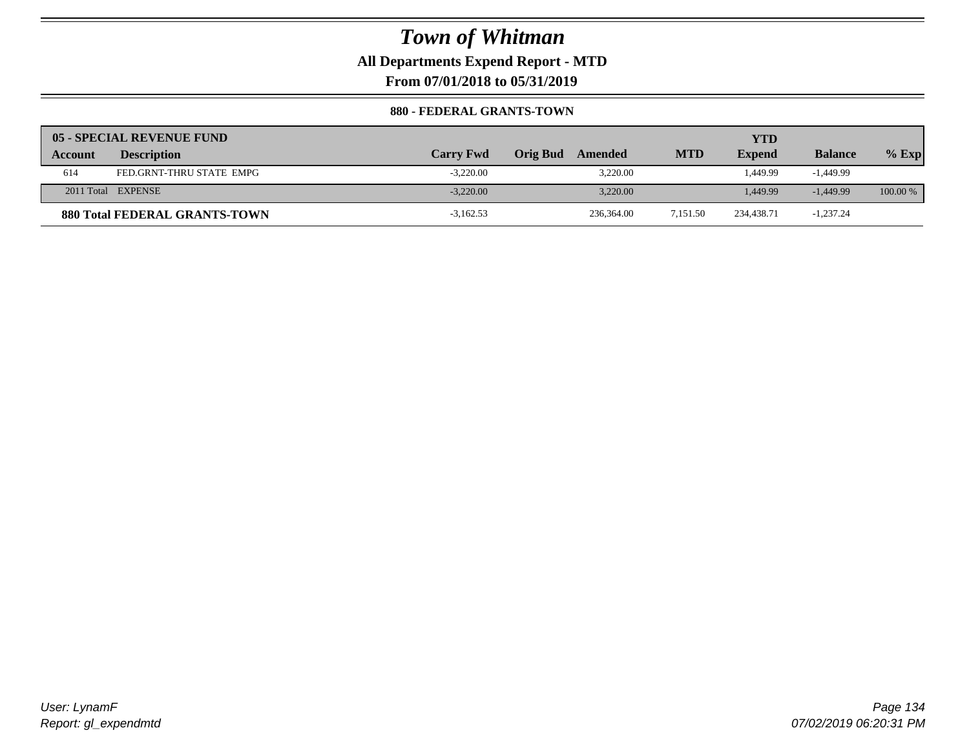**All Departments Expend Report - MTD**

**From 07/01/2018 to 05/31/2019**

#### **880 - FEDERAL GRANTS-TOWN**

|                | 05 - SPECIAL REVENUE FUND            |                  |                            |            | YTD           |                |          |
|----------------|--------------------------------------|------------------|----------------------------|------------|---------------|----------------|----------|
| <b>Account</b> | <b>Description</b>                   | <b>Carry Fwd</b> | <b>Orig Bud</b><br>Amended | <b>MTD</b> | <b>Expend</b> | <b>Balance</b> | $%$ Exp  |
| 614            | FED.GRNT-THRU STATE EMPG             | $-3.220.00$      | 3.220.00                   |            | 1.449.99      | $-1.449.99$    |          |
|                | 2011 Total EXPENSE                   | $-3.220.00$      | 3.220.00                   |            | 1.449.99      | $-1,449.99$    | 100.00 % |
|                | <b>880 Total FEDERAL GRANTS-TOWN</b> | $-3,162.53$      | 236,364.00                 | 7,151.50   | 234,438.71    | $-1,237.24$    |          |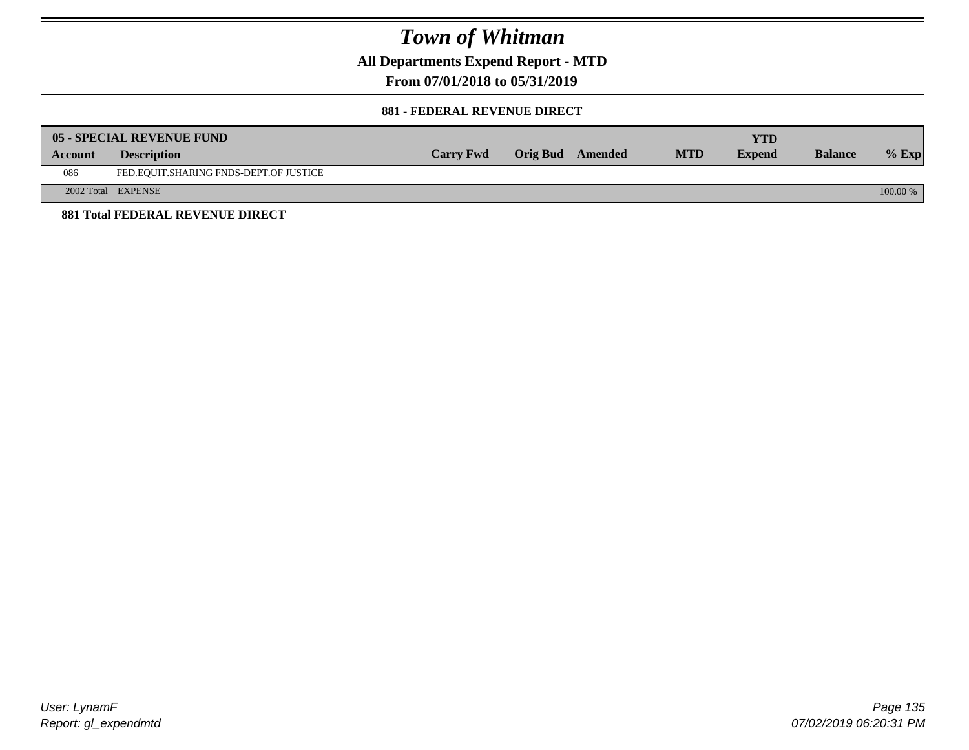**All Departments Expend Report - MTD**

**From 07/01/2018 to 05/31/2019**

#### **881 - FEDERAL REVENUE DIRECT**

|         | <b>05 - SPECIAL REVENUE FUND</b>        |                  |                  |            | YTD           |                |          |
|---------|-----------------------------------------|------------------|------------------|------------|---------------|----------------|----------|
| Account | <b>Description</b>                      | <b>Carry Fwd</b> | Orig Bud Amended | <b>MTD</b> | <b>Expend</b> | <b>Balance</b> | $%$ Exp  |
| 086     | FED.EQUIT.SHARING FNDS-DEPT.OF JUSTICE  |                  |                  |            |               |                |          |
|         | 2002 Total EXPENSE                      |                  |                  |            |               |                | 100.00 % |
|         | <b>881 Total FEDERAL REVENUE DIRECT</b> |                  |                  |            |               |                |          |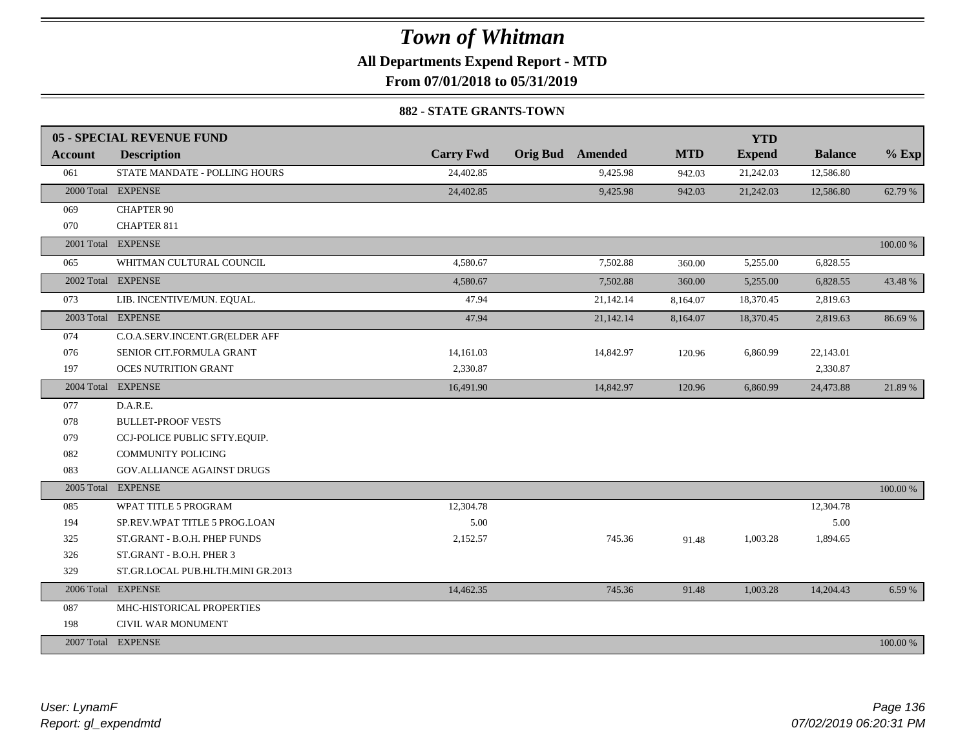### **All Departments Expend Report - MTD**

**From 07/01/2018 to 05/31/2019**

#### **882 - STATE GRANTS-TOWN**

|                | 05 - SPECIAL REVENUE FUND         |                  |                         |            | <b>YTD</b>    |                |          |
|----------------|-----------------------------------|------------------|-------------------------|------------|---------------|----------------|----------|
| <b>Account</b> | <b>Description</b>                | <b>Carry Fwd</b> | <b>Orig Bud</b> Amended | <b>MTD</b> | <b>Expend</b> | <b>Balance</b> | $%$ Exp  |
| 061            | STATE MANDATE - POLLING HOURS     | 24,402.85        | 9,425.98                | 942.03     | 21,242.03     | 12,586.80      |          |
|                | 2000 Total EXPENSE                | 24,402.85        | 9,425.98                | 942.03     | 21,242.03     | 12,586.80      | 62.79 %  |
| 069            | <b>CHAPTER 90</b>                 |                  |                         |            |               |                |          |
| 070            | <b>CHAPTER 811</b>                |                  |                         |            |               |                |          |
|                | 2001 Total EXPENSE                |                  |                         |            |               |                | 100.00 % |
| 065            | WHITMAN CULTURAL COUNCIL          | 4,580.67         | 7,502.88                | 360.00     | 5,255.00      | 6,828.55       |          |
|                | 2002 Total EXPENSE                | 4,580.67         | 7,502.88                | 360.00     | 5,255.00      | 6,828.55       | 43.48 %  |
| 073            | LIB. INCENTIVE/MUN. EQUAL.        | 47.94            | 21,142.14               | 8,164.07   | 18,370.45     | 2,819.63       |          |
|                | 2003 Total EXPENSE                | 47.94            | 21,142.14               | 8,164.07   | 18,370.45     | 2,819.63       | 86.69%   |
| 074            | C.O.A.SERV.INCENT.GR(ELDER AFF    |                  |                         |            |               |                |          |
| 076            | SENIOR CIT.FORMULA GRANT          | 14,161.03        | 14,842.97               | 120.96     | 6,860.99      | 22,143.01      |          |
| 197            | <b>OCES NUTRITION GRANT</b>       | 2,330.87         |                         |            |               | 2,330.87       |          |
|                | 2004 Total EXPENSE                | 16,491.90        | 14,842.97               | 120.96     | 6,860.99      | 24,473.88      | 21.89 %  |
| 077            | D.A.R.E.                          |                  |                         |            |               |                |          |
| 078            | <b>BULLET-PROOF VESTS</b>         |                  |                         |            |               |                |          |
| 079            | CCJ-POLICE PUBLIC SFTY.EQUIP.     |                  |                         |            |               |                |          |
| 082            | <b>COMMUNITY POLICING</b>         |                  |                         |            |               |                |          |
| 083            | GOV.ALLIANCE AGAINST DRUGS        |                  |                         |            |               |                |          |
| 2005 Total     | <b>EXPENSE</b>                    |                  |                         |            |               |                | 100.00 % |
| 085            | WPAT TITLE 5 PROGRAM              | 12,304.78        |                         |            |               | 12,304.78      |          |
| 194            | SP.REV.WPAT TITLE 5 PROG.LOAN     | 5.00             |                         |            |               | 5.00           |          |
| 325            | ST.GRANT - B.O.H. PHEP FUNDS      | 2,152.57         | 745.36                  | 91.48      | 1,003.28      | 1,894.65       |          |
| 326            | ST.GRANT - B.O.H. PHER 3          |                  |                         |            |               |                |          |
| 329            | ST.GR.LOCAL PUB.HLTH.MINI GR.2013 |                  |                         |            |               |                |          |
|                | 2006 Total EXPENSE                | 14,462.35        | 745.36                  | 91.48      | 1,003.28      | 14,204.43      | 6.59 %   |
| 087            | MHC-HISTORICAL PROPERTIES         |                  |                         |            |               |                |          |
| 198            | CIVIL WAR MONUMENT                |                  |                         |            |               |                |          |
|                | 2007 Total EXPENSE                |                  |                         |            |               |                | 100.00 % |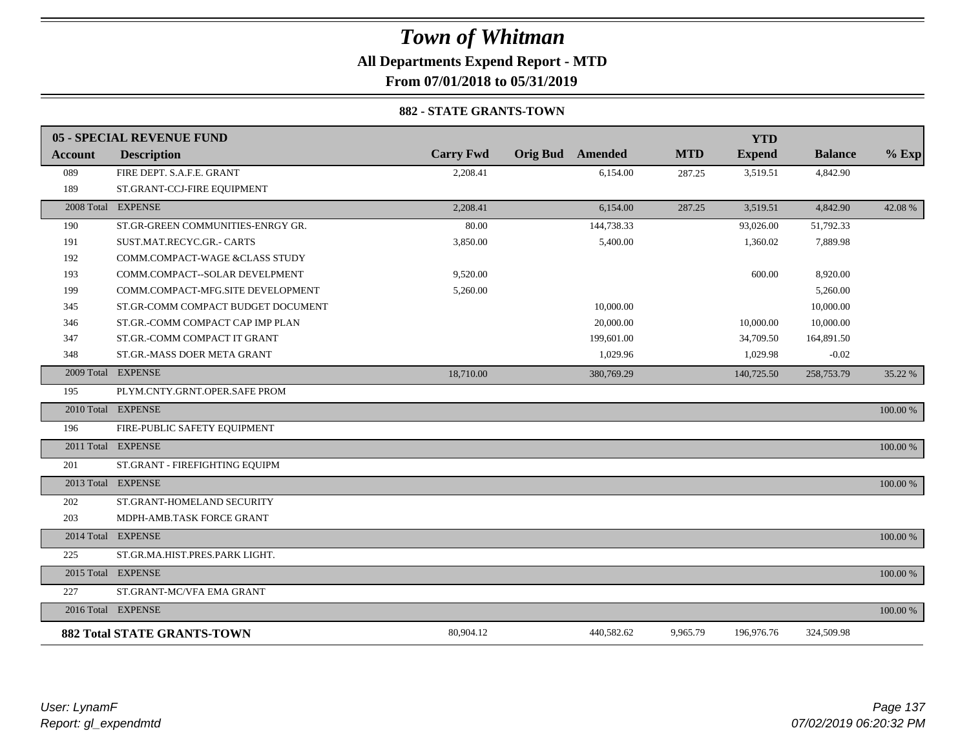### *Town of Whitman* **All Departments Expend Report - MTD From 07/01/2018 to 05/31/2019**

#### **882 - STATE GRANTS-TOWN**

|                | <b>05 - SPECIAL REVENUE FUND</b>   |                  |                         |            | <b>YTD</b>    |                |             |
|----------------|------------------------------------|------------------|-------------------------|------------|---------------|----------------|-------------|
| <b>Account</b> | <b>Description</b>                 | <b>Carry Fwd</b> | <b>Orig Bud</b> Amended | <b>MTD</b> | <b>Expend</b> | <b>Balance</b> | $%$ Exp     |
| 089            | FIRE DEPT. S.A.F.E. GRANT          | 2,208.41         | 6,154.00                | 287.25     | 3,519.51      | 4,842.90       |             |
| 189            | ST.GRANT-CCJ-FIRE EQUIPMENT        |                  |                         |            |               |                |             |
|                | 2008 Total EXPENSE                 | 2,208.41         | 6,154.00                | 287.25     | 3,519.51      | 4,842.90       | 42.08 %     |
| 190            | ST.GR-GREEN COMMUNITIES-ENRGY GR.  | 80.00            | 144,738.33              |            | 93,026.00     | 51,792.33      |             |
| 191            | SUST.MAT.RECYC.GR.- CARTS          | 3,850.00         | 5,400.00                |            | 1,360.02      | 7,889.98       |             |
| 192            | COMM.COMPACT-WAGE &CLASS STUDY     |                  |                         |            |               |                |             |
| 193            | COMM.COMPACT--SOLAR DEVELPMENT     | 9,520.00         |                         |            | 600.00        | 8,920.00       |             |
| 199            | COMM.COMPACT-MFG.SITE DEVELOPMENT  | 5,260.00         |                         |            |               | 5,260.00       |             |
| 345            | ST.GR-COMM COMPACT BUDGET DOCUMENT |                  | 10,000.00               |            |               | 10,000.00      |             |
| 346            | ST.GR.-COMM COMPACT CAP IMP PLAN   |                  | 20,000.00               |            | 10,000.00     | 10,000.00      |             |
| 347            | ST.GR.-COMM COMPACT IT GRANT       |                  | 199,601.00              |            | 34,709.50     | 164,891.50     |             |
| 348            | ST.GR.-MASS DOER META GRANT        |                  | 1,029.96                |            | 1,029.98      | $-0.02$        |             |
|                | 2009 Total EXPENSE                 | 18,710.00        | 380,769.29              |            | 140,725.50    | 258,753.79     | 35.22 %     |
| 195            | PLYM.CNTY.GRNT.OPER.SAFE PROM      |                  |                         |            |               |                |             |
|                | 2010 Total EXPENSE                 |                  |                         |            |               |                | $100.00~\%$ |
| 196            | FIRE-PUBLIC SAFETY EQUIPMENT       |                  |                         |            |               |                |             |
|                | 2011 Total EXPENSE                 |                  |                         |            |               |                | 100.00 %    |
| 201            | ST.GRANT - FIREFIGHTING EQUIPM     |                  |                         |            |               |                |             |
|                | 2013 Total EXPENSE                 |                  |                         |            |               |                | 100.00 %    |
| 202            | ST.GRANT-HOMELAND SECURITY         |                  |                         |            |               |                |             |
| 203            | MDPH-AMB.TASK FORCE GRANT          |                  |                         |            |               |                |             |
|                | 2014 Total EXPENSE                 |                  |                         |            |               |                | 100.00 %    |
| 225            | ST.GR.MA.HIST.PRES.PARK LIGHT.     |                  |                         |            |               |                |             |
|                | 2015 Total EXPENSE                 |                  |                         |            |               |                | 100.00 %    |
| 227            | ST.GRANT-MC/VFA EMA GRANT          |                  |                         |            |               |                |             |
|                | 2016 Total EXPENSE                 |                  |                         |            |               |                | 100.00 %    |
|                | <b>882 Total STATE GRANTS-TOWN</b> | 80,904.12        | 440,582.62              | 9,965.79   | 196,976.76    | 324,509.98     |             |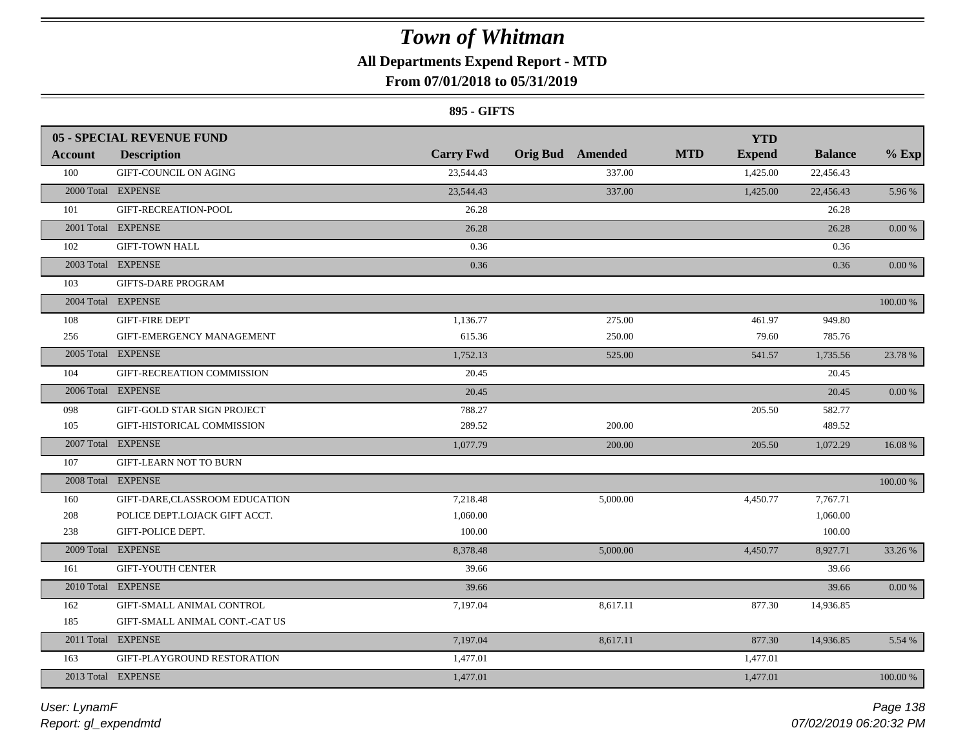### **All Departments Expend Report - MTD**

### **From 07/01/2018 to 05/31/2019**

#### **895 - GIFTS**

|         | <b>05 - SPECIAL REVENUE FUND</b> |                  |                         | <b>YTD</b>                  |                |            |
|---------|----------------------------------|------------------|-------------------------|-----------------------------|----------------|------------|
| Account | <b>Description</b>               | <b>Carry Fwd</b> | <b>Orig Bud</b> Amended | <b>MTD</b><br><b>Expend</b> | <b>Balance</b> | $%$ Exp    |
| 100     | <b>GIFT-COUNCIL ON AGING</b>     | 23,544.43        | 337.00                  | 1,425.00                    | 22,456.43      |            |
|         | 2000 Total EXPENSE               | 23,544.43        | 337.00                  | 1,425.00                    | 22,456.43      | 5.96 %     |
| 101     | GIFT-RECREATION-POOL             | 26.28            |                         |                             | 26.28          |            |
|         | 2001 Total EXPENSE               | 26.28            |                         |                             | 26.28          | $0.00\,\%$ |
| 102     | <b>GIFT-TOWN HALL</b>            | 0.36             |                         |                             | 0.36           |            |
|         | 2003 Total EXPENSE               | 0.36             |                         |                             | 0.36           | 0.00 %     |
| 103     | <b>GIFTS-DARE PROGRAM</b>        |                  |                         |                             |                |            |
|         | 2004 Total EXPENSE               |                  |                         |                             |                | 100.00 %   |
| 108     | <b>GIFT-FIRE DEPT</b>            | 1,136.77         | 275.00                  | 461.97                      | 949.80         |            |
| 256     | GIFT-EMERGENCY MANAGEMENT        | 615.36           | 250.00                  | 79.60                       | 785.76         |            |
|         | 2005 Total EXPENSE               | 1,752.13         | 525.00                  | 541.57                      | 1,735.56       | 23.78 %    |
| 104     | GIFT-RECREATION COMMISSION       | 20.45            |                         |                             | 20.45          |            |
|         | 2006 Total EXPENSE               | 20.45            |                         |                             | 20.45          | $0.00\,\%$ |
| 098     | GIFT-GOLD STAR SIGN PROJECT      | 788.27           |                         | 205.50                      | 582.77         |            |
| 105     | GIFT-HISTORICAL COMMISSION       | 289.52           | 200.00                  |                             | 489.52         |            |
|         | 2007 Total EXPENSE               | 1,077.79         | 200.00                  | 205.50                      | 1,072.29       | 16.08 %    |
| 107     | <b>GIFT-LEARN NOT TO BURN</b>    |                  |                         |                             |                |            |
|         | 2008 Total EXPENSE               |                  |                         |                             |                | 100.00 %   |
| 160     | GIFT-DARE,CLASSROOM EDUCATION    | 7,218.48         | 5,000.00                | 4,450.77                    | 7,767.71       |            |
| 208     | POLICE DEPT.LOJACK GIFT ACCT.    | 1,060.00         |                         |                             | 1,060.00       |            |
| 238     | GIFT-POLICE DEPT.                | 100.00           |                         |                             | 100.00         |            |
|         | 2009 Total EXPENSE               | 8,378.48         | 5,000.00                | 4,450.77                    | 8,927.71       | 33.26 %    |
| 161     | <b>GIFT-YOUTH CENTER</b>         | 39.66            |                         |                             | 39.66          |            |
|         | 2010 Total EXPENSE               | 39.66            |                         |                             | 39.66          | $0.00\ \%$ |
| 162     | GIFT-SMALL ANIMAL CONTROL        | 7,197.04         | 8,617.11                | 877.30                      | 14,936.85      |            |
| 185     | GIFT-SMALL ANIMAL CONT.-CAT US   |                  |                         |                             |                |            |
|         | 2011 Total EXPENSE               | 7,197.04         | 8,617.11                | 877.30                      | 14,936.85      | 5.54 %     |
| 163     | GIFT-PLAYGROUND RESTORATION      | 1,477.01         |                         | 1,477.01                    |                |            |
|         | 2013 Total EXPENSE               | 1,477.01         |                         | 1,477.01                    |                | 100.00 %   |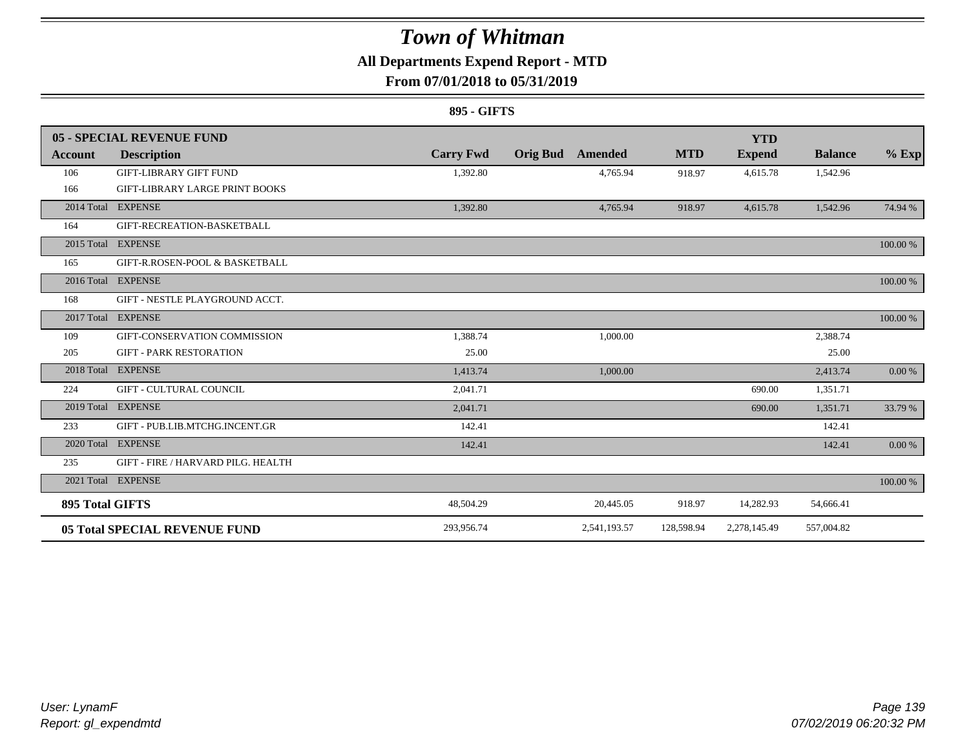### **All Departments Expend Report - MTD**

### **From 07/01/2018 to 05/31/2019**

#### **895 - GIFTS**

|                        | 05 - SPECIAL REVENUE FUND             |                  |                 |              |            | <b>YTD</b>    |                |          |
|------------------------|---------------------------------------|------------------|-----------------|--------------|------------|---------------|----------------|----------|
| <b>Account</b>         | <b>Description</b>                    | <b>Carry Fwd</b> | <b>Orig Bud</b> | Amended      | <b>MTD</b> | <b>Expend</b> | <b>Balance</b> | $%$ Exp  |
| 106                    | <b>GIFT-LIBRARY GIFT FUND</b>         | 1,392.80         |                 | 4,765.94     | 918.97     | 4,615.78      | 1,542.96       |          |
| 166                    | <b>GIFT-LIBRARY LARGE PRINT BOOKS</b> |                  |                 |              |            |               |                |          |
|                        | 2014 Total EXPENSE                    | 1,392.80         |                 | 4,765.94     | 918.97     | 4,615.78      | 1,542.96       | 74.94 %  |
| 164                    | GIFT-RECREATION-BASKETBALL            |                  |                 |              |            |               |                |          |
|                        | 2015 Total EXPENSE                    |                  |                 |              |            |               |                | 100.00 % |
| 165                    | GIFT-R.ROSEN-POOL & BASKETBALL        |                  |                 |              |            |               |                |          |
|                        | 2016 Total EXPENSE                    |                  |                 |              |            |               |                | 100.00 % |
| 168                    | GIFT - NESTLE PLAYGROUND ACCT.        |                  |                 |              |            |               |                |          |
|                        | 2017 Total EXPENSE                    |                  |                 |              |            |               |                | 100.00 % |
| 109                    | GIFT-CONSERVATION COMMISSION          | 1,388.74         |                 | 1,000.00     |            |               | 2,388.74       |          |
| 205                    | <b>GIFT - PARK RESTORATION</b>        | 25.00            |                 |              |            |               | 25.00          |          |
|                        | 2018 Total EXPENSE                    | 1,413.74         |                 | 1,000.00     |            |               | 2,413.74       | 0.00 %   |
| 224                    | <b>GIFT - CULTURAL COUNCIL</b>        | 2,041.71         |                 |              |            | 690.00        | 1,351.71       |          |
|                        | 2019 Total EXPENSE                    | 2,041.71         |                 |              |            | 690.00        | 1,351.71       | 33.79 %  |
| 233                    | GIFT - PUB.LIB.MTCHG.INCENT.GR        | 142.41           |                 |              |            |               | 142.41         |          |
|                        | 2020 Total EXPENSE                    | 142.41           |                 |              |            |               | 142.41         | 0.00 %   |
| 235                    | GIFT - FIRE / HARVARD PILG. HEALTH    |                  |                 |              |            |               |                |          |
|                        | 2021 Total EXPENSE                    |                  |                 |              |            |               |                | 100.00 % |
| <b>895 Total GIFTS</b> |                                       | 48,504.29        |                 | 20,445.05    | 918.97     | 14,282.93     | 54,666.41      |          |
|                        | <b>05 Total SPECIAL REVENUE FUND</b>  | 293,956.74       |                 | 2,541,193.57 | 128,598.94 | 2,278,145.49  | 557,004.82     |          |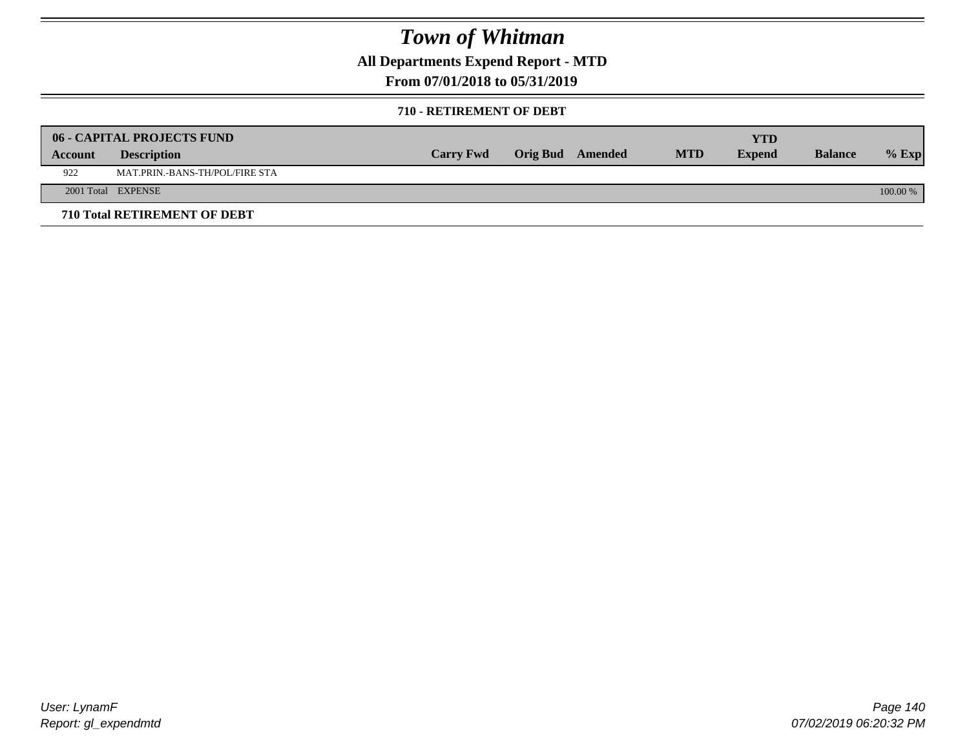**All Departments Expend Report - MTD**

### **From 07/01/2018 to 05/31/2019**

#### **710 - RETIREMENT OF DEBT**

|         | <b>06 - CAPITAL PROJECTS FUND</b> |                  |                  |            | YTD           |                |            |
|---------|-----------------------------------|------------------|------------------|------------|---------------|----------------|------------|
| Account | <b>Description</b>                | <b>Carry Fwd</b> | Orig Bud Amended | <b>MTD</b> | <b>Expend</b> | <b>Balance</b> | $%$ Exp    |
| 922     | MAT.PRIN.-BANS-TH/POL/FIRE STA    |                  |                  |            |               |                |            |
|         | 2001 Total EXPENSE                |                  |                  |            |               |                | $100.00\%$ |
|         | 710 Total RETIREMENT OF DEBT      |                  |                  |            |               |                |            |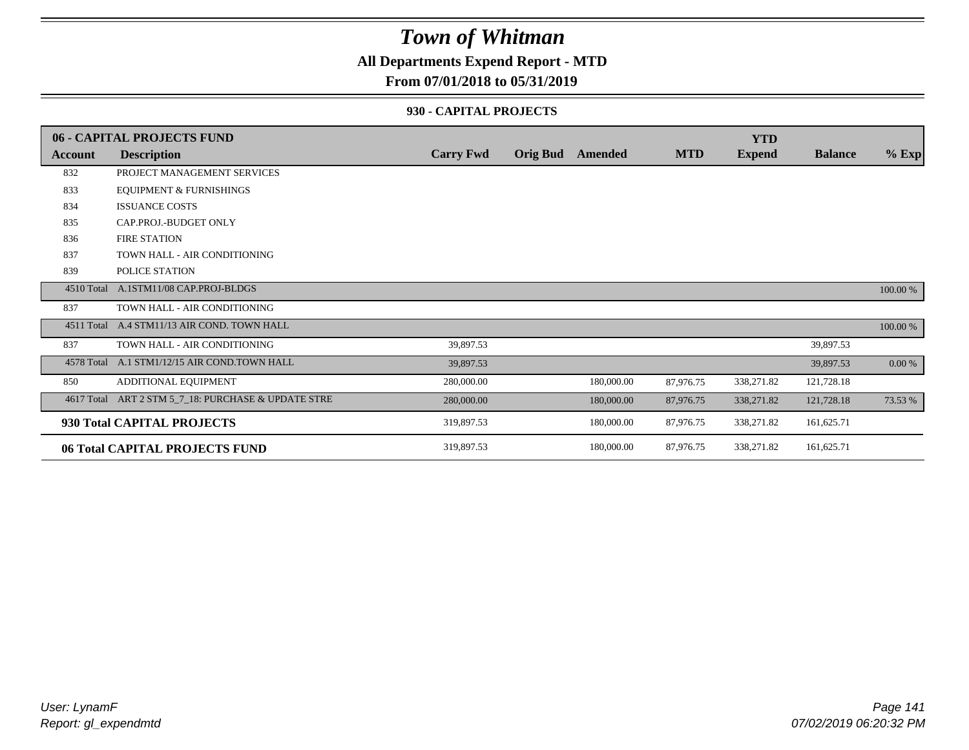### **All Departments Expend Report - MTD**

#### **From 07/01/2018 to 05/31/2019**

#### **930 - CAPITAL PROJECTS**

|                | 06 - CAPITAL PROJECTS FUND                   |                  |                 |            |            | <b>YTD</b>    |                |          |
|----------------|----------------------------------------------|------------------|-----------------|------------|------------|---------------|----------------|----------|
| <b>Account</b> | <b>Description</b>                           | <b>Carry Fwd</b> | <b>Orig Bud</b> | Amended    | <b>MTD</b> | <b>Expend</b> | <b>Balance</b> | $%$ Exp  |
| 832            | PROJECT MANAGEMENT SERVICES                  |                  |                 |            |            |               |                |          |
| 833            | <b>EQUIPMENT &amp; FURNISHINGS</b>           |                  |                 |            |            |               |                |          |
| 834            | <b>ISSUANCE COSTS</b>                        |                  |                 |            |            |               |                |          |
| 835            | CAP.PROJ.-BUDGET ONLY                        |                  |                 |            |            |               |                |          |
| 836            | <b>FIRE STATION</b>                          |                  |                 |            |            |               |                |          |
| 837            | TOWN HALL - AIR CONDITIONING                 |                  |                 |            |            |               |                |          |
| 839            | POLICE STATION                               |                  |                 |            |            |               |                |          |
| 4510 Total     | A.1STM11/08 CAP.PROJ-BLDGS                   |                  |                 |            |            |               |                | 100.00 % |
| 837            | TOWN HALL - AIR CONDITIONING                 |                  |                 |            |            |               |                |          |
|                | 4511 Total A.4 STM11/13 AIR COND. TOWN HALL  |                  |                 |            |            |               |                | 100.00 % |
| 837            | TOWN HALL - AIR CONDITIONING                 | 39,897.53        |                 |            |            |               | 39,897.53      |          |
|                | 4578 Total A.1 STM1/12/15 AIR COND.TOWN HALL | 39,897.53        |                 |            |            |               | 39,897.53      | 0.00 %   |
| 850            | ADDITIONAL EQUIPMENT                         | 280,000.00       |                 | 180,000.00 | 87,976.75  | 338,271.82    | 121,728.18     |          |
| 4617 Total     | ART 2 STM 5_7_18: PURCHASE & UPDATE STRE     | 280,000.00       |                 | 180,000.00 | 87,976.75  | 338,271.82    | 121,728.18     | 73.53 %  |
|                | 930 Total CAPITAL PROJECTS                   | 319,897.53       |                 | 180,000.00 | 87,976.75  | 338,271.82    | 161,625.71     |          |
|                | 06 Total CAPITAL PROJECTS FUND               | 319,897.53       |                 | 180,000.00 | 87,976.75  | 338,271.82    | 161,625.71     |          |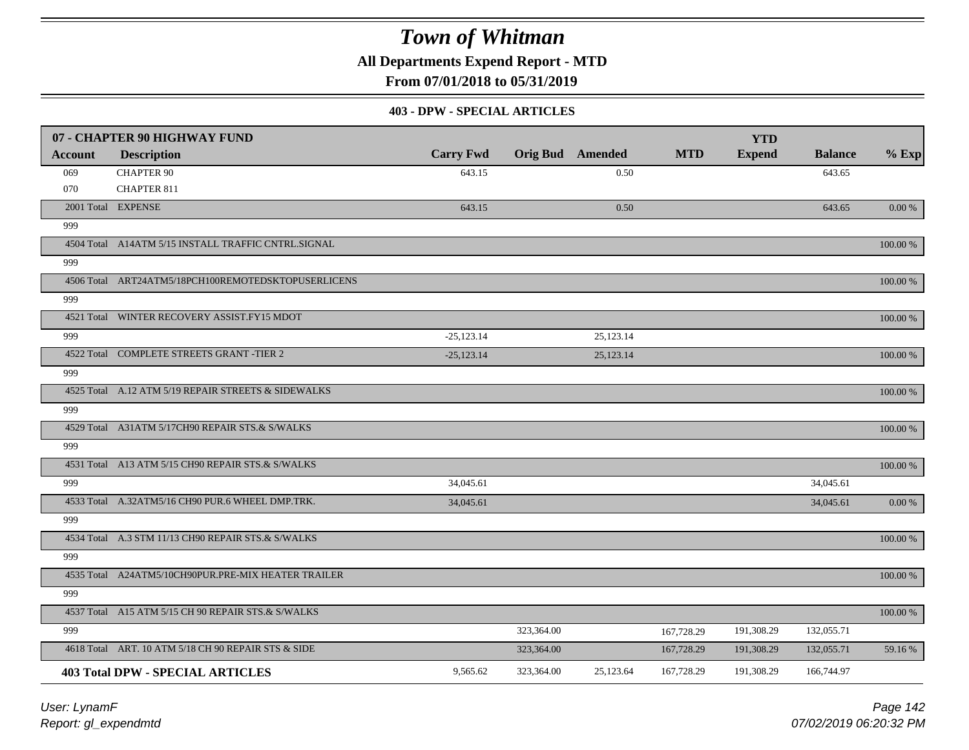**All Departments Expend Report - MTD**

**From 07/01/2018 to 05/31/2019**

#### **403 - DPW - SPECIAL ARTICLES**

|         | 07 - CHAPTER 90 HIGHWAY FUND                        |                  |            |                         |            | <b>YTD</b>    |                |           |
|---------|-----------------------------------------------------|------------------|------------|-------------------------|------------|---------------|----------------|-----------|
| Account | <b>Description</b>                                  | <b>Carry Fwd</b> |            | <b>Orig Bud</b> Amended | <b>MTD</b> | <b>Expend</b> | <b>Balance</b> | $%$ Exp   |
| 069     | <b>CHAPTER 90</b>                                   | 643.15           |            | 0.50                    |            |               | 643.65         |           |
| 070     | <b>CHAPTER 811</b>                                  |                  |            |                         |            |               |                |           |
|         | 2001 Total EXPENSE                                  | 643.15           |            | 0.50                    |            |               | 643.65         | 0.00 %    |
| 999     |                                                     |                  |            |                         |            |               |                |           |
|         | 4504 Total A14ATM 5/15 INSTALL TRAFFIC CNTRL.SIGNAL |                  |            |                         |            |               |                | 100.00 %  |
| 999     |                                                     |                  |            |                         |            |               |                |           |
|         | 4506 Total ART24ATM5/18PCH100REMOTEDSKTOPUSERLICENS |                  |            |                         |            |               |                | 100.00 %  |
| 999     |                                                     |                  |            |                         |            |               |                |           |
|         | 4521 Total WINTER RECOVERY ASSIST.FY15 MDOT         |                  |            |                         |            |               |                | 100.00 %  |
| 999     |                                                     | $-25,123.14$     |            | 25,123.14               |            |               |                |           |
|         | 4522 Total COMPLETE STREETS GRANT -TIER 2           | $-25,123.14$     |            | 25,123.14               |            |               |                | 100.00 %  |
| 999     |                                                     |                  |            |                         |            |               |                |           |
|         | 4525 Total A.12 ATM 5/19 REPAIR STREETS & SIDEWALKS |                  |            |                         |            |               |                | 100.00 %  |
| 999     |                                                     |                  |            |                         |            |               |                |           |
|         | 4529 Total A31ATM 5/17CH90 REPAIR STS.& S/WALKS     |                  |            |                         |            |               |                | 100.00 %  |
| 999     |                                                     |                  |            |                         |            |               |                |           |
|         | 4531 Total A13 ATM 5/15 CH90 REPAIR STS.& S/WALKS   |                  |            |                         |            |               |                | 100.00 %  |
| 999     |                                                     | 34,045.61        |            |                         |            |               | 34,045.61      |           |
|         | 4533 Total A.32ATM5/16 CH90 PUR.6 WHEEL DMP.TRK.    | 34,045.61        |            |                         |            |               | 34,045.61      | $0.00~\%$ |
| 999     |                                                     |                  |            |                         |            |               |                |           |
|         | 4534 Total A.3 STM 11/13 CH90 REPAIR STS.& S/WALKS  |                  |            |                         |            |               |                | 100.00 %  |
| 999     |                                                     |                  |            |                         |            |               |                |           |
|         | 4535 Total A24ATM5/10CH90PUR.PRE-MIX HEATER TRAILER |                  |            |                         |            |               |                | 100.00 %  |
| 999     |                                                     |                  |            |                         |            |               |                |           |
|         | 4537 Total A15 ATM 5/15 CH 90 REPAIR STS.& S/WALKS  |                  |            |                         |            |               |                | 100.00 %  |
| 999     |                                                     |                  | 323,364.00 |                         | 167,728.29 | 191,308.29    | 132,055.71     |           |
|         | 4618 Total ART. 10 ATM 5/18 CH 90 REPAIR STS & SIDE |                  | 323,364.00 |                         | 167,728.29 | 191,308.29    | 132,055.71     | 59.16 %   |
|         | <b>403 Total DPW - SPECIAL ARTICLES</b>             | 9,565.62         | 323,364.00 | 25,123.64               | 167,728.29 | 191,308.29    | 166,744.97     |           |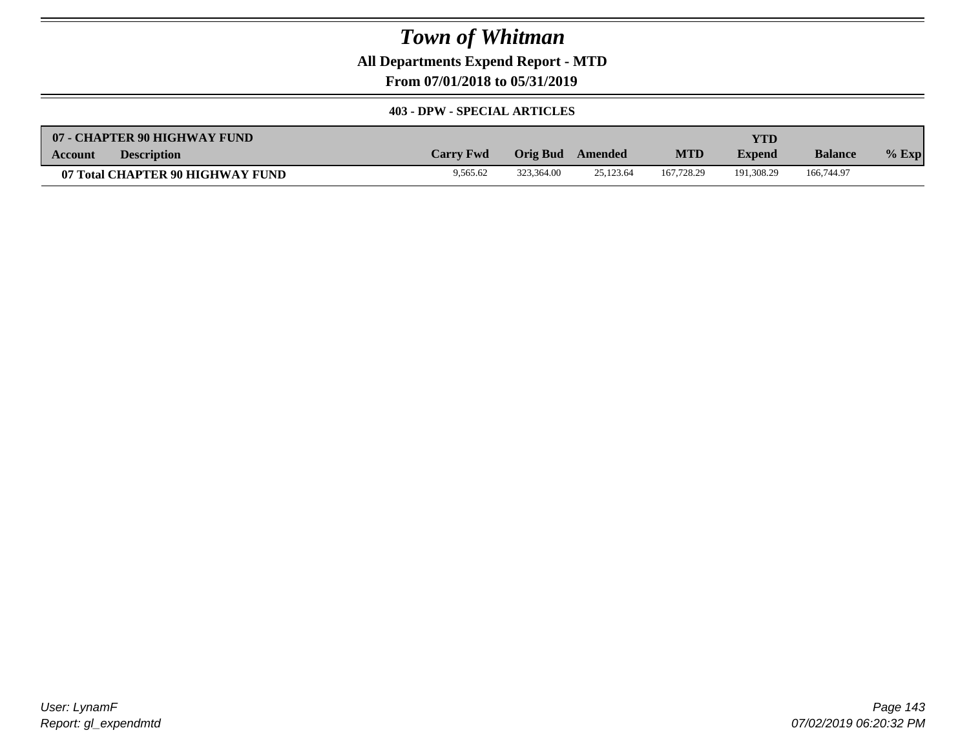**All Departments Expend Report - MTD**

**From 07/01/2018 to 05/31/2019**

#### **403 - DPW - SPECIAL ARTICLES**

| 07 - CHAPTER 90 HIGHWAY FUND         |                  |            |           |            | YTD           |                |         |
|--------------------------------------|------------------|------------|-----------|------------|---------------|----------------|---------|
| <b>Description</b><br><b>Account</b> | <b>Carry Fwd</b> | Orig Bud   | Amended   | <b>MTD</b> | <b>Expend</b> | <b>Balance</b> | $%$ Exp |
| 07 Total CHAPTER 90 HIGHWAY FUND     | 9.565.62         | 323.364.00 | 25,123.64 | 167,728.29 | 191.308.29    | 166,744.97     |         |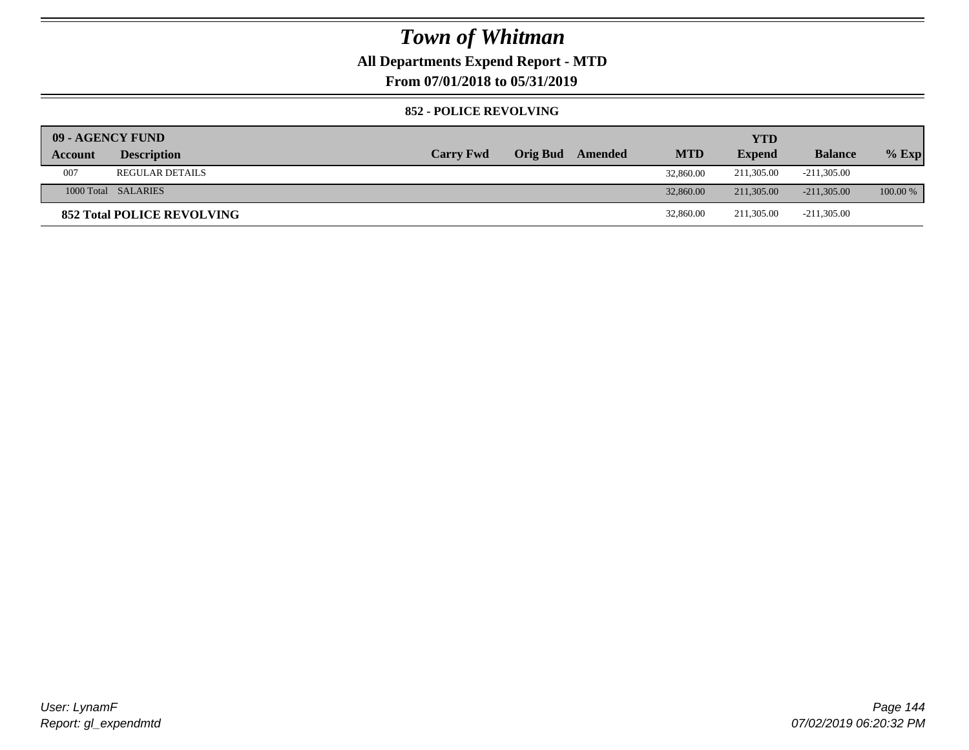### **All Departments Expend Report - MTD**

**From 07/01/2018 to 05/31/2019**

#### **852 - POLICE REVOLVING**

| 09 - AGENCY FUND |                                   |                  |          |         |            | YTD           |                |            |
|------------------|-----------------------------------|------------------|----------|---------|------------|---------------|----------------|------------|
| Account          | <b>Description</b>                | <b>Carry Fwd</b> | Orig Bud | Amended | <b>MTD</b> | <b>Expend</b> | <b>Balance</b> | $%$ Exp    |
| 007              | <b>REGULAR DETAILS</b>            |                  |          |         | 32,860.00  | 211,305.00    | -211.305.00    |            |
|                  | 1000 Total SALARIES               |                  |          |         | 32,860.00  | 211,305,00    | $-211,305,00$  | $100.00\%$ |
|                  | <b>852 Total POLICE REVOLVING</b> |                  |          |         | 32,860.00  | 211.305.00    | $-211,305.00$  |            |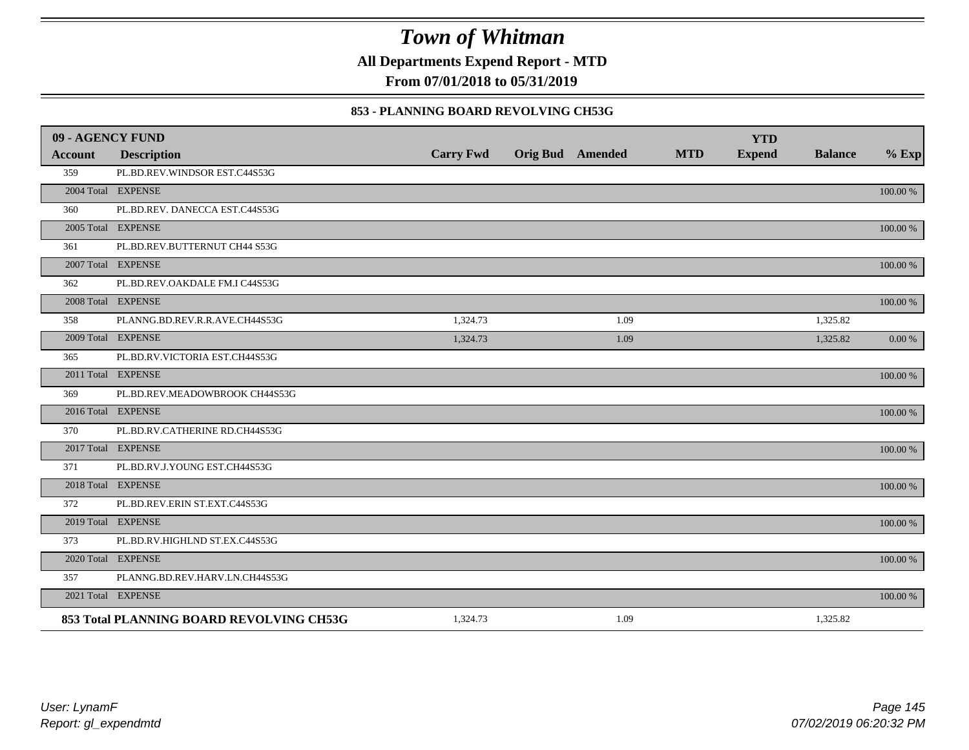**All Departments Expend Report - MTD**

**From 07/01/2018 to 05/31/2019**

### **853 - PLANNING BOARD REVOLVING CH53G**

| 09 - AGENCY FUND |                                          |                  |                         |            | <b>YTD</b>    |                |             |
|------------------|------------------------------------------|------------------|-------------------------|------------|---------------|----------------|-------------|
| <b>Account</b>   | <b>Description</b>                       | <b>Carry Fwd</b> | <b>Orig Bud</b> Amended | <b>MTD</b> | <b>Expend</b> | <b>Balance</b> | $%$ Exp     |
| 359              | PL.BD.REV.WINDSOR EST.C44S53G            |                  |                         |            |               |                |             |
|                  | 2004 Total EXPENSE                       |                  |                         |            |               |                | 100.00 %    |
| 360              | PL.BD.REV. DANECCA EST.C44S53G           |                  |                         |            |               |                |             |
|                  | 2005 Total EXPENSE                       |                  |                         |            |               |                | 100.00 %    |
| 361              | PL.BD.REV.BUTTERNUT CH44 S53G            |                  |                         |            |               |                |             |
|                  | 2007 Total EXPENSE                       |                  |                         |            |               |                | $100.00~\%$ |
| 362              | PL.BD.REV.OAKDALE FM.I C44S53G           |                  |                         |            |               |                |             |
|                  | 2008 Total EXPENSE                       |                  |                         |            |               |                | 100.00 %    |
| 358              | PLANNG.BD.REV.R.R.AVE.CH44S53G           | 1,324.73         | 1.09                    |            |               | 1,325.82       |             |
|                  | 2009 Total EXPENSE                       | 1,324.73         | 1.09                    |            |               | 1,325.82       | 0.00 %      |
| 365              | PL.BD.RV.VICTORIA EST.CH44S53G           |                  |                         |            |               |                |             |
|                  | 2011 Total EXPENSE                       |                  |                         |            |               |                | $100.00~\%$ |
| 369              | PL.BD.REV.MEADOWBROOK CH44S53G           |                  |                         |            |               |                |             |
|                  | 2016 Total EXPENSE                       |                  |                         |            |               |                | 100.00 %    |
| 370              | PL.BD.RV.CATHERINE RD.CH44S53G           |                  |                         |            |               |                |             |
|                  | 2017 Total EXPENSE                       |                  |                         |            |               |                | 100.00 %    |
| 371              | PL.BD.RV.J.YOUNG EST.CH44S53G            |                  |                         |            |               |                |             |
|                  | 2018 Total EXPENSE                       |                  |                         |            |               |                | 100.00 %    |
| 372              | PL.BD.REV.ERIN ST.EXT.C44S53G            |                  |                         |            |               |                |             |
|                  | 2019 Total EXPENSE                       |                  |                         |            |               |                | 100.00 %    |
| 373              | PL.BD.RV.HIGHLND ST.EX.C44S53G           |                  |                         |            |               |                |             |
|                  | 2020 Total EXPENSE                       |                  |                         |            |               |                | 100.00 %    |
| 357              | PLANNG.BD.REV.HARV.LN.CH44S53G           |                  |                         |            |               |                |             |
|                  | 2021 Total EXPENSE                       |                  |                         |            |               |                | 100.00 %    |
|                  | 853 Total PLANNING BOARD REVOLVING CH53G | 1,324.73         | 1.09                    |            |               | 1,325.82       |             |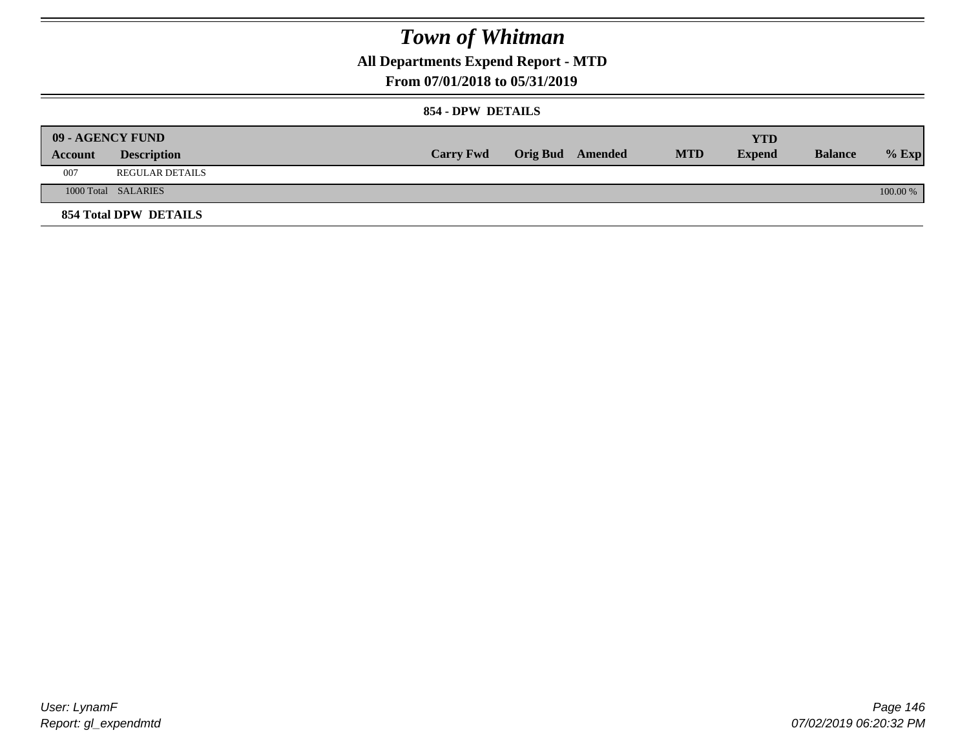**All Departments Expend Report - MTD**

### **From 07/01/2018 to 05/31/2019**

#### **854 - DPW DETAILS**

|         | <b>09 - AGENCY FUND</b> |                  |                         |            | <b>YTD</b>    |                |          |
|---------|-------------------------|------------------|-------------------------|------------|---------------|----------------|----------|
| Account | <b>Description</b>      | <b>Carry Fwd</b> | <b>Orig Bud</b> Amended | <b>MTD</b> | <b>Expend</b> | <b>Balance</b> | $%$ Exp  |
| 007     | REGULAR DETAILS         |                  |                         |            |               |                |          |
|         | 1000 Total SALARIES     |                  |                         |            |               |                | 100.00 % |
|         | 854 Total DPW DETAILS   |                  |                         |            |               |                |          |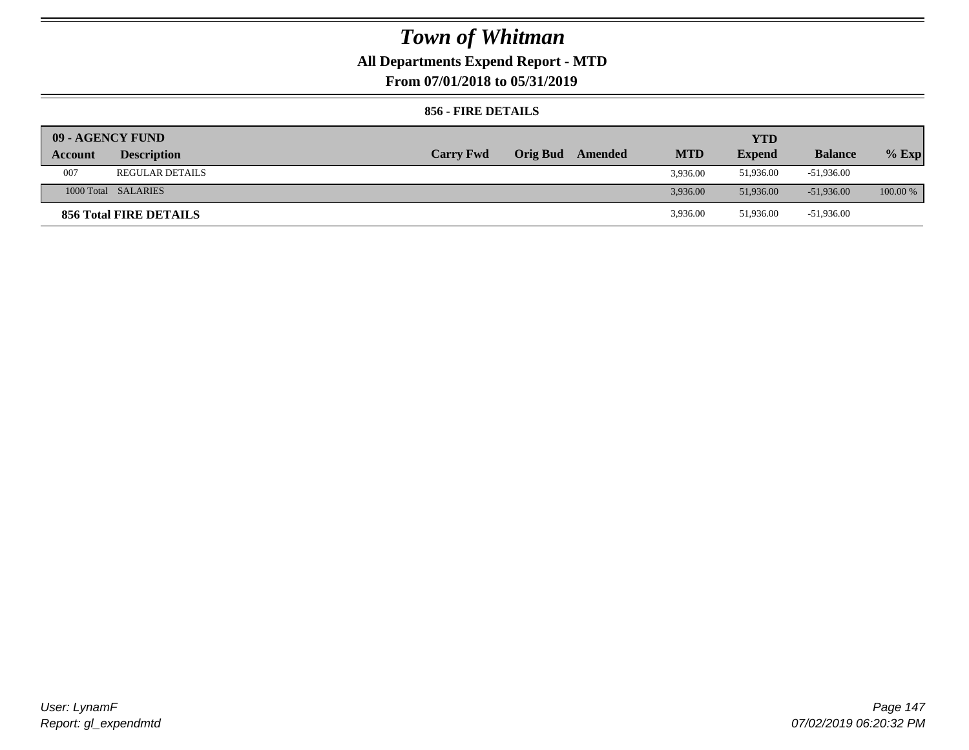## **All Departments Expend Report - MTD**

**From 07/01/2018 to 05/31/2019**

### **856 - FIRE DETAILS**

|         | 09 - AGENCY FUND       |                  |                 |         |            | <b>YTD</b>    |                |            |
|---------|------------------------|------------------|-----------------|---------|------------|---------------|----------------|------------|
| Account | <b>Description</b>     | <b>Carry Fwd</b> | <b>Orig Bud</b> | Amended | <b>MTD</b> | <b>Expend</b> | <b>Balance</b> | $%$ Exp    |
| 007     | <b>REGULAR DETAILS</b> |                  |                 |         | 3.936.00   | 51,936.00     | -51,936.00     |            |
|         | 1000 Total SALARIES    |                  |                 |         | 3.936.00   | 51,936,00     | $-51.936.00$   | $100.00\%$ |
|         | 856 Total FIRE DETAILS |                  |                 |         | 3,936.00   | 51,936.00     | $-51,936.00$   |            |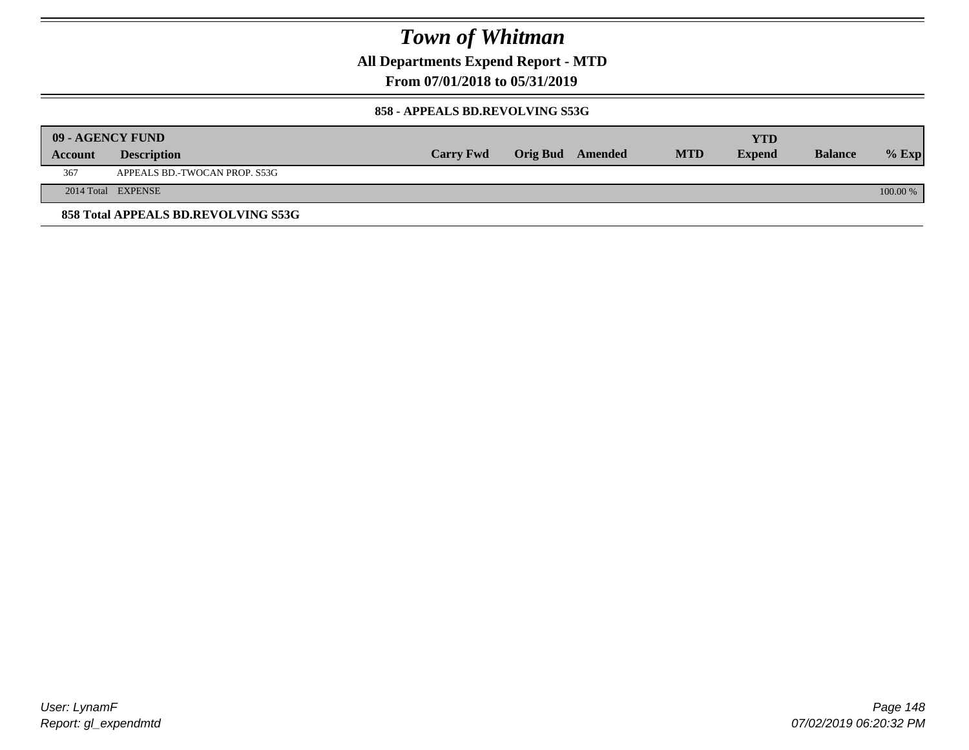**All Departments Expend Report - MTD**

**From 07/01/2018 to 05/31/2019**

#### **858 - APPEALS BD.REVOLVING S53G**

|         | 09 - AGENCY FUND                    |                  |                         |            | YTD           |                |            |
|---------|-------------------------------------|------------------|-------------------------|------------|---------------|----------------|------------|
| Account | <b>Description</b>                  | <b>Carry Fwd</b> | <b>Orig Bud</b> Amended | <b>MTD</b> | <b>Expend</b> | <b>Balance</b> | $%$ Exp    |
| 367     | APPEALS BD.-TWOCAN PROP. S53G       |                  |                         |            |               |                |            |
|         | 2014 Total EXPENSE                  |                  |                         |            |               |                | $100.00\%$ |
|         | 858 Total APPEALS BD.REVOLVING S53G |                  |                         |            |               |                |            |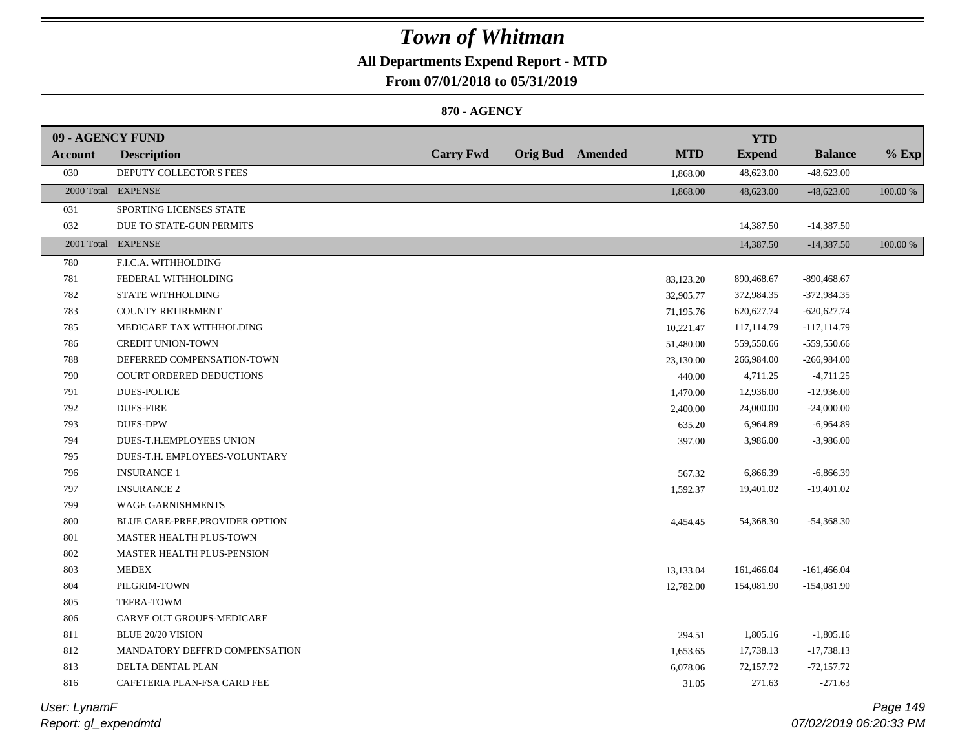### **All Departments Expend Report - MTD**

**From 07/01/2018 to 05/31/2019**

#### **870 - AGENCY**

| 09 - AGENCY FUND |                                   |                  |                         |            | <b>YTD</b>    |                |          |
|------------------|-----------------------------------|------------------|-------------------------|------------|---------------|----------------|----------|
| Account          | <b>Description</b>                | <b>Carry Fwd</b> | <b>Orig Bud</b> Amended | <b>MTD</b> | <b>Expend</b> | <b>Balance</b> | $%$ Exp  |
| 030              | DEPUTY COLLECTOR'S FEES           |                  |                         | 1,868.00   | 48,623.00     | $-48,623.00$   |          |
|                  | 2000 Total EXPENSE                |                  |                         | 1,868.00   | 48,623.00     | $-48,623.00$   | 100.00 % |
| 031              | SPORTING LICENSES STATE           |                  |                         |            |               |                |          |
| 032              | DUE TO STATE-GUN PERMITS          |                  |                         |            | 14,387.50     | $-14,387.50$   |          |
|                  | 2001 Total EXPENSE                |                  |                         |            | 14,387.50     | $-14,387.50$   | 100.00 % |
| 780              | F.I.C.A. WITHHOLDING              |                  |                         |            |               |                |          |
| 781              | FEDERAL WITHHOLDING               |                  |                         | 83,123.20  | 890,468.67    | $-890,468.67$  |          |
| 782              | STATE WITHHOLDING                 |                  |                         | 32,905.77  | 372,984.35    | $-372,984.35$  |          |
| 783              | <b>COUNTY RETIREMENT</b>          |                  |                         | 71,195.76  | 620, 627. 74  | $-620,627.74$  |          |
| 785              | MEDICARE TAX WITHHOLDING          |                  |                         | 10,221.47  | 117,114.79    | $-117, 114.79$ |          |
| 786              | <b>CREDIT UNION-TOWN</b>          |                  |                         | 51,480.00  | 559,550.66    | -559,550.66    |          |
| 788              | DEFERRED COMPENSATION-TOWN        |                  |                         | 23,130.00  | 266,984.00    | $-266,984.00$  |          |
| 790              | COURT ORDERED DEDUCTIONS          |                  |                         | 440.00     | 4,711.25      | $-4,711.25$    |          |
| 791              | <b>DUES-POLICE</b>                |                  |                         | 1,470.00   | 12,936.00     | $-12,936.00$   |          |
| 792              | <b>DUES-FIRE</b>                  |                  |                         | 2,400.00   | 24,000.00     | $-24,000.00$   |          |
| 793              | <b>DUES-DPW</b>                   |                  |                         | 635.20     | 6,964.89      | $-6,964.89$    |          |
| 794              | DUES-T.H.EMPLOYEES UNION          |                  |                         | 397.00     | 3,986.00      | $-3,986.00$    |          |
| 795              | DUES-T.H. EMPLOYEES-VOLUNTARY     |                  |                         |            |               |                |          |
| 796              | <b>INSURANCE 1</b>                |                  |                         | 567.32     | 6,866.39      | $-6,866.39$    |          |
| 797              | <b>INSURANCE 2</b>                |                  |                         | 1,592.37   | 19,401.02     | $-19,401.02$   |          |
| 799              | <b>WAGE GARNISHMENTS</b>          |                  |                         |            |               |                |          |
| 800              | BLUE CARE-PREF.PROVIDER OPTION    |                  |                         | 4,454.45   | 54,368.30     | $-54,368.30$   |          |
| 801              | MASTER HEALTH PLUS-TOWN           |                  |                         |            |               |                |          |
| 802              | <b>MASTER HEALTH PLUS-PENSION</b> |                  |                         |            |               |                |          |
| 803              | <b>MEDEX</b>                      |                  |                         | 13,133.04  | 161,466.04    | $-161,466.04$  |          |
| 804              | PILGRIM-TOWN                      |                  |                         | 12,782.00  | 154,081.90    | $-154,081.90$  |          |
| 805              | TEFRA-TOWM                        |                  |                         |            |               |                |          |
| 806              | CARVE OUT GROUPS-MEDICARE         |                  |                         |            |               |                |          |
| 811              | <b>BLUE 20/20 VISION</b>          |                  |                         | 294.51     | 1,805.16      | $-1,805.16$    |          |
| 812              | MANDATORY DEFFR'D COMPENSATION    |                  |                         | 1,653.65   | 17,738.13     | $-17,738.13$   |          |
| 813              | DELTA DENTAL PLAN                 |                  |                         | 6,078.06   | 72,157.72     | $-72,157.72$   |          |
| 816              | CAFETERIA PLAN-FSA CARD FEE       |                  |                         | 31.05      | 271.63        | $-271.63$      |          |
|                  |                                   |                  |                         |            |               |                |          |

*Report: gl\_expendmtd User: LynamF*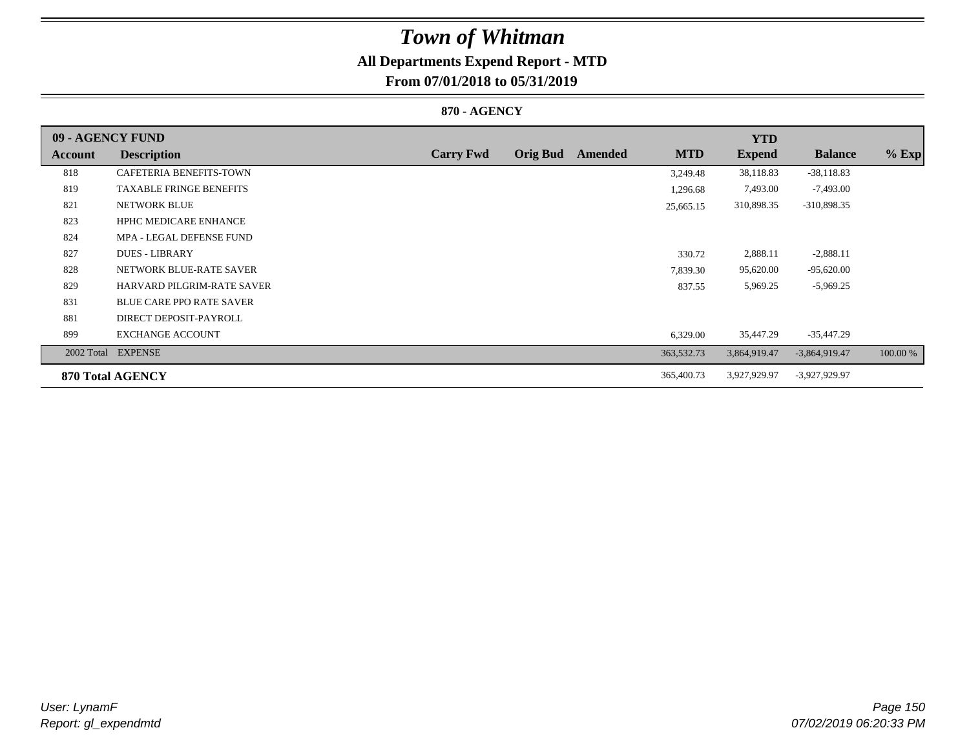# **All Departments Expend Report - MTD**

## **From 07/01/2018 to 05/31/2019**

### **870 - AGENCY**

| 09 - AGENCY FUND |                                 |                  |                 |         |            | <b>YTD</b>    |                 |          |
|------------------|---------------------------------|------------------|-----------------|---------|------------|---------------|-----------------|----------|
| Account          | <b>Description</b>              | <b>Carry Fwd</b> | <b>Orig Bud</b> | Amended | <b>MTD</b> | <b>Expend</b> | <b>Balance</b>  | $%$ Exp  |
| 818              | <b>CAFETERIA BENEFITS-TOWN</b>  |                  |                 |         | 3,249.48   | 38,118.83     | $-38,118.83$    |          |
| 819              | <b>TAXABLE FRINGE BENEFITS</b>  |                  |                 |         | 1,296.68   | 7,493.00      | $-7,493.00$     |          |
| 821              | <b>NETWORK BLUE</b>             |                  |                 |         | 25,665.15  | 310,898.35    | -310,898.35     |          |
| 823              | <b>HPHC MEDICARE ENHANCE</b>    |                  |                 |         |            |               |                 |          |
| 824              | MPA - LEGAL DEFENSE FUND        |                  |                 |         |            |               |                 |          |
| 827              | <b>DUES - LIBRARY</b>           |                  |                 |         | 330.72     | 2,888.11      | $-2,888.11$     |          |
| 828              | NETWORK BLUE-RATE SAVER         |                  |                 |         | 7,839.30   | 95,620.00     | $-95,620.00$    |          |
| 829              | HARVARD PILGRIM-RATE SAVER      |                  |                 |         | 837.55     | 5,969.25      | $-5,969.25$     |          |
| 831              | <b>BLUE CARE PPO RATE SAVER</b> |                  |                 |         |            |               |                 |          |
| 881              | DIRECT DEPOSIT-PAYROLL          |                  |                 |         |            |               |                 |          |
| 899              | <b>EXCHANGE ACCOUNT</b>         |                  |                 |         | 6,329.00   | 35,447.29     | $-35,447.29$    |          |
| 2002 Total       | <b>EXPENSE</b>                  |                  |                 |         | 363,532.73 | 3,864,919.47  | $-3,864,919.47$ | 100.00 % |
|                  | 870 Total AGENCY                |                  |                 |         | 365,400.73 | 3,927,929.97  | -3,927,929.97   |          |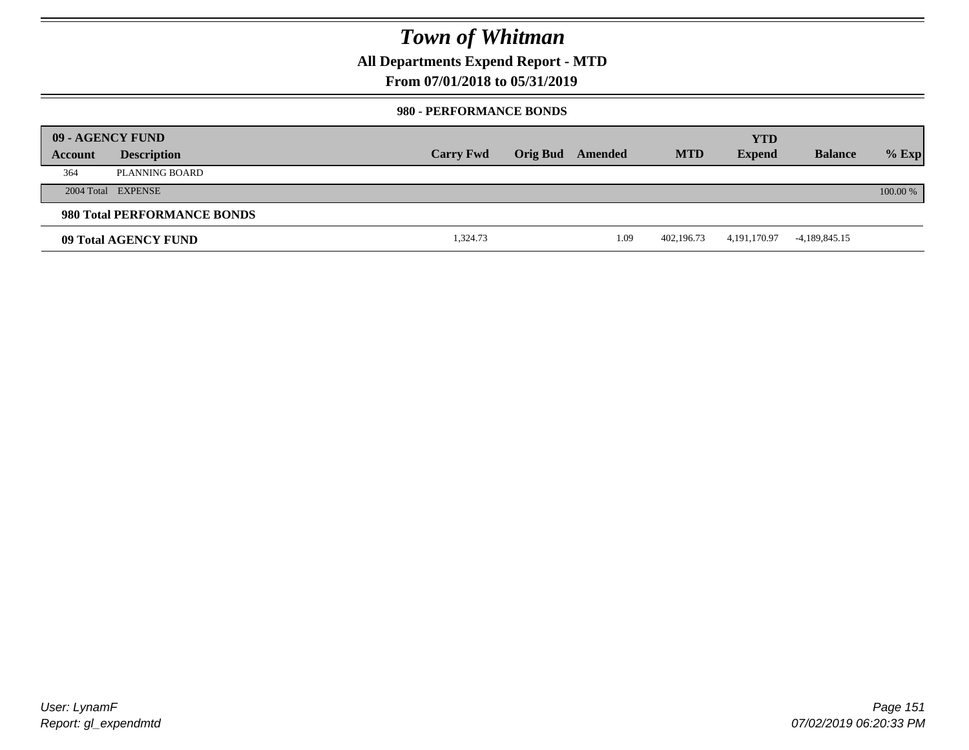**All Departments Expend Report - MTD**

### **From 07/01/2018 to 05/31/2019**

#### **980 - PERFORMANCE BONDS**

|         | 09 - AGENCY FUND            |                  |                         |            | <b>YTD</b>      |                |          |
|---------|-----------------------------|------------------|-------------------------|------------|-----------------|----------------|----------|
| Account | <b>Description</b>          | <b>Carry Fwd</b> | <b>Orig Bud</b> Amended | <b>MTD</b> | <b>Expend</b>   | <b>Balance</b> | $%$ Exp  |
| 364     | PLANNING BOARD              |                  |                         |            |                 |                |          |
|         | 2004 Total EXPENSE          |                  |                         |            |                 |                | 100.00 % |
|         | 980 Total PERFORMANCE BONDS |                  |                         |            |                 |                |          |
|         | 09 Total AGENCY FUND        | 1,324.73         | 1.09                    | 402.196.73 | 4, 191, 170. 97 | -4,189,845.15  |          |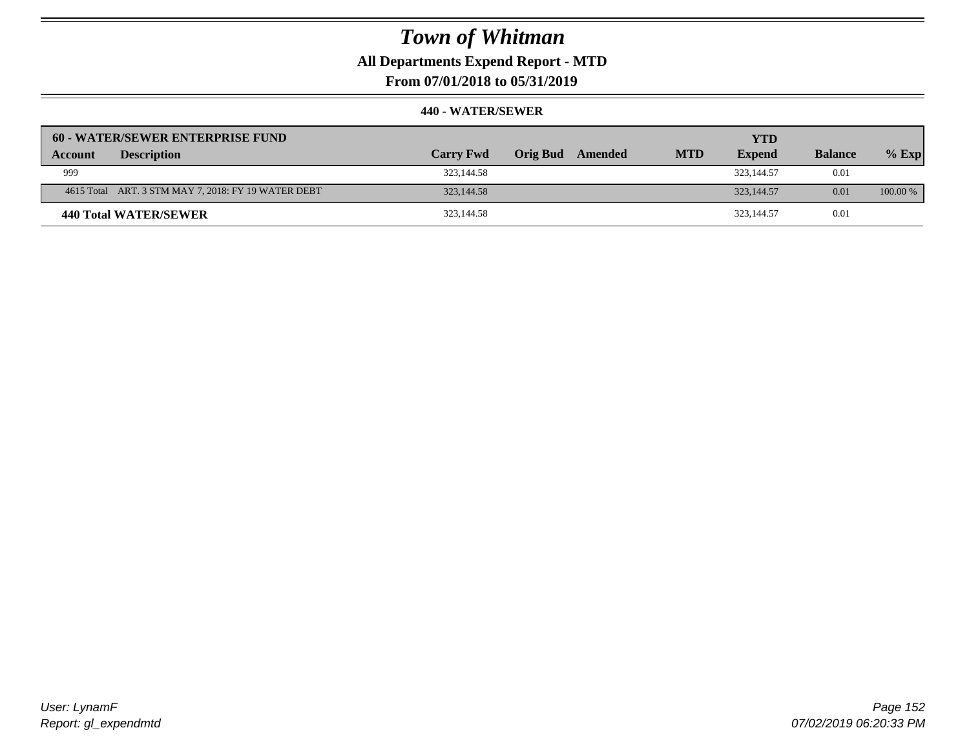**All Departments Expend Report - MTD**

**From 07/01/2018 to 05/31/2019**

| 60 - WATER/SEWER ENTERPRISE FUND                    |                  |                     |            | <b>YTD</b>    |                |            |
|-----------------------------------------------------|------------------|---------------------|------------|---------------|----------------|------------|
| <b>Description</b><br>Account                       | <b>Carry Fwd</b> | Orig Bud<br>Amended | <b>MTD</b> | <b>Expend</b> | <b>Balance</b> | $%$ Exp    |
| 999                                                 | 323,144.58       |                     |            | 323,144.57    | 0.01           |            |
| 4615 Total ART. 3 STM MAY 7, 2018: FY 19 WATER DEBT | 323,144.58       |                     |            | 323,144.57    | 0.01           | $100.00\%$ |
| 440 Total WATER/SEWER                               | 323,144.58       |                     |            | 323,144.57    | 0.01           |            |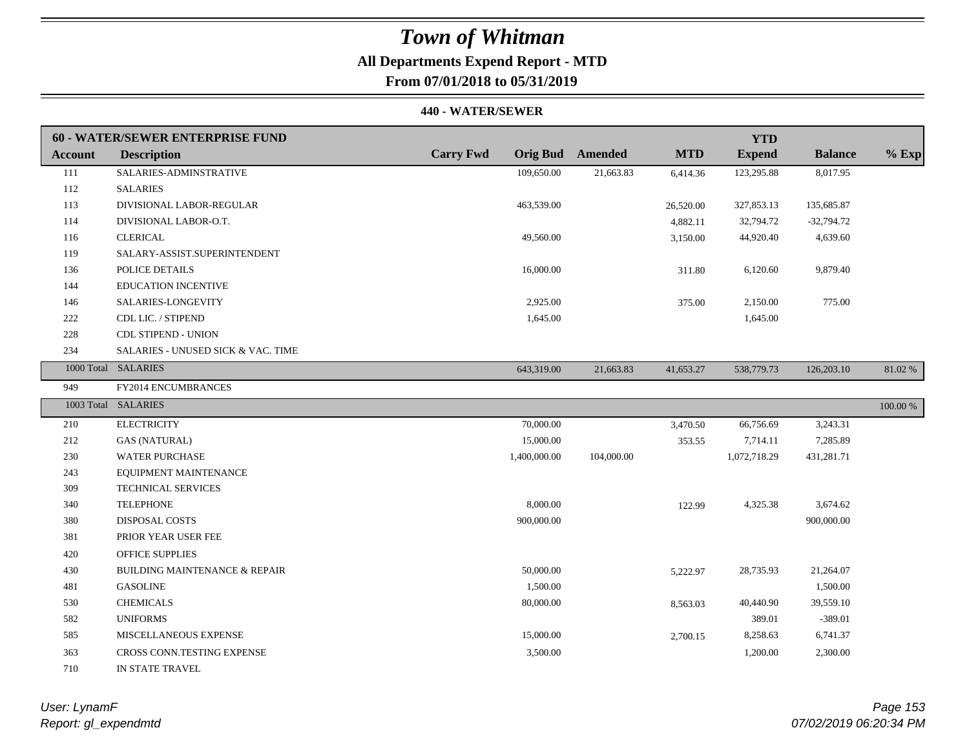# **All Departments Expend Report - MTD**

## **From 07/01/2018 to 05/31/2019**

|                | 60 - WATER/SEWER ENTERPRISE FUND         |                  |                         |            | <b>YTD</b>    |                |          |
|----------------|------------------------------------------|------------------|-------------------------|------------|---------------|----------------|----------|
| <b>Account</b> | <b>Description</b>                       | <b>Carry Fwd</b> | <b>Orig Bud</b> Amended | <b>MTD</b> | <b>Expend</b> | <b>Balance</b> | $%$ Exp  |
| 111            | SALARIES-ADMINSTRATIVE                   | 109,650.00       | 21,663.83               | 6,414.36   | 123,295.88    | 8,017.95       |          |
| 112            | <b>SALARIES</b>                          |                  |                         |            |               |                |          |
| 113            | DIVISIONAL LABOR-REGULAR                 | 463,539.00       |                         | 26,520.00  | 327,853.13    | 135,685.87     |          |
| 114            | DIVISIONAL LABOR-O.T.                    |                  |                         | 4,882.11   | 32,794.72     | $-32,794.72$   |          |
| 116            | <b>CLERICAL</b>                          | 49,560.00        |                         | 3,150.00   | 44,920.40     | 4,639.60       |          |
| 119            | SALARY-ASSIST.SUPERINTENDENT             |                  |                         |            |               |                |          |
| 136            | POLICE DETAILS                           | 16,000.00        |                         | 311.80     | 6,120.60      | 9,879.40       |          |
| 144            | <b>EDUCATION INCENTIVE</b>               |                  |                         |            |               |                |          |
| 146            | SALARIES-LONGEVITY                       | 2,925.00         |                         | 375.00     | 2,150.00      | 775.00         |          |
| 222            | CDL LIC. / STIPEND                       | 1,645.00         |                         |            | 1,645.00      |                |          |
| 228            | <b>CDL STIPEND - UNION</b>               |                  |                         |            |               |                |          |
| 234            | SALARIES - UNUSED SICK & VAC. TIME       |                  |                         |            |               |                |          |
|                | 1000 Total SALARIES                      | 643,319.00       | 21,663.83               | 41,653.27  | 538,779.73    | 126,203.10     | 81.02 %  |
| 949            | FY2014 ENCUMBRANCES                      |                  |                         |            |               |                |          |
|                | 1003 Total SALARIES                      |                  |                         |            |               |                | 100.00 % |
| 210            | <b>ELECTRICITY</b>                       | 70,000.00        |                         | 3,470.50   | 66,756.69     | 3,243.31       |          |
| 212            | <b>GAS (NATURAL)</b>                     | 15,000.00        |                         | 353.55     | 7,714.11      | 7,285.89       |          |
| 230            | <b>WATER PURCHASE</b>                    | 1,400,000.00     | 104,000.00              |            | 1,072,718.29  | 431,281.71     |          |
| 243            | EQUIPMENT MAINTENANCE                    |                  |                         |            |               |                |          |
| 309            | <b>TECHNICAL SERVICES</b>                |                  |                         |            |               |                |          |
| 340            | <b>TELEPHONE</b>                         | 8,000.00         |                         | 122.99     | 4,325.38      | 3,674.62       |          |
| 380            | <b>DISPOSAL COSTS</b>                    | 900,000.00       |                         |            |               | 900,000.00     |          |
| 381            | PRIOR YEAR USER FEE                      |                  |                         |            |               |                |          |
| 420            | <b>OFFICE SUPPLIES</b>                   |                  |                         |            |               |                |          |
| 430            | <b>BUILDING MAINTENANCE &amp; REPAIR</b> | 50,000.00        |                         | 5,222.97   | 28,735.93     | 21,264.07      |          |
| 481            | <b>GASOLINE</b>                          | 1,500.00         |                         |            |               | 1,500.00       |          |
| 530            | <b>CHEMICALS</b>                         | 80,000.00        |                         | 8,563.03   | 40,440.90     | 39,559.10      |          |
| 582            | <b>UNIFORMS</b>                          |                  |                         |            | 389.01        | $-389.01$      |          |
| 585            | MISCELLANEOUS EXPENSE                    | 15,000.00        |                         | 2,700.15   | 8,258.63      | 6,741.37       |          |
| 363            | CROSS CONN.TESTING EXPENSE               | 3,500.00         |                         |            | 1,200.00      | 2,300.00       |          |
| 710            | IN STATE TRAVEL                          |                  |                         |            |               |                |          |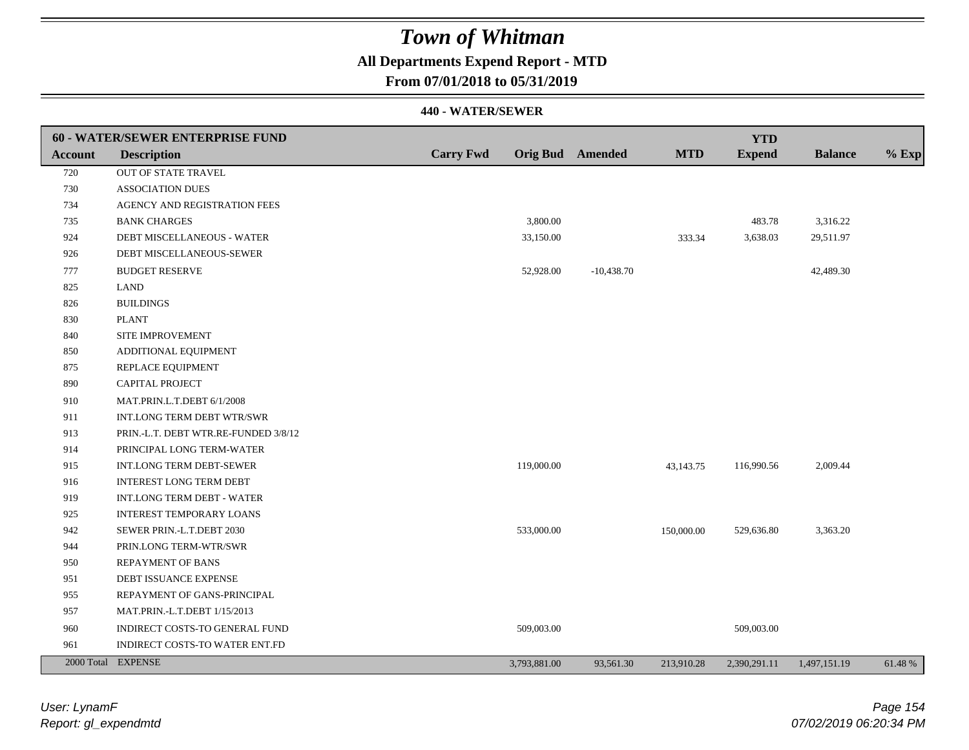## **All Departments Expend Report - MTD**

### **From 07/01/2018 to 05/31/2019**

|         | 60 - WATER/SEWER ENTERPRISE FUND     |                  |                         |              |            | <b>YTD</b>    |                |         |
|---------|--------------------------------------|------------------|-------------------------|--------------|------------|---------------|----------------|---------|
| Account | <b>Description</b>                   | <b>Carry Fwd</b> | <b>Orig Bud</b> Amended |              | <b>MTD</b> | <b>Expend</b> | <b>Balance</b> | $%$ Exp |
| 720     | OUT OF STATE TRAVEL                  |                  |                         |              |            |               |                |         |
| 730     | <b>ASSOCIATION DUES</b>              |                  |                         |              |            |               |                |         |
| 734     | AGENCY AND REGISTRATION FEES         |                  |                         |              |            |               |                |         |
| 735     | <b>BANK CHARGES</b>                  |                  | 3,800.00                |              |            | 483.78        | 3,316.22       |         |
| 924     | DEBT MISCELLANEOUS - WATER           |                  | 33,150.00               |              | 333.34     | 3,638.03      | 29,511.97      |         |
| 926     | DEBT MISCELLANEOUS-SEWER             |                  |                         |              |            |               |                |         |
| 777     | <b>BUDGET RESERVE</b>                |                  | 52,928.00               | $-10,438.70$ |            |               | 42,489.30      |         |
| 825     | <b>LAND</b>                          |                  |                         |              |            |               |                |         |
| 826     | <b>BUILDINGS</b>                     |                  |                         |              |            |               |                |         |
| 830     | <b>PLANT</b>                         |                  |                         |              |            |               |                |         |
| 840     | SITE IMPROVEMENT                     |                  |                         |              |            |               |                |         |
| 850     | ADDITIONAL EQUIPMENT                 |                  |                         |              |            |               |                |         |
| 875     | REPLACE EQUIPMENT                    |                  |                         |              |            |               |                |         |
| 890     | CAPITAL PROJECT                      |                  |                         |              |            |               |                |         |
| 910     | MAT.PRIN.L.T.DEBT 6/1/2008           |                  |                         |              |            |               |                |         |
| 911     | INT.LONG TERM DEBT WTR/SWR           |                  |                         |              |            |               |                |         |
| 913     | PRIN.-L.T. DEBT WTR.RE-FUNDED 3/8/12 |                  |                         |              |            |               |                |         |
| 914     | PRINCIPAL LONG TERM-WATER            |                  |                         |              |            |               |                |         |
| 915     | <b>INT.LONG TERM DEBT-SEWER</b>      |                  | 119,000.00              |              | 43,143.75  | 116,990.56    | 2,009.44       |         |
| 916     | INTEREST LONG TERM DEBT              |                  |                         |              |            |               |                |         |
| 919     | INT.LONG TERM DEBT - WATER           |                  |                         |              |            |               |                |         |
| 925     | <b>INTEREST TEMPORARY LOANS</b>      |                  |                         |              |            |               |                |         |
| 942     | SEWER PRIN.-L.T.DEBT 2030            |                  | 533,000.00              |              | 150,000.00 | 529,636.80    | 3,363.20       |         |
| 944     | PRIN.LONG TERM-WTR/SWR               |                  |                         |              |            |               |                |         |
| 950     | <b>REPAYMENT OF BANS</b>             |                  |                         |              |            |               |                |         |
| 951     | DEBT ISSUANCE EXPENSE                |                  |                         |              |            |               |                |         |
| 955     | REPAYMENT OF GANS-PRINCIPAL          |                  |                         |              |            |               |                |         |
| 957     | MAT.PRIN.-L.T.DEBT 1/15/2013         |                  |                         |              |            |               |                |         |
| 960     | INDIRECT COSTS-TO GENERAL FUND       |                  | 509,003.00              |              |            | 509,003.00    |                |         |
| 961     | INDIRECT COSTS-TO WATER ENT.FD       |                  |                         |              |            |               |                |         |
|         | 2000 Total EXPENSE                   |                  | 3,793,881.00            | 93,561.30    | 213,910.28 | 2,390,291.11  | 1,497,151.19   | 61.48%  |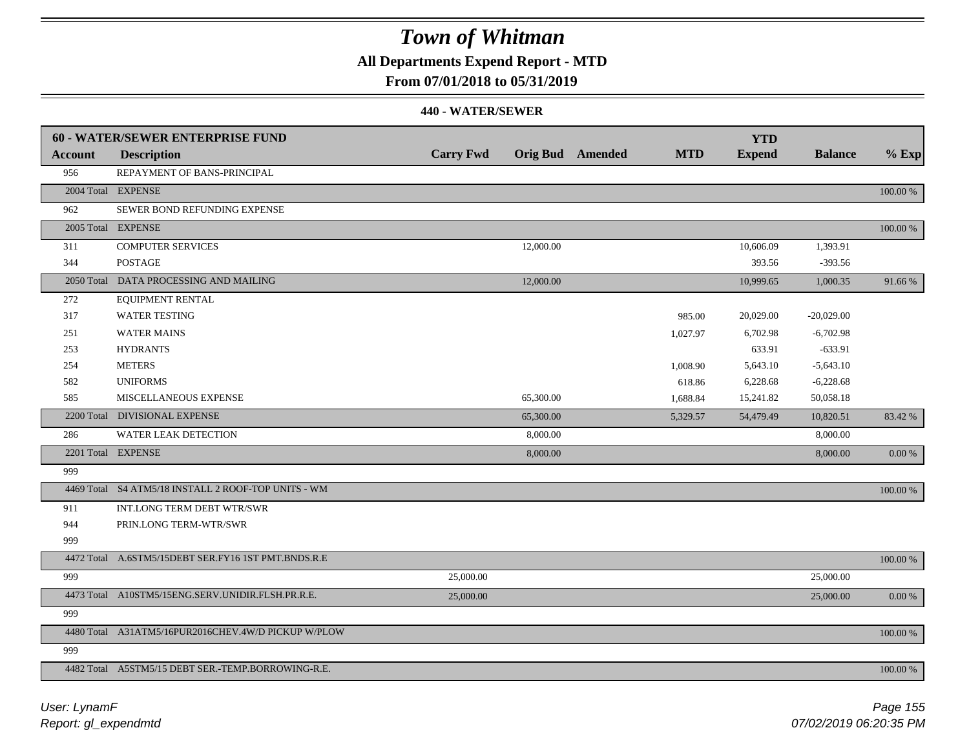## **All Departments Expend Report - MTD**

### **From 07/01/2018 to 05/31/2019**

|                | 60 - WATER/SEWER ENTERPRISE FUND                    |                  |           |                         |            | <b>YTD</b>    |                |            |
|----------------|-----------------------------------------------------|------------------|-----------|-------------------------|------------|---------------|----------------|------------|
| <b>Account</b> | <b>Description</b>                                  | <b>Carry Fwd</b> |           | <b>Orig Bud</b> Amended | <b>MTD</b> | <b>Expend</b> | <b>Balance</b> | $%$ Exp    |
| 956            | REPAYMENT OF BANS-PRINCIPAL                         |                  |           |                         |            |               |                |            |
|                | 2004 Total EXPENSE                                  |                  |           |                         |            |               |                | 100.00 %   |
| 962            | SEWER BOND REFUNDING EXPENSE                        |                  |           |                         |            |               |                |            |
|                | 2005 Total EXPENSE                                  |                  |           |                         |            |               |                | 100.00 %   |
| 311            | <b>COMPUTER SERVICES</b>                            |                  | 12,000.00 |                         |            | 10,606.09     | 1,393.91       |            |
| 344            | <b>POSTAGE</b>                                      |                  |           |                         |            | 393.56        | $-393.56$      |            |
|                | 2050 Total DATA PROCESSING AND MAILING              |                  | 12,000.00 |                         |            | 10,999.65     | 1,000.35       | 91.66%     |
| 272            | EQUIPMENT RENTAL                                    |                  |           |                         |            |               |                |            |
| 317            | <b>WATER TESTING</b>                                |                  |           |                         | 985.00     | 20,029.00     | $-20,029.00$   |            |
| 251            | <b>WATER MAINS</b>                                  |                  |           |                         | 1,027.97   | 6,702.98      | $-6,702.98$    |            |
| 253            | <b>HYDRANTS</b>                                     |                  |           |                         |            | 633.91        | $-633.91$      |            |
| 254            | <b>METERS</b>                                       |                  |           |                         | 1,008.90   | 5,643.10      | $-5,643.10$    |            |
| 582            | <b>UNIFORMS</b>                                     |                  |           |                         | 618.86     | 6,228.68      | $-6,228.68$    |            |
| 585            | MISCELLANEOUS EXPENSE                               |                  | 65,300.00 |                         | 1,688.84   | 15,241.82     | 50,058.18      |            |
|                | 2200 Total DIVISIONAL EXPENSE                       |                  | 65,300.00 |                         | 5,329.57   | 54,479.49     | 10,820.51      | 83.42 %    |
| 286            | <b>WATER LEAK DETECTION</b>                         |                  | 8,000.00  |                         |            |               | 8,000.00       |            |
|                | 2201 Total EXPENSE                                  |                  | 8,000.00  |                         |            |               | 8,000.00       | 0.00 %     |
| 999            |                                                     |                  |           |                         |            |               |                |            |
|                | 4469 Total S4 ATM5/18 INSTALL 2 ROOF-TOP UNITS - WM |                  |           |                         |            |               |                | 100.00 %   |
| 911            | INT.LONG TERM DEBT WTR/SWR                          |                  |           |                         |            |               |                |            |
| 944            | PRIN.LONG TERM-WTR/SWR                              |                  |           |                         |            |               |                |            |
| 999            |                                                     |                  |           |                         |            |               |                |            |
|                | 4472 Total A.6STM5/15DEBT SER.FY16 1ST PMT.BNDS.R.E |                  |           |                         |            |               |                | 100.00 %   |
| 999            |                                                     | 25,000.00        |           |                         |            |               | 25,000.00      |            |
|                | 4473 Total A10STM5/15ENG.SERV.UNIDIR.FLSH.PR.R.E.   | 25,000.00        |           |                         |            |               | 25,000.00      | $0.00\ \%$ |
| 999            |                                                     |                  |           |                         |            |               |                |            |
|                | 4480 Total A31ATM5/16PUR2016CHEV.4W/D PICKUP W/PLOW |                  |           |                         |            |               |                | 100.00 %   |
| 999            |                                                     |                  |           |                         |            |               |                |            |
|                | 4482 Total A5STM5/15 DEBT SER.-TEMP.BORROWING-R.E.  |                  |           |                         |            |               |                | 100.00 %   |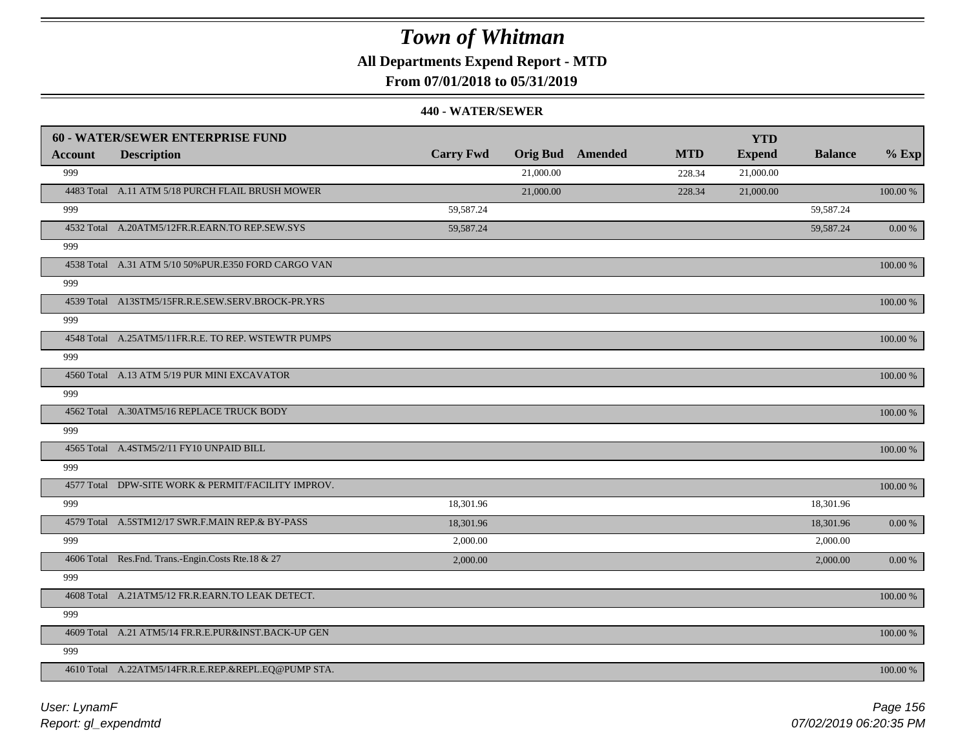### **All Departments Expend Report - MTD**

### **From 07/01/2018 to 05/31/2019**

|                | <b>60 - WATER/SEWER ENTERPRISE FUND</b>              |                  |           |                         |            | <b>YTD</b>    |                |             |
|----------------|------------------------------------------------------|------------------|-----------|-------------------------|------------|---------------|----------------|-------------|
| <b>Account</b> | <b>Description</b>                                   | <b>Carry Fwd</b> |           | <b>Orig Bud</b> Amended | <b>MTD</b> | <b>Expend</b> | <b>Balance</b> | $%$ Exp     |
| 999            |                                                      |                  | 21,000.00 |                         | 228.34     | 21,000.00     |                |             |
|                | 4483 Total A.11 ATM 5/18 PURCH FLAIL BRUSH MOWER     |                  | 21,000.00 |                         | 228.34     | 21,000.00     |                | 100.00 %    |
| 999            |                                                      | 59,587.24        |           |                         |            |               | 59,587.24      |             |
|                | 4532 Total A.20ATM5/12FR.R.EARN.TO REP.SEW.SYS       | 59,587.24        |           |                         |            |               | 59,587.24      | 0.00 %      |
| 999            |                                                      |                  |           |                         |            |               |                |             |
|                | 4538 Total A.31 ATM 5/10 50% PUR.E350 FORD CARGO VAN |                  |           |                         |            |               |                | 100.00 %    |
| 999            |                                                      |                  |           |                         |            |               |                |             |
|                | 4539 Total A13STM5/15FR.R.E.SEW.SERV.BROCK-PR.YRS    |                  |           |                         |            |               |                | 100.00 %    |
| 999            |                                                      |                  |           |                         |            |               |                |             |
|                | 4548 Total A.25ATM5/11FR.R.E. TO REP. WSTEWTR PUMPS  |                  |           |                         |            |               |                | 100.00 %    |
| 999            |                                                      |                  |           |                         |            |               |                |             |
|                | 4560 Total A.13 ATM 5/19 PUR MINI EXCAVATOR          |                  |           |                         |            |               |                | 100.00 %    |
| 999            |                                                      |                  |           |                         |            |               |                |             |
|                | 4562 Total A.30ATM5/16 REPLACE TRUCK BODY            |                  |           |                         |            |               |                | 100.00 %    |
| 999            |                                                      |                  |           |                         |            |               |                |             |
|                | 4565 Total A.4STM5/2/11 FY10 UNPAID BILL             |                  |           |                         |            |               |                | $100.00~\%$ |
| 999            |                                                      |                  |           |                         |            |               |                |             |
|                | 4577 Total DPW-SITE WORK & PERMIT/FACILITY IMPROV.   |                  |           |                         |            |               |                | 100.00 %    |
| 999            |                                                      | 18,301.96        |           |                         |            |               | 18,301.96      |             |
|                | 4579 Total A.5STM12/17 SWR.F.MAIN REP.& BY-PASS      | 18,301.96        |           |                         |            |               | 18,301.96      | $0.00~\%$   |
| 999            |                                                      | 2,000.00         |           |                         |            |               | 2,000.00       |             |
|                | 4606 Total Res.Fnd. Trans.-Engin.Costs Rte.18 & 27   | 2,000.00         |           |                         |            |               | 2,000.00       | 0.00 %      |
| 999            |                                                      |                  |           |                         |            |               |                |             |
|                | 4608 Total A.21ATM5/12 FR.R.EARN.TO LEAK DETECT.     |                  |           |                         |            |               |                | 100.00 %    |
| 999            |                                                      |                  |           |                         |            |               |                |             |
|                | 4609 Total A.21 ATM5/14 FR.R.E.PUR&INST.BACK-UP GEN  |                  |           |                         |            |               |                | 100.00 %    |
| 999            |                                                      |                  |           |                         |            |               |                |             |
|                | 4610 Total A.22ATM5/14FR.R.E.REP.&REPL.EQ@PUMP STA.  |                  |           |                         |            |               |                | 100.00 %    |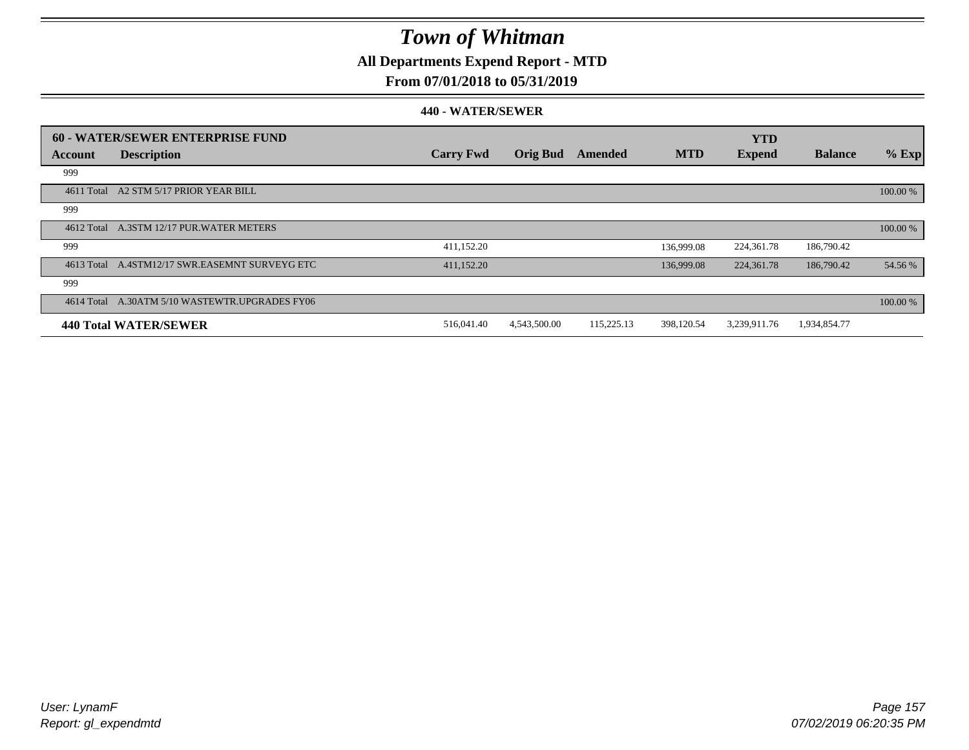**All Departments Expend Report - MTD**

### **From 07/01/2018 to 05/31/2019**

|            | <b>60 - WATER/SEWER ENTERPRISE FUND</b>        |                  |                 |            |            | <b>YTD</b>    |                |          |
|------------|------------------------------------------------|------------------|-----------------|------------|------------|---------------|----------------|----------|
| Account    | <b>Description</b>                             | <b>Carry Fwd</b> | <b>Orig Bud</b> | Amended    | <b>MTD</b> | <b>Expend</b> | <b>Balance</b> | $%$ Exp  |
| 999        |                                                |                  |                 |            |            |               |                |          |
| 4611 Total | A2 STM 5/17 PRIOR YEAR BILL                    |                  |                 |            |            |               |                | 100.00 % |
| 999        |                                                |                  |                 |            |            |               |                |          |
|            | 4612 Total A.3STM 12/17 PUR.WATER METERS       |                  |                 |            |            |               |                | 100.00 % |
| 999        |                                                | 411,152.20       |                 |            | 136,999.08 | 224,361.78    | 186,790.42     |          |
|            | 4613 Total A.4STM12/17 SWR.EASEMNT SURVEYG ETC | 411,152.20       |                 |            | 136,999.08 | 224,361.78    | 186,790.42     | 54.56 %  |
| 999        |                                                |                  |                 |            |            |               |                |          |
|            | 4614 Total A.30ATM 5/10 WASTEWTR.UPGRADES FY06 |                  |                 |            |            |               |                | 100.00 % |
|            | <b>440 Total WATER/SEWER</b>                   | 516,041.40       | 4,543,500.00    | 115,225.13 | 398,120.54 | 3,239,911.76  | 1,934,854.77   |          |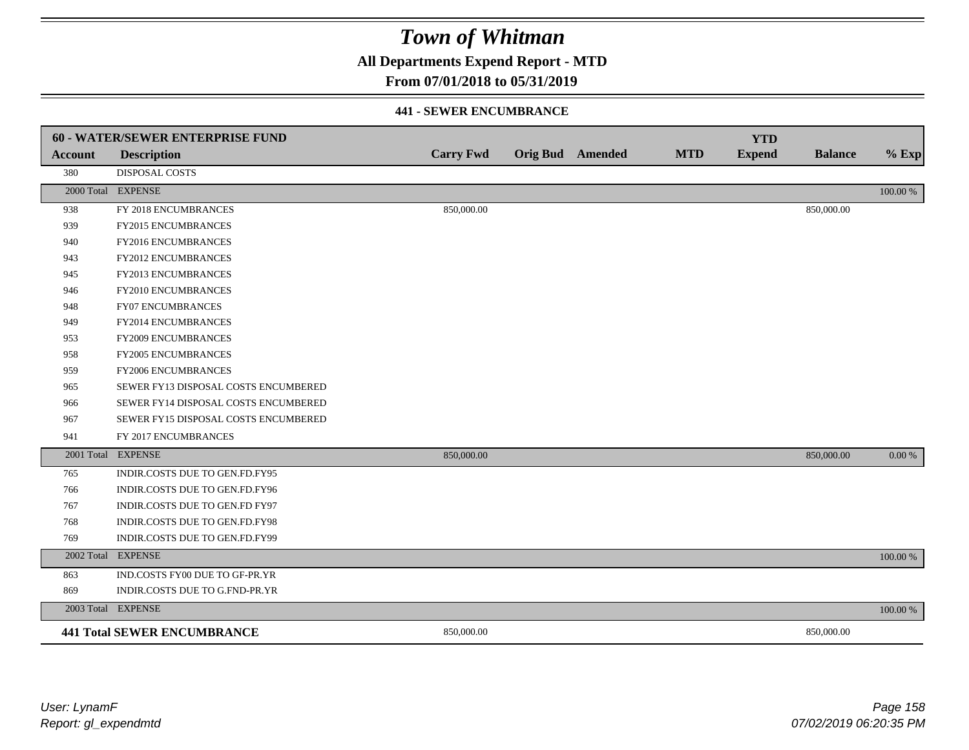**All Departments Expend Report - MTD**

### **From 07/01/2018 to 05/31/2019**

#### **441 - SEWER ENCUMBRANCE**

|                | <b>60 - WATER/SEWER ENTERPRISE FUND</b> |                  |                         |            | <b>YTD</b>    |                |          |
|----------------|-----------------------------------------|------------------|-------------------------|------------|---------------|----------------|----------|
| <b>Account</b> | <b>Description</b>                      | <b>Carry Fwd</b> | <b>Orig Bud</b> Amended | <b>MTD</b> | <b>Expend</b> | <b>Balance</b> | $%$ Exp  |
| 380            | <b>DISPOSAL COSTS</b>                   |                  |                         |            |               |                |          |
|                | 2000 Total EXPENSE                      |                  |                         |            |               |                | 100.00 % |
| 938            | FY 2018 ENCUMBRANCES                    | 850,000.00       |                         |            |               | 850,000.00     |          |
| 939            | FY2015 ENCUMBRANCES                     |                  |                         |            |               |                |          |
| 940            | FY2016 ENCUMBRANCES                     |                  |                         |            |               |                |          |
| 943            | <b>FY2012 ENCUMBRANCES</b>              |                  |                         |            |               |                |          |
| 945            | FY2013 ENCUMBRANCES                     |                  |                         |            |               |                |          |
| 946            | FY2010 ENCUMBRANCES                     |                  |                         |            |               |                |          |
| 948            | <b>FY07 ENCUMBRANCES</b>                |                  |                         |            |               |                |          |
| 949            | FY2014 ENCUMBRANCES                     |                  |                         |            |               |                |          |
| 953            | FY2009 ENCUMBRANCES                     |                  |                         |            |               |                |          |
| 958            | FY2005 ENCUMBRANCES                     |                  |                         |            |               |                |          |
| 959            | <b>FY2006 ENCUMBRANCES</b>              |                  |                         |            |               |                |          |
| 965            | SEWER FY13 DISPOSAL COSTS ENCUMBERED    |                  |                         |            |               |                |          |
| 966            | SEWER FY14 DISPOSAL COSTS ENCUMBERED    |                  |                         |            |               |                |          |
| 967            | SEWER FY15 DISPOSAL COSTS ENCUMBERED    |                  |                         |            |               |                |          |
| 941            | FY 2017 ENCUMBRANCES                    |                  |                         |            |               |                |          |
|                | 2001 Total EXPENSE                      | 850,000.00       |                         |            |               | 850,000.00     | 0.00 %   |
| 765            | INDIR.COSTS DUE TO GEN.FD.FY95          |                  |                         |            |               |                |          |
| 766            | INDIR.COSTS DUE TO GEN.FD.FY96          |                  |                         |            |               |                |          |
| 767            | INDIR.COSTS DUE TO GEN.FD FY97          |                  |                         |            |               |                |          |
| 768            | INDIR.COSTS DUE TO GEN.FD.FY98          |                  |                         |            |               |                |          |
| 769            | INDIR.COSTS DUE TO GEN.FD.FY99          |                  |                         |            |               |                |          |
| 2002 Total     | <b>EXPENSE</b>                          |                  |                         |            |               |                | 100.00 % |
| 863            | IND.COSTS FY00 DUE TO GF-PR.YR          |                  |                         |            |               |                |          |
| 869            | INDIR.COSTS DUE TO G.FND-PR.YR          |                  |                         |            |               |                |          |
|                | 2003 Total EXPENSE                      |                  |                         |            |               |                | 100.00 % |
|                | <b>441 Total SEWER ENCUMBRANCE</b>      | 850,000.00       |                         |            |               | 850,000.00     |          |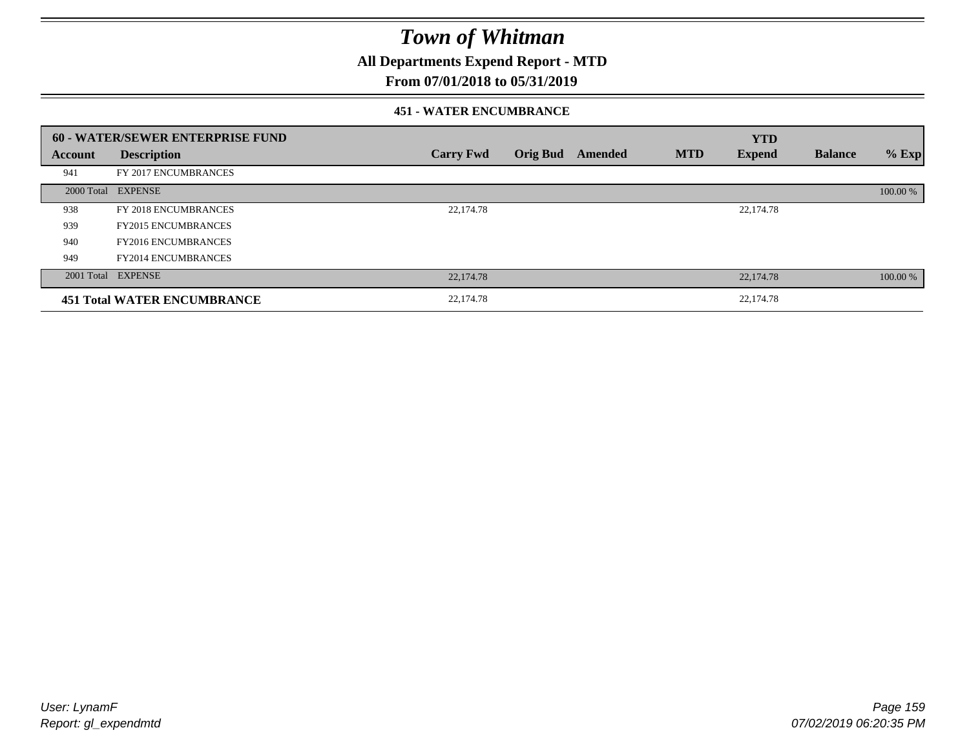**All Departments Expend Report - MTD**

### **From 07/01/2018 to 05/31/2019**

#### **451 - WATER ENCUMBRANCE**

|         | <b>60 - WATER/SEWER ENTERPRISE FUND</b> |                  |                 |         |            | <b>YTD</b>    |                |          |
|---------|-----------------------------------------|------------------|-----------------|---------|------------|---------------|----------------|----------|
| Account | <b>Description</b>                      | <b>Carry Fwd</b> | <b>Orig Bud</b> | Amended | <b>MTD</b> | <b>Expend</b> | <b>Balance</b> | $%$ Exp  |
| 941     | FY 2017 ENCUMBRANCES                    |                  |                 |         |            |               |                |          |
|         | 2000 Total EXPENSE                      |                  |                 |         |            |               |                | 100.00 % |
| 938     | FY 2018 ENCUMBRANCES                    | 22,174.78        |                 |         |            | 22,174.78     |                |          |
| 939     | <b>FY2015 ENCUMBRANCES</b>              |                  |                 |         |            |               |                |          |
| 940     | <b>FY2016 ENCUMBRANCES</b>              |                  |                 |         |            |               |                |          |
| 949     | <b>FY2014 ENCUMBRANCES</b>              |                  |                 |         |            |               |                |          |
|         | 2001 Total EXPENSE                      | 22,174.78        |                 |         |            | 22,174.78     |                | 100.00 % |
|         | <b>451 Total WATER ENCUMBRANCE</b>      | 22,174.78        |                 |         |            | 22,174.78     |                |          |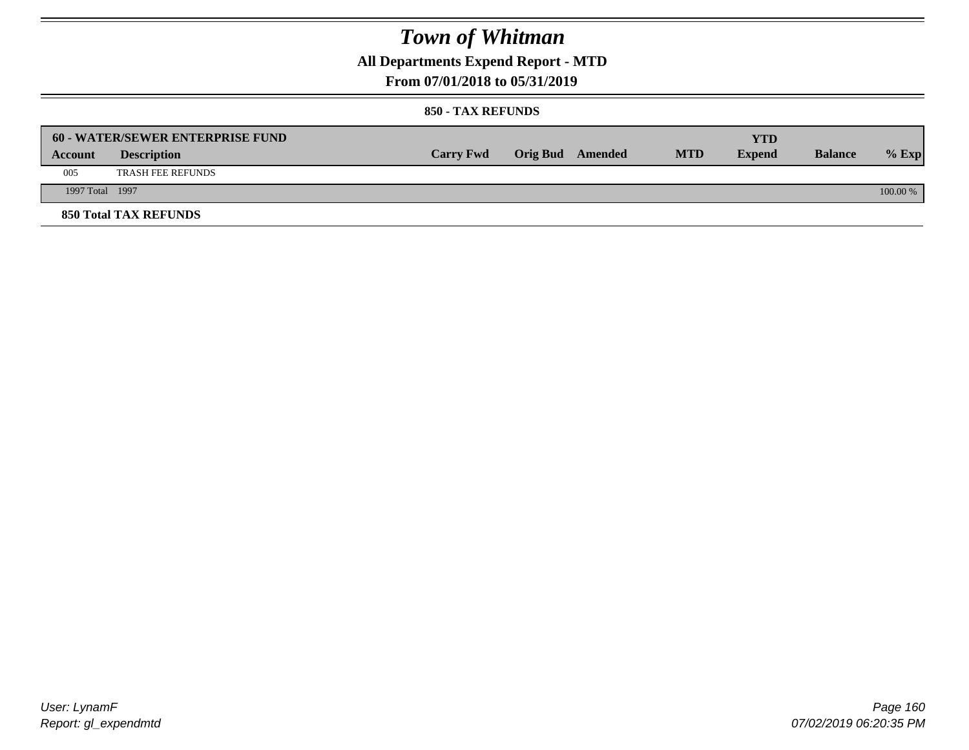**All Departments Expend Report - MTD**

### **From 07/01/2018 to 05/31/2019**

#### **850 - TAX REFUNDS**

|                 | <b>60 - WATER/SEWER ENTERPRISE FUND</b> |                  |                         |            | YTD           |                |            |
|-----------------|-----------------------------------------|------------------|-------------------------|------------|---------------|----------------|------------|
| Account         | <b>Description</b>                      | <b>Carry Fwd</b> | <b>Orig Bud</b> Amended | <b>MTD</b> | <b>Expend</b> | <b>Balance</b> | $%$ Exp    |
| 005             | <b>TRASH FEE REFUNDS</b>                |                  |                         |            |               |                |            |
| 1997 Total 1997 |                                         |                  |                         |            |               |                | $100.00\%$ |
|                 | <b>850 Total TAX REFUNDS</b>            |                  |                         |            |               |                |            |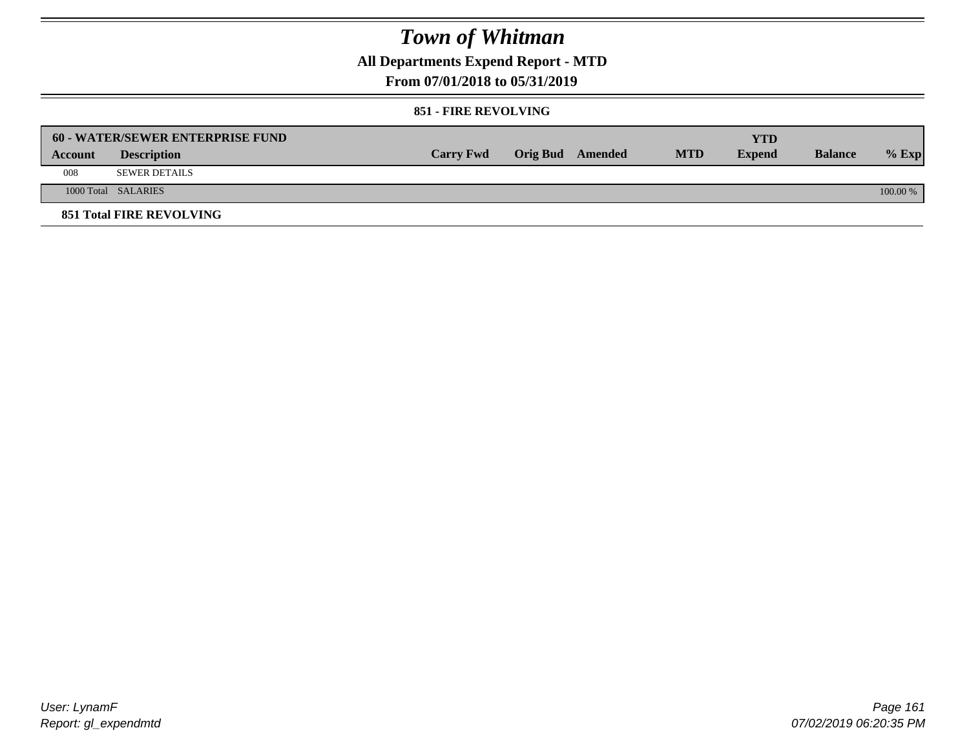**All Departments Expend Report - MTD**

### **From 07/01/2018 to 05/31/2019**

#### **851 - FIRE REVOLVING**

|         | <b>60 - WATER/SEWER ENTERPRISE FUND</b> |                  |                  |            | YTD           |                |            |
|---------|-----------------------------------------|------------------|------------------|------------|---------------|----------------|------------|
| Account | <b>Description</b>                      | <b>Carry Fwd</b> | Orig Bud Amended | <b>MTD</b> | <b>Expend</b> | <b>Balance</b> | $%$ Exp    |
| 008     | SEWER DETAILS                           |                  |                  |            |               |                |            |
|         | 1000 Total SALARIES                     |                  |                  |            |               |                | $100.00\%$ |
|         | <b>851 Total FIRE REVOLVING</b>         |                  |                  |            |               |                |            |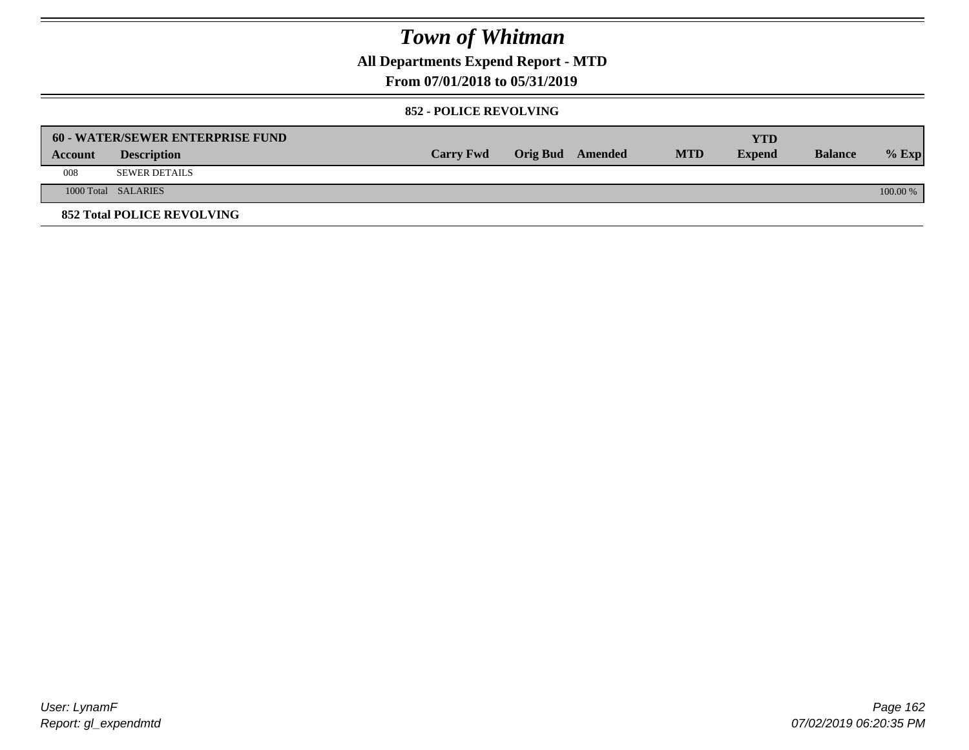**All Departments Expend Report - MTD**

### **From 07/01/2018 to 05/31/2019**

#### **852 - POLICE REVOLVING**

|         | <b>60 - WATER/SEWER ENTERPRISE FUND</b> |                  |                  |            | YTD           |                |            |
|---------|-----------------------------------------|------------------|------------------|------------|---------------|----------------|------------|
| Account | <b>Description</b>                      | <b>Carry Fwd</b> | Orig Bud Amended | <b>MTD</b> | <b>Expend</b> | <b>Balance</b> | $%$ Exp    |
| 008     | SEWER DETAILS                           |                  |                  |            |               |                |            |
|         | 1000 Total SALARIES                     |                  |                  |            |               |                | $100.00\%$ |
|         | <b>852 Total POLICE REVOLVING</b>       |                  |                  |            |               |                |            |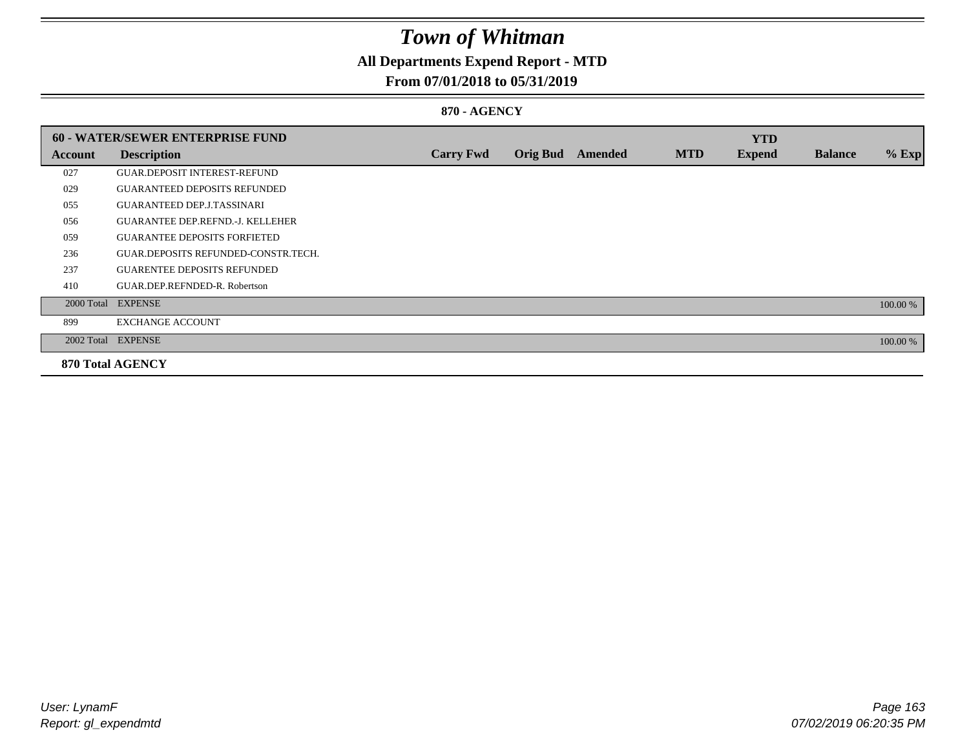### **All Departments Expend Report - MTD**

### **From 07/01/2018 to 05/31/2019**

#### **870 - AGENCY**

|         | <b>60 - WATER/SEWER ENTERPRISE FUND</b> |                  |                 |                |            | <b>YTD</b>    |                |          |
|---------|-----------------------------------------|------------------|-----------------|----------------|------------|---------------|----------------|----------|
| Account | <b>Description</b>                      | <b>Carry Fwd</b> | <b>Orig Bud</b> | <b>Amended</b> | <b>MTD</b> | <b>Expend</b> | <b>Balance</b> | $%$ Exp  |
| 027     | <b>GUAR.DEPOSIT INTEREST-REFUND</b>     |                  |                 |                |            |               |                |          |
| 029     | <b>GUARANTEED DEPOSITS REFUNDED</b>     |                  |                 |                |            |               |                |          |
| 055     | <b>GUARANTEED DEP.J.TASSINARI</b>       |                  |                 |                |            |               |                |          |
| 056     | <b>GUARANTEE DEP.REFND.-J. KELLEHER</b> |                  |                 |                |            |               |                |          |
| 059     | <b>GUARANTEE DEPOSITS FORFIETED</b>     |                  |                 |                |            |               |                |          |
| 236     | GUAR.DEPOSITS REFUNDED-CONSTR.TECH.     |                  |                 |                |            |               |                |          |
| 237     | <b>GUARENTEE DEPOSITS REFUNDED</b>      |                  |                 |                |            |               |                |          |
| 410     | GUAR.DEP.REFNDED-R. Robertson           |                  |                 |                |            |               |                |          |
|         | 2000 Total EXPENSE                      |                  |                 |                |            |               |                | 100.00 % |
| 899     | <b>EXCHANGE ACCOUNT</b>                 |                  |                 |                |            |               |                |          |
|         | 2002 Total EXPENSE                      |                  |                 |                |            |               |                | 100.00 % |
|         | <b>870 Total AGENCY</b>                 |                  |                 |                |            |               |                |          |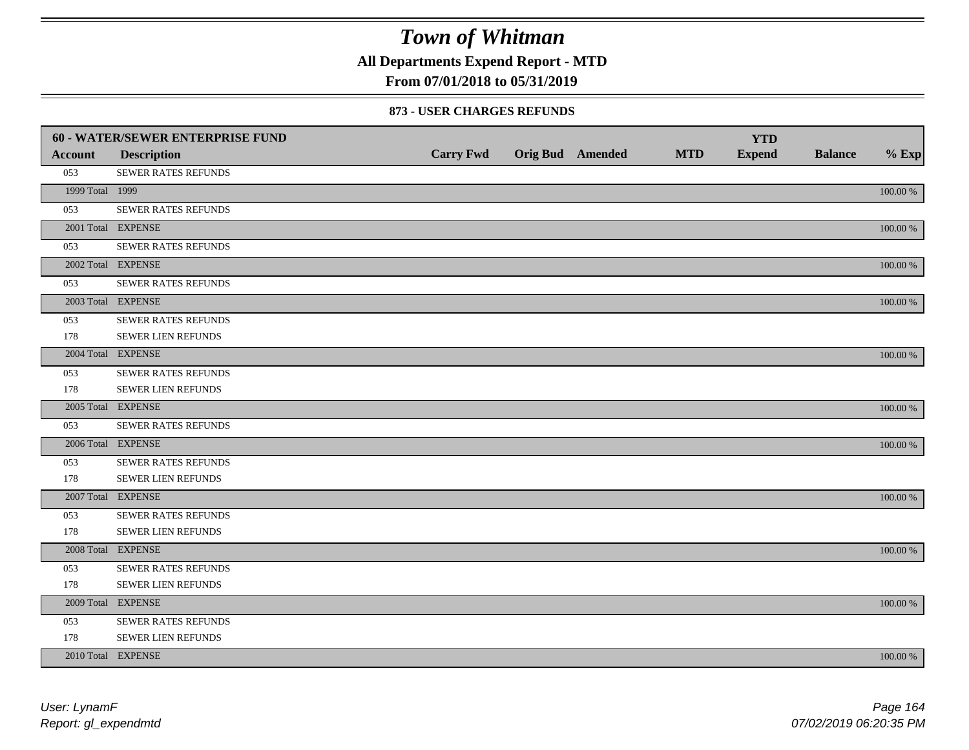**All Departments Expend Report - MTD**

### **From 07/01/2018 to 05/31/2019**

#### **873 - USER CHARGES REFUNDS**

|                 | 60 - WATER/SEWER ENTERPRISE FUND |                  |                         |            | <b>YTD</b>    |                |             |
|-----------------|----------------------------------|------------------|-------------------------|------------|---------------|----------------|-------------|
| <b>Account</b>  | <b>Description</b>               | <b>Carry Fwd</b> | <b>Orig Bud</b> Amended | <b>MTD</b> | <b>Expend</b> | <b>Balance</b> | $%$ Exp     |
| 053             | SEWER RATES REFUNDS              |                  |                         |            |               |                |             |
| 1999 Total 1999 |                                  |                  |                         |            |               |                | 100.00 %    |
| 053             | SEWER RATES REFUNDS              |                  |                         |            |               |                |             |
|                 | 2001 Total EXPENSE               |                  |                         |            |               |                | 100.00 %    |
| 053             | SEWER RATES REFUNDS              |                  |                         |            |               |                |             |
|                 | 2002 Total EXPENSE               |                  |                         |            |               |                | 100.00 %    |
| 053             | <b>SEWER RATES REFUNDS</b>       |                  |                         |            |               |                |             |
|                 | 2003 Total EXPENSE               |                  |                         |            |               |                | 100.00 %    |
| 053             | SEWER RATES REFUNDS              |                  |                         |            |               |                |             |
| 178             | SEWER LIEN REFUNDS               |                  |                         |            |               |                |             |
|                 | 2004 Total EXPENSE               |                  |                         |            |               |                | 100.00 %    |
| 053             | <b>SEWER RATES REFUNDS</b>       |                  |                         |            |               |                |             |
| 178             | SEWER LIEN REFUNDS               |                  |                         |            |               |                |             |
|                 | 2005 Total EXPENSE               |                  |                         |            |               |                | 100.00 %    |
| 053             | SEWER RATES REFUNDS              |                  |                         |            |               |                |             |
|                 | 2006 Total EXPENSE               |                  |                         |            |               |                | 100.00 %    |
| 053             | <b>SEWER RATES REFUNDS</b>       |                  |                         |            |               |                |             |
| 178             | SEWER LIEN REFUNDS               |                  |                         |            |               |                |             |
|                 | 2007 Total EXPENSE               |                  |                         |            |               |                | 100.00 %    |
| 053             | SEWER RATES REFUNDS              |                  |                         |            |               |                |             |
| 178             | SEWER LIEN REFUNDS               |                  |                         |            |               |                |             |
|                 | 2008 Total EXPENSE               |                  |                         |            |               |                | 100.00 %    |
| 053             | SEWER RATES REFUNDS              |                  |                         |            |               |                |             |
| 178             | SEWER LIEN REFUNDS               |                  |                         |            |               |                |             |
|                 | 2009 Total EXPENSE               |                  |                         |            |               |                | 100.00 %    |
| 053             | SEWER RATES REFUNDS              |                  |                         |            |               |                |             |
| 178             | SEWER LIEN REFUNDS               |                  |                         |            |               |                |             |
|                 | 2010 Total EXPENSE               |                  |                         |            |               |                | $100.00~\%$ |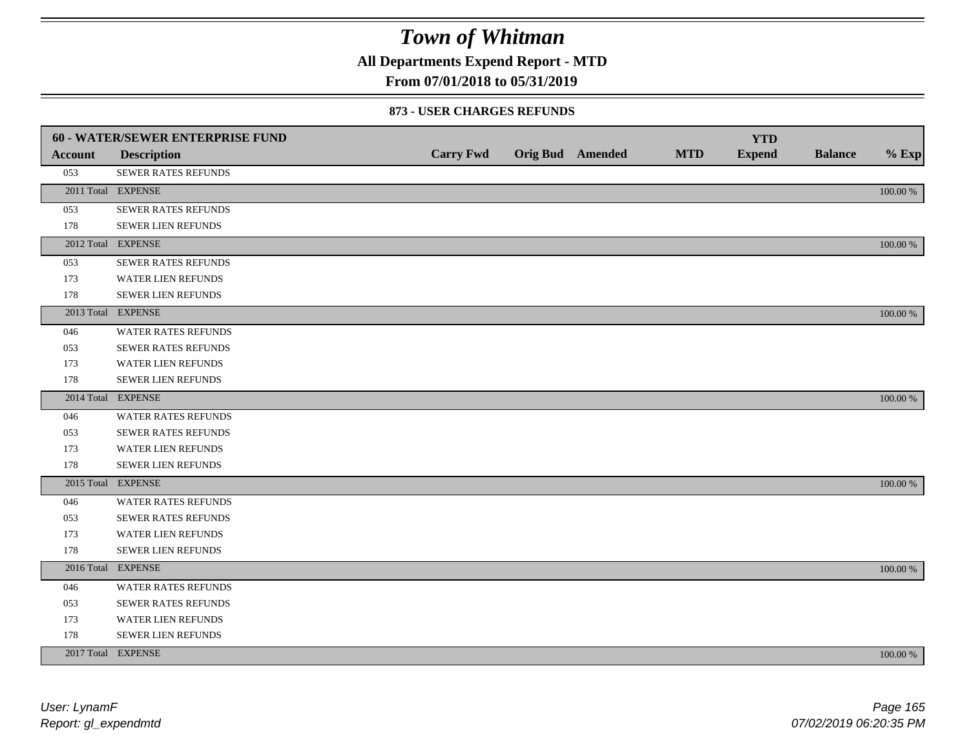**All Departments Expend Report - MTD**

### **From 07/01/2018 to 05/31/2019**

#### **873 - USER CHARGES REFUNDS**

|         | <b>60 - WATER/SEWER ENTERPRISE FUND</b> |                  |                         |            | <b>YTD</b>    |                |          |
|---------|-----------------------------------------|------------------|-------------------------|------------|---------------|----------------|----------|
| Account | <b>Description</b>                      | <b>Carry Fwd</b> | <b>Orig Bud</b> Amended | <b>MTD</b> | <b>Expend</b> | <b>Balance</b> | $%$ Exp  |
| 053     | SEWER RATES REFUNDS                     |                  |                         |            |               |                |          |
|         | 2011 Total EXPENSE                      |                  |                         |            |               |                | 100.00 % |
| 053     | SEWER RATES REFUNDS                     |                  |                         |            |               |                |          |
| 178     | SEWER LIEN REFUNDS                      |                  |                         |            |               |                |          |
|         | 2012 Total EXPENSE                      |                  |                         |            |               |                | 100.00 % |
| 053     | SEWER RATES REFUNDS                     |                  |                         |            |               |                |          |
| 173     | <b>WATER LIEN REFUNDS</b>               |                  |                         |            |               |                |          |
| 178     | SEWER LIEN REFUNDS                      |                  |                         |            |               |                |          |
|         | 2013 Total EXPENSE                      |                  |                         |            |               |                | 100.00 % |
| 046     | WATER RATES REFUNDS                     |                  |                         |            |               |                |          |
| 053     | <b>SEWER RATES REFUNDS</b>              |                  |                         |            |               |                |          |
| 173     | WATER LIEN REFUNDS                      |                  |                         |            |               |                |          |
| 178     | <b>SEWER LIEN REFUNDS</b>               |                  |                         |            |               |                |          |
|         | 2014 Total EXPENSE                      |                  |                         |            |               |                | 100.00 % |
| 046     | <b>WATER RATES REFUNDS</b>              |                  |                         |            |               |                |          |
| 053     | SEWER RATES REFUNDS                     |                  |                         |            |               |                |          |
| 173     | WATER LIEN REFUNDS                      |                  |                         |            |               |                |          |
| 178     | SEWER LIEN REFUNDS                      |                  |                         |            |               |                |          |
|         | 2015 Total EXPENSE                      |                  |                         |            |               |                | 100.00 % |
| 046     | WATER RATES REFUNDS                     |                  |                         |            |               |                |          |
| 053     | SEWER RATES REFUNDS                     |                  |                         |            |               |                |          |
| 173     | <b>WATER LIEN REFUNDS</b>               |                  |                         |            |               |                |          |
| 178     | SEWER LIEN REFUNDS                      |                  |                         |            |               |                |          |
|         | 2016 Total EXPENSE                      |                  |                         |            |               |                | 100.00 % |
| 046     | <b>WATER RATES REFUNDS</b>              |                  |                         |            |               |                |          |
| 053     | SEWER RATES REFUNDS                     |                  |                         |            |               |                |          |
| 173     | WATER LIEN REFUNDS                      |                  |                         |            |               |                |          |
| 178     | SEWER LIEN REFUNDS                      |                  |                         |            |               |                |          |
|         | 2017 Total EXPENSE                      |                  |                         |            |               |                | 100.00 % |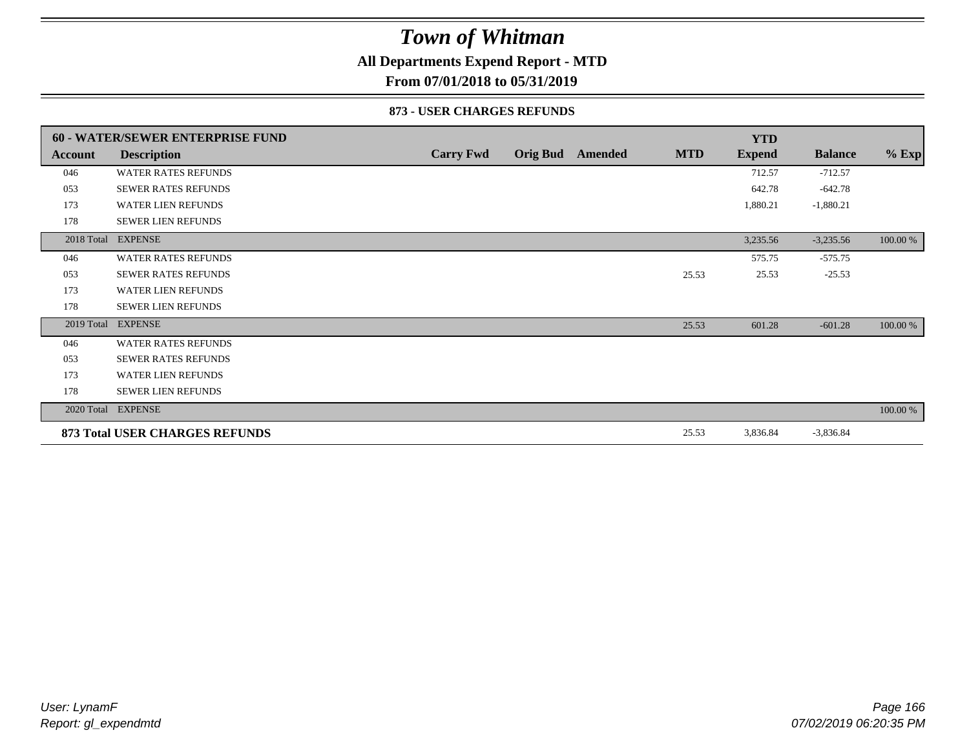### **All Departments Expend Report - MTD**

**From 07/01/2018 to 05/31/2019**

#### **873 - USER CHARGES REFUNDS**

|         | <b>60 - WATER/SEWER ENTERPRISE FUND</b> |                  |                         |            | <b>YTD</b>    |                |          |
|---------|-----------------------------------------|------------------|-------------------------|------------|---------------|----------------|----------|
| Account | <b>Description</b>                      | <b>Carry Fwd</b> | <b>Orig Bud</b> Amended | <b>MTD</b> | <b>Expend</b> | <b>Balance</b> | $%$ Exp  |
| 046     | <b>WATER RATES REFUNDS</b>              |                  |                         |            | 712.57        | $-712.57$      |          |
| 053     | <b>SEWER RATES REFUNDS</b>              |                  |                         |            | 642.78        | $-642.78$      |          |
| 173     | <b>WATER LIEN REFUNDS</b>               |                  |                         |            | 1,880.21      | $-1,880.21$    |          |
| 178     | <b>SEWER LIEN REFUNDS</b>               |                  |                         |            |               |                |          |
|         | 2018 Total EXPENSE                      |                  |                         |            | 3,235.56      | $-3,235.56$    | 100.00 % |
| 046     | <b>WATER RATES REFUNDS</b>              |                  |                         |            | 575.75        | $-575.75$      |          |
| 053     | <b>SEWER RATES REFUNDS</b>              |                  |                         | 25.53      | 25.53         | $-25.53$       |          |
| 173     | <b>WATER LIEN REFUNDS</b>               |                  |                         |            |               |                |          |
| 178     | <b>SEWER LIEN REFUNDS</b>               |                  |                         |            |               |                |          |
|         | 2019 Total EXPENSE                      |                  |                         | 25.53      | 601.28        | $-601.28$      | 100.00 % |
| 046     | <b>WATER RATES REFUNDS</b>              |                  |                         |            |               |                |          |
| 053     | <b>SEWER RATES REFUNDS</b>              |                  |                         |            |               |                |          |
| 173     | <b>WATER LIEN REFUNDS</b>               |                  |                         |            |               |                |          |
| 178     | <b>SEWER LIEN REFUNDS</b>               |                  |                         |            |               |                |          |
|         | 2020 Total EXPENSE                      |                  |                         |            |               |                | 100.00 % |
|         | 873 Total USER CHARGES REFUNDS          |                  |                         | 25.53      | 3,836.84      | $-3,836.84$    |          |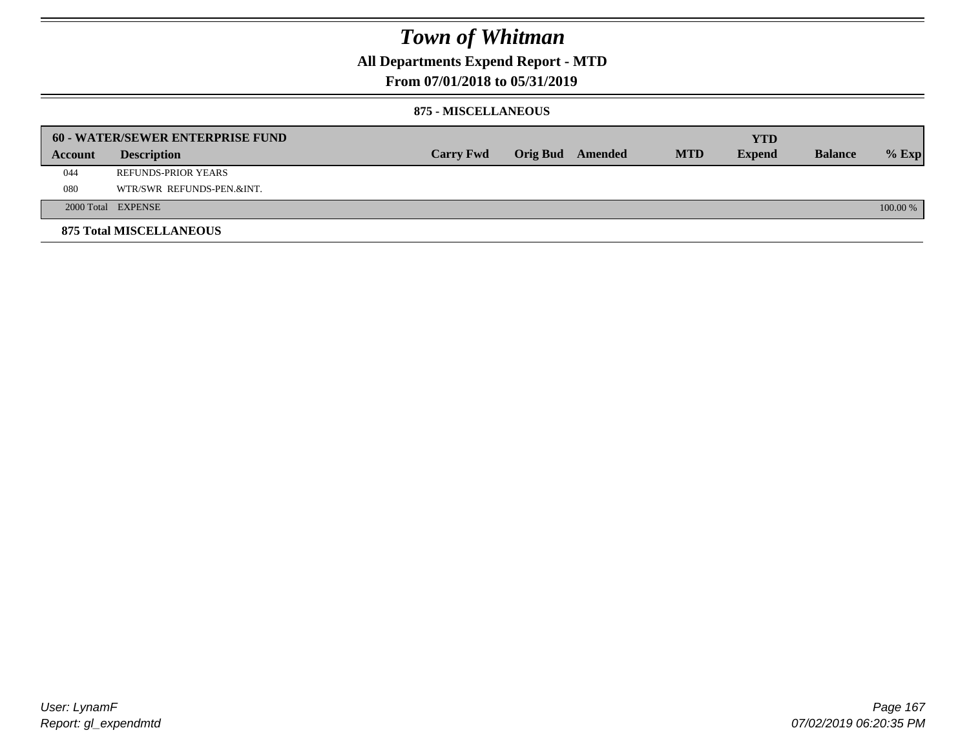### **All Departments Expend Report - MTD**

### **From 07/01/2018 to 05/31/2019**

#### **875 - MISCELLANEOUS**

|         | <b>60 - WATER/SEWER ENTERPRISE FUND</b> |                  |  |                  |            | <b>YTD</b>    |                |            |
|---------|-----------------------------------------|------------------|--|------------------|------------|---------------|----------------|------------|
| Account | <b>Description</b>                      | <b>Carry Fwd</b> |  | Orig Bud Amended | <b>MTD</b> | <b>Expend</b> | <b>Balance</b> | $%$ Exp    |
| 044     | REFUNDS-PRIOR YEARS                     |                  |  |                  |            |               |                |            |
| 080     | WTR/SWR REFUNDS-PEN.&INT.               |                  |  |                  |            |               |                |            |
|         | 2000 Total EXPENSE                      |                  |  |                  |            |               |                | $100.00\%$ |
|         | <b>875 Total MISCELLANEOUS</b>          |                  |  |                  |            |               |                |            |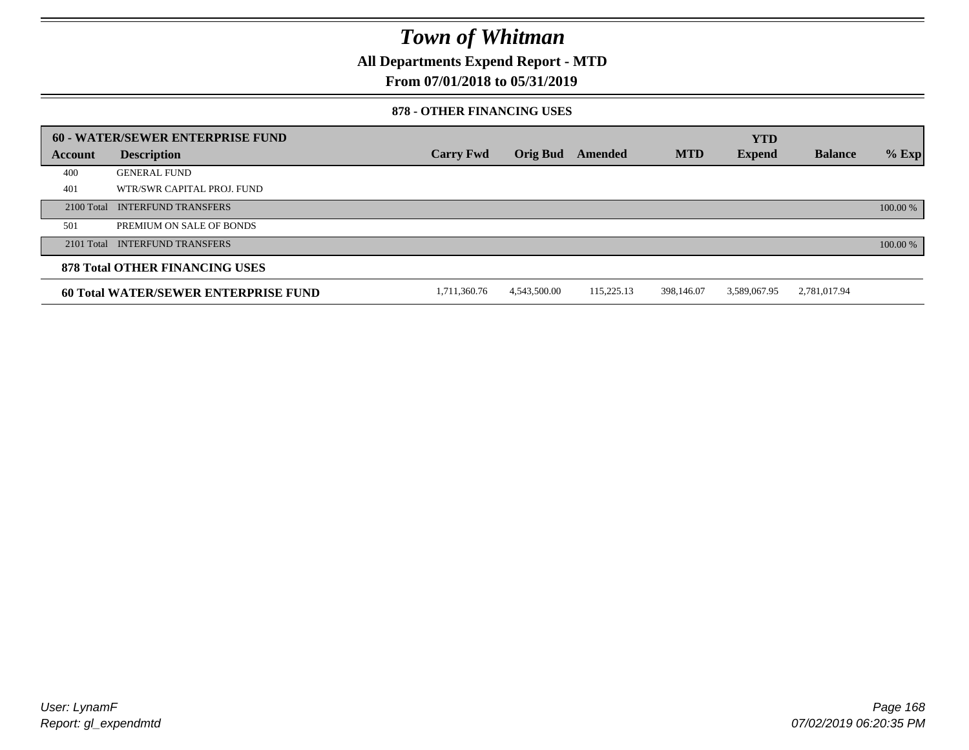**All Departments Expend Report - MTD**

### **From 07/01/2018 to 05/31/2019**

#### **878 - OTHER FINANCING USES**

|         | 60 - WATER/SEWER ENTERPRISE FUND            |                  |                 |            |            | <b>YTD</b>    |                |          |
|---------|---------------------------------------------|------------------|-----------------|------------|------------|---------------|----------------|----------|
| Account | <b>Description</b>                          | <b>Carry Fwd</b> | <b>Orig Bud</b> | Amended    | <b>MTD</b> | <b>Expend</b> | <b>Balance</b> | $%$ Exp  |
| 400     | <b>GENERAL FUND</b>                         |                  |                 |            |            |               |                |          |
| 401     | WTR/SWR CAPITAL PROJ. FUND                  |                  |                 |            |            |               |                |          |
|         | 2100 Total INTERFUND TRANSFERS              |                  |                 |            |            |               |                | 100.00 % |
| 501     | PREMIUM ON SALE OF BONDS                    |                  |                 |            |            |               |                |          |
|         | 2101 Total INTERFUND TRANSFERS              |                  |                 |            |            |               |                | 100.00 % |
|         | <b>878 Total OTHER FINANCING USES</b>       |                  |                 |            |            |               |                |          |
|         | <b>60 Total WATER/SEWER ENTERPRISE FUND</b> | 1,711,360.76     | 4.543.500.00    | 115,225.13 | 398,146.07 | 3,589,067.95  | 2,781,017.94   |          |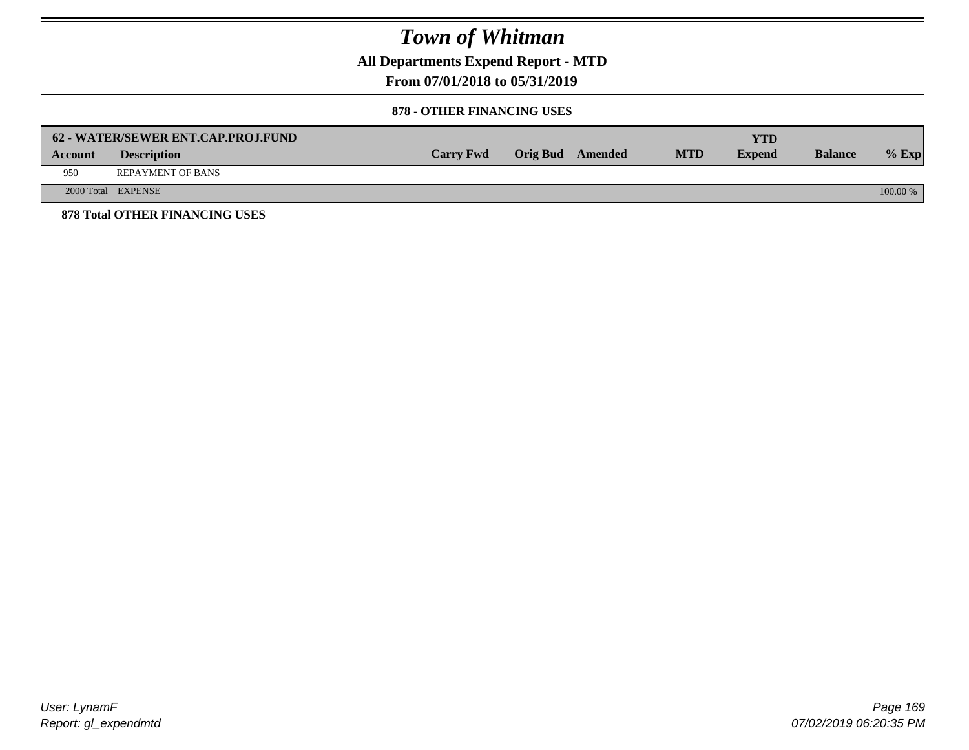**All Departments Expend Report - MTD**

**From 07/01/2018 to 05/31/2019**

#### **878 - OTHER FINANCING USES**

|         | 62 - WATER/SEWER ENT.CAP.PROJ.FUND    |                  |                  |            | <b>YTD</b>    |                |            |
|---------|---------------------------------------|------------------|------------------|------------|---------------|----------------|------------|
| Account | <b>Description</b>                    | <b>Carry Fwd</b> | Orig Bud Amended | <b>MTD</b> | <b>Expend</b> | <b>Balance</b> | $%$ Exp    |
| 950     | <b>REPAYMENT OF BANS</b>              |                  |                  |            |               |                |            |
|         | 2000 Total EXPENSE                    |                  |                  |            |               |                | $100.00\%$ |
|         | <b>878 Total OTHER FINANCING USES</b> |                  |                  |            |               |                |            |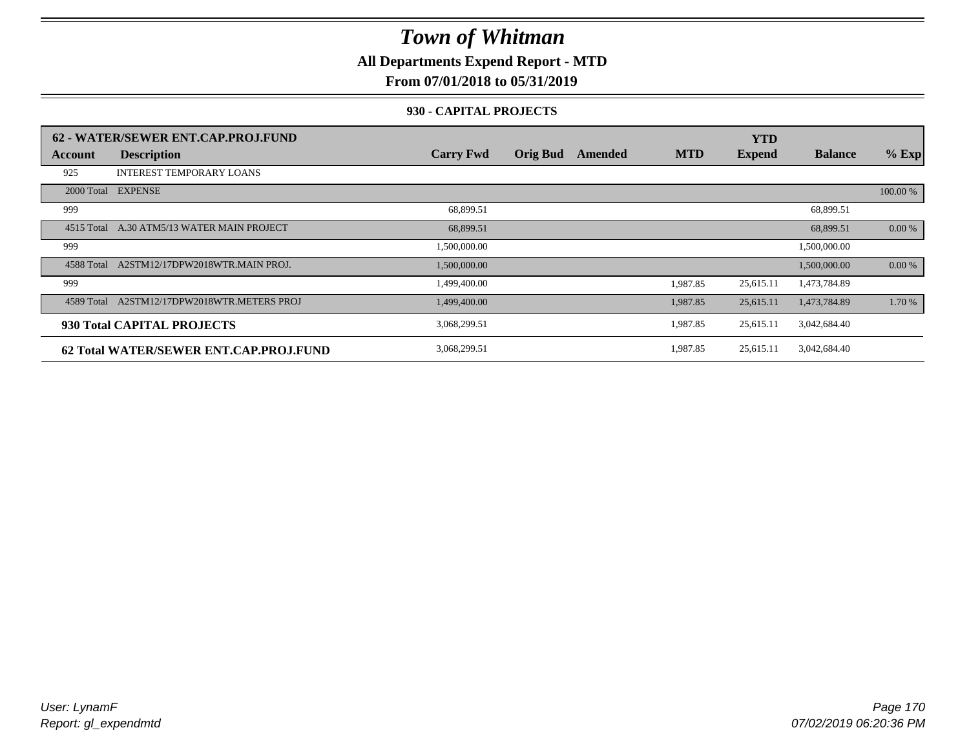**All Departments Expend Report - MTD**

### **From 07/01/2018 to 05/31/2019**

#### **930 - CAPITAL PROJECTS**

|            | 62 - WATER/SEWER ENT.CAP.PROJ.FUND     |                  |                 |         |            | <b>YTD</b>    |                |          |
|------------|----------------------------------------|------------------|-----------------|---------|------------|---------------|----------------|----------|
| Account    | <b>Description</b>                     | <b>Carry Fwd</b> | <b>Orig Bud</b> | Amended | <b>MTD</b> | <b>Expend</b> | <b>Balance</b> | $%$ Exp  |
| 925        | <b>INTEREST TEMPORARY LOANS</b>        |                  |                 |         |            |               |                |          |
|            | 2000 Total EXPENSE                     |                  |                 |         |            |               |                | 100.00 % |
| 999        |                                        | 68,899.51        |                 |         |            |               | 68,899.51      |          |
| 4515 Total | A.30 ATM5/13 WATER MAIN PROJECT        | 68,899.51        |                 |         |            |               | 68,899.51      | 0.00 %   |
| 999        |                                        | 1,500,000.00     |                 |         |            |               | 1,500,000.00   |          |
| 4588 Total | A2STM12/17DPW2018WTR.MAIN PROJ.        | 1,500,000.00     |                 |         |            |               | 1,500,000.00   | $0.00\%$ |
| 999        |                                        | 1,499,400.00     |                 |         | 1,987.85   | 25,615.11     | 1,473,784.89   |          |
| 4589 Total | A2STM12/17DPW2018WTR.METERS PROJ       | 1,499,400.00     |                 |         | 1,987.85   | 25,615.11     | 1,473,784.89   | 1.70 %   |
|            | 930 Total CAPITAL PROJECTS             | 3,068,299.51     |                 |         | 1,987.85   | 25,615.11     | 3,042,684.40   |          |
|            | 62 Total WATER/SEWER ENT.CAP.PROJ.FUND | 3,068,299.51     |                 |         | 1,987.85   | 25,615.11     | 3,042,684.40   |          |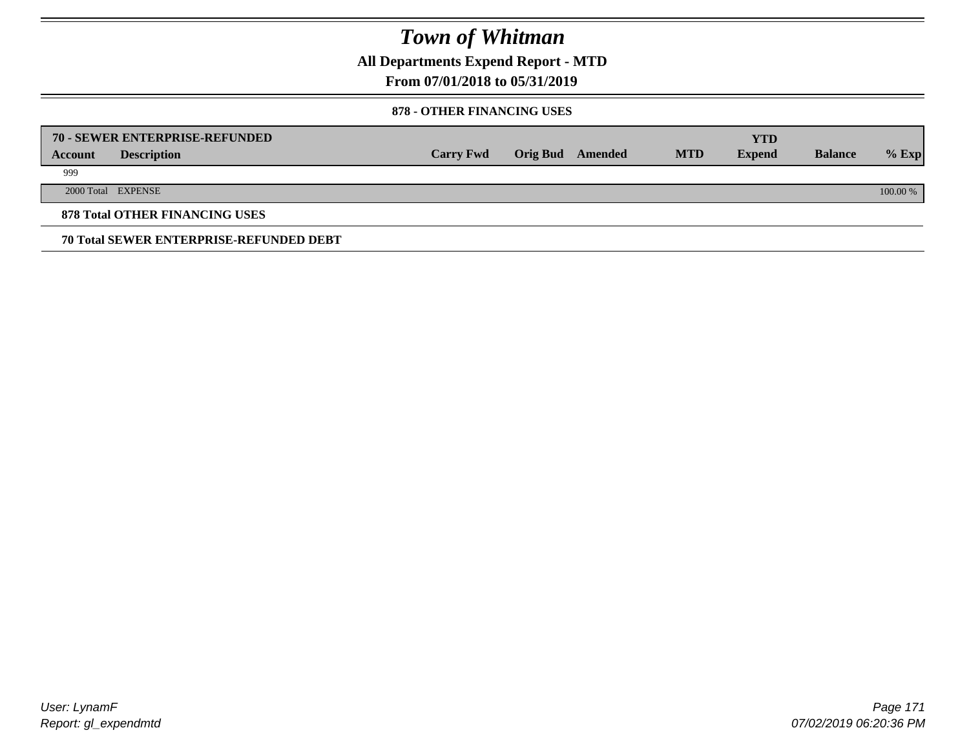**All Departments Expend Report - MTD**

### **From 07/01/2018 to 05/31/2019**

#### **878 - OTHER FINANCING USES**

|         | 70 - SEWER ENTERPRISE-REFUNDED                 |                  |                 |         |            | <b>YTD</b>    |                |          |
|---------|------------------------------------------------|------------------|-----------------|---------|------------|---------------|----------------|----------|
| Account | <b>Description</b>                             | <b>Carry Fwd</b> | <b>Orig Bud</b> | Amended | <b>MTD</b> | <b>Expend</b> | <b>Balance</b> | $%$ Exp  |
| 999     |                                                |                  |                 |         |            |               |                |          |
|         | 2000 Total EXPENSE                             |                  |                 |         |            |               |                | 100.00 % |
|         | <b>878 Total OTHER FINANCING USES</b>          |                  |                 |         |            |               |                |          |
|         | <b>70 Total SEWER ENTERPRISE-REFUNDED DEBT</b> |                  |                 |         |            |               |                |          |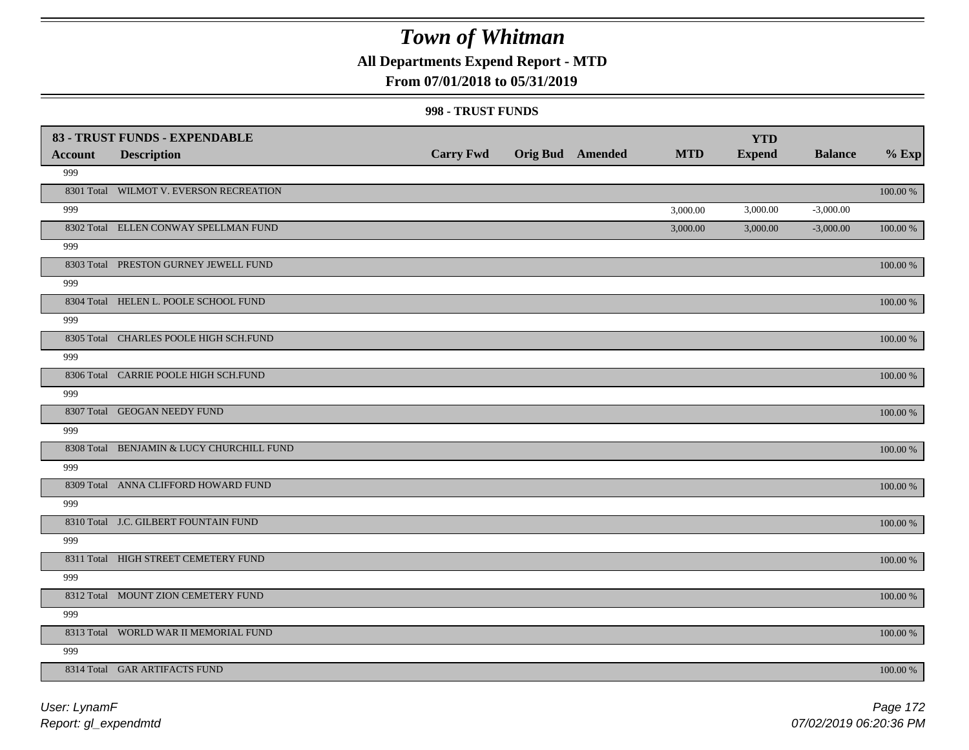**All Departments Expend Report - MTD**

### **From 07/01/2018 to 05/31/2019**

#### **998 - TRUST FUNDS**

|                | 83 - TRUST FUNDS - EXPENDABLE             |                  |                         | <b>MTD</b> | <b>YTD</b>    |                |             |
|----------------|-------------------------------------------|------------------|-------------------------|------------|---------------|----------------|-------------|
| <b>Account</b> | <b>Description</b>                        | <b>Carry Fwd</b> | <b>Orig Bud</b> Amended |            | <b>Expend</b> | <b>Balance</b> | $%$ Exp     |
| 999            |                                           |                  |                         |            |               |                |             |
|                | 8301 Total WILMOT V. EVERSON RECREATION   |                  |                         |            |               |                | 100.00 %    |
| 999            |                                           |                  |                         | 3,000.00   | 3,000.00      | $-3,000.00$    |             |
|                | 8302 Total ELLEN CONWAY SPELLMAN FUND     |                  |                         | 3,000.00   | 3,000.00      | $-3,000.00$    | 100.00 %    |
| 999            |                                           |                  |                         |            |               |                |             |
|                | 8303 Total PRESTON GURNEY JEWELL FUND     |                  |                         |            |               |                | 100.00 %    |
| 999            |                                           |                  |                         |            |               |                |             |
|                | 8304 Total HELEN L. POOLE SCHOOL FUND     |                  |                         |            |               |                | $100.00~\%$ |
| 999            |                                           |                  |                         |            |               |                |             |
|                | 8305 Total CHARLES POOLE HIGH SCH.FUND    |                  |                         |            |               |                | $100.00~\%$ |
| 999            |                                           |                  |                         |            |               |                |             |
|                | 8306 Total CARRIE POOLE HIGH SCH.FUND     |                  |                         |            |               |                | 100.00 %    |
| 999            |                                           |                  |                         |            |               |                |             |
|                | 8307 Total GEOGAN NEEDY FUND              |                  |                         |            |               |                | 100.00 %    |
| 999            |                                           |                  |                         |            |               |                |             |
|                | 8308 Total BENJAMIN & LUCY CHURCHILL FUND |                  |                         |            |               |                | 100.00 %    |
| 999            |                                           |                  |                         |            |               |                |             |
|                | 8309 Total ANNA CLIFFORD HOWARD FUND      |                  |                         |            |               |                | $100.00~\%$ |
| 999            |                                           |                  |                         |            |               |                |             |
|                | 8310 Total J.C. GILBERT FOUNTAIN FUND     |                  |                         |            |               |                | $100.00~\%$ |
| 999            |                                           |                  |                         |            |               |                |             |
|                | 8311 Total HIGH STREET CEMETERY FUND      |                  |                         |            |               |                | $100.00~\%$ |
| 999            |                                           |                  |                         |            |               |                |             |
|                | 8312 Total MOUNT ZION CEMETERY FUND       |                  |                         |            |               |                | $100.00~\%$ |
| 999            |                                           |                  |                         |            |               |                |             |
|                | 8313 Total WORLD WAR II MEMORIAL FUND     |                  |                         |            |               |                | 100.00 %    |
| 999            |                                           |                  |                         |            |               |                |             |
|                | 8314 Total GAR ARTIFACTS FUND             |                  |                         |            |               |                | 100.00 %    |

*Report: gl\_expendmtd User: LynamF*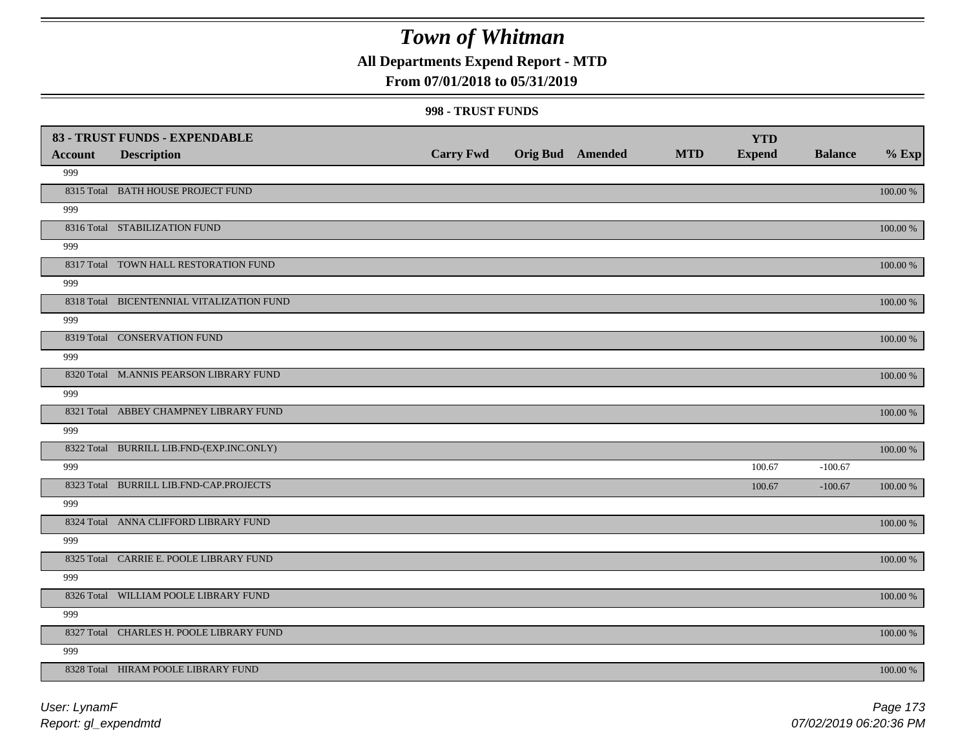### **All Departments Expend Report - MTD**

### **From 07/01/2018 to 05/31/2019**

#### **998 - TRUST FUNDS**

|                | 83 - TRUST FUNDS - EXPENDABLE             |                  |                         |            | <b>YTD</b>    |                |               |
|----------------|-------------------------------------------|------------------|-------------------------|------------|---------------|----------------|---------------|
| <b>Account</b> | <b>Description</b>                        | <b>Carry Fwd</b> | <b>Orig Bud</b> Amended | <b>MTD</b> | <b>Expend</b> | <b>Balance</b> | $%$ Exp       |
| 999            |                                           |                  |                         |            |               |                |               |
|                | 8315 Total BATH HOUSE PROJECT FUND        |                  |                         |            |               |                | 100.00 %      |
| 999            |                                           |                  |                         |            |               |                |               |
|                | 8316 Total STABILIZATION FUND             |                  |                         |            |               |                | 100.00 %      |
| 999            |                                           |                  |                         |            |               |                |               |
|                | 8317 Total TOWN HALL RESTORATION FUND     |                  |                         |            |               |                | $100.00~\%$   |
| 999            |                                           |                  |                         |            |               |                |               |
|                | 8318 Total BICENTENNIAL VITALIZATION FUND |                  |                         |            |               |                | 100.00 %      |
| 999            |                                           |                  |                         |            |               |                |               |
|                | 8319 Total CONSERVATION FUND              |                  |                         |            |               |                | 100.00 %      |
| 999            |                                           |                  |                         |            |               |                |               |
|                | 8320 Total M.ANNIS PEARSON LIBRARY FUND   |                  |                         |            |               |                | 100.00 %      |
| 999            |                                           |                  |                         |            |               |                |               |
|                | 8321 Total ABBEY CHAMPNEY LIBRARY FUND    |                  |                         |            |               |                | 100.00 %      |
| 999            |                                           |                  |                         |            |               |                |               |
|                | 8322 Total BURRILL LIB.FND-(EXP.INC.ONLY) |                  |                         |            |               |                | 100.00 %      |
| 999            |                                           |                  |                         |            | 100.67        | $-100.67$      |               |
|                | 8323 Total BURRILL LIB.FND-CAP.PROJECTS   |                  |                         |            | 100.67        | $-100.67$      | 100.00 %      |
| 999            |                                           |                  |                         |            |               |                |               |
|                | 8324 Total ANNA CLIFFORD LIBRARY FUND     |                  |                         |            |               |                | $100.00$ $\%$ |
| 999            |                                           |                  |                         |            |               |                |               |
|                | 8325 Total CARRIE E. POOLE LIBRARY FUND   |                  |                         |            |               |                | 100.00 %      |
| 999            |                                           |                  |                         |            |               |                |               |
|                | 8326 Total WILLIAM POOLE LIBRARY FUND     |                  |                         |            |               |                | 100.00 %      |
| 999            |                                           |                  |                         |            |               |                |               |
|                | 8327 Total CHARLES H. POOLE LIBRARY FUND  |                  |                         |            |               |                | 100.00 %      |
| 999            |                                           |                  |                         |            |               |                |               |
|                | 8328 Total HIRAM POOLE LIBRARY FUND       |                  |                         |            |               |                | 100.00 %      |

*Report: gl\_expendmtd User: LynamF*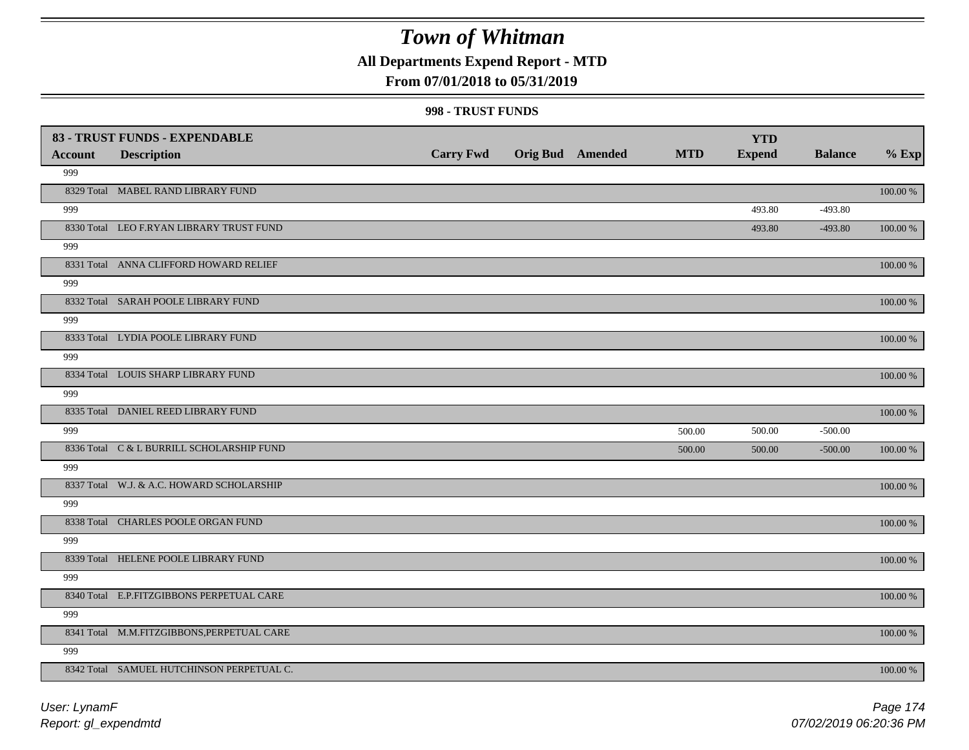**All Departments Expend Report - MTD**

### **From 07/01/2018 to 05/31/2019**

#### **998 - TRUST FUNDS**

| <b>Account</b> | 83 - TRUST FUNDS - EXPENDABLE<br><b>Description</b> | <b>Carry Fwd</b> | <b>Orig Bud</b> Amended | <b>MTD</b> | <b>YTD</b><br><b>Expend</b> | <b>Balance</b> | $%$ Exp     |
|----------------|-----------------------------------------------------|------------------|-------------------------|------------|-----------------------------|----------------|-------------|
| 999            |                                                     |                  |                         |            |                             |                |             |
|                | 8329 Total MABEL RAND LIBRARY FUND                  |                  |                         |            |                             |                | 100.00 %    |
| 999            |                                                     |                  |                         |            | 493.80                      | $-493.80$      |             |
|                | 8330 Total LEO F.RYAN LIBRARY TRUST FUND            |                  |                         |            | 493.80                      | $-493.80$      | 100.00 %    |
| 999            |                                                     |                  |                         |            |                             |                |             |
|                | 8331 Total ANNA CLIFFORD HOWARD RELIEF              |                  |                         |            |                             |                | 100.00 %    |
| 999            |                                                     |                  |                         |            |                             |                |             |
|                | 8332 Total SARAH POOLE LIBRARY FUND                 |                  |                         |            |                             |                | 100.00 %    |
| 999            |                                                     |                  |                         |            |                             |                |             |
|                | 8333 Total LYDIA POOLE LIBRARY FUND                 |                  |                         |            |                             |                | 100.00 %    |
| 999            |                                                     |                  |                         |            |                             |                |             |
|                | 8334 Total LOUIS SHARP LIBRARY FUND                 |                  |                         |            |                             |                | 100.00 %    |
| 999            |                                                     |                  |                         |            |                             |                |             |
|                | 8335 Total DANIEL REED LIBRARY FUND                 |                  |                         |            |                             |                | 100.00 %    |
| 999            |                                                     |                  |                         | 500.00     | 500.00                      | $-500.00$      |             |
|                | 8336 Total C & L BURRILL SCHOLARSHIP FUND           |                  |                         | 500.00     | 500.00                      | $-500.00$      | $100.00~\%$ |
| 999            |                                                     |                  |                         |            |                             |                |             |
|                | 8337 Total W.J. & A.C. HOWARD SCHOLARSHIP           |                  |                         |            |                             |                | 100.00 %    |
| 999            |                                                     |                  |                         |            |                             |                |             |
|                | 8338 Total CHARLES POOLE ORGAN FUND                 |                  |                         |            |                             |                | 100.00 %    |
| 999            |                                                     |                  |                         |            |                             |                |             |
|                | 8339 Total HELENE POOLE LIBRARY FUND                |                  |                         |            |                             |                | $100.00~\%$ |
| 999            |                                                     |                  |                         |            |                             |                |             |
|                | 8340 Total E.P.FITZGIBBONS PERPETUAL CARE           |                  |                         |            |                             |                | 100.00 %    |
| 999            |                                                     |                  |                         |            |                             |                |             |
|                | 8341 Total M.M.FITZGIBBONS, PERPETUAL CARE          |                  |                         |            |                             |                | 100.00 %    |
| 999            |                                                     |                  |                         |            |                             |                |             |
|                | 8342 Total SAMUEL HUTCHINSON PERPETUAL C.           |                  |                         |            |                             |                | 100.00 %    |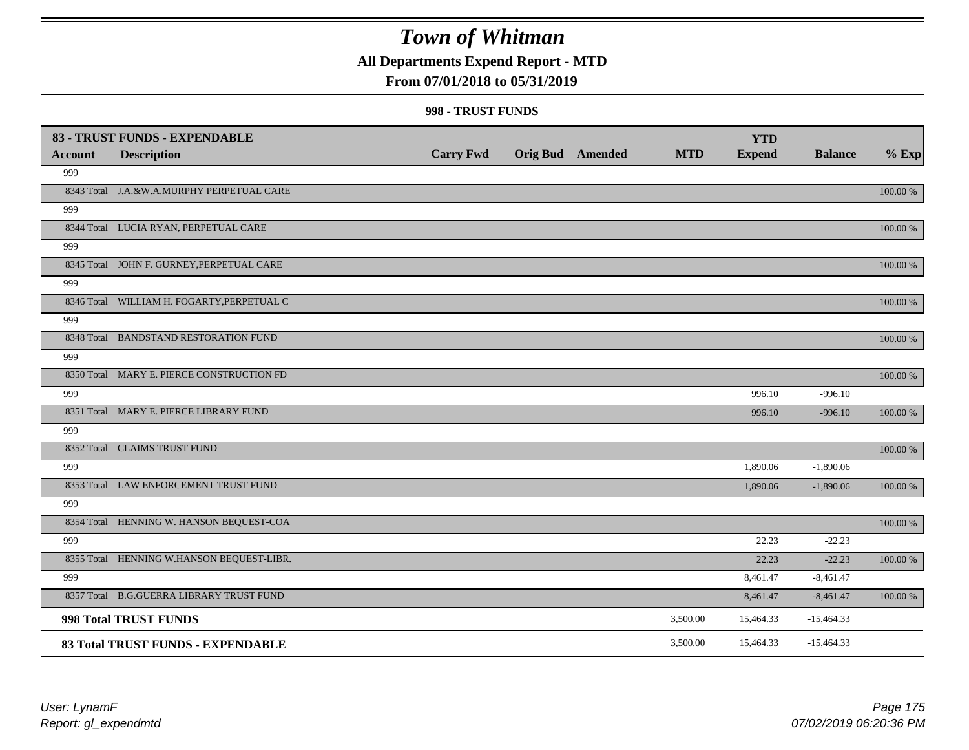### **All Departments Expend Report - MTD**

### **From 07/01/2018 to 05/31/2019**

#### **998 - TRUST FUNDS**

|                | 83 - TRUST FUNDS - EXPENDABLE              |                  |                         |            | <b>YTD</b>    |                |          |
|----------------|--------------------------------------------|------------------|-------------------------|------------|---------------|----------------|----------|
| <b>Account</b> | <b>Description</b>                         | <b>Carry Fwd</b> | <b>Orig Bud</b> Amended | <b>MTD</b> | <b>Expend</b> | <b>Balance</b> | $%$ Exp  |
| 999            |                                            |                  |                         |            |               |                |          |
|                | 8343 Total J.A.&W.A.MURPHY PERPETUAL CARE  |                  |                         |            |               |                | 100.00 % |
| 999            |                                            |                  |                         |            |               |                |          |
|                | 8344 Total LUCIA RYAN, PERPETUAL CARE      |                  |                         |            |               |                | 100.00 % |
| 999            |                                            |                  |                         |            |               |                |          |
|                | 8345 Total JOHN F. GURNEY, PERPETUAL CARE  |                  |                         |            |               |                | 100.00 % |
| 999            |                                            |                  |                         |            |               |                |          |
|                | 8346 Total WILLIAM H. FOGARTY, PERPETUAL C |                  |                         |            |               |                | 100.00 % |
| 999            |                                            |                  |                         |            |               |                |          |
|                | 8348 Total BANDSTAND RESTORATION FUND      |                  |                         |            |               |                | 100.00 % |
| 999            |                                            |                  |                         |            |               |                |          |
|                | 8350 Total MARY E. PIERCE CONSTRUCTION FD  |                  |                         |            |               |                | 100.00 % |
| 999            |                                            |                  |                         |            | 996.10        | $-996.10$      |          |
|                | 8351 Total MARY E. PIERCE LIBRARY FUND     |                  |                         |            | 996.10        | $-996.10$      | 100.00 % |
| 999            |                                            |                  |                         |            |               |                |          |
|                | 8352 Total CLAIMS TRUST FUND               |                  |                         |            |               |                | 100.00 % |
| 999            |                                            |                  |                         |            | 1,890.06      | $-1,890.06$    |          |
|                | 8353 Total LAW ENFORCEMENT TRUST FUND      |                  |                         |            | 1,890.06      | $-1,890.06$    | 100.00 % |
| 999            |                                            |                  |                         |            |               |                |          |
|                | 8354 Total HENNING W. HANSON BEQUEST-COA   |                  |                         |            |               |                | 100.00 % |
| 999            |                                            |                  |                         |            | 22.23         | $-22.23$       |          |
|                | 8355 Total HENNING W.HANSON BEQUEST-LIBR.  |                  |                         |            | 22.23         | $-22.23$       | 100.00 % |
| 999            |                                            |                  |                         |            | 8,461.47      | $-8,461.47$    |          |
|                | 8357 Total B.G.GUERRA LIBRARY TRUST FUND   |                  |                         |            | 8,461.47      | $-8,461.47$    | 100.00 % |
|                | 998 Total TRUST FUNDS                      |                  |                         | 3,500.00   | 15,464.33     | $-15,464.33$   |          |
|                | 83 Total TRUST FUNDS - EXPENDABLE          |                  |                         | 3,500.00   | 15,464.33     | $-15,464.33$   |          |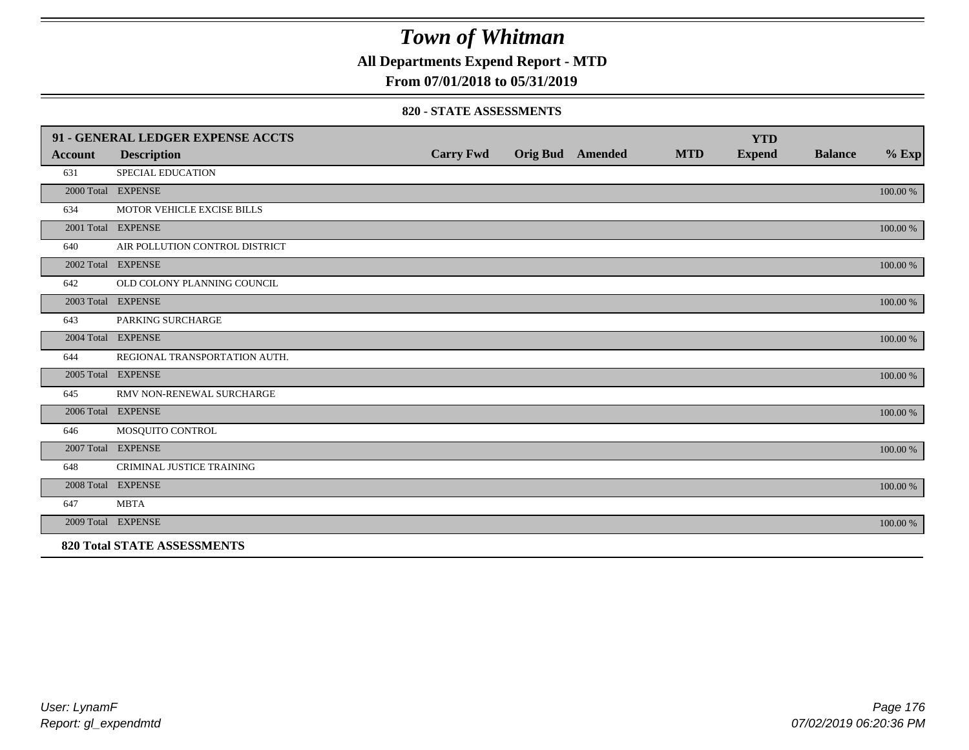**All Departments Expend Report - MTD**

### **From 07/01/2018 to 05/31/2019**

#### **820 - STATE ASSESSMENTS**

|                | 91 - GENERAL LEDGER EXPENSE ACCTS  |                  |                         |            | <b>YTD</b>    |                |          |
|----------------|------------------------------------|------------------|-------------------------|------------|---------------|----------------|----------|
| <b>Account</b> | <b>Description</b>                 | <b>Carry Fwd</b> | <b>Orig Bud</b> Amended | <b>MTD</b> | <b>Expend</b> | <b>Balance</b> | $%$ Exp  |
| 631            | <b>SPECIAL EDUCATION</b>           |                  |                         |            |               |                |          |
|                | 2000 Total EXPENSE                 |                  |                         |            |               |                | 100.00 % |
| 634            | MOTOR VEHICLE EXCISE BILLS         |                  |                         |            |               |                |          |
|                | 2001 Total EXPENSE                 |                  |                         |            |               |                | 100.00 % |
| 640            | AIR POLLUTION CONTROL DISTRICT     |                  |                         |            |               |                |          |
|                | 2002 Total EXPENSE                 |                  |                         |            |               |                | 100.00 % |
| 642            | OLD COLONY PLANNING COUNCIL        |                  |                         |            |               |                |          |
|                | 2003 Total EXPENSE                 |                  |                         |            |               |                | 100.00 % |
| 643            | PARKING SURCHARGE                  |                  |                         |            |               |                |          |
|                | 2004 Total EXPENSE                 |                  |                         |            |               |                | 100.00 % |
| 644            | REGIONAL TRANSPORTATION AUTH.      |                  |                         |            |               |                |          |
|                | 2005 Total EXPENSE                 |                  |                         |            |               |                | 100.00 % |
| 645            | RMV NON-RENEWAL SURCHARGE          |                  |                         |            |               |                |          |
|                | 2006 Total EXPENSE                 |                  |                         |            |               |                | 100.00 % |
| 646            | MOSQUITO CONTROL                   |                  |                         |            |               |                |          |
|                | 2007 Total EXPENSE                 |                  |                         |            |               |                | 100.00 % |
| 648            | CRIMINAL JUSTICE TRAINING          |                  |                         |            |               |                |          |
|                | 2008 Total EXPENSE                 |                  |                         |            |               |                | 100.00 % |
| 647            | <b>MBTA</b>                        |                  |                         |            |               |                |          |
|                | 2009 Total EXPENSE                 |                  |                         |            |               |                | 100.00 % |
|                | <b>820 Total STATE ASSESSMENTS</b> |                  |                         |            |               |                |          |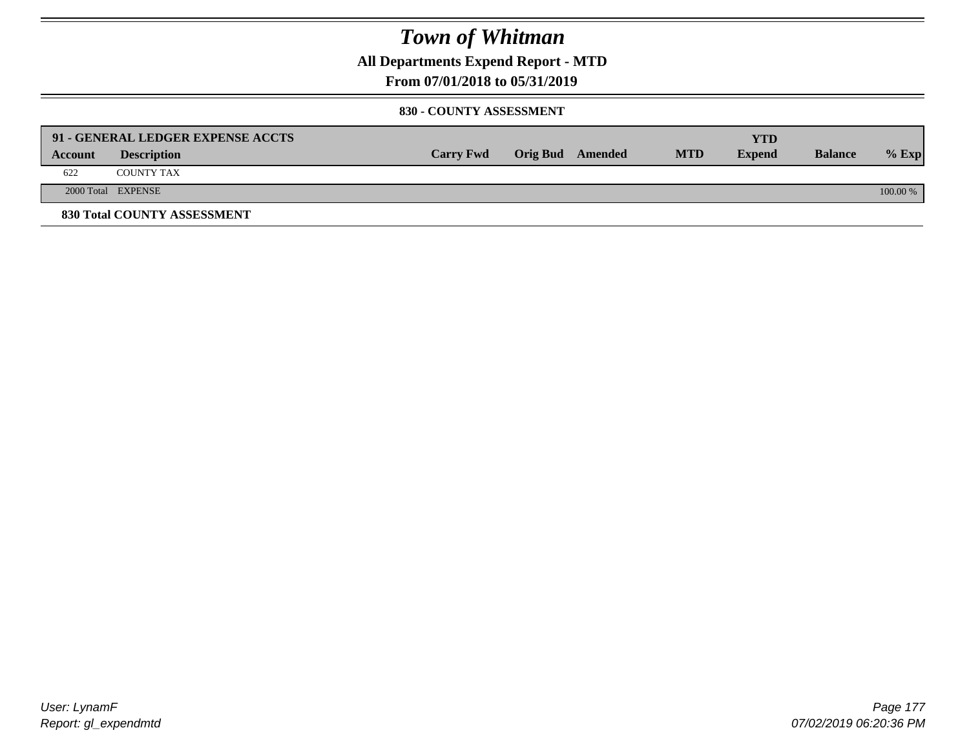**All Departments Expend Report - MTD**

### **From 07/01/2018 to 05/31/2019**

#### **830 - COUNTY ASSESSMENT**

|         | 91 - GENERAL LEDGER EXPENSE ACCTS |                  |                  |            | YTD           |                |            |
|---------|-----------------------------------|------------------|------------------|------------|---------------|----------------|------------|
| Account | <b>Description</b>                | <b>Carry Fwd</b> | Orig Bud Amended | <b>MTD</b> | <b>Expend</b> | <b>Balance</b> | $%$ Exp    |
| 622     | <b>COUNTY TAX</b>                 |                  |                  |            |               |                |            |
|         | 2000 Total EXPENSE                |                  |                  |            |               |                | $100.00\%$ |
|         | 830 Total COUNTY ASSESSMENT       |                  |                  |            |               |                |            |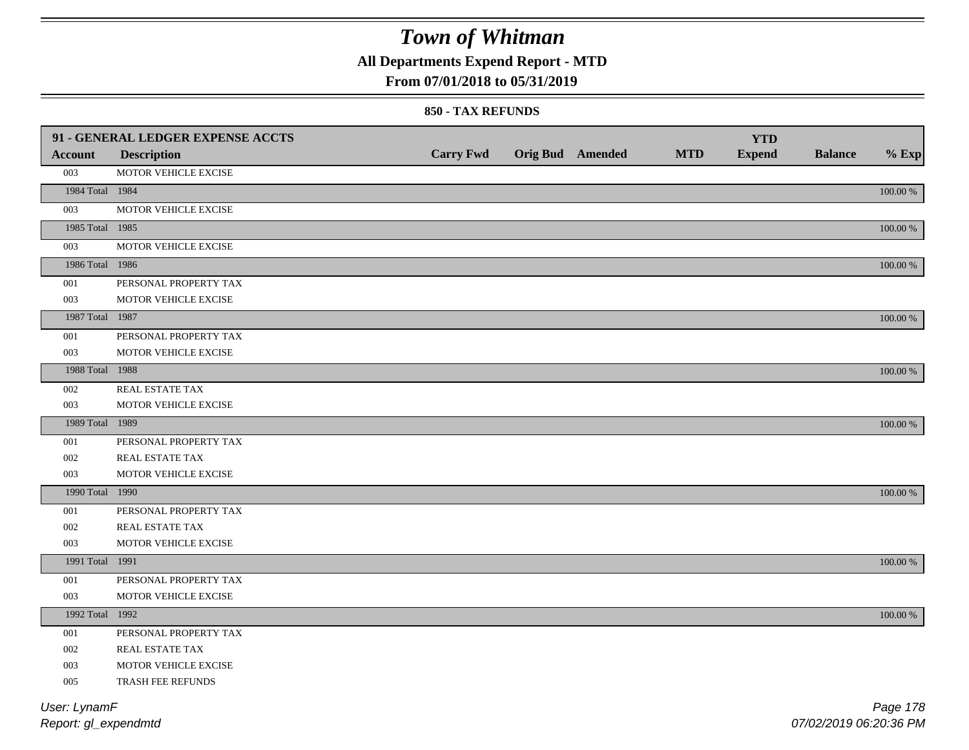**All Departments Expend Report - MTD**

### **From 07/01/2018 to 05/31/2019**

#### **850 - TAX REFUNDS**

|                 | 91 - GENERAL LEDGER EXPENSE ACCTS |                  |                         |            | <b>YTD</b>    |                |             |
|-----------------|-----------------------------------|------------------|-------------------------|------------|---------------|----------------|-------------|
| <b>Account</b>  | <b>Description</b>                | <b>Carry Fwd</b> | <b>Orig Bud Amended</b> | <b>MTD</b> | <b>Expend</b> | <b>Balance</b> | $%$ Exp     |
| 003             | MOTOR VEHICLE EXCISE              |                  |                         |            |               |                |             |
| 1984 Total 1984 |                                   |                  |                         |            |               |                | $100.00~\%$ |
| 003             | MOTOR VEHICLE EXCISE              |                  |                         |            |               |                |             |
| 1985 Total 1985 |                                   |                  |                         |            |               |                | 100.00 %    |
| 003             | MOTOR VEHICLE EXCISE              |                  |                         |            |               |                |             |
| 1986 Total 1986 |                                   |                  |                         |            |               |                | $100.00~\%$ |
| 001             | PERSONAL PROPERTY TAX             |                  |                         |            |               |                |             |
| 003             | MOTOR VEHICLE EXCISE              |                  |                         |            |               |                |             |
| 1987 Total 1987 |                                   |                  |                         |            |               |                | $100.00~\%$ |
| 001             | PERSONAL PROPERTY TAX             |                  |                         |            |               |                |             |
| 003             | MOTOR VEHICLE EXCISE              |                  |                         |            |               |                |             |
| 1988 Total 1988 |                                   |                  |                         |            |               |                | 100.00 %    |
| 002             | REAL ESTATE TAX                   |                  |                         |            |               |                |             |
| 003             | MOTOR VEHICLE EXCISE              |                  |                         |            |               |                |             |
| 1989 Total 1989 |                                   |                  |                         |            |               |                | 100.00 %    |
| 001             | PERSONAL PROPERTY TAX             |                  |                         |            |               |                |             |
| 002             | REAL ESTATE TAX                   |                  |                         |            |               |                |             |
| 003             | MOTOR VEHICLE EXCISE              |                  |                         |            |               |                |             |
| 1990 Total 1990 |                                   |                  |                         |            |               |                | 100.00 %    |
| 001             | PERSONAL PROPERTY TAX             |                  |                         |            |               |                |             |
| 002             | REAL ESTATE TAX                   |                  |                         |            |               |                |             |
| 003             | MOTOR VEHICLE EXCISE              |                  |                         |            |               |                |             |
| 1991 Total 1991 |                                   |                  |                         |            |               |                | 100.00 %    |
| 001             | PERSONAL PROPERTY TAX             |                  |                         |            |               |                |             |
| 003             | MOTOR VEHICLE EXCISE              |                  |                         |            |               |                |             |
| 1992 Total 1992 |                                   |                  |                         |            |               |                | 100.00 %    |
| 001             | PERSONAL PROPERTY TAX             |                  |                         |            |               |                |             |
| 002             | REAL ESTATE TAX                   |                  |                         |            |               |                |             |
| 003             | MOTOR VEHICLE EXCISE              |                  |                         |            |               |                |             |
| 005             | TRASH FEE REFUNDS                 |                  |                         |            |               |                |             |
| User: LynamF    |                                   |                  |                         |            |               |                | Page 178    |

*Report: gl\_expendmtd*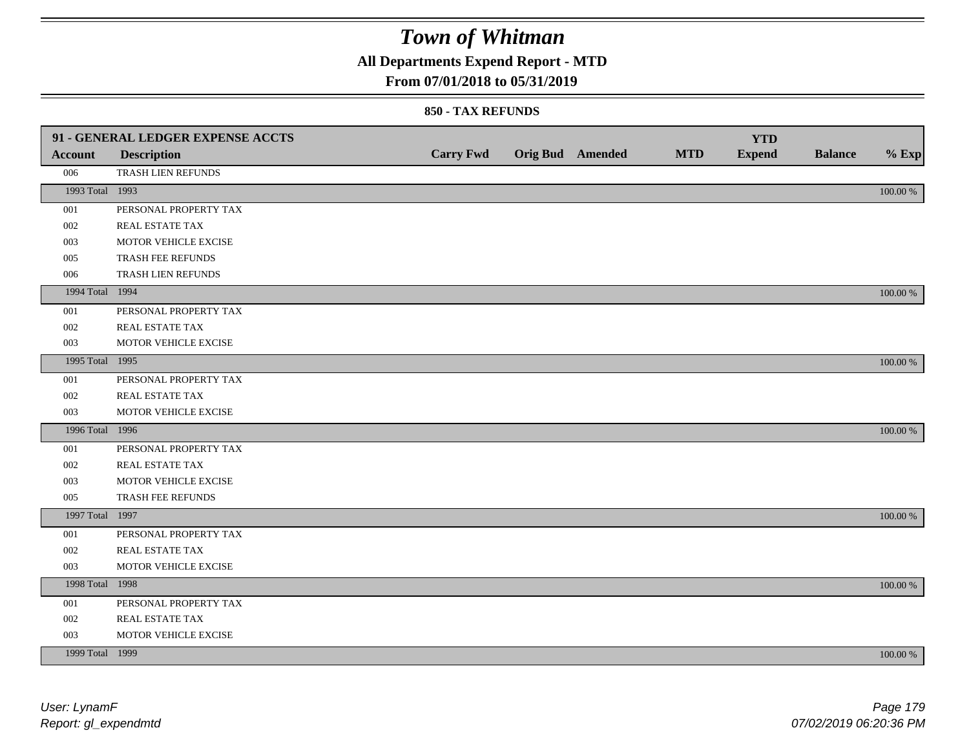**All Departments Expend Report - MTD**

### **From 07/01/2018 to 05/31/2019**

#### **850 - TAX REFUNDS**

|                 | 91 - GENERAL LEDGER EXPENSE ACCTS |                  |                         |            | <b>YTD</b>    |                |          |
|-----------------|-----------------------------------|------------------|-------------------------|------------|---------------|----------------|----------|
| Account         | <b>Description</b>                | <b>Carry Fwd</b> | <b>Orig Bud</b> Amended | <b>MTD</b> | <b>Expend</b> | <b>Balance</b> | $%$ Exp  |
| 006             | TRASH LIEN REFUNDS                |                  |                         |            |               |                |          |
| 1993 Total 1993 |                                   |                  |                         |            |               |                | 100.00 % |
| 001             | PERSONAL PROPERTY TAX             |                  |                         |            |               |                |          |
| 002             | <b>REAL ESTATE TAX</b>            |                  |                         |            |               |                |          |
| 003             | MOTOR VEHICLE EXCISE              |                  |                         |            |               |                |          |
| 005             | TRASH FEE REFUNDS                 |                  |                         |            |               |                |          |
| 006             | TRASH LIEN REFUNDS                |                  |                         |            |               |                |          |
| 1994 Total 1994 |                                   |                  |                         |            |               |                | 100.00 % |
| 001             | PERSONAL PROPERTY TAX             |                  |                         |            |               |                |          |
| 002             | REAL ESTATE TAX                   |                  |                         |            |               |                |          |
| 003             | MOTOR VEHICLE EXCISE              |                  |                         |            |               |                |          |
| 1995 Total 1995 |                                   |                  |                         |            |               |                | 100.00 % |
| 001             | PERSONAL PROPERTY TAX             |                  |                         |            |               |                |          |
| 002             | REAL ESTATE TAX                   |                  |                         |            |               |                |          |
| 003             | MOTOR VEHICLE EXCISE              |                  |                         |            |               |                |          |
| 1996 Total 1996 |                                   |                  |                         |            |               |                | 100.00 % |
| 001             | PERSONAL PROPERTY TAX             |                  |                         |            |               |                |          |
| 002             | <b>REAL ESTATE TAX</b>            |                  |                         |            |               |                |          |
| 003             | MOTOR VEHICLE EXCISE              |                  |                         |            |               |                |          |
| 005             | TRASH FEE REFUNDS                 |                  |                         |            |               |                |          |
| 1997 Total 1997 |                                   |                  |                         |            |               |                | 100.00 % |
| 001             | PERSONAL PROPERTY TAX             |                  |                         |            |               |                |          |
| 002             | REAL ESTATE TAX                   |                  |                         |            |               |                |          |
| 003             | MOTOR VEHICLE EXCISE              |                  |                         |            |               |                |          |
| 1998 Total 1998 |                                   |                  |                         |            |               |                | 100.00 % |
| 001             | PERSONAL PROPERTY TAX             |                  |                         |            |               |                |          |
| 002             | REAL ESTATE TAX                   |                  |                         |            |               |                |          |
| 003             | MOTOR VEHICLE EXCISE              |                  |                         |            |               |                |          |
| 1999 Total 1999 |                                   |                  |                         |            |               |                | 100.00 % |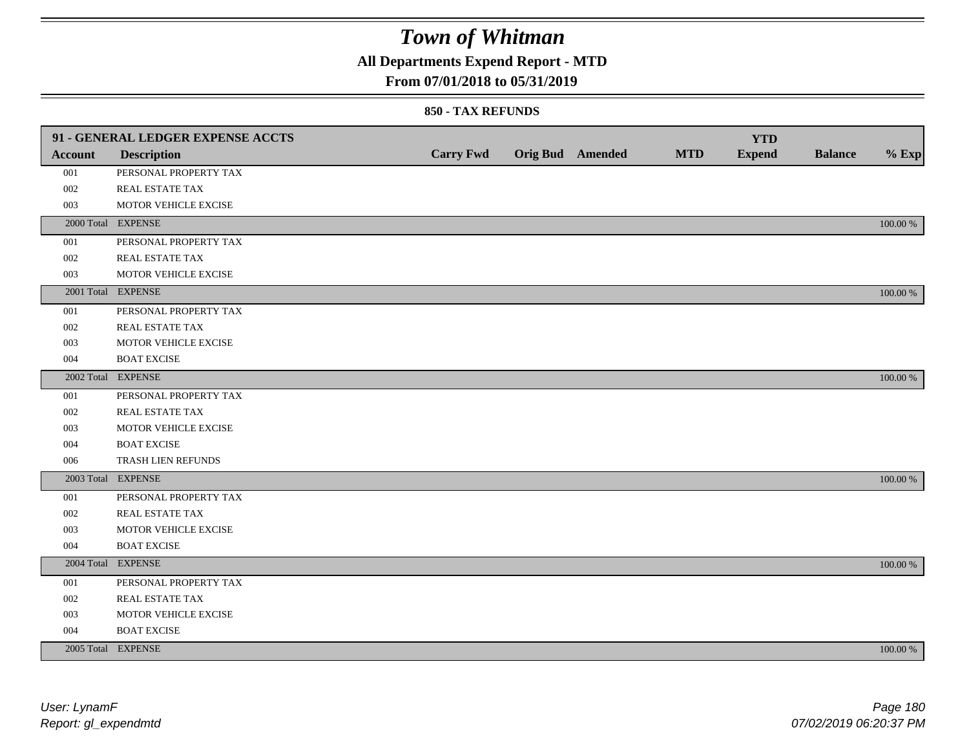### **All Departments Expend Report - MTD**

### **From 07/01/2018 to 05/31/2019**

#### **850 - TAX REFUNDS**

|                | 91 - GENERAL LEDGER EXPENSE ACCTS |                  |                         |            | <b>YTD</b>    |                |             |
|----------------|-----------------------------------|------------------|-------------------------|------------|---------------|----------------|-------------|
| <b>Account</b> | <b>Description</b>                | <b>Carry Fwd</b> | <b>Orig Bud</b> Amended | <b>MTD</b> | <b>Expend</b> | <b>Balance</b> | $%$ Exp     |
| 001            | PERSONAL PROPERTY TAX             |                  |                         |            |               |                |             |
| 002            | <b>REAL ESTATE TAX</b>            |                  |                         |            |               |                |             |
| 003            | MOTOR VEHICLE EXCISE              |                  |                         |            |               |                |             |
|                | 2000 Total EXPENSE                |                  |                         |            |               |                | 100.00 %    |
| 001            | PERSONAL PROPERTY TAX             |                  |                         |            |               |                |             |
| 002            | REAL ESTATE TAX                   |                  |                         |            |               |                |             |
| 003            | MOTOR VEHICLE EXCISE              |                  |                         |            |               |                |             |
|                | 2001 Total EXPENSE                |                  |                         |            |               |                | 100.00 %    |
| 001            | PERSONAL PROPERTY TAX             |                  |                         |            |               |                |             |
| 002            | REAL ESTATE TAX                   |                  |                         |            |               |                |             |
| 003            | MOTOR VEHICLE EXCISE              |                  |                         |            |               |                |             |
| 004            | <b>BOAT EXCISE</b>                |                  |                         |            |               |                |             |
|                | 2002 Total EXPENSE                |                  |                         |            |               |                | 100.00 %    |
| 001            | PERSONAL PROPERTY TAX             |                  |                         |            |               |                |             |
| 002            | REAL ESTATE TAX                   |                  |                         |            |               |                |             |
| 003            | MOTOR VEHICLE EXCISE              |                  |                         |            |               |                |             |
| 004            | <b>BOAT EXCISE</b>                |                  |                         |            |               |                |             |
| 006            | TRASH LIEN REFUNDS                |                  |                         |            |               |                |             |
|                | 2003 Total EXPENSE                |                  |                         |            |               |                | 100.00 %    |
| 001            | PERSONAL PROPERTY TAX             |                  |                         |            |               |                |             |
| 002            | REAL ESTATE TAX                   |                  |                         |            |               |                |             |
| 003            | MOTOR VEHICLE EXCISE              |                  |                         |            |               |                |             |
| 004            | <b>BOAT EXCISE</b>                |                  |                         |            |               |                |             |
|                | 2004 Total EXPENSE                |                  |                         |            |               |                | 100.00 %    |
| 001            | PERSONAL PROPERTY TAX             |                  |                         |            |               |                |             |
| 002            | REAL ESTATE TAX                   |                  |                         |            |               |                |             |
| 003            | MOTOR VEHICLE EXCISE              |                  |                         |            |               |                |             |
| 004            | <b>BOAT EXCISE</b>                |                  |                         |            |               |                |             |
|                | 2005 Total EXPENSE                |                  |                         |            |               |                | $100.00~\%$ |
|                |                                   |                  |                         |            |               |                |             |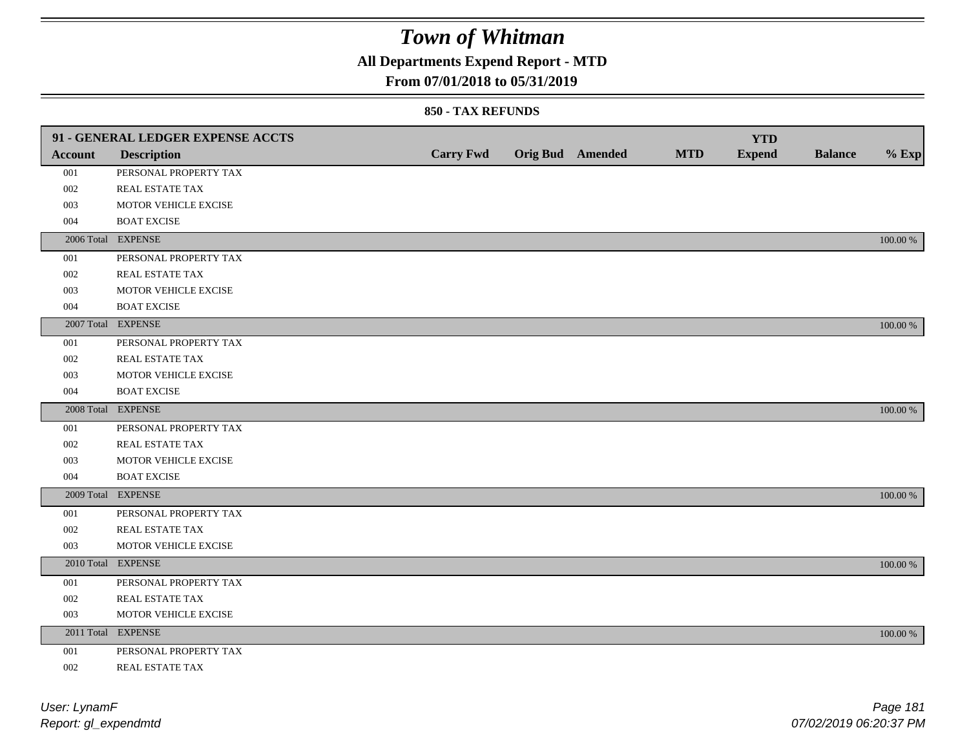## **All Departments Expend Report - MTD**

### **From 07/01/2018 to 05/31/2019**

#### **850 - TAX REFUNDS**

|         | 91 - GENERAL LEDGER EXPENSE ACCTS |                  |                         |            | <b>YTD</b>    |                |             |
|---------|-----------------------------------|------------------|-------------------------|------------|---------------|----------------|-------------|
| Account | <b>Description</b>                | <b>Carry Fwd</b> | <b>Orig Bud</b> Amended | <b>MTD</b> | <b>Expend</b> | <b>Balance</b> | $%$ Exp     |
| 001     | PERSONAL PROPERTY TAX             |                  |                         |            |               |                |             |
| 002     | REAL ESTATE TAX                   |                  |                         |            |               |                |             |
| 003     | MOTOR VEHICLE EXCISE              |                  |                         |            |               |                |             |
| 004     | <b>BOAT EXCISE</b>                |                  |                         |            |               |                |             |
|         | 2006 Total EXPENSE                |                  |                         |            |               |                | 100.00 %    |
| 001     | PERSONAL PROPERTY TAX             |                  |                         |            |               |                |             |
| 002     | REAL ESTATE TAX                   |                  |                         |            |               |                |             |
| 003     | MOTOR VEHICLE EXCISE              |                  |                         |            |               |                |             |
| 004     | <b>BOAT EXCISE</b>                |                  |                         |            |               |                |             |
|         | 2007 Total EXPENSE                |                  |                         |            |               |                | 100.00 %    |
| 001     | PERSONAL PROPERTY TAX             |                  |                         |            |               |                |             |
| 002     | REAL ESTATE TAX                   |                  |                         |            |               |                |             |
| 003     | MOTOR VEHICLE EXCISE              |                  |                         |            |               |                |             |
| 004     | <b>BOAT EXCISE</b>                |                  |                         |            |               |                |             |
|         | 2008 Total EXPENSE                |                  |                         |            |               |                | 100.00 %    |
| 001     | PERSONAL PROPERTY TAX             |                  |                         |            |               |                |             |
| 002     | <b>REAL ESTATE TAX</b>            |                  |                         |            |               |                |             |
| 003     | MOTOR VEHICLE EXCISE              |                  |                         |            |               |                |             |
| 004     | <b>BOAT EXCISE</b>                |                  |                         |            |               |                |             |
|         | 2009 Total EXPENSE                |                  |                         |            |               |                | 100.00 %    |
| 001     | PERSONAL PROPERTY TAX             |                  |                         |            |               |                |             |
| 002     | REAL ESTATE TAX                   |                  |                         |            |               |                |             |
| 003     | MOTOR VEHICLE EXCISE              |                  |                         |            |               |                |             |
|         | 2010 Total EXPENSE                |                  |                         |            |               |                | 100.00 %    |
| 001     | PERSONAL PROPERTY TAX             |                  |                         |            |               |                |             |
| 002     | REAL ESTATE TAX                   |                  |                         |            |               |                |             |
| 003     | MOTOR VEHICLE EXCISE              |                  |                         |            |               |                |             |
|         | 2011 Total EXPENSE                |                  |                         |            |               |                | $100.00~\%$ |
| 001     | PERSONAL PROPERTY TAX             |                  |                         |            |               |                |             |
| 002     | REAL ESTATE TAX                   |                  |                         |            |               |                |             |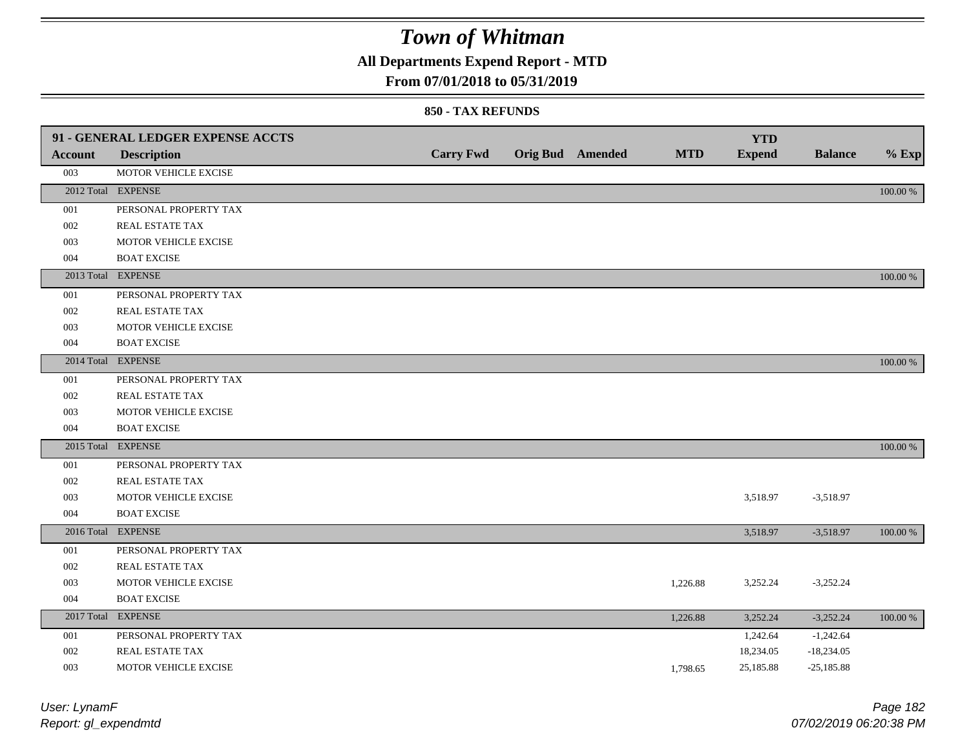### **All Departments Expend Report - MTD**

### **From 07/01/2018 to 05/31/2019**

#### **850 - TAX REFUNDS**

|                | 91 - GENERAL LEDGER EXPENSE ACCTS |                  |                         |            | <b>YTD</b>    |                |          |
|----------------|-----------------------------------|------------------|-------------------------|------------|---------------|----------------|----------|
| <b>Account</b> | <b>Description</b>                | <b>Carry Fwd</b> | <b>Orig Bud</b> Amended | <b>MTD</b> | <b>Expend</b> | <b>Balance</b> | $%$ Exp  |
| 003            | MOTOR VEHICLE EXCISE              |                  |                         |            |               |                |          |
|                | 2012 Total EXPENSE                |                  |                         |            |               |                | 100.00 % |
| 001            | PERSONAL PROPERTY TAX             |                  |                         |            |               |                |          |
| 002            | REAL ESTATE TAX                   |                  |                         |            |               |                |          |
| 003            | MOTOR VEHICLE EXCISE              |                  |                         |            |               |                |          |
| 004            | <b>BOAT EXCISE</b>                |                  |                         |            |               |                |          |
|                | 2013 Total EXPENSE                |                  |                         |            |               |                | 100.00 % |
| 001            | PERSONAL PROPERTY TAX             |                  |                         |            |               |                |          |
| 002            | REAL ESTATE TAX                   |                  |                         |            |               |                |          |
| 003            | MOTOR VEHICLE EXCISE              |                  |                         |            |               |                |          |
| 004            | <b>BOAT EXCISE</b>                |                  |                         |            |               |                |          |
|                | 2014 Total EXPENSE                |                  |                         |            |               |                | 100.00 % |
| 001            | PERSONAL PROPERTY TAX             |                  |                         |            |               |                |          |
| 002            | REAL ESTATE TAX                   |                  |                         |            |               |                |          |
| 003            | MOTOR VEHICLE EXCISE              |                  |                         |            |               |                |          |
| 004            | <b>BOAT EXCISE</b>                |                  |                         |            |               |                |          |
|                | 2015 Total EXPENSE                |                  |                         |            |               |                | 100.00 % |
| 001            | PERSONAL PROPERTY TAX             |                  |                         |            |               |                |          |
| 002            | REAL ESTATE TAX                   |                  |                         |            |               |                |          |
| 003            | MOTOR VEHICLE EXCISE              |                  |                         |            | 3,518.97      | $-3,518.97$    |          |
| 004            | <b>BOAT EXCISE</b>                |                  |                         |            |               |                |          |
|                | 2016 Total EXPENSE                |                  |                         |            | 3,518.97      | $-3,518.97$    | 100.00 % |
| 001            | PERSONAL PROPERTY TAX             |                  |                         |            |               |                |          |
| 002            | <b>REAL ESTATE TAX</b>            |                  |                         |            |               |                |          |
| 003            | MOTOR VEHICLE EXCISE              |                  |                         | 1,226.88   | 3,252.24      | $-3,252.24$    |          |
| 004            | <b>BOAT EXCISE</b>                |                  |                         |            |               |                |          |
|                | 2017 Total EXPENSE                |                  |                         | 1,226.88   | 3,252.24      | $-3,252.24$    | 100.00 % |
| 001            | PERSONAL PROPERTY TAX             |                  |                         |            | 1,242.64      | $-1,242.64$    |          |
| 002            | REAL ESTATE TAX                   |                  |                         |            | 18,234.05     | $-18,234.05$   |          |
| 003            | MOTOR VEHICLE EXCISE              |                  |                         | 1.798.65   | 25,185.88     | $-25,185.88$   |          |

*Report: gl\_expendmtd User: LynamF*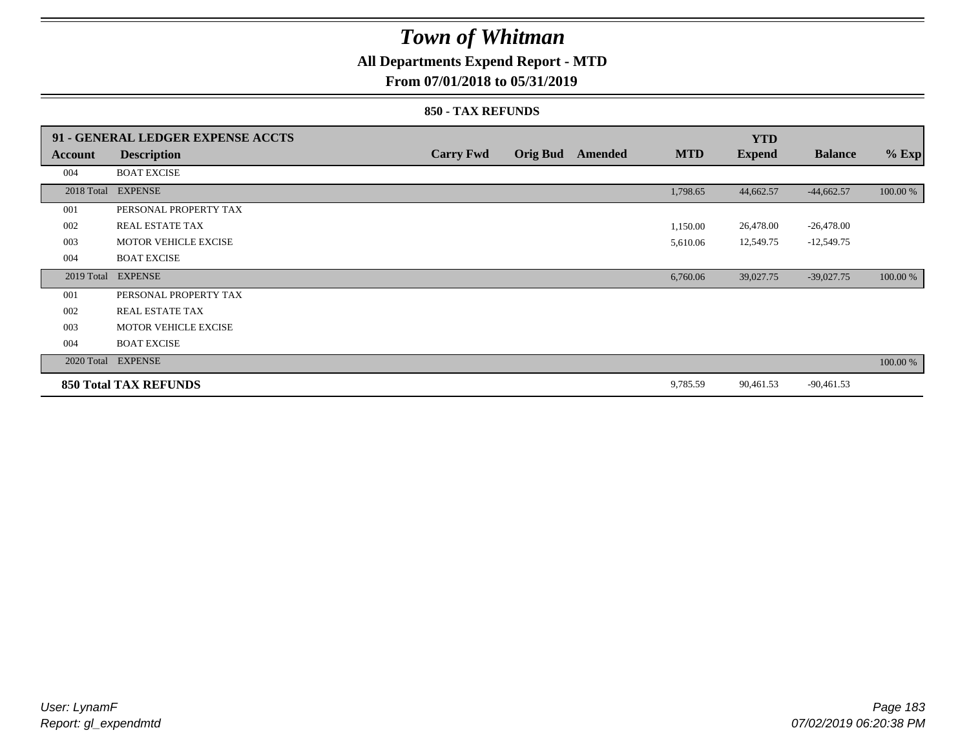## **All Departments Expend Report - MTD**

### **From 07/01/2018 to 05/31/2019**

#### **850 - TAX REFUNDS**

|            | 91 - GENERAL LEDGER EXPENSE ACCTS |                  |                 |                |            | <b>YTD</b>    |                |          |
|------------|-----------------------------------|------------------|-----------------|----------------|------------|---------------|----------------|----------|
| Account    | <b>Description</b>                | <b>Carry Fwd</b> | <b>Orig Bud</b> | <b>Amended</b> | <b>MTD</b> | <b>Expend</b> | <b>Balance</b> | $%$ Exp  |
| 004        | <b>BOAT EXCISE</b>                |                  |                 |                |            |               |                |          |
| 2018 Total | <b>EXPENSE</b>                    |                  |                 |                | 1,798.65   | 44,662.57     | $-44,662.57$   | 100.00 % |
| 001        | PERSONAL PROPERTY TAX             |                  |                 |                |            |               |                |          |
| 002        | REAL ESTATE TAX                   |                  |                 |                | 1,150.00   | 26,478.00     | $-26,478.00$   |          |
| 003        | <b>MOTOR VEHICLE EXCISE</b>       |                  |                 |                | 5,610.06   | 12,549.75     | $-12,549.75$   |          |
| 004        | <b>BOAT EXCISE</b>                |                  |                 |                |            |               |                |          |
|            | 2019 Total EXPENSE                |                  |                 |                | 6,760.06   | 39,027.75     | $-39,027.75$   | 100.00 % |
| 001        | PERSONAL PROPERTY TAX             |                  |                 |                |            |               |                |          |
| 002        | <b>REAL ESTATE TAX</b>            |                  |                 |                |            |               |                |          |
| 003        | <b>MOTOR VEHICLE EXCISE</b>       |                  |                 |                |            |               |                |          |
| 004        | <b>BOAT EXCISE</b>                |                  |                 |                |            |               |                |          |
|            | 2020 Total EXPENSE                |                  |                 |                |            |               |                | 100.00 % |
|            | <b>850 Total TAX REFUNDS</b>      |                  |                 |                | 9,785.59   | 90,461.53     | $-90,461.53$   |          |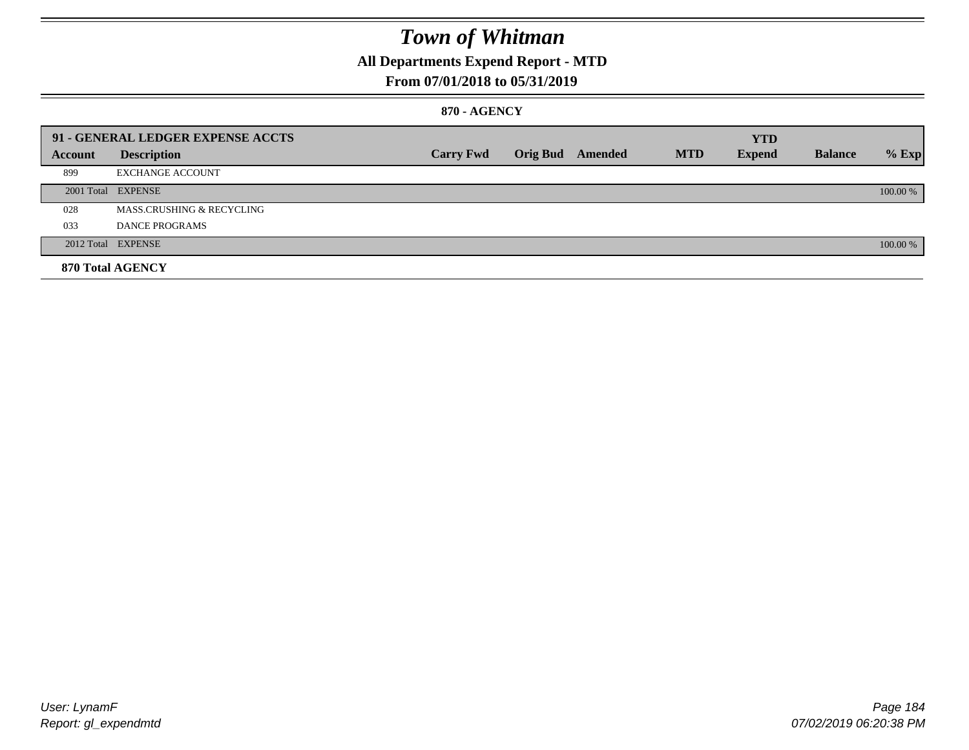### **All Departments Expend Report - MTD**

### **From 07/01/2018 to 05/31/2019**

#### **870 - AGENCY**

|         | 91 - GENERAL LEDGER EXPENSE ACCTS |                  |                         |            | <b>YTD</b>    |                |          |
|---------|-----------------------------------|------------------|-------------------------|------------|---------------|----------------|----------|
| Account | <b>Description</b>                | <b>Carry Fwd</b> | <b>Orig Bud</b> Amended | <b>MTD</b> | <b>Expend</b> | <b>Balance</b> | $%$ Exp  |
| 899     | <b>EXCHANGE ACCOUNT</b>           |                  |                         |            |               |                |          |
|         | 2001 Total EXPENSE                |                  |                         |            |               |                | 100.00 % |
| 028     | MASS.CRUSHING & RECYCLING         |                  |                         |            |               |                |          |
| 033     | <b>DANCE PROGRAMS</b>             |                  |                         |            |               |                |          |
|         | 2012 Total EXPENSE                |                  |                         |            |               |                | 100.00 % |
|         | 870 Total AGENCY                  |                  |                         |            |               |                |          |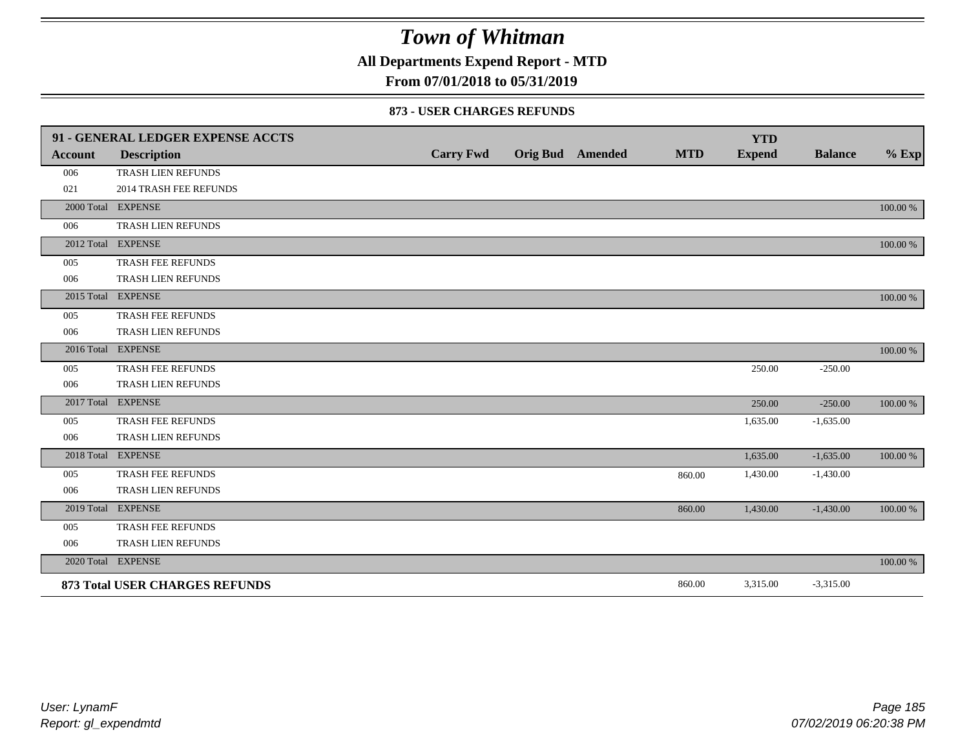**All Departments Expend Report - MTD**

### **From 07/01/2018 to 05/31/2019**

#### **873 - USER CHARGES REFUNDS**

|                | 91 - GENERAL LEDGER EXPENSE ACCTS     |                  |                 |         |            | <b>YTD</b>    |                |          |
|----------------|---------------------------------------|------------------|-----------------|---------|------------|---------------|----------------|----------|
| <b>Account</b> | <b>Description</b>                    | <b>Carry Fwd</b> | <b>Orig Bud</b> | Amended | <b>MTD</b> | <b>Expend</b> | <b>Balance</b> | $%$ Exp  |
| 006            | TRASH LIEN REFUNDS                    |                  |                 |         |            |               |                |          |
| 021            | <b>2014 TRASH FEE REFUNDS</b>         |                  |                 |         |            |               |                |          |
|                | 2000 Total EXPENSE                    |                  |                 |         |            |               |                | 100.00 % |
| 006            | TRASH LIEN REFUNDS                    |                  |                 |         |            |               |                |          |
|                | 2012 Total EXPENSE                    |                  |                 |         |            |               |                | 100.00 % |
| 005            | TRASH FEE REFUNDS                     |                  |                 |         |            |               |                |          |
| 006            | TRASH LIEN REFUNDS                    |                  |                 |         |            |               |                |          |
|                | 2015 Total EXPENSE                    |                  |                 |         |            |               |                | 100.00 % |
| 005            | TRASH FEE REFUNDS                     |                  |                 |         |            |               |                |          |
| 006            | TRASH LIEN REFUNDS                    |                  |                 |         |            |               |                |          |
|                | 2016 Total EXPENSE                    |                  |                 |         |            |               |                | 100.00 % |
| 005            | TRASH FEE REFUNDS                     |                  |                 |         |            | 250.00        | $-250.00$      |          |
| 006            | TRASH LIEN REFUNDS                    |                  |                 |         |            |               |                |          |
|                | 2017 Total EXPENSE                    |                  |                 |         |            | 250.00        | $-250.00$      | 100.00 % |
| 005            | TRASH FEE REFUNDS                     |                  |                 |         |            | 1,635.00      | $-1,635.00$    |          |
| 006            | TRASH LIEN REFUNDS                    |                  |                 |         |            |               |                |          |
|                | 2018 Total EXPENSE                    |                  |                 |         |            | 1,635.00      | $-1,635.00$    | 100.00 % |
| 005            | TRASH FEE REFUNDS                     |                  |                 |         | 860.00     | 1,430.00      | $-1,430.00$    |          |
| 006            | TRASH LIEN REFUNDS                    |                  |                 |         |            |               |                |          |
|                | 2019 Total EXPENSE                    |                  |                 |         | 860.00     | 1,430.00      | $-1,430.00$    | 100.00 % |
| 005            | <b>TRASH FEE REFUNDS</b>              |                  |                 |         |            |               |                |          |
| 006            | TRASH LIEN REFUNDS                    |                  |                 |         |            |               |                |          |
|                | 2020 Total EXPENSE                    |                  |                 |         |            |               |                | 100.00 % |
|                | <b>873 Total USER CHARGES REFUNDS</b> |                  |                 |         | 860.00     | 3,315.00      | $-3,315.00$    |          |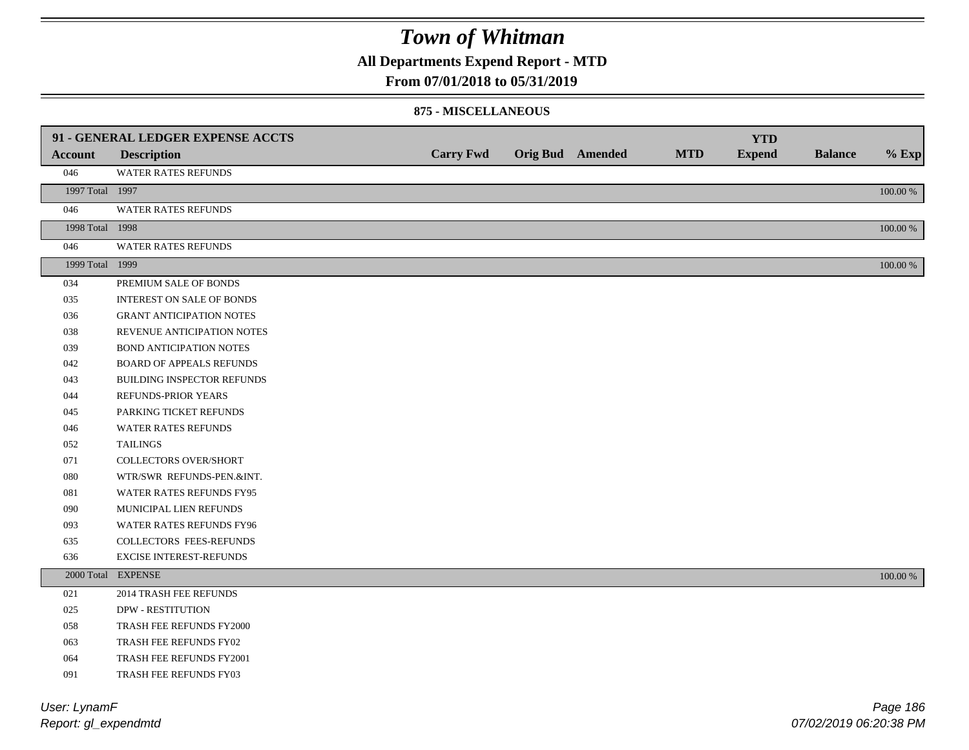**All Departments Expend Report - MTD**

### **From 07/01/2018 to 05/31/2019**

#### **875 - MISCELLANEOUS**

|                 | 91 - GENERAL LEDGER EXPENSE ACCTS |                  |                         |            | <b>YTD</b>    |                |             |
|-----------------|-----------------------------------|------------------|-------------------------|------------|---------------|----------------|-------------|
| <b>Account</b>  | <b>Description</b>                | <b>Carry Fwd</b> | <b>Orig Bud</b> Amended | <b>MTD</b> | <b>Expend</b> | <b>Balance</b> | $%$ Exp     |
| 046             | WATER RATES REFUNDS               |                  |                         |            |               |                |             |
| 1997 Total 1997 |                                   |                  |                         |            |               |                | $100.00~\%$ |
| 046             | <b>WATER RATES REFUNDS</b>        |                  |                         |            |               |                |             |
| 1998 Total 1998 |                                   |                  |                         |            |               |                | 100.00 %    |
| 046             | WATER RATES REFUNDS               |                  |                         |            |               |                |             |
| 1999 Total 1999 |                                   |                  |                         |            |               |                | $100.00~\%$ |
| 034             | PREMIUM SALE OF BONDS             |                  |                         |            |               |                |             |
| 035             | <b>INTEREST ON SALE OF BONDS</b>  |                  |                         |            |               |                |             |
| 036             | <b>GRANT ANTICIPATION NOTES</b>   |                  |                         |            |               |                |             |
| 038             | REVENUE ANTICIPATION NOTES        |                  |                         |            |               |                |             |
| 039             | <b>BOND ANTICIPATION NOTES</b>    |                  |                         |            |               |                |             |
| 042             | <b>BOARD OF APPEALS REFUNDS</b>   |                  |                         |            |               |                |             |
| 043             | BUILDING INSPECTOR REFUNDS        |                  |                         |            |               |                |             |
| 044             | REFUNDS-PRIOR YEARS               |                  |                         |            |               |                |             |
| 045             | PARKING TICKET REFUNDS            |                  |                         |            |               |                |             |
| 046             | WATER RATES REFUNDS               |                  |                         |            |               |                |             |
| 052             | <b>TAILINGS</b>                   |                  |                         |            |               |                |             |
| 071             | <b>COLLECTORS OVER/SHORT</b>      |                  |                         |            |               |                |             |
| 080             | WTR/SWR REFUNDS-PEN.&INT.         |                  |                         |            |               |                |             |
| 081             | WATER RATES REFUNDS FY95          |                  |                         |            |               |                |             |
| 090             | MUNICIPAL LIEN REFUNDS            |                  |                         |            |               |                |             |
| 093             | WATER RATES REFUNDS FY96          |                  |                         |            |               |                |             |
| 635             | COLLECTORS FEES-REFUNDS           |                  |                         |            |               |                |             |
| 636             | <b>EXCISE INTEREST-REFUNDS</b>    |                  |                         |            |               |                |             |
|                 | 2000 Total EXPENSE                |                  |                         |            |               |                | 100.00 %    |
| 021             | 2014 TRASH FEE REFUNDS            |                  |                         |            |               |                |             |
| 025             | <b>DPW - RESTITUTION</b>          |                  |                         |            |               |                |             |
| 058             | TRASH FEE REFUNDS FY2000          |                  |                         |            |               |                |             |
| 063             | TRASH FEE REFUNDS FY02            |                  |                         |            |               |                |             |
| 064             | TRASH FEE REFUNDS FY2001          |                  |                         |            |               |                |             |
| 091             | TRASH FEE REFUNDS FY03            |                  |                         |            |               |                |             |

*Report: gl\_expendmtd User: LynamF*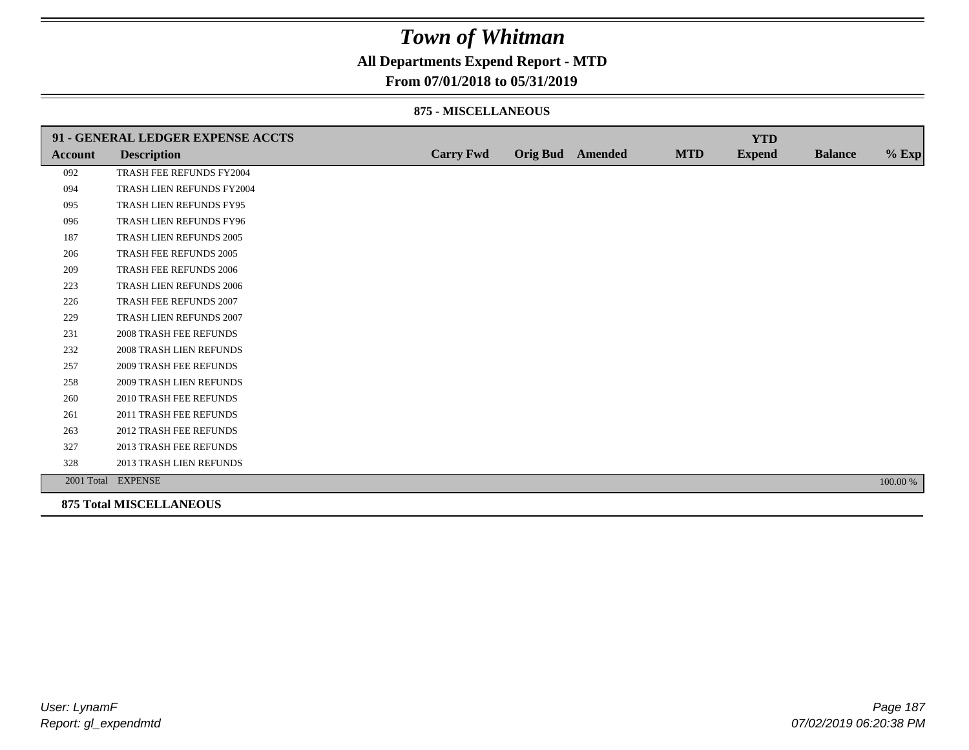### **All Departments Expend Report - MTD**

### **From 07/01/2018 to 05/31/2019**

#### **875 - MISCELLANEOUS**

|                | 91 - GENERAL LEDGER EXPENSE ACCTS |                  |                         |            | <b>YTD</b>    |                |          |
|----------------|-----------------------------------|------------------|-------------------------|------------|---------------|----------------|----------|
| <b>Account</b> | <b>Description</b>                | <b>Carry Fwd</b> | <b>Orig Bud</b> Amended | <b>MTD</b> | <b>Expend</b> | <b>Balance</b> | $%$ Exp  |
| 092            | TRASH FEE REFUNDS FY2004          |                  |                         |            |               |                |          |
| 094            | TRASH LIEN REFUNDS FY2004         |                  |                         |            |               |                |          |
| 095            | TRASH LIEN REFUNDS FY95           |                  |                         |            |               |                |          |
| 096            | TRASH LIEN REFUNDS FY96           |                  |                         |            |               |                |          |
| 187            | TRASH LIEN REFUNDS 2005           |                  |                         |            |               |                |          |
| 206            | <b>TRASH FEE REFUNDS 2005</b>     |                  |                         |            |               |                |          |
| 209            | <b>TRASH FEE REFUNDS 2006</b>     |                  |                         |            |               |                |          |
| 223            | TRASH LIEN REFUNDS 2006           |                  |                         |            |               |                |          |
| 226            | TRASH FEE REFUNDS 2007            |                  |                         |            |               |                |          |
| 229            | TRASH LIEN REFUNDS 2007           |                  |                         |            |               |                |          |
| 231            | <b>2008 TRASH FEE REFUNDS</b>     |                  |                         |            |               |                |          |
| 232            | 2008 TRASH LIEN REFUNDS           |                  |                         |            |               |                |          |
| 257            | <b>2009 TRASH FEE REFUNDS</b>     |                  |                         |            |               |                |          |
| 258            | 2009 TRASH LIEN REFUNDS           |                  |                         |            |               |                |          |
| 260            | <b>2010 TRASH FEE REFUNDS</b>     |                  |                         |            |               |                |          |
| 261            | 2011 TRASH FEE REFUNDS            |                  |                         |            |               |                |          |
| 263            | <b>2012 TRASH FEE REFUNDS</b>     |                  |                         |            |               |                |          |
| 327            | 2013 TRASH FEE REFUNDS            |                  |                         |            |               |                |          |
| 328            | 2013 TRASH LIEN REFUNDS           |                  |                         |            |               |                |          |
|                | 2001 Total EXPENSE                |                  |                         |            |               |                | 100.00 % |
|                | <b>875 Total MISCELLANEOUS</b>    |                  |                         |            |               |                |          |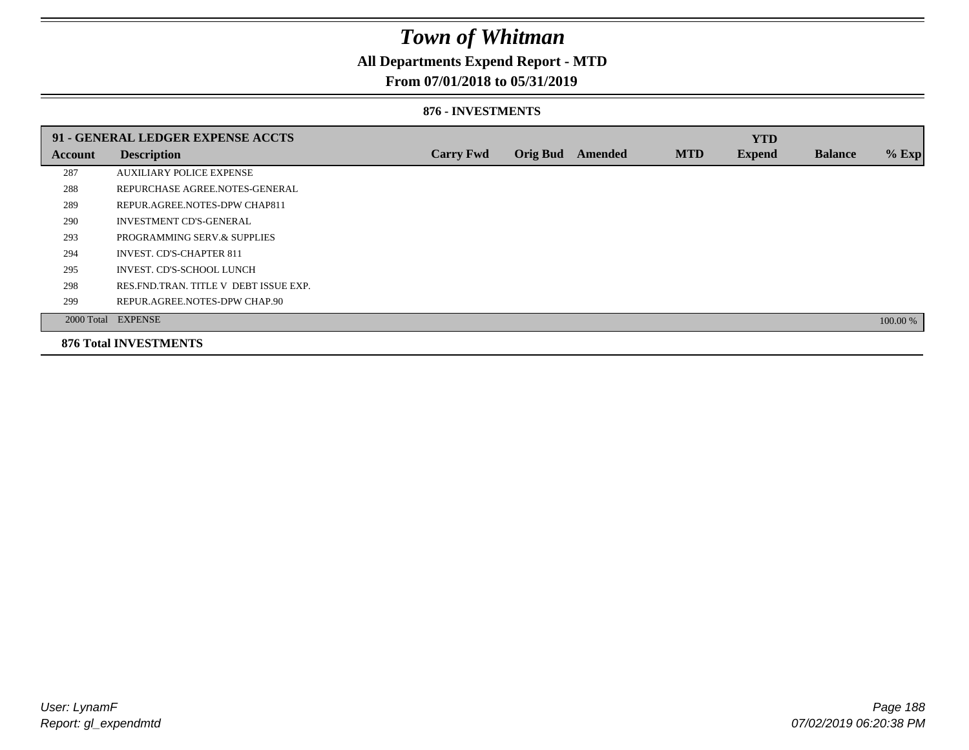## **All Departments Expend Report - MTD**

### **From 07/01/2018 to 05/31/2019**

#### **876 - INVESTMENTS**

|         | 91 - GENERAL LEDGER EXPENSE ACCTS       |                  |                 |                |            | <b>YTD</b>    |                |          |
|---------|-----------------------------------------|------------------|-----------------|----------------|------------|---------------|----------------|----------|
| Account | <b>Description</b>                      | <b>Carry Fwd</b> | <b>Orig Bud</b> | <b>Amended</b> | <b>MTD</b> | <b>Expend</b> | <b>Balance</b> | % Exp    |
| 287     | <b>AUXILIARY POLICE EXPENSE</b>         |                  |                 |                |            |               |                |          |
| 288     | REPURCHASE AGREE.NOTES-GENERAL          |                  |                 |                |            |               |                |          |
| 289     | REPUR.AGREE.NOTES-DPW CHAP811           |                  |                 |                |            |               |                |          |
| 290     | <b>INVESTMENT CD'S-GENERAL</b>          |                  |                 |                |            |               |                |          |
| 293     | PROGRAMMING SERV.& SUPPLIES             |                  |                 |                |            |               |                |          |
| 294     | <b>INVEST. CD'S-CHAPTER 811</b>         |                  |                 |                |            |               |                |          |
| 295     | INVEST. CD'S-SCHOOL LUNCH               |                  |                 |                |            |               |                |          |
| 298     | RES. FND. TRAN. TITLE V DEBT ISSUE EXP. |                  |                 |                |            |               |                |          |
| 299     | REPUR.AGREE.NOTES-DPW CHAP.90           |                  |                 |                |            |               |                |          |
|         | 2000 Total EXPENSE                      |                  |                 |                |            |               |                | 100.00 % |
|         | <b>876 Total INVESTMENTS</b>            |                  |                 |                |            |               |                |          |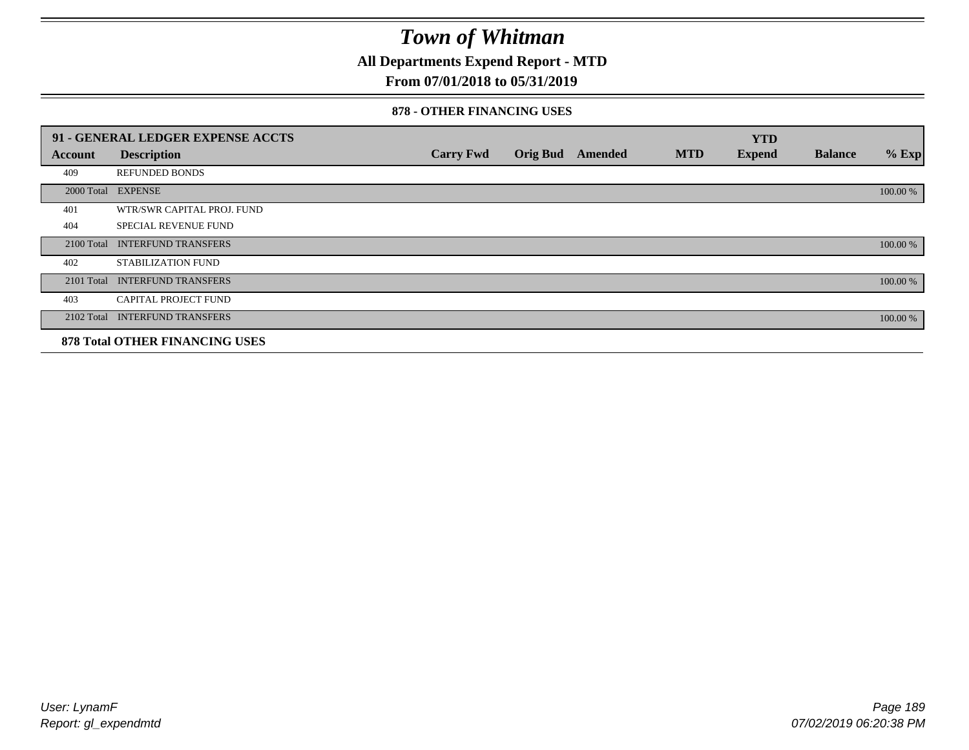**All Departments Expend Report - MTD**

### **From 07/01/2018 to 05/31/2019**

#### **878 - OTHER FINANCING USES**

|                | 91 - GENERAL LEDGER EXPENSE ACCTS     |                  |                 |                |            | <b>YTD</b>    |                |          |
|----------------|---------------------------------------|------------------|-----------------|----------------|------------|---------------|----------------|----------|
| <b>Account</b> | <b>Description</b>                    | <b>Carry Fwd</b> | <b>Orig Bud</b> | <b>Amended</b> | <b>MTD</b> | <b>Expend</b> | <b>Balance</b> | $%$ Exp  |
| 409            | <b>REFUNDED BONDS</b>                 |                  |                 |                |            |               |                |          |
| 2000 Total     | <b>EXPENSE</b>                        |                  |                 |                |            |               |                | 100.00 % |
| 401            | WTR/SWR CAPITAL PROJ. FUND            |                  |                 |                |            |               |                |          |
| 404            | <b>SPECIAL REVENUE FUND</b>           |                  |                 |                |            |               |                |          |
| 2100 Total     | <b>INTERFUND TRANSFERS</b>            |                  |                 |                |            |               |                | 100.00 % |
| 402            | STABILIZATION FUND                    |                  |                 |                |            |               |                |          |
| 2101 Total     | <b>INTERFUND TRANSFERS</b>            |                  |                 |                |            |               |                | 100.00 % |
| 403            | CAPITAL PROJECT FUND                  |                  |                 |                |            |               |                |          |
| 2102 Total     | <b>INTERFUND TRANSFERS</b>            |                  |                 |                |            |               |                | 100.00 % |
|                | <b>878 Total OTHER FINANCING USES</b> |                  |                 |                |            |               |                |          |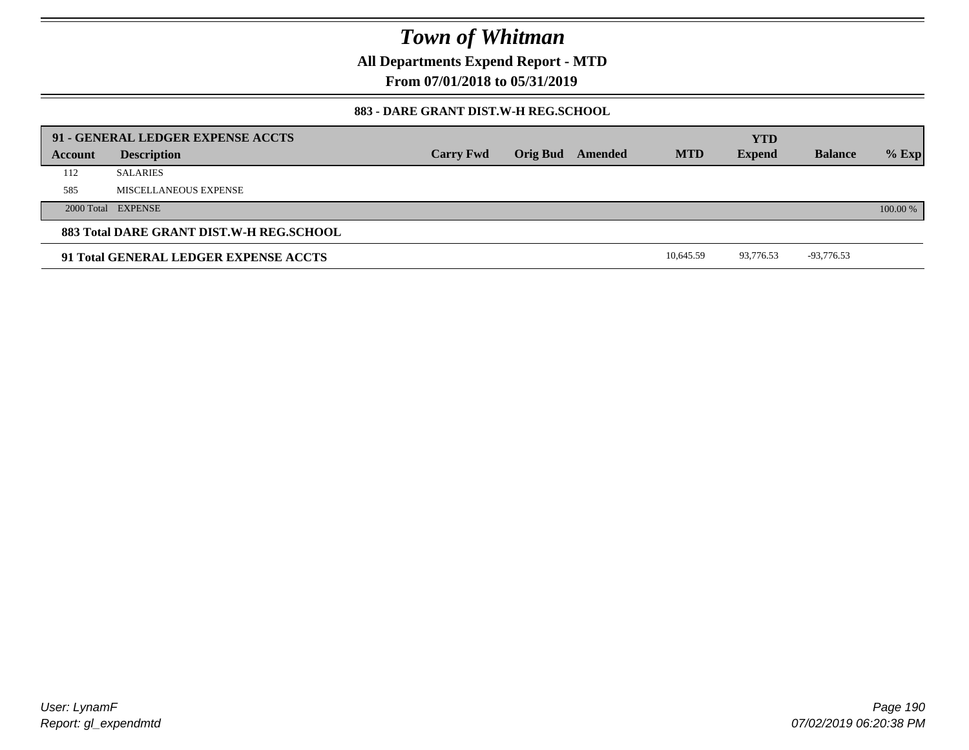**All Departments Expend Report - MTD**

**From 07/01/2018 to 05/31/2019**

### **883 - DARE GRANT DIST.W-H REG.SCHOOL**

|         | 91 - GENERAL LEDGER EXPENSE ACCTS        |                  |                         |            | <b>YTD</b>    |                |          |
|---------|------------------------------------------|------------------|-------------------------|------------|---------------|----------------|----------|
| Account | <b>Description</b>                       | <b>Carry Fwd</b> | <b>Orig Bud</b> Amended | <b>MTD</b> | <b>Expend</b> | <b>Balance</b> | $%$ Exp  |
| 112     | <b>SALARIES</b>                          |                  |                         |            |               |                |          |
| 585     | MISCELLANEOUS EXPENSE                    |                  |                         |            |               |                |          |
|         | 2000 Total EXPENSE                       |                  |                         |            |               |                | 100.00 % |
|         | 883 Total DARE GRANT DIST.W-H REG.SCHOOL |                  |                         |            |               |                |          |
|         | 91 Total GENERAL LEDGER EXPENSE ACCTS    |                  |                         | 10.645.59  | 93.776.53     | -93,776.53     |          |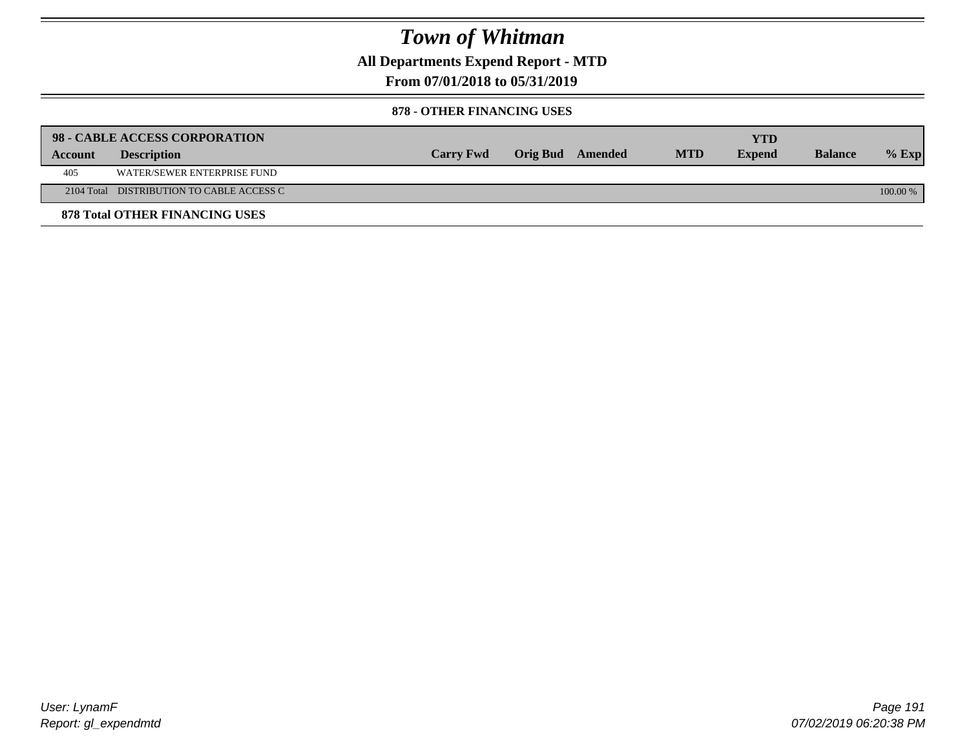**All Departments Expend Report - MTD**

**From 07/01/2018 to 05/31/2019**

#### **878 - OTHER FINANCING USES**

|         | 98 - CABLE ACCESS CORPORATION             |                  |                  |            | YTD           |                |            |
|---------|-------------------------------------------|------------------|------------------|------------|---------------|----------------|------------|
| Account | <b>Description</b>                        | <b>Carry Fwd</b> | Orig Bud Amended | <b>MTD</b> | <b>Expend</b> | <b>Balance</b> | $%$ Exp    |
| 405     | WATER/SEWER ENTERPRISE FUND               |                  |                  |            |               |                |            |
|         | 2104 Total DISTRIBUTION TO CABLE ACCESS C |                  |                  |            |               |                | $100.00\%$ |
|         | <b>878 Total OTHER FINANCING USES</b>     |                  |                  |            |               |                |            |